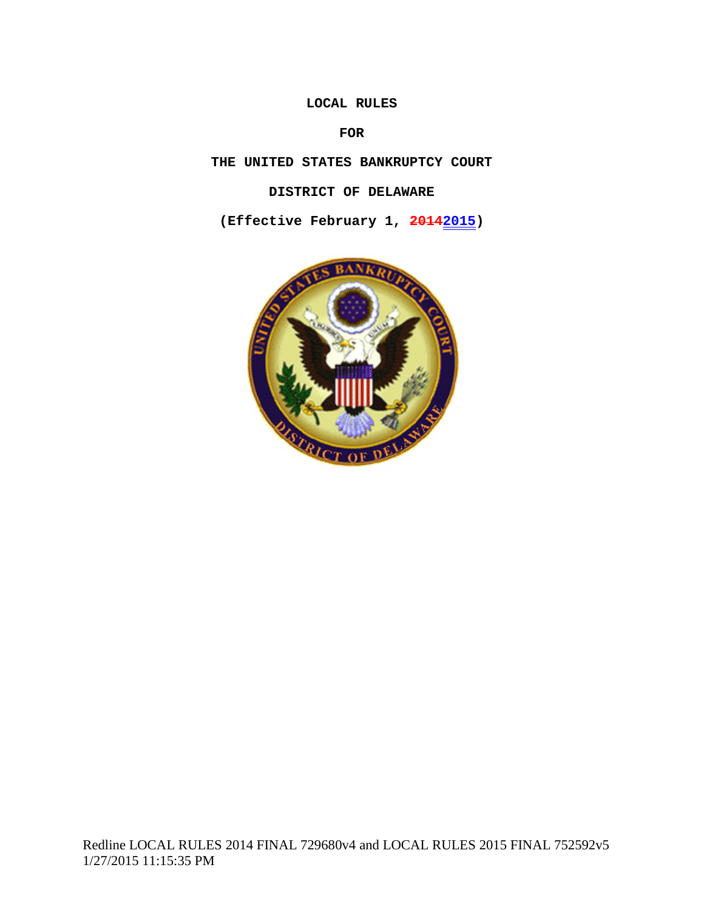### **LOCAL RULES**

# **FOR**

**THE UNITED STATES BANKRUPTCY COURT**

## **DISTRICT OF DELAWARE**

**(Effective February 1, 20142015)**

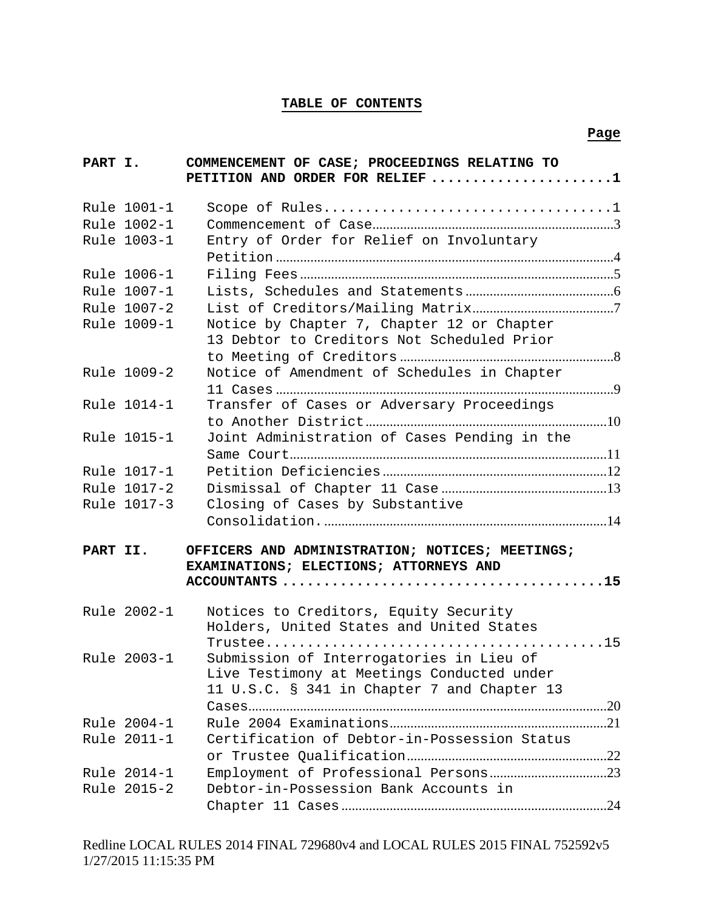### **TABLE OF CONTENTS**

| PART I.  |             | COMMENCEMENT OF CASE; PROCEEDINGS RELATING TO<br>PETITION AND ORDER FOR RELIEF 1          |  |
|----------|-------------|-------------------------------------------------------------------------------------------|--|
|          | Rule 1001-1 |                                                                                           |  |
|          | Rule 1002-1 |                                                                                           |  |
|          | Rule 1003-1 | Entry of Order for Relief on Involuntary                                                  |  |
|          |             |                                                                                           |  |
|          | Rule 1006-1 |                                                                                           |  |
|          | Rule 1007-1 |                                                                                           |  |
|          | Rule 1007-2 |                                                                                           |  |
|          | Rule 1009-1 | Notice by Chapter 7, Chapter 12 or Chapter                                                |  |
|          |             | 13 Debtor to Creditors Not Scheduled Prior                                                |  |
|          |             |                                                                                           |  |
|          | Rule 1009-2 | Notice of Amendment of Schedules in Chapter                                               |  |
|          |             |                                                                                           |  |
|          | Rule 1014-1 | Transfer of Cases or Adversary Proceedings                                                |  |
|          |             |                                                                                           |  |
|          | Rule 1015-1 | Joint Administration of Cases Pending in the                                              |  |
|          |             |                                                                                           |  |
|          | Rule 1017-1 |                                                                                           |  |
|          | Rule 1017-2 |                                                                                           |  |
|          | Rule 1017-3 | Closing of Cases by Substantive                                                           |  |
|          |             |                                                                                           |  |
| PART II. |             | OFFICERS AND ADMINISTRATION; NOTICES; MEETINGS;<br>EXAMINATIONS; ELECTIONS; ATTORNEYS AND |  |
|          | Rule 2002-1 | Notices to Creditors, Equity Security                                                     |  |
|          |             | Holders, United States and United States                                                  |  |
|          |             |                                                                                           |  |
|          | Rule 2003-1 | Submission of Interrogatories in Lieu of                                                  |  |
|          |             | Live Testimony at Meetings Conducted under                                                |  |
|          |             | 11 U.S.C. § 341 in Chapter 7 and Chapter 13                                               |  |
|          |             |                                                                                           |  |
|          | Rule 2004-1 |                                                                                           |  |
|          | Rule 2011-1 | Certification of Debtor-in-Possession Status                                              |  |
|          |             |                                                                                           |  |
|          | Rule 2014-1 |                                                                                           |  |
|          | Rule 2015-2 | Debtor-in-Possession Bank Accounts in                                                     |  |
|          |             |                                                                                           |  |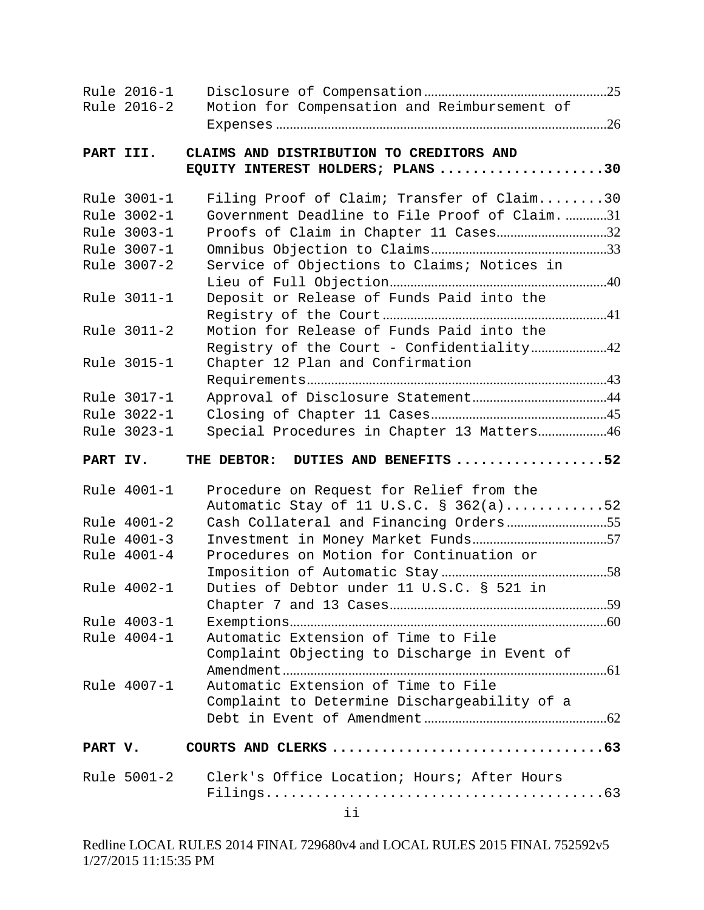|          | Rule 2016-1<br>Rule 2016-2                                                                                                                                        | Motion for Compensation and Reimbursement of                                                                                                                                                                                                                                                                                                                                                                  |  |
|----------|-------------------------------------------------------------------------------------------------------------------------------------------------------------------|---------------------------------------------------------------------------------------------------------------------------------------------------------------------------------------------------------------------------------------------------------------------------------------------------------------------------------------------------------------------------------------------------------------|--|
|          |                                                                                                                                                                   |                                                                                                                                                                                                                                                                                                                                                                                                               |  |
|          | PART III.                                                                                                                                                         | CLAIMS AND DISTRIBUTION TO CREDITORS AND<br>EQUITY INTEREST HOLDERS; PLANS 30                                                                                                                                                                                                                                                                                                                                 |  |
|          | Rule 3001-1<br>Rule 3002-1<br>Rule 3003-1<br>Rule 3007-1<br>Rule 3007-2<br>Rule 3011-1<br>Rule 3011-2<br>Rule 3015-1<br>Rule 3017-1<br>Rule 3022-1<br>Rule 3023-1 | Filing Proof of Claim; Transfer of Claim30<br>Government Deadline to File Proof of Claim. 31<br>Proofs of Claim in Chapter 11 Cases32<br>Service of Objections to Claims; Notices in<br>Deposit or Release of Funds Paid into the<br>Motion for Release of Funds Paid into the<br>Registry of the Court - Confidentiality42<br>Chapter 12 Plan and Confirmation<br>Special Procedures in Chapter 13 Matters46 |  |
| PART IV. |                                                                                                                                                                   | DUTIES AND BENEFITS 52<br>THE DEBTOR:                                                                                                                                                                                                                                                                                                                                                                         |  |
|          | Rule 4001-1<br>Rule 4001-2<br>Rule 4001-3<br>Rule 4001-4<br>Rule 4002-1<br>Rule 4003-1<br>Rule 4004-1<br>Rule 4007-1                                              | Procedure on Request for Relief from the<br>Automatic Stay of 11 U.S.C. § 362(a)52<br>Procedures on Motion for Continuation or<br>Duties of Debtor under 11 U.S.C. § 521 in<br>Automatic Extension of Time to File<br>Complaint Objecting to Discharge in Event of<br>Automatic Extension of Time to File<br>Complaint to Determine Dischargeability of a                                                     |  |
| PART V.  |                                                                                                                                                                   |                                                                                                                                                                                                                                                                                                                                                                                                               |  |
|          | Rule 5001-2                                                                                                                                                       | Clerk's Office Location; Hours; After Hours<br>ii                                                                                                                                                                                                                                                                                                                                                             |  |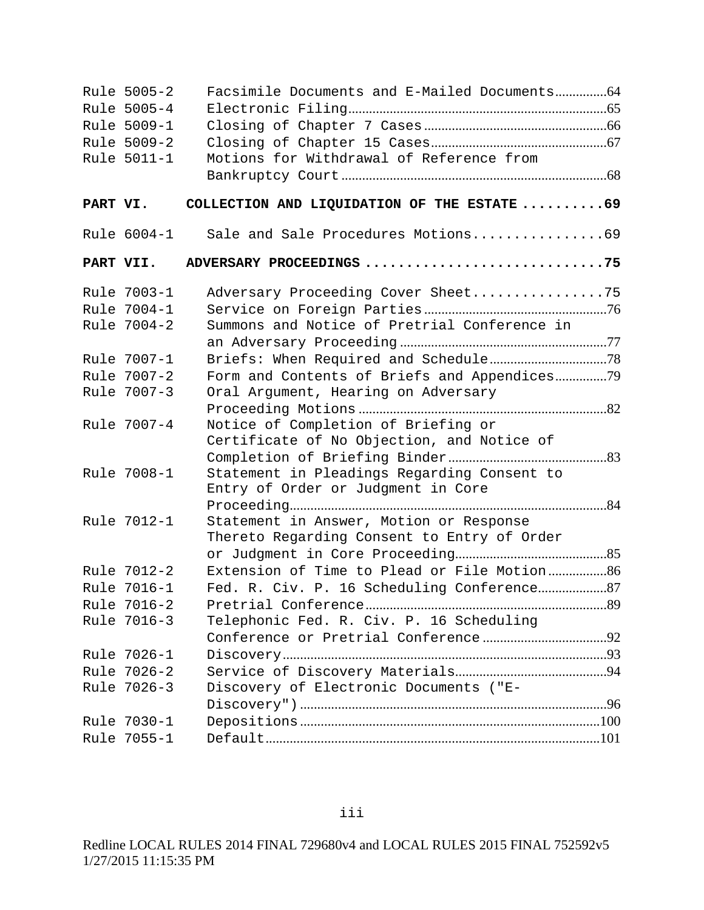|           | Rule 5005-2<br>Rule 5005-4<br>Rule 5009-1 |                                                                                        |  |
|-----------|-------------------------------------------|----------------------------------------------------------------------------------------|--|
|           | Rule 5009-2                               |                                                                                        |  |
|           | Rule 5011-1                               | Motions for Withdrawal of Reference from                                               |  |
|           |                                           |                                                                                        |  |
| PART VI.  |                                           | COLLECTION AND LIQUIDATION OF THE ESTATE 69                                            |  |
|           | Rule 6004-1                               | Sale and Sale Procedures Motions69                                                     |  |
| PART VII. |                                           | ADVERSARY PROCEEDINGS 75                                                               |  |
|           | Rule 7003-1                               | Adversary Proceeding Cover Sheet75                                                     |  |
|           | Rule 7004-1                               |                                                                                        |  |
|           | Rule 7004-2                               | Summons and Notice of Pretrial Conference in                                           |  |
|           |                                           |                                                                                        |  |
|           | Rule 7007-1                               |                                                                                        |  |
|           | Rule 7007-2                               | Form and Contents of Briefs and Appendices79                                           |  |
|           | Rule 7007-3                               | Oral Argument, Hearing on Adversary                                                    |  |
|           | Rule 7007-4                               | Notice of Completion of Briefing or<br>Certificate of No Objection, and Notice of      |  |
|           | Rule 7008-1                               | Statement in Pleadings Regarding Consent to<br>Entry of Order or Judgment in Core      |  |
|           | Rule 7012-1                               | Statement in Answer, Motion or Response<br>Thereto Regarding Consent to Entry of Order |  |
|           |                                           |                                                                                        |  |
|           | Rule 7012-2                               | Extension of Time to Plead or File Motion 86                                           |  |
|           | Rule 7016-1                               |                                                                                        |  |
|           | Rule 7016-2<br>Rule 7016-3                | Telephonic Fed. R. Civ. P. 16 Scheduling                                               |  |
|           |                                           |                                                                                        |  |
|           | Rule 7026-1                               |                                                                                        |  |
|           | Rule 7026-2                               |                                                                                        |  |
|           | Rule 7026-3                               | Discovery of Electronic Documents ("E-                                                 |  |
|           |                                           |                                                                                        |  |
|           | Rule 7030-1                               |                                                                                        |  |
|           | Rule 7055-1                               |                                                                                        |  |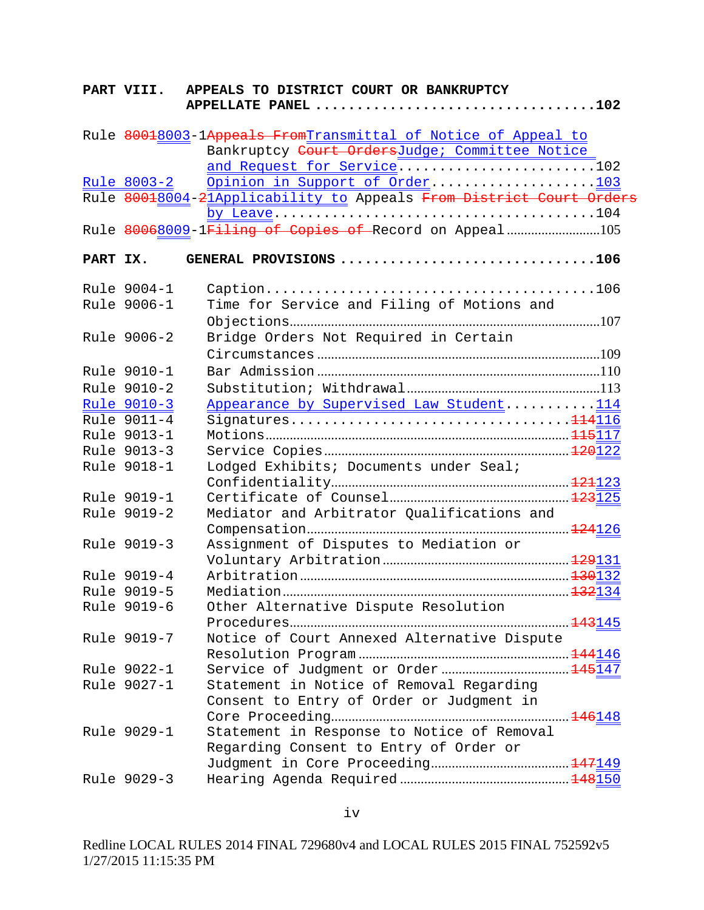|          | PART VIII.         | APPEALS TO DISTRICT COURT OR BANKRUPTCY<br>APPELLATE PANEL 102      |  |
|----------|--------------------|---------------------------------------------------------------------|--|
|          |                    | Rule 80018003-1Appeals FromTransmittal of Notice of Appeal to       |  |
|          |                    | Bankruptcy Court OrdersJudge; Committee Notice                      |  |
|          |                    | and Request for Service102                                          |  |
|          | <u>Rule 8003-2</u> | Opinion in Support of Order103                                      |  |
|          |                    | Rule 80018004-21Applicability to Appeals From District Court Orders |  |
|          |                    |                                                                     |  |
|          |                    | Rule 80068009-1Filing of Copies of Record on Appeal105              |  |
| PART IX. |                    | GENERAL PROVISIONS 106                                              |  |
|          | Rule 9004-1        |                                                                     |  |
|          | Rule 9006-1        | Time for Service and Filing of Motions and                          |  |
|          |                    |                                                                     |  |
|          | Rule 9006-2        | Bridge Orders Not Required in Certain                               |  |
|          |                    |                                                                     |  |
|          | Rule 9010-1        |                                                                     |  |
|          | Rule 9010-2        |                                                                     |  |
|          | Rule 9010-3        | Appearance by Supervised Law Student114                             |  |
|          | Rule 9011-4        | Signatures114116                                                    |  |
|          | Rule 9013-1        |                                                                     |  |
|          | Rule 9013-3        |                                                                     |  |
|          | Rule 9018-1        | Lodged Exhibits; Documents under Seal;                              |  |
|          |                    |                                                                     |  |
|          | Rule 9019-1        |                                                                     |  |
|          | Rule 9019-2        | Mediator and Arbitrator Qualifications and                          |  |
|          |                    |                                                                     |  |
|          | Rule 9019-3        | Assignment of Disputes to Mediation or                              |  |
|          | Rule 9019-4        |                                                                     |  |
|          | Rule 9019-5        |                                                                     |  |
|          | Rule 9019-6        | Other Alternative Dispute Resolution                                |  |
|          |                    |                                                                     |  |
|          | Rule 9019-7        | Notice of Court Annexed Alternative Dispute                         |  |
|          |                    |                                                                     |  |
|          | Rule 9022-1        |                                                                     |  |
|          | Rule 9027-1        | Statement in Notice of Removal Regarding                            |  |
|          |                    | Consent to Entry of Order or Judgment in                            |  |
|          |                    |                                                                     |  |
|          | Rule 9029-1        | Statement in Response to Notice of Removal                          |  |
|          |                    | Regarding Consent to Entry of Order or                              |  |
|          |                    |                                                                     |  |
|          | Rule 9029-3        |                                                                     |  |
|          |                    |                                                                     |  |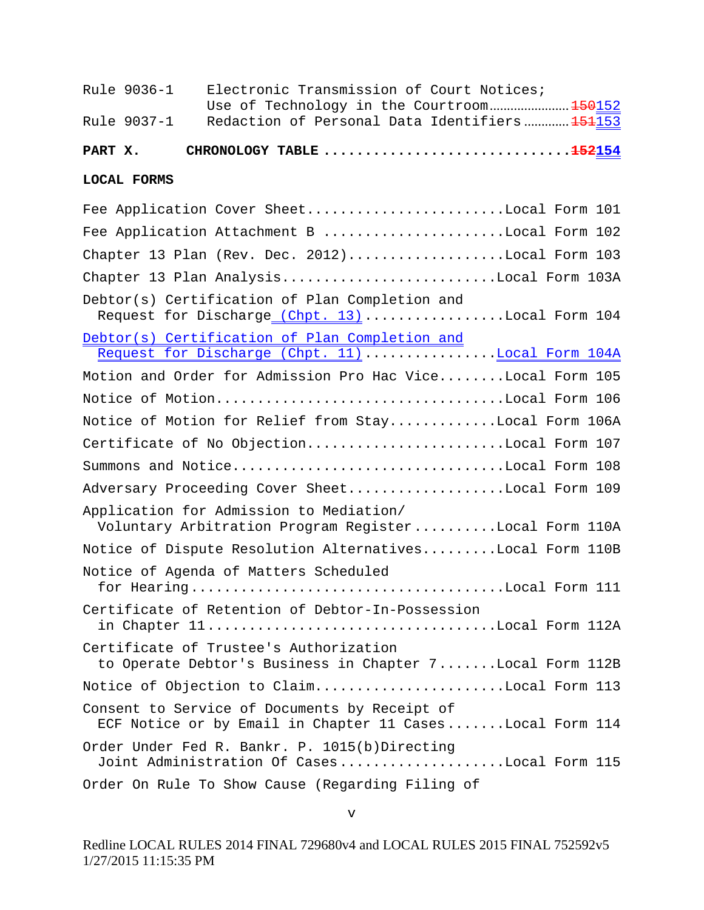| Rule 9036-1        | Electronic Transmission of Court Notices;                                                                 |
|--------------------|-----------------------------------------------------------------------------------------------------------|
| Rule 9037-1        | Redaction of Personal Data Identifiers 151153                                                             |
|                    |                                                                                                           |
| PART X.            |                                                                                                           |
| <b>LOCAL FORMS</b> |                                                                                                           |
|                    | Fee Application Cover SheetLocal Form 101                                                                 |
|                    | Fee Application Attachment B Local Form 102                                                               |
|                    | Chapter 13 Plan (Rev. Dec. 2012)Local Form 103                                                            |
|                    | Chapter 13 Plan AnalysisLocal Form 103A                                                                   |
|                    | Debtor(s) Certification of Plan Completion and<br>Request for Discharge (Chpt. 13) Local Form 104         |
|                    | Debtor(s) Certification of Plan Completion and                                                            |
|                    | Request for Discharge (Chpt. 11) Local Form 104A                                                          |
|                    | Motion and Order for Admission Pro Hac ViceLocal Form 105                                                 |
|                    | Notice of MotionLocal Form 106                                                                            |
|                    | Notice of Motion for Relief from StayLocal Form 106A                                                      |
|                    | Certificate of No ObjectionLocal Form 107                                                                 |
|                    | Summons and NoticeLocal Form 108                                                                          |
|                    | Adversary Proceeding Cover SheetLocal Form 109                                                            |
|                    | Application for Admission to Mediation/<br>Voluntary Arbitration Program RegisterLocal Form 110A          |
|                    | Notice of Dispute Resolution AlternativesLocal Form 110B                                                  |
|                    | Notice of Agenda of Matters Scheduled                                                                     |
|                    | Certificate of Retention of Debtor-In-Possession<br>in Chapter 11Local Form 112A                          |
|                    | Certificate of Trustee's Authorization<br>to Operate Debtor's Business in Chapter 7Local Form 112B        |
|                    | Notice of Objection to ClaimLocal Form 113                                                                |
|                    | Consent to Service of Documents by Receipt of<br>ECF Notice or by Email in Chapter 11 CasesLocal Form 114 |
|                    | Order Under Fed R. Bankr. P. 1015(b)Directing<br>Joint Administration Of CasesLocal Form 115              |
|                    | Order On Rule To Show Cause (Regarding Filing of                                                          |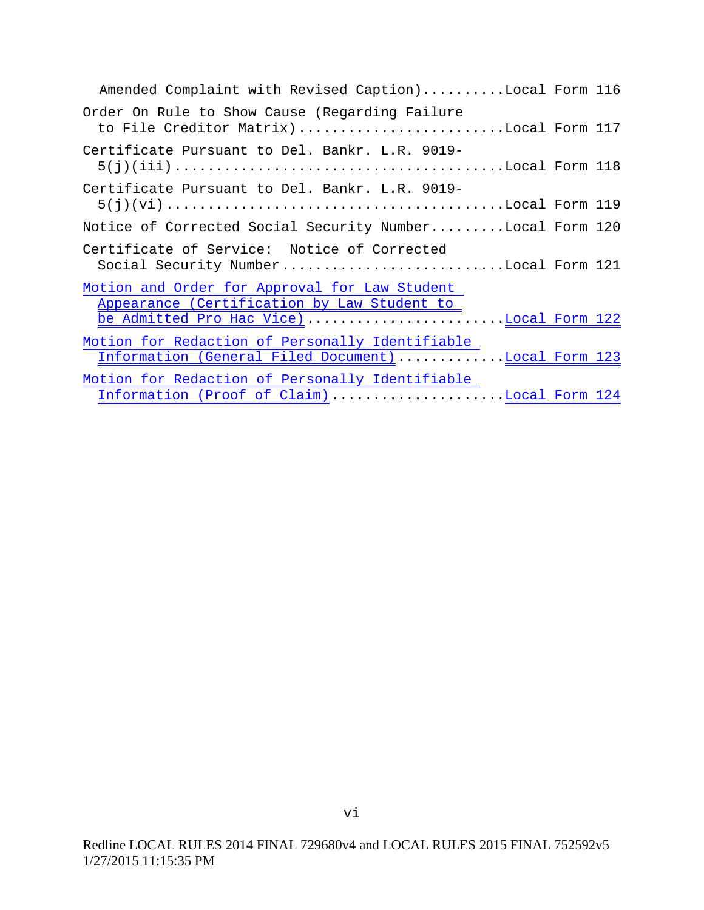| Amended Complaint with Revised Caption)Local Form 116<br>to File Creditor Matrix)Local Form 117<br>Notice of Corrected Social Security NumberLocal Form 120<br>Social Security NumberLocal Form 121<br>Information (General Filed Document)Local Form 123<br>Information (Proof of Claim)Local Form 124 |
|---------------------------------------------------------------------------------------------------------------------------------------------------------------------------------------------------------------------------------------------------------------------------------------------------------|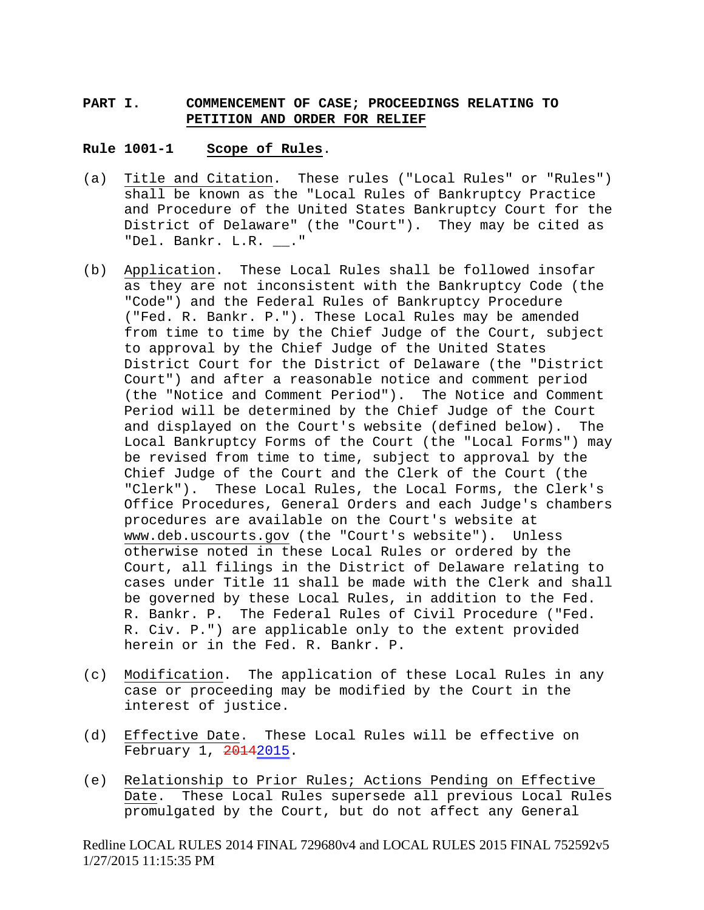## **PART I. COMMENCEMENT OF CASE; PROCEEDINGS RELATING TO PETITION AND ORDER FOR RELIEF**

#### **Rule 1001-1 Scope of Rules**.

- (a) Title and Citation. These rules ("Local Rules" or "Rules") shall be known as the "Local Rules of Bankruptcy Practice and Procedure of the United States Bankruptcy Court for the District of Delaware" (the "Court"). They may be cited as "Del. Bankr. L.R. \_\_."
- (b) Application. These Local Rules shall be followed insofar as they are not inconsistent with the Bankruptcy Code (the "Code") and the Federal Rules of Bankruptcy Procedure ("Fed. R. Bankr. P."). These Local Rules may be amended from time to time by the Chief Judge of the Court, subject to approval by the Chief Judge of the United States District Court for the District of Delaware (the "District Court") and after a reasonable notice and comment period (the "Notice and Comment Period"). The Notice and Comment Period will be determined by the Chief Judge of the Court and displayed on the Court's website (defined below). The Local Bankruptcy Forms of the Court (the "Local Forms") may be revised from time to time, subject to approval by the Chief Judge of the Court and the Clerk of the Court (the "Clerk"). These Local Rules, the Local Forms, the Clerk's Office Procedures, General Orders and each Judge's chambers procedures are available on the Court's website at www.deb.uscourts.gov (the "Court's website"). Unless otherwise noted in these Local Rules or ordered by the Court, all filings in the District of Delaware relating to cases under Title 11 shall be made with the Clerk and shall be governed by these Local Rules, in addition to the Fed. R. Bankr. P. The Federal Rules of Civil Procedure ("Fed. R. Civ. P.") are applicable only to the extent provided herein or in the Fed. R. Bankr. P.
- (c) Modification. The application of these Local Rules in any case or proceeding may be modified by the Court in the interest of justice.
- (d) Effective Date. These Local Rules will be effective on February 1, 20142015.
- (e) Relationship to Prior Rules; Actions Pending on Effective Date. These Local Rules supersede all previous Local Rules promulgated by the Court, but do not affect any General

Redline LOCAL RULES 2014 FINAL 729680v4 and LOCAL RULES 2015 FINAL 752592v5 1/27/2015 11:15:35 PM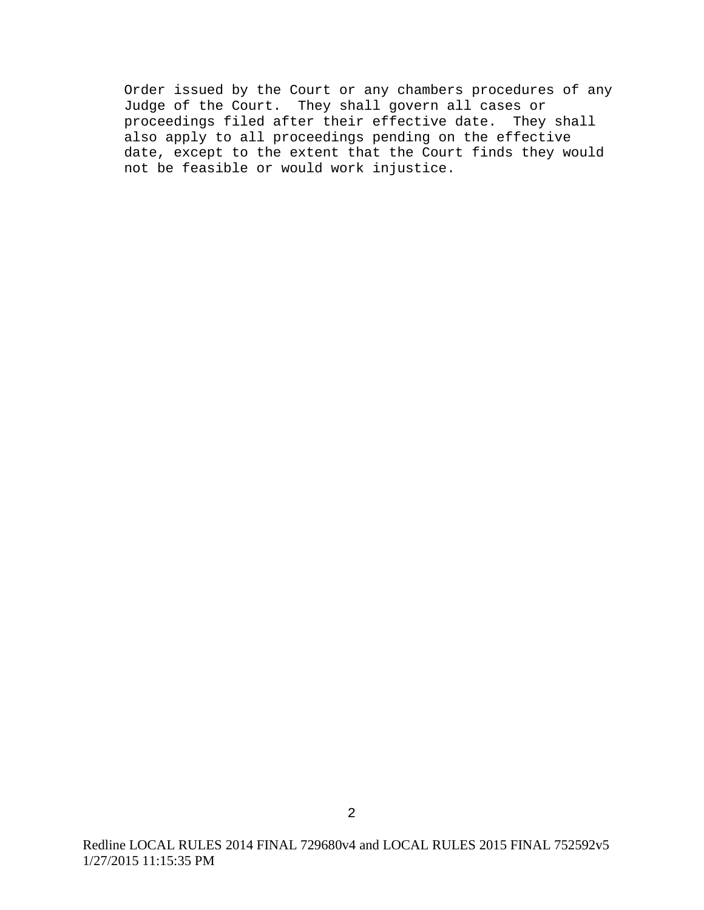Order issued by the Court or any chambers procedures of any Judge of the Court. They shall govern all cases or proceedings filed after their effective date. They shall also apply to all proceedings pending on the effective date, except to the extent that the Court finds they would not be feasible or would work injustice.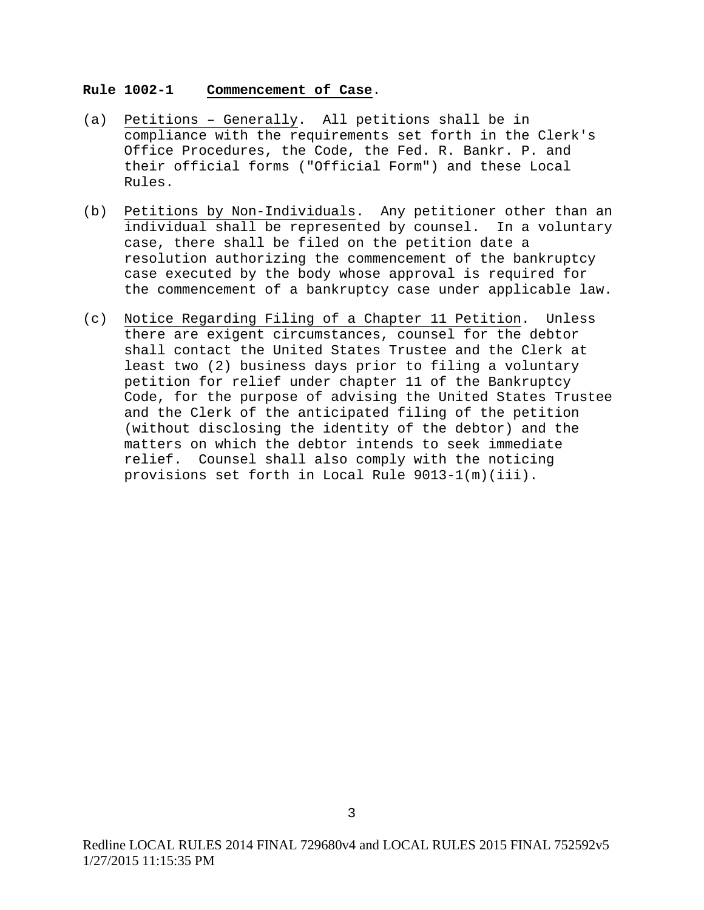#### **Rule 1002-1 Commencement of Case**.

- (a) Petitions Generally. All petitions shall be in compliance with the requirements set forth in the Clerk's Office Procedures, the Code, the Fed. R. Bankr. P. and their official forms ("Official Form") and these Local Rules.
- (b) Petitions by Non-Individuals. Any petitioner other than an individual shall be represented by counsel. In a voluntary case, there shall be filed on the petition date a resolution authorizing the commencement of the bankruptcy case executed by the body whose approval is required for the commencement of a bankruptcy case under applicable law.
- (c) Notice Regarding Filing of a Chapter 11 Petition. Unless there are exigent circumstances, counsel for the debtor shall contact the United States Trustee and the Clerk at least two (2) business days prior to filing a voluntary petition for relief under chapter 11 of the Bankruptcy Code, for the purpose of advising the United States Trustee and the Clerk of the anticipated filing of the petition (without disclosing the identity of the debtor) and the matters on which the debtor intends to seek immediate relief. Counsel shall also comply with the noticing provisions set forth in Local Rule 9013-1(m)(iii).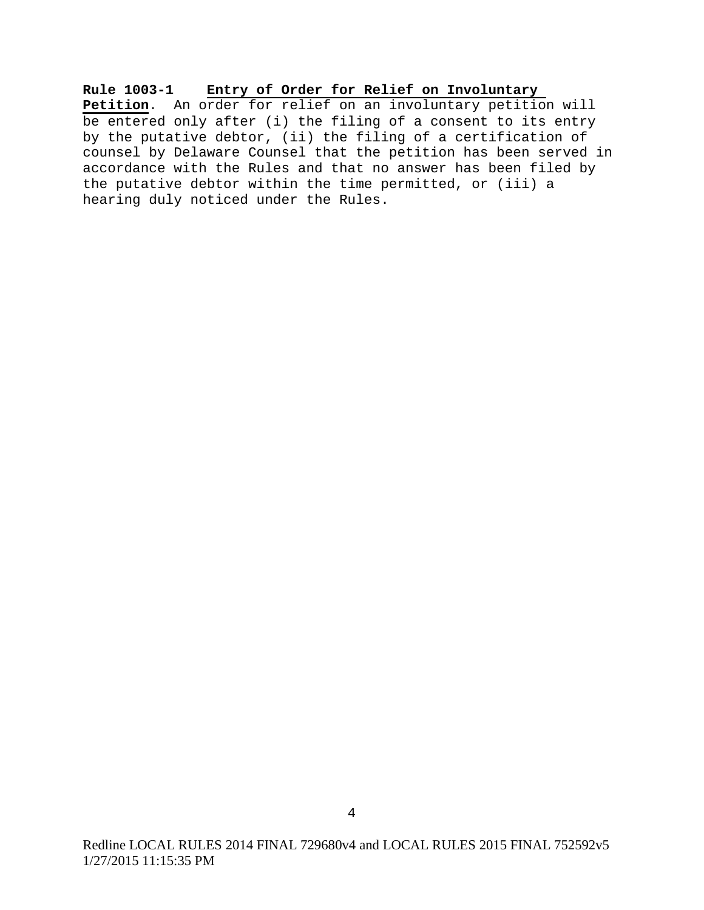**Rule 1003-1 Entry of Order for Relief on Involuntary Petition**. An order for relief on an involuntary petition will be entered only after (i) the filing of a consent to its entry by the putative debtor, (ii) the filing of a certification of counsel by Delaware Counsel that the petition has been served in accordance with the Rules and that no answer has been filed by the putative debtor within the time permitted, or (iii) a hearing duly noticed under the Rules.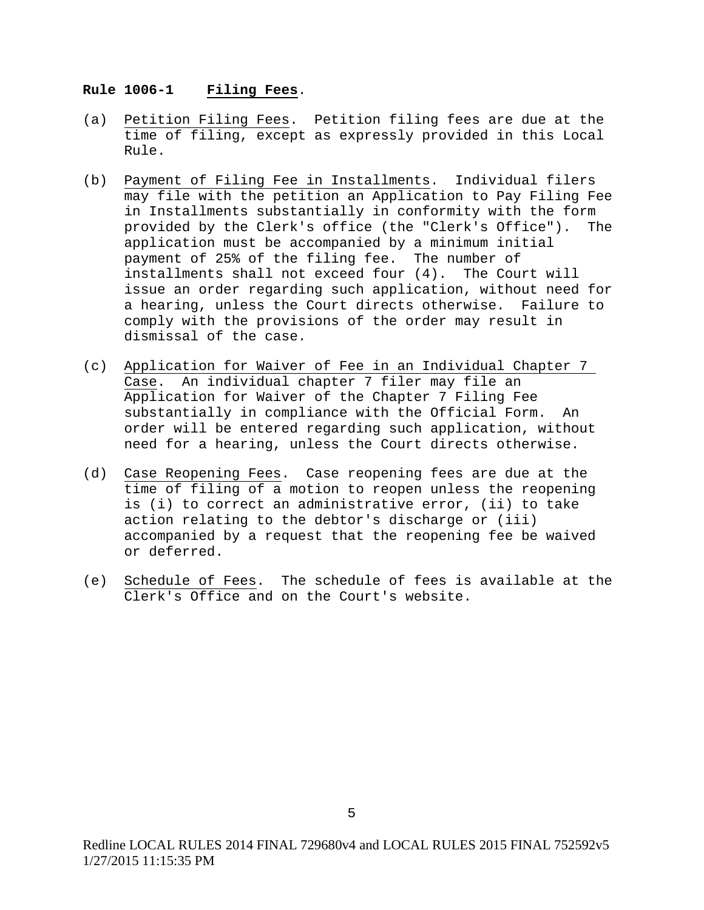#### **Rule 1006-1 Filing Fees**.

- (a) Petition Filing Fees. Petition filing fees are due at the time of filing, except as expressly provided in this Local Rule.
- (b) Payment of Filing Fee in Installments. Individual filers may file with the petition an Application to Pay Filing Fee in Installments substantially in conformity with the form provided by the Clerk's office (the "Clerk's Office"). The application must be accompanied by a minimum initial payment of 25% of the filing fee. The number of installments shall not exceed four (4). The Court will issue an order regarding such application, without need for a hearing, unless the Court directs otherwise. Failure to comply with the provisions of the order may result in dismissal of the case.
- (c) Application for Waiver of Fee in an Individual Chapter 7 Case. An individual chapter 7 filer may file an Application for Waiver of the Chapter 7 Filing Fee substantially in compliance with the Official Form. An order will be entered regarding such application, without need for a hearing, unless the Court directs otherwise.
- (d) Case Reopening Fees. Case reopening fees are due at the time of filing of a motion to reopen unless the reopening is (i) to correct an administrative error, (ii) to take action relating to the debtor's discharge or (iii) accompanied by a request that the reopening fee be waived or deferred.
- (e) Schedule of Fees. The schedule of fees is available at the Clerk's Office and on the Court's website.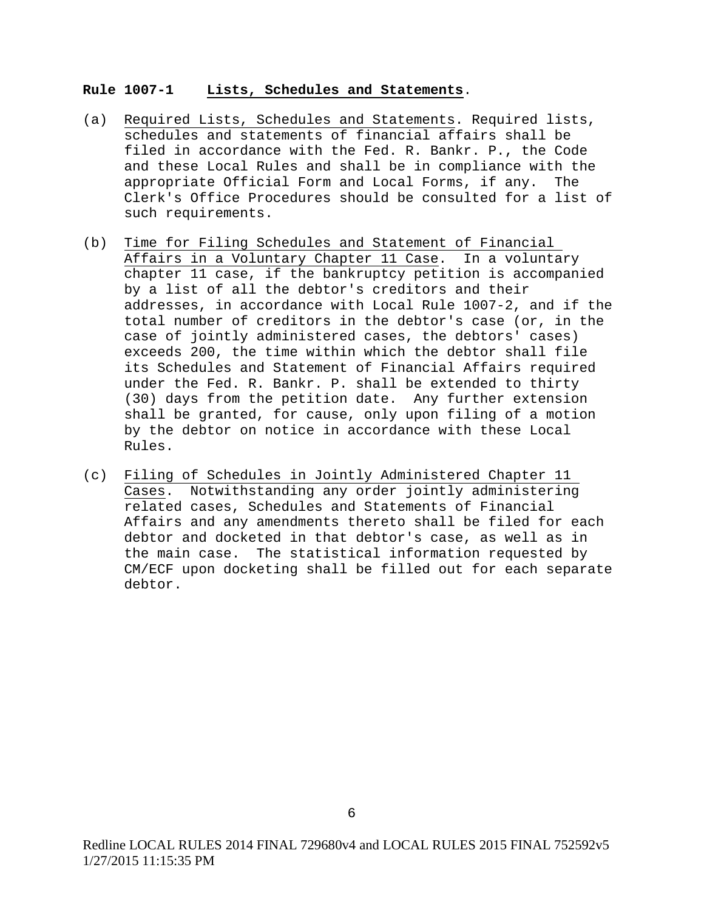### **Rule 1007-1 Lists, Schedules and Statements**.

- (a) Required Lists, Schedules and Statements. Required lists, schedules and statements of financial affairs shall be filed in accordance with the Fed. R. Bankr. P., the Code and these Local Rules and shall be in compliance with the appropriate Official Form and Local Forms, if any. The Clerk's Office Procedures should be consulted for a list of such requirements.
- (b) Time for Filing Schedules and Statement of Financial Affairs in a Voluntary Chapter 11 Case. In a voluntary chapter 11 case, if the bankruptcy petition is accompanied by a list of all the debtor's creditors and their addresses, in accordance with Local Rule 1007-2, and if the total number of creditors in the debtor's case (or, in the case of jointly administered cases, the debtors' cases) exceeds 200, the time within which the debtor shall file its Schedules and Statement of Financial Affairs required under the Fed. R. Bankr. P. shall be extended to thirty (30) days from the petition date. Any further extension shall be granted, for cause, only upon filing of a motion by the debtor on notice in accordance with these Local Rules.
- (c) Filing of Schedules in Jointly Administered Chapter 11 Cases. Notwithstanding any order jointly administering related cases, Schedules and Statements of Financial Affairs and any amendments thereto shall be filed for each debtor and docketed in that debtor's case, as well as in the main case. The statistical information requested by CM/ECF upon docketing shall be filled out for each separate debtor.

Redline LOCAL RULES 2014 FINAL 729680v4 and LOCAL RULES 2015 FINAL 752592v5 1/27/2015 11:15:35 PM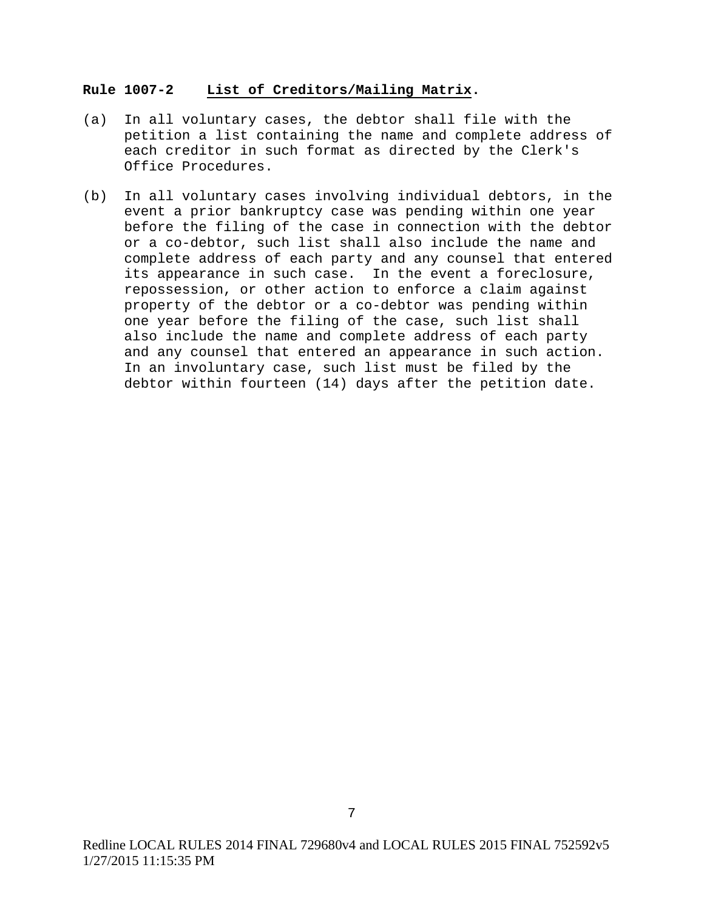### **Rule 1007-2 List of Creditors/Mailing Matrix.**

- (a) In all voluntary cases, the debtor shall file with the petition a list containing the name and complete address of each creditor in such format as directed by the Clerk's Office Procedures.
- (b) In all voluntary cases involving individual debtors, in the event a prior bankruptcy case was pending within one year before the filing of the case in connection with the debtor or a co-debtor, such list shall also include the name and complete address of each party and any counsel that entered its appearance in such case. In the event a foreclosure, repossession, or other action to enforce a claim against property of the debtor or a co-debtor was pending within one year before the filing of the case, such list shall also include the name and complete address of each party and any counsel that entered an appearance in such action. In an involuntary case, such list must be filed by the debtor within fourteen (14) days after the petition date.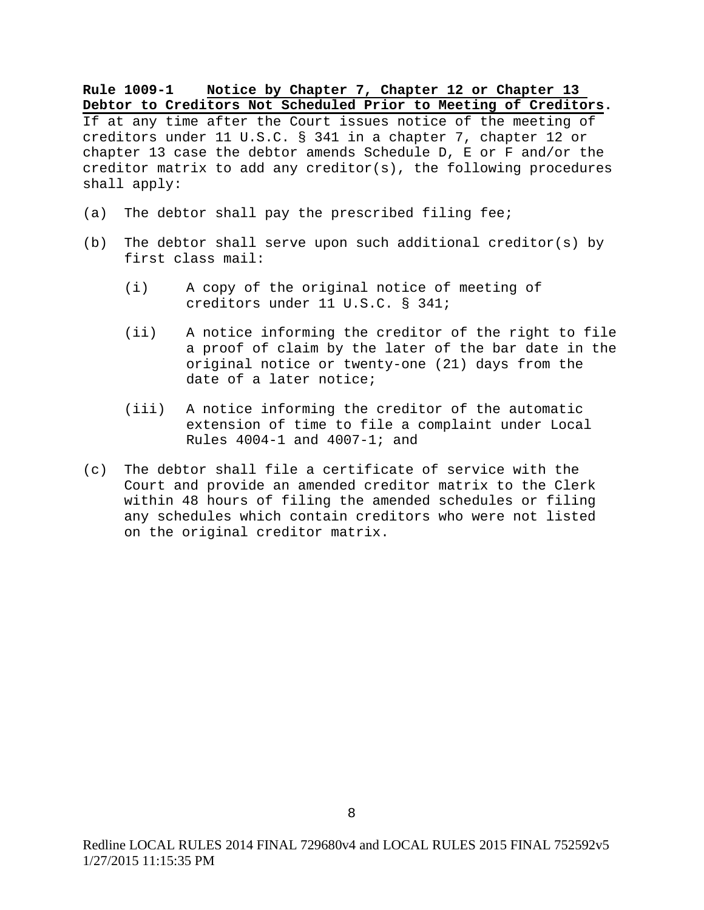### **Rule 1009-1 Notice by Chapter 7, Chapter 12 or Chapter 13 Debtor to Creditors Not Scheduled Prior to Meeting of Creditors.**

If at any time after the Court issues notice of the meeting of creditors under 11 U.S.C. § 341 in a chapter 7, chapter 12 or chapter 13 case the debtor amends Schedule D, E or F and/or the creditor matrix to add any creditor(s), the following procedures shall apply:

- (a) The debtor shall pay the prescribed filing fee;
- (b) The debtor shall serve upon such additional creditor(s) by first class mail:
	- (i) A copy of the original notice of meeting of creditors under 11 U.S.C. § 341;
	- (ii) A notice informing the creditor of the right to file a proof of claim by the later of the bar date in the original notice or twenty-one (21) days from the date of a later notice;
	- (iii) A notice informing the creditor of the automatic extension of time to file a complaint under Local Rules 4004-1 and 4007-1; and
- (c) The debtor shall file a certificate of service with the Court and provide an amended creditor matrix to the Clerk within 48 hours of filing the amended schedules or filing any schedules which contain creditors who were not listed on the original creditor matrix.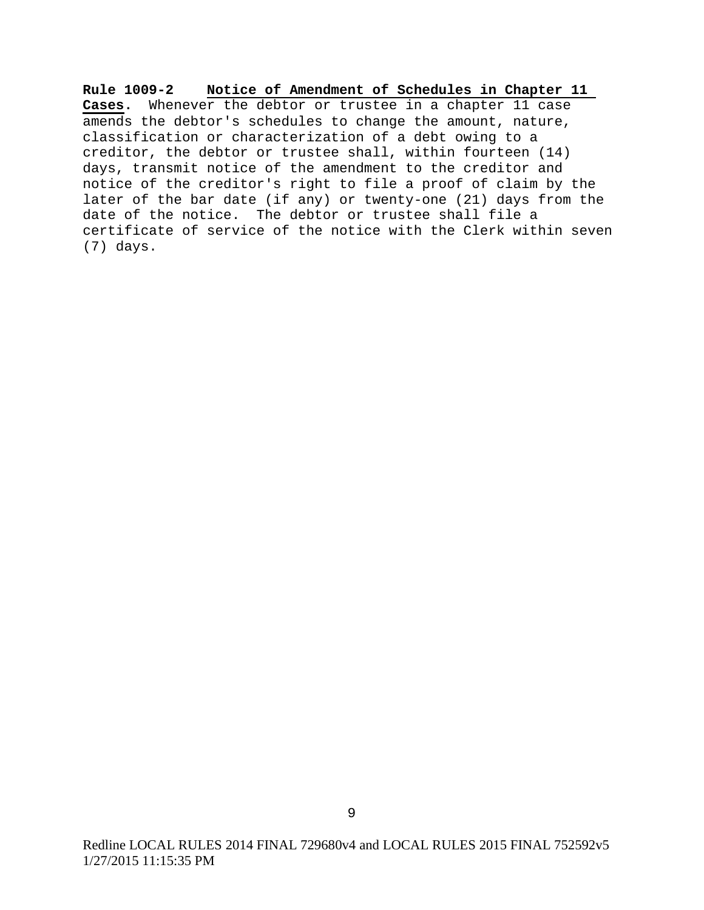**Rule 1009-2 Notice of Amendment of Schedules in Chapter 11 Cases.** Whenever the debtor or trustee in a chapter 11 case amends the debtor's schedules to change the amount, nature, classification or characterization of a debt owing to a creditor, the debtor or trustee shall, within fourteen (14) days, transmit notice of the amendment to the creditor and notice of the creditor's right to file a proof of claim by the later of the bar date (if any) or twenty-one (21) days from the date of the notice. The debtor or trustee shall file a certificate of service of the notice with the Clerk within seven (7) days.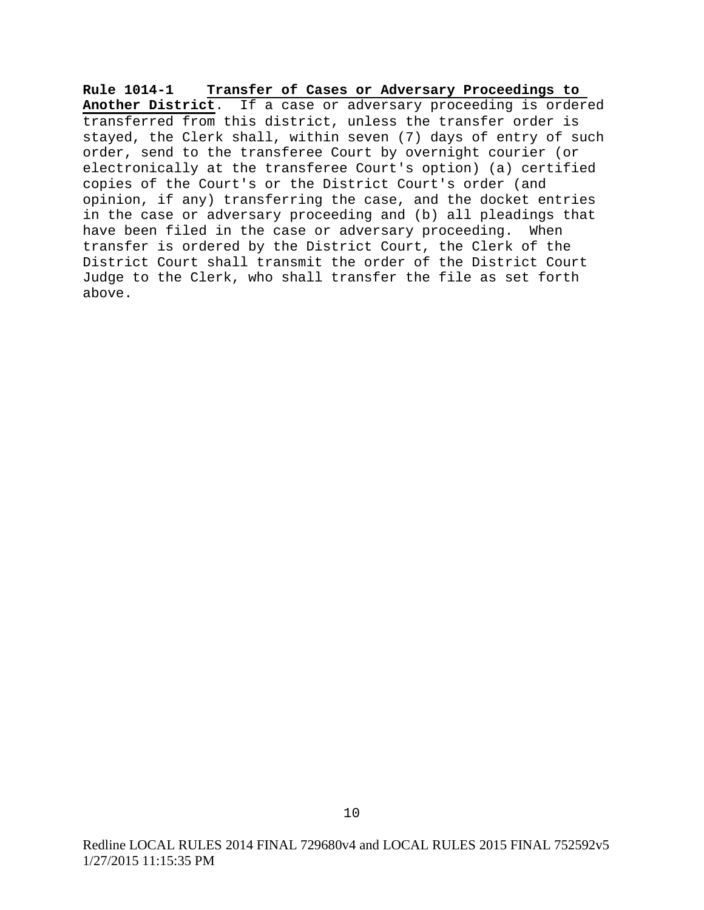**Rule 1014-1 Transfer of Cases or Adversary Proceedings to Another District**. If a case or adversary proceeding is ordered transferred from this district, unless the transfer order is stayed, the Clerk shall, within seven (7) days of entry of such order, send to the transferee Court by overnight courier (or electronically at the transferee Court's option) (a) certified copies of the Court's or the District Court's order (and opinion, if any) transferring the case, and the docket entries in the case or adversary proceeding and (b) all pleadings that have been filed in the case or adversary proceeding. When transfer is ordered by the District Court, the Clerk of the District Court shall transmit the order of the District Court Judge to the Clerk, who shall transfer the file as set forth above.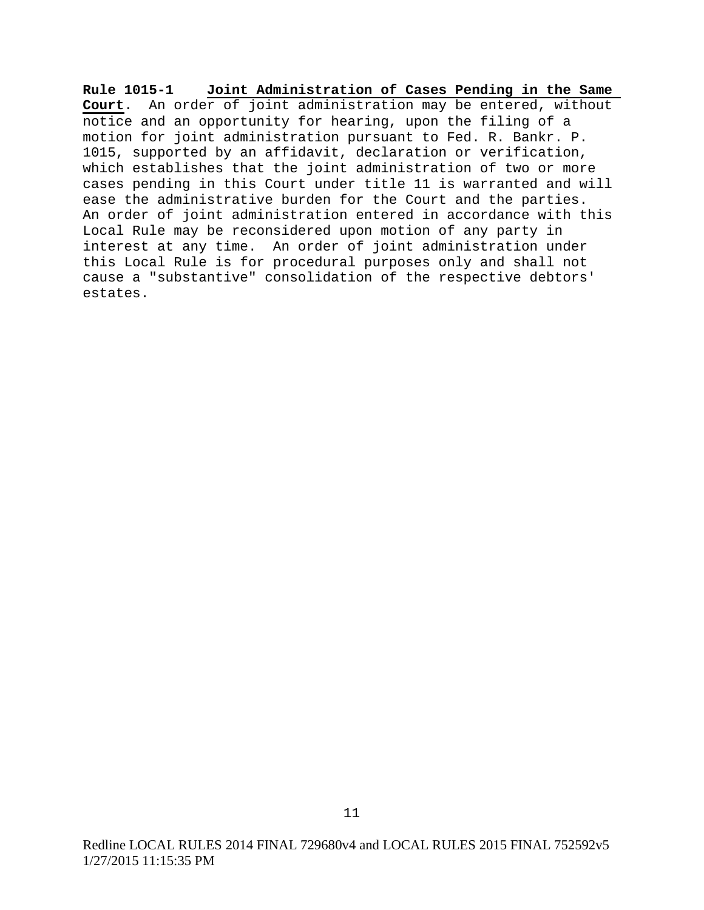**Rule 1015-1 Joint Administration of Cases Pending in the Same Court**. An order of joint administration may be entered, without notice and an opportunity for hearing, upon the filing of a motion for joint administration pursuant to Fed. R. Bankr. P. 1015, supported by an affidavit, declaration or verification, which establishes that the joint administration of two or more cases pending in this Court under title 11 is warranted and will ease the administrative burden for the Court and the parties. An order of joint administration entered in accordance with this Local Rule may be reconsidered upon motion of any party in interest at any time. An order of joint administration under this Local Rule is for procedural purposes only and shall not cause a "substantive" consolidation of the respective debtors' estates.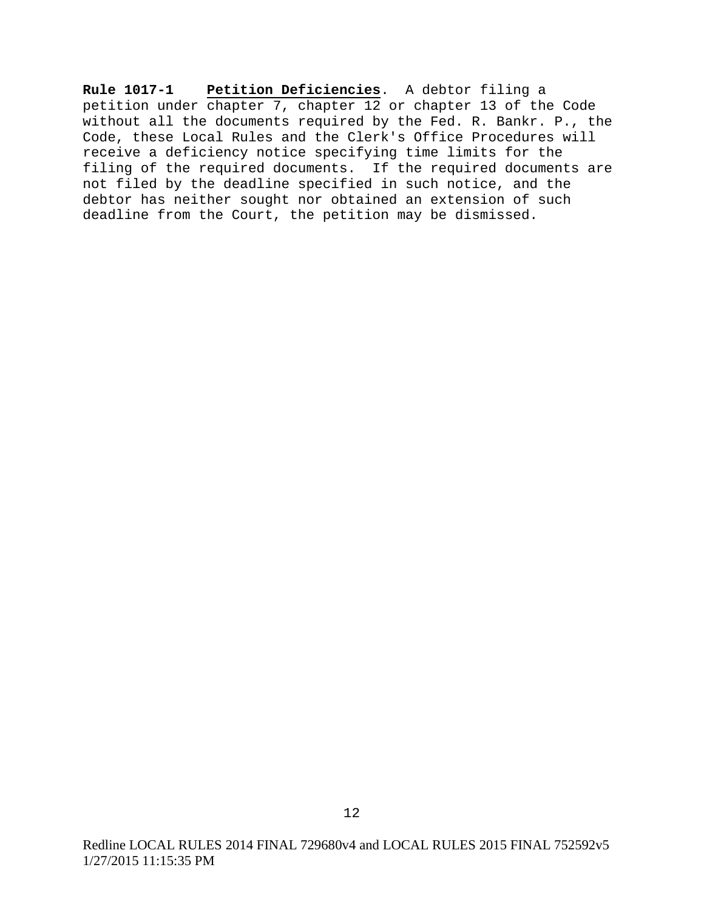**Rule 1017-1 Petition Deficiencies**. A debtor filing a petition under chapter 7, chapter 12 or chapter 13 of the Code without all the documents required by the Fed. R. Bankr. P., the Code, these Local Rules and the Clerk's Office Procedures will receive a deficiency notice specifying time limits for the filing of the required documents. If the required documents are not filed by the deadline specified in such notice, and the debtor has neither sought nor obtained an extension of such deadline from the Court, the petition may be dismissed.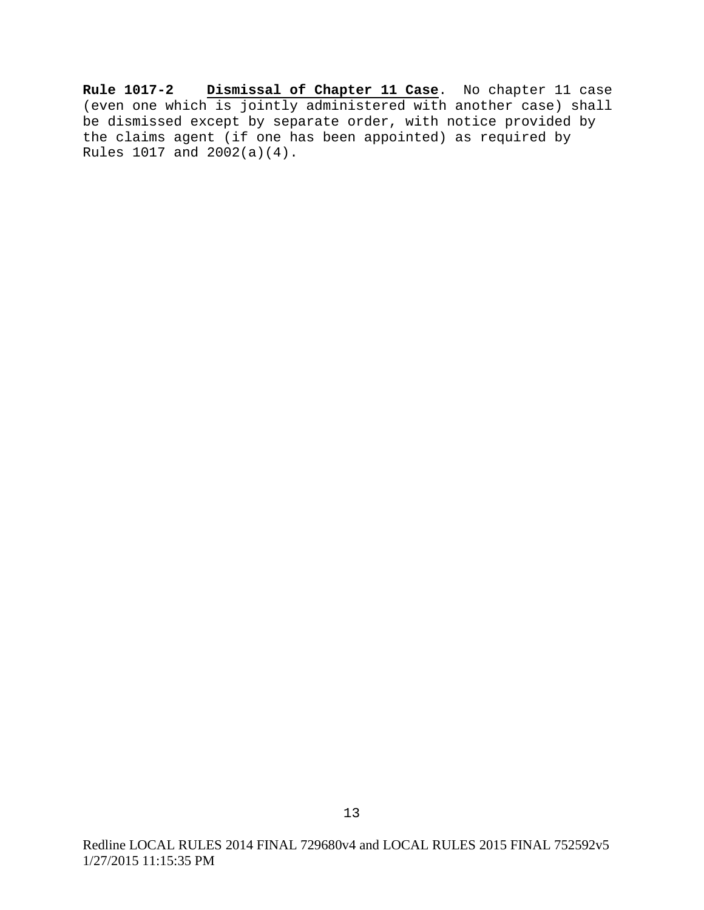**Rule 1017-2 Dismissal of Chapter 11 Case**. No chapter 11 case (even one which is jointly administered with another case) shall be dismissed except by separate order, with notice provided by the claims agent (if one has been appointed) as required by Rules 1017 and 2002(a)(4).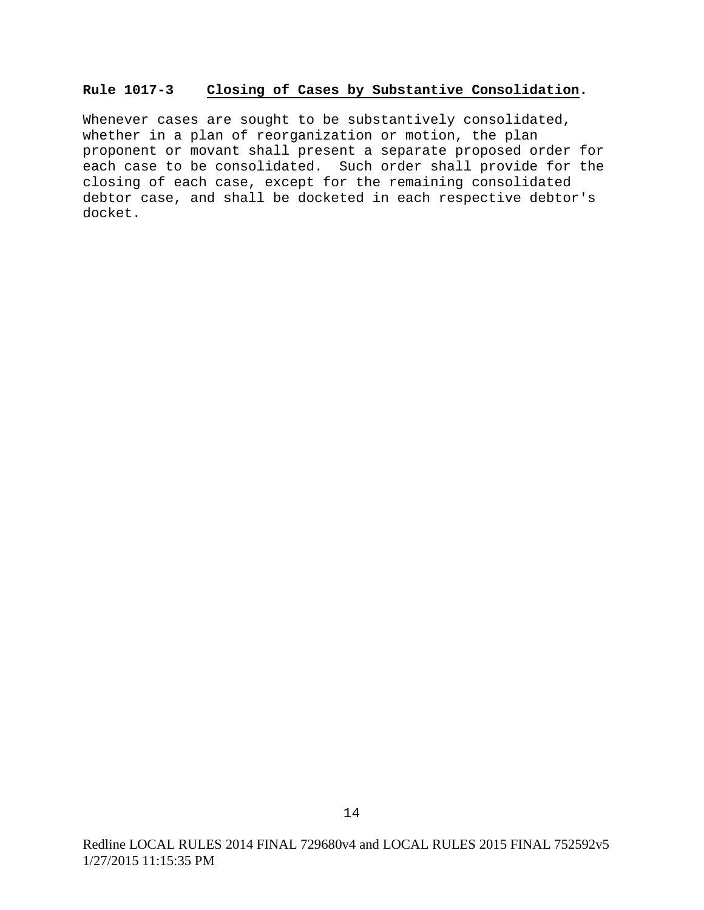#### **Rule 1017-3 Closing of Cases by Substantive Consolidation.**

Whenever cases are sought to be substantively consolidated, whether in a plan of reorganization or motion, the plan proponent or movant shall present a separate proposed order for each case to be consolidated. Such order shall provide for the closing of each case, except for the remaining consolidated debtor case, and shall be docketed in each respective debtor's docket.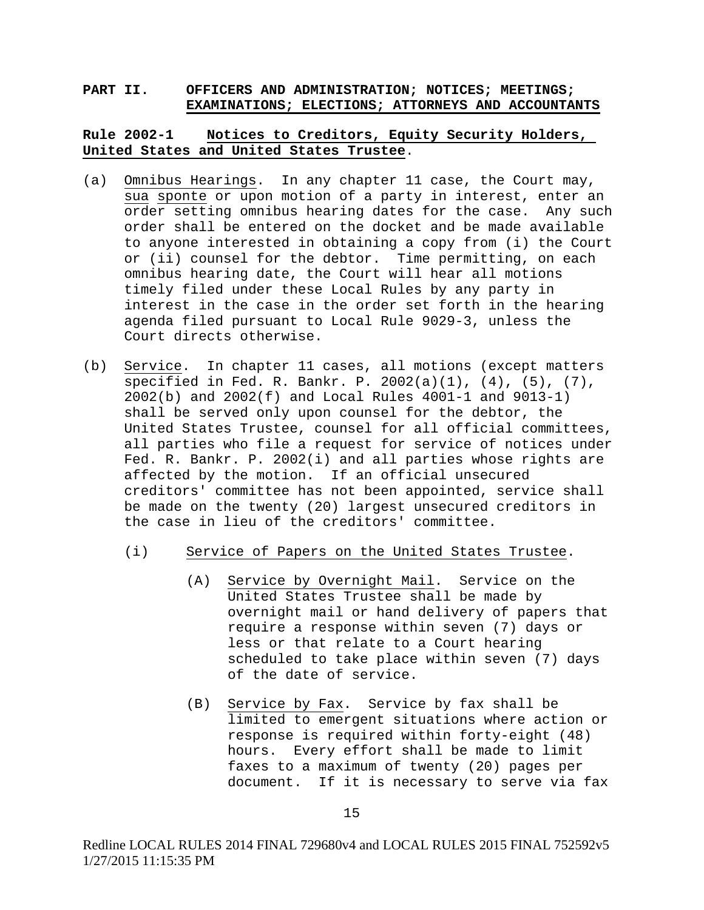### **PART II. OFFICERS AND ADMINISTRATION; NOTICES; MEETINGS; EXAMINATIONS; ELECTIONS; ATTORNEYS AND ACCOUNTANTS**

# **Rule 2002-1 Notices to Creditors, Equity Security Holders, United States and United States Trustee**.

- (a) Omnibus Hearings. In any chapter 11 case, the Court may, sua sponte or upon motion of a party in interest, enter an order setting omnibus hearing dates for the case. Any such order shall be entered on the docket and be made available to anyone interested in obtaining a copy from (i) the Court or (ii) counsel for the debtor. Time permitting, on each omnibus hearing date, the Court will hear all motions timely filed under these Local Rules by any party in interest in the case in the order set forth in the hearing agenda filed pursuant to Local Rule 9029-3, unless the Court directs otherwise.
- (b) Service. In chapter 11 cases, all motions (except matters  $\overline{\text{specified in Fed. R. Bankr. P. } } 2002(a)(1), (4), (5), (7),$ 2002(b) and 2002(f) and Local Rules 4001-1 and 9013-1) shall be served only upon counsel for the debtor, the United States Trustee, counsel for all official committees, all parties who file a request for service of notices under Fed. R. Bankr. P. 2002(i) and all parties whose rights are affected by the motion. If an official unsecured creditors' committee has not been appointed, service shall be made on the twenty (20) largest unsecured creditors in the case in lieu of the creditors' committee.
	- (i) Service of Papers on the United States Trustee.
		- (A) Service by Overnight Mail. Service on the United States Trustee shall be made by overnight mail or hand delivery of papers that require a response within seven (7) days or less or that relate to a Court hearing scheduled to take place within seven (7) days of the date of service.
		- (B) Service by Fax. Service by fax shall be limited to emergent situations where action or response is required within forty-eight (48) hours. Every effort shall be made to limit faxes to a maximum of twenty (20) pages per document. If it is necessary to serve via fax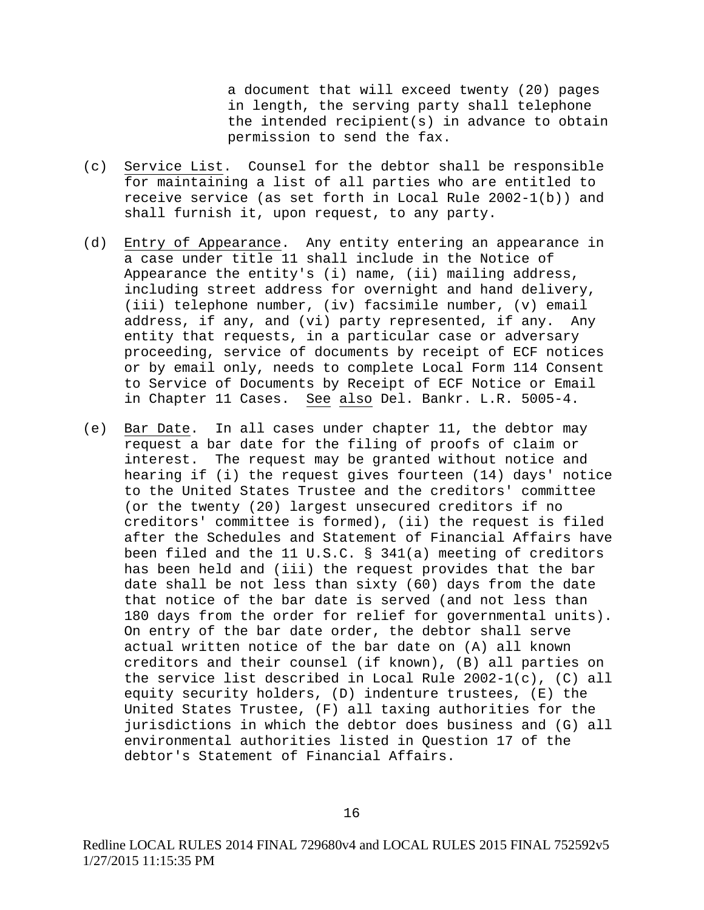a document that will exceed twenty (20) pages in length, the serving party shall telephone the intended recipient(s) in advance to obtain permission to send the fax.

- (c) Service List. Counsel for the debtor shall be responsible for maintaining a list of all parties who are entitled to receive service (as set forth in Local Rule 2002-1(b)) and shall furnish it, upon request, to any party.
- (d) Entry of Appearance. Any entity entering an appearance in a case under title 11 shall include in the Notice of Appearance the entity's (i) name, (ii) mailing address, including street address for overnight and hand delivery, (iii) telephone number, (iv) facsimile number, (v) email address, if any, and (vi) party represented, if any. Any entity that requests, in a particular case or adversary proceeding, service of documents by receipt of ECF notices or by email only, needs to complete Local Form 114 Consent to Service of Documents by Receipt of ECF Notice or Email in Chapter 11 Cases. See also Del. Bankr. L.R. 5005-4.
- (e) Bar Date. In all cases under chapter 11, the debtor may request a bar date for the filing of proofs of claim or interest. The request may be granted without notice and hearing if (i) the request gives fourteen (14) days' notice to the United States Trustee and the creditors' committee (or the twenty (20) largest unsecured creditors if no creditors' committee is formed), (ii) the request is filed after the Schedules and Statement of Financial Affairs have been filed and the 11 U.S.C. § 341(a) meeting of creditors has been held and (iii) the request provides that the bar date shall be not less than sixty (60) days from the date that notice of the bar date is served (and not less than 180 days from the order for relief for governmental units). On entry of the bar date order, the debtor shall serve actual written notice of the bar date on (A) all known creditors and their counsel (if known), (B) all parties on the service list described in Local Rule 2002-1(c), (C) all equity security holders, (D) indenture trustees, (E) the United States Trustee, (F) all taxing authorities for the jurisdictions in which the debtor does business and (G) all environmental authorities listed in Question 17 of the debtor's Statement of Financial Affairs.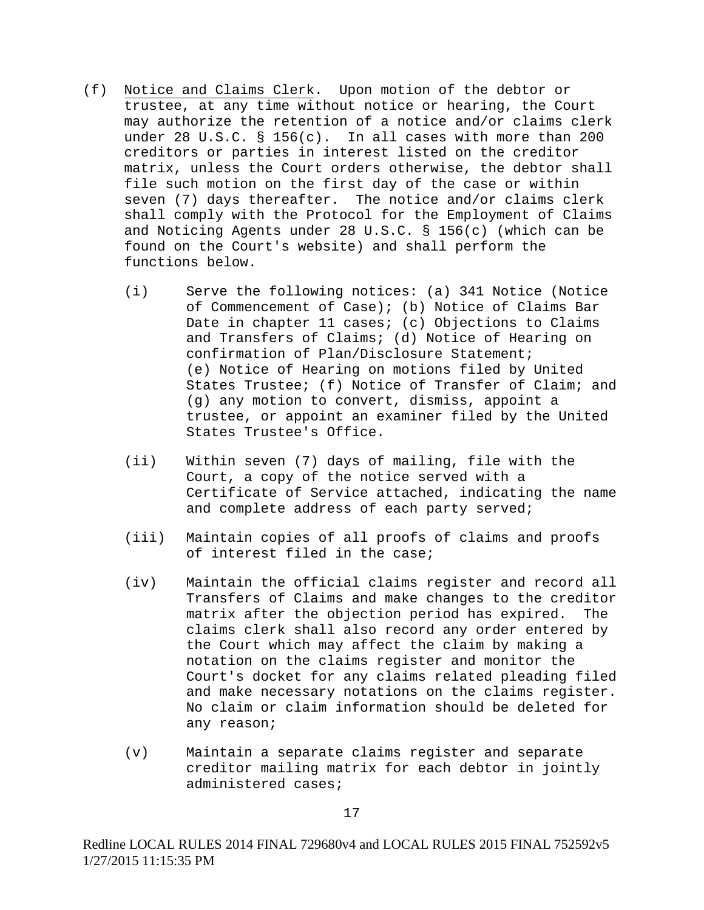- (f) Notice and Claims Clerk. Upon motion of the debtor or trustee, at any time without notice or hearing, the Court may authorize the retention of a notice and/or claims clerk under 28 U.S.C. § 156(c). In all cases with more than 200 creditors or parties in interest listed on the creditor matrix, unless the Court orders otherwise, the debtor shall file such motion on the first day of the case or within seven (7) days thereafter. The notice and/or claims clerk shall comply with the Protocol for the Employment of Claims and Noticing Agents under 28 U.S.C. § 156(c) (which can be found on the Court's website) and shall perform the functions below.
	- (i) Serve the following notices: (a) 341 Notice (Notice of Commencement of Case); (b) Notice of Claims Bar Date in chapter 11 cases; (c) Objections to Claims and Transfers of Claims; (d) Notice of Hearing on confirmation of Plan/Disclosure Statement; (e) Notice of Hearing on motions filed by United States Trustee; (f) Notice of Transfer of Claim; and (g) any motion to convert, dismiss, appoint a trustee, or appoint an examiner filed by the United States Trustee's Office.
	- (ii) Within seven (7) days of mailing, file with the Court, a copy of the notice served with a Certificate of Service attached, indicating the name and complete address of each party served;
	- (iii) Maintain copies of all proofs of claims and proofs of interest filed in the case;
	- (iv) Maintain the official claims register and record all Transfers of Claims and make changes to the creditor matrix after the objection period has expired. claims clerk shall also record any order entered by the Court which may affect the claim by making a notation on the claims register and monitor the Court's docket for any claims related pleading filed and make necessary notations on the claims register. No claim or claim information should be deleted for any reason;
	- (v) Maintain a separate claims register and separate creditor mailing matrix for each debtor in jointly administered cases;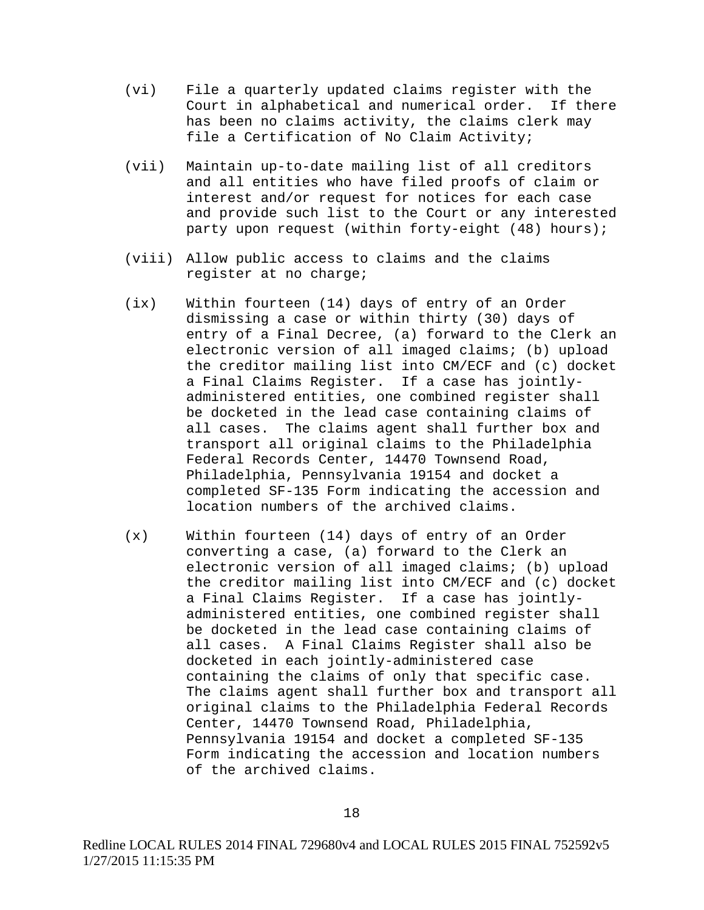- (vi) File a quarterly updated claims register with the Court in alphabetical and numerical order. If there has been no claims activity, the claims clerk may file a Certification of No Claim Activity;
- (vii) Maintain up-to-date mailing list of all creditors and all entities who have filed proofs of claim or interest and/or request for notices for each case and provide such list to the Court or any interested party upon request (within forty-eight (48) hours);
- (viii) Allow public access to claims and the claims register at no charge;
- (ix) Within fourteen (14) days of entry of an Order dismissing a case or within thirty (30) days of entry of a Final Decree, (a) forward to the Clerk an electronic version of all imaged claims; (b) upload the creditor mailing list into CM/ECF and (c) docket a Final Claims Register. If a case has jointlyadministered entities, one combined register shall be docketed in the lead case containing claims of all cases. The claims agent shall further box and transport all original claims to the Philadelphia Federal Records Center, 14470 Townsend Road, Philadelphia, Pennsylvania 19154 and docket a completed SF-135 Form indicating the accession and location numbers of the archived claims.
- (x) Within fourteen (14) days of entry of an Order converting a case, (a) forward to the Clerk an electronic version of all imaged claims; (b) upload the creditor mailing list into CM/ECF and (c) docket a Final Claims Register. If a case has jointlyadministered entities, one combined register shall be docketed in the lead case containing claims of all cases. A Final Claims Register shall also be docketed in each jointly-administered case containing the claims of only that specific case. The claims agent shall further box and transport all original claims to the Philadelphia Federal Records Center, 14470 Townsend Road, Philadelphia, Pennsylvania 19154 and docket a completed SF-135 Form indicating the accession and location numbers of the archived claims.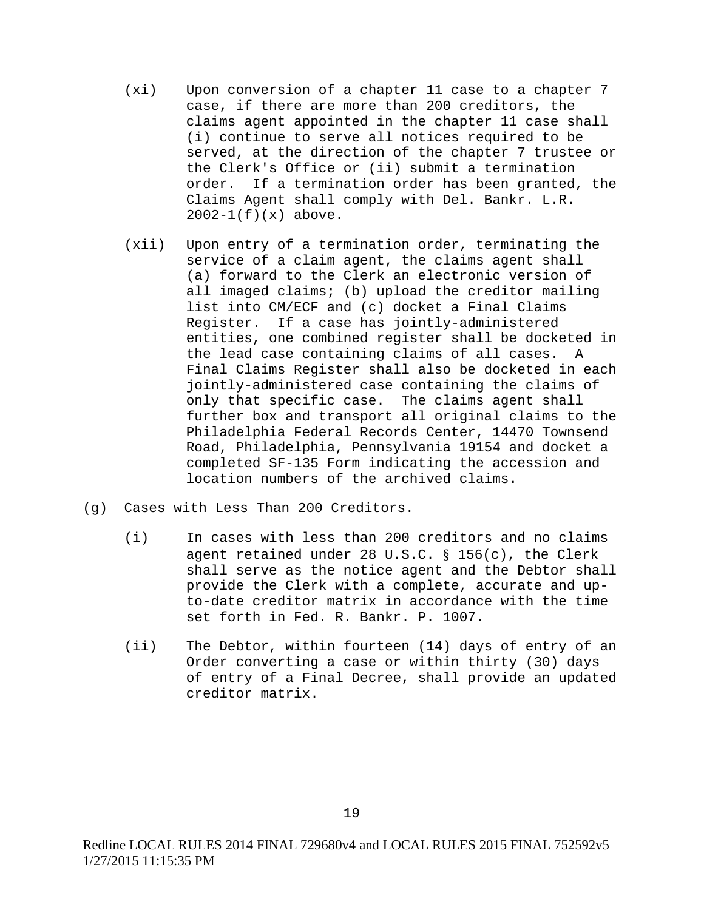- (xi) Upon conversion of a chapter 11 case to a chapter 7 case, if there are more than 200 creditors, the claims agent appointed in the chapter 11 case shall (i) continue to serve all notices required to be served, at the direction of the chapter 7 trustee or the Clerk's Office or (ii) submit a termination order. If a termination order has been granted, the Claims Agent shall comply with Del. Bankr. L.R.  $2002-1(f)(x)$  above.
- (xii) Upon entry of a termination order, terminating the service of a claim agent, the claims agent shall (a) forward to the Clerk an electronic version of all imaged claims; (b) upload the creditor mailing list into CM/ECF and (c) docket a Final Claims Register. If a case has jointly-administered entities, one combined register shall be docketed in the lead case containing claims of all cases. A Final Claims Register shall also be docketed in each jointly-administered case containing the claims of only that specific case. The claims agent shall further box and transport all original claims to the Philadelphia Federal Records Center, 14470 Townsend Road, Philadelphia, Pennsylvania 19154 and docket a completed SF-135 Form indicating the accession and location numbers of the archived claims.

## (g) Cases with Less Than 200 Creditors.

- (i) In cases with less than 200 creditors and no claims agent retained under 28 U.S.C.  $\S$  156(c), the Clerk shall serve as the notice agent and the Debtor shall provide the Clerk with a complete, accurate and upto-date creditor matrix in accordance with the time set forth in Fed. R. Bankr. P. 1007.
- (ii) The Debtor, within fourteen (14) days of entry of an Order converting a case or within thirty (30) days of entry of a Final Decree, shall provide an updated creditor matrix.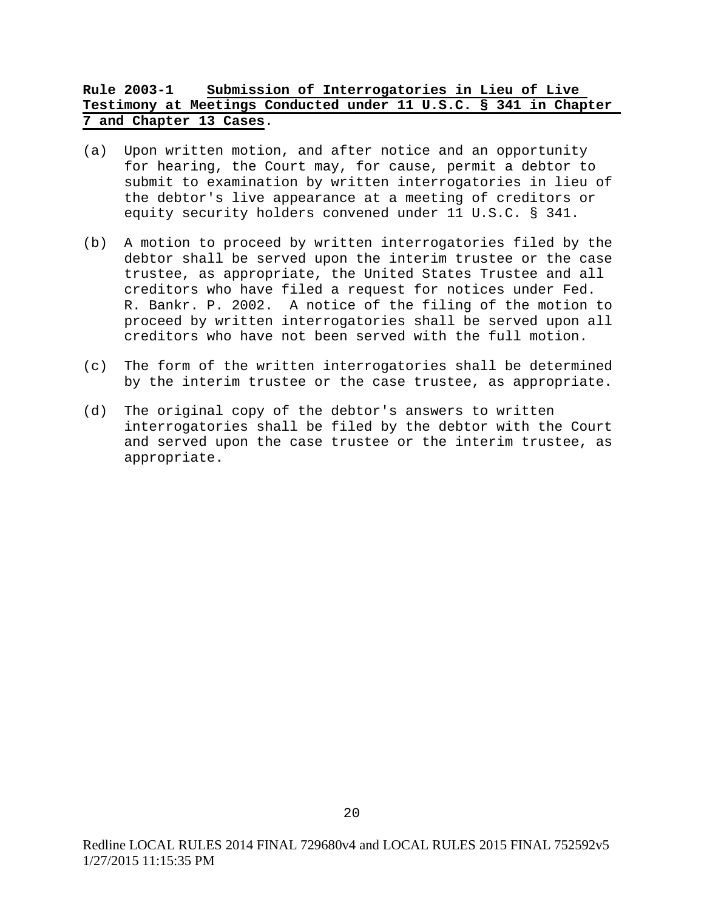# **Rule 2003-1 Submission of Interrogatories in Lieu of Live Testimony at Meetings Conducted under 11 U.S.C. § 341 in Chapter 7 and Chapter 13 Cases**.

- (a) Upon written motion, and after notice and an opportunity for hearing, the Court may, for cause, permit a debtor to submit to examination by written interrogatories in lieu of the debtor's live appearance at a meeting of creditors or equity security holders convened under 11 U.S.C. § 341.
- (b) A motion to proceed by written interrogatories filed by the debtor shall be served upon the interim trustee or the case trustee, as appropriate, the United States Trustee and all creditors who have filed a request for notices under Fed. R. Bankr. P. 2002. A notice of the filing of the motion to proceed by written interrogatories shall be served upon all creditors who have not been served with the full motion.
- (c) The form of the written interrogatories shall be determined by the interim trustee or the case trustee, as appropriate.
- (d) The original copy of the debtor's answers to written interrogatories shall be filed by the debtor with the Court and served upon the case trustee or the interim trustee, as appropriate.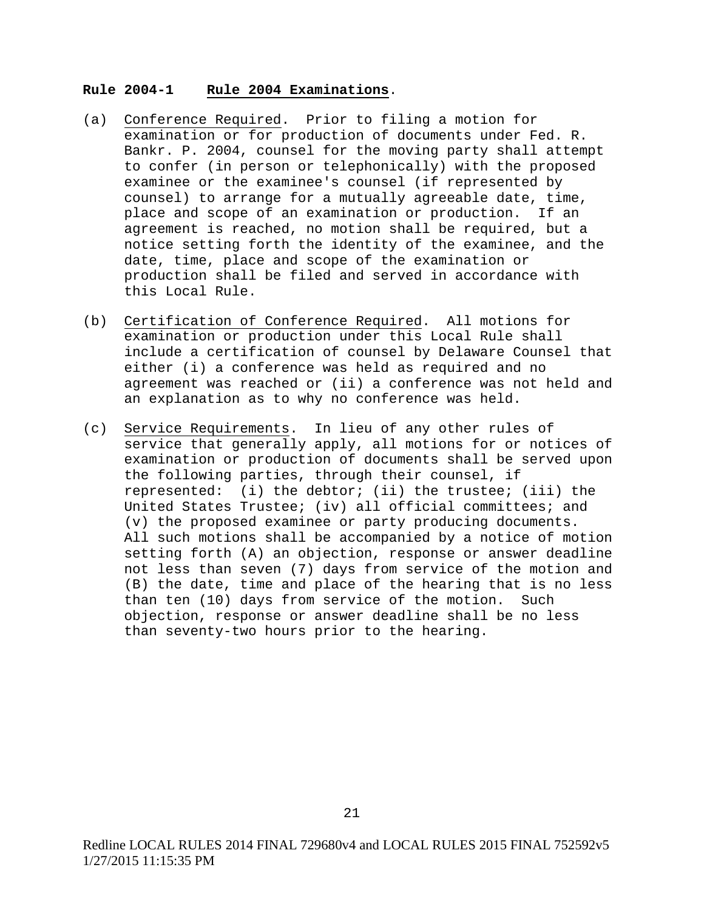#### **Rule 2004-1 Rule 2004 Examinations**.

- (a) Conference Required. Prior to filing a motion for examination or for production of documents under Fed. R. Bankr. P. 2004, counsel for the moving party shall attempt to confer (in person or telephonically) with the proposed examinee or the examinee's counsel (if represented by counsel) to arrange for a mutually agreeable date, time, place and scope of an examination or production. If an agreement is reached, no motion shall be required, but a notice setting forth the identity of the examinee, and the date, time, place and scope of the examination or production shall be filed and served in accordance with this Local Rule.
- (b) Certification of Conference Required. All motions for examination or production under this Local Rule shall include a certification of counsel by Delaware Counsel that either (i) a conference was held as required and no agreement was reached or (ii) a conference was not held and an explanation as to why no conference was held.
- (c) Service Requirements. In lieu of any other rules of service that generally apply, all motions for or notices of examination or production of documents shall be served upon the following parties, through their counsel, if represented: (i) the debtor; (ii) the trustee; (iii) the United States Trustee; (iv) all official committees; and (v) the proposed examinee or party producing documents. All such motions shall be accompanied by a notice of motion setting forth (A) an objection, response or answer deadline not less than seven (7) days from service of the motion and (B) the date, time and place of the hearing that is no less than ten (10) days from service of the motion. Such objection, response or answer deadline shall be no less than seventy-two hours prior to the hearing.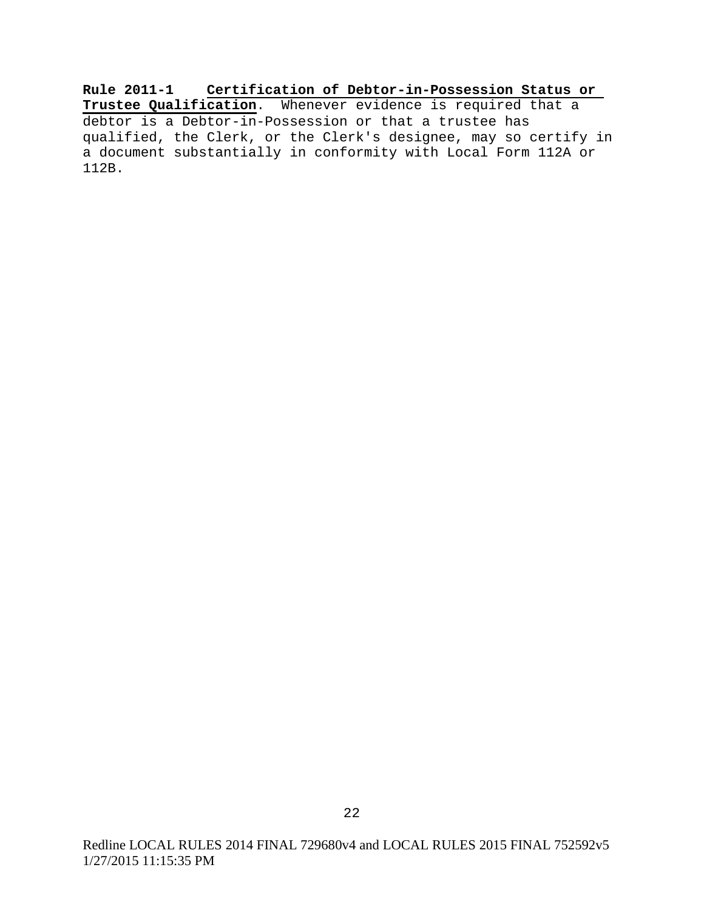**Rule 2011-1 Certification of Debtor-in-Possession Status or Trustee Qualification**. Whenever evidence is required that a debtor is a Debtor-in-Possession or that a trustee has qualified, the Clerk, or the Clerk's designee, may so certify in a document substantially in conformity with Local Form 112A or 112B.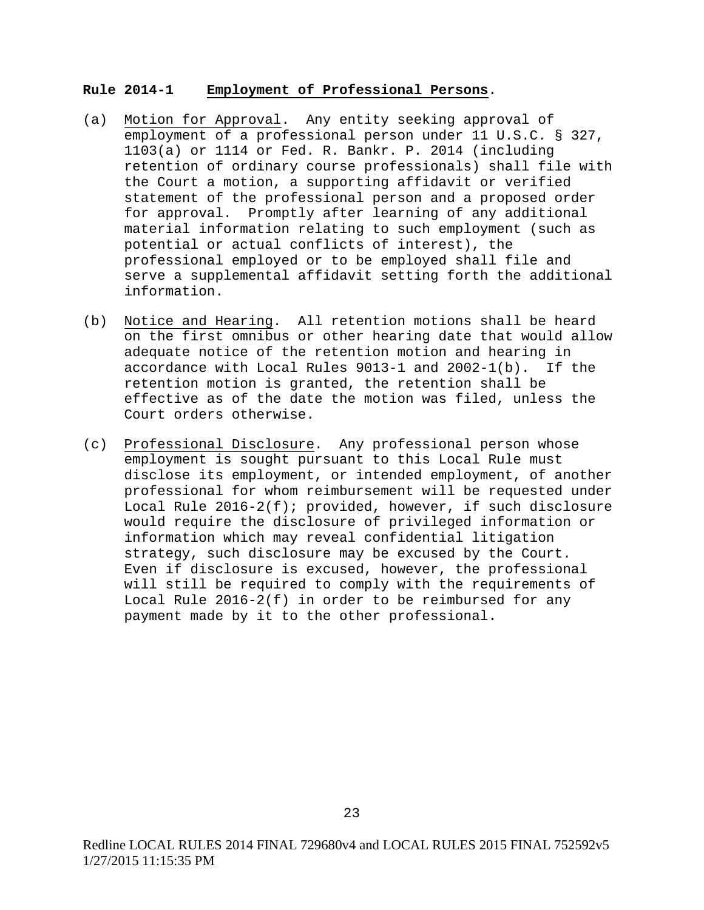#### **Rule 2014-1 Employment of Professional Persons**.

- (a) Motion for Approval. Any entity seeking approval of employment of a professional person under 11 U.S.C. § 327, 1103(a) or 1114 or Fed. R. Bankr. P. 2014 (including retention of ordinary course professionals) shall file with the Court a motion, a supporting affidavit or verified statement of the professional person and a proposed order for approval. Promptly after learning of any additional material information relating to such employment (such as potential or actual conflicts of interest), the professional employed or to be employed shall file and serve a supplemental affidavit setting forth the additional information.
- (b) Notice and Hearing. All retention motions shall be heard on the first omnibus or other hearing date that would allow adequate notice of the retention motion and hearing in accordance with Local Rules 9013-1 and 2002-1(b). If the retention motion is granted, the retention shall be effective as of the date the motion was filed, unless the Court orders otherwise.
- (c) Professional Disclosure. Any professional person whose employment is sought pursuant to this Local Rule must disclose its employment, or intended employment, of another professional for whom reimbursement will be requested under Local Rule  $2016-2(f)$ ; provided, however, if such disclosure would require the disclosure of privileged information or information which may reveal confidential litigation strategy, such disclosure may be excused by the Court. Even if disclosure is excused, however, the professional will still be required to comply with the requirements of Local Rule 2016-2(f) in order to be reimbursed for any payment made by it to the other professional.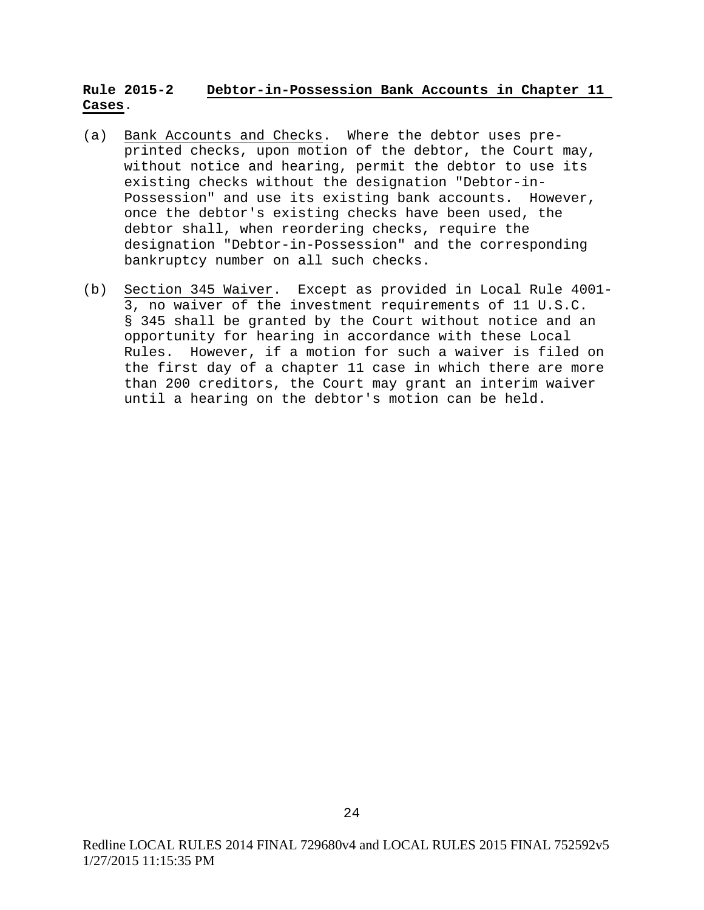# **Rule 2015-2 Debtor-in-Possession Bank Accounts in Chapter 11 Cases**.

- (a) Bank Accounts and Checks. Where the debtor uses preprinted checks, upon motion of the debtor, the Court may, without notice and hearing, permit the debtor to use its existing checks without the designation "Debtor-in-Possession" and use its existing bank accounts. However, once the debtor's existing checks have been used, the debtor shall, when reordering checks, require the designation "Debtor-in-Possession" and the corresponding bankruptcy number on all such checks.
- (b) Section 345 Waiver. Except as provided in Local Rule 4001- 3, no waiver of the investment requirements of 11 U.S.C. § 345 shall be granted by the Court without notice and an opportunity for hearing in accordance with these Local Rules. However, if a motion for such a waiver is filed on the first day of a chapter 11 case in which there are more than 200 creditors, the Court may grant an interim waiver until a hearing on the debtor's motion can be held.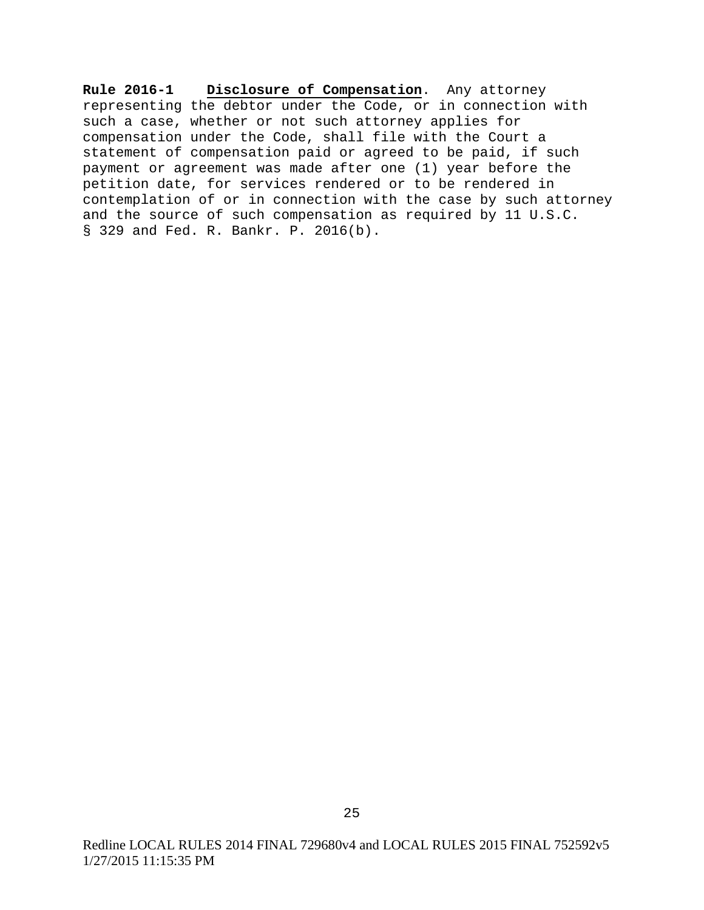**Rule 2016-1 Disclosure of Compensation**. Any attorney representing the debtor under the Code, or in connection with such a case, whether or not such attorney applies for compensation under the Code, shall file with the Court a statement of compensation paid or agreed to be paid, if such payment or agreement was made after one (1) year before the petition date, for services rendered or to be rendered in contemplation of or in connection with the case by such attorney and the source of such compensation as required by 11 U.S.C. § 329 and Fed. R. Bankr. P. 2016(b).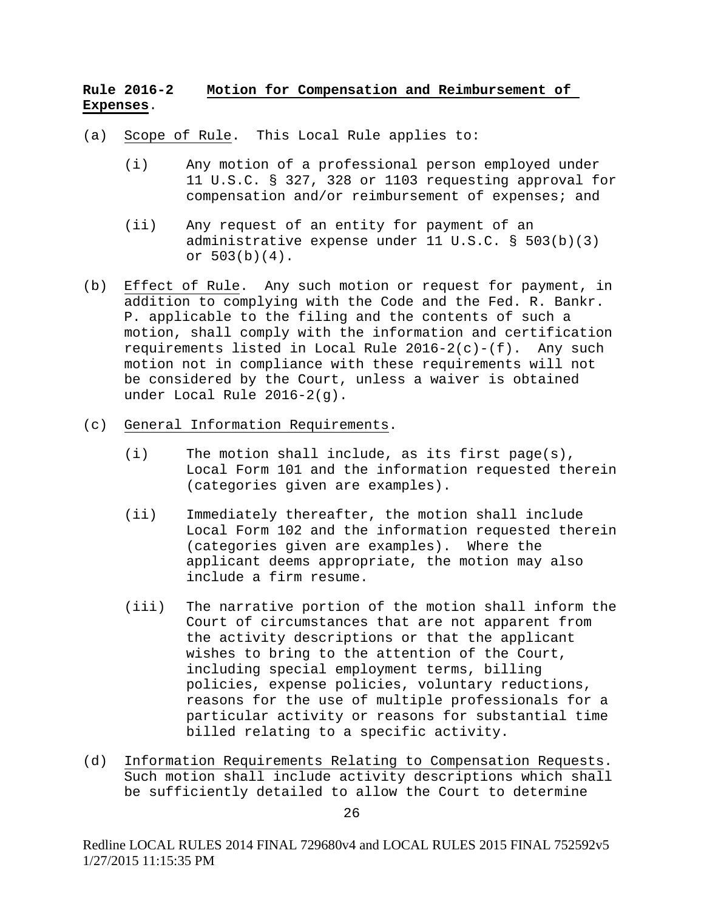# **Rule 2016-2 Motion for Compensation and Reimbursement of Expenses**.

- (a) Scope of Rule. This Local Rule applies to:
	- (i) Any motion of a professional person employed under 11 U.S.C. § 327, 328 or 1103 requesting approval for compensation and/or reimbursement of expenses; and
	- (ii) Any request of an entity for payment of an administrative expense under 11 U.S.C. § 503(b)(3) or 503(b)(4).
- (b) Effect of Rule. Any such motion or request for payment, in addition to complying with the Code and the Fed. R. Bankr. P. applicable to the filing and the contents of such a motion, shall comply with the information and certification requirements listed in Local Rule  $2016-2(c)-(f)$ . Any such motion not in compliance with these requirements will not be considered by the Court, unless a waiver is obtained under Local Rule 2016-2(g).
- (c) General Information Requirements.
	- (i) The motion shall include, as its first page(s), Local Form 101 and the information requested therein (categories given are examples).
	- (ii) Immediately thereafter, the motion shall include Local Form 102 and the information requested therein (categories given are examples). Where the applicant deems appropriate, the motion may also include a firm resume.
	- (iii) The narrative portion of the motion shall inform the Court of circumstances that are not apparent from the activity descriptions or that the applicant wishes to bring to the attention of the Court, including special employment terms, billing policies, expense policies, voluntary reductions, reasons for the use of multiple professionals for a particular activity or reasons for substantial time billed relating to a specific activity.
- (d) Information Requirements Relating to Compensation Requests. Such motion shall include activity descriptions which shall be sufficiently detailed to allow the Court to determine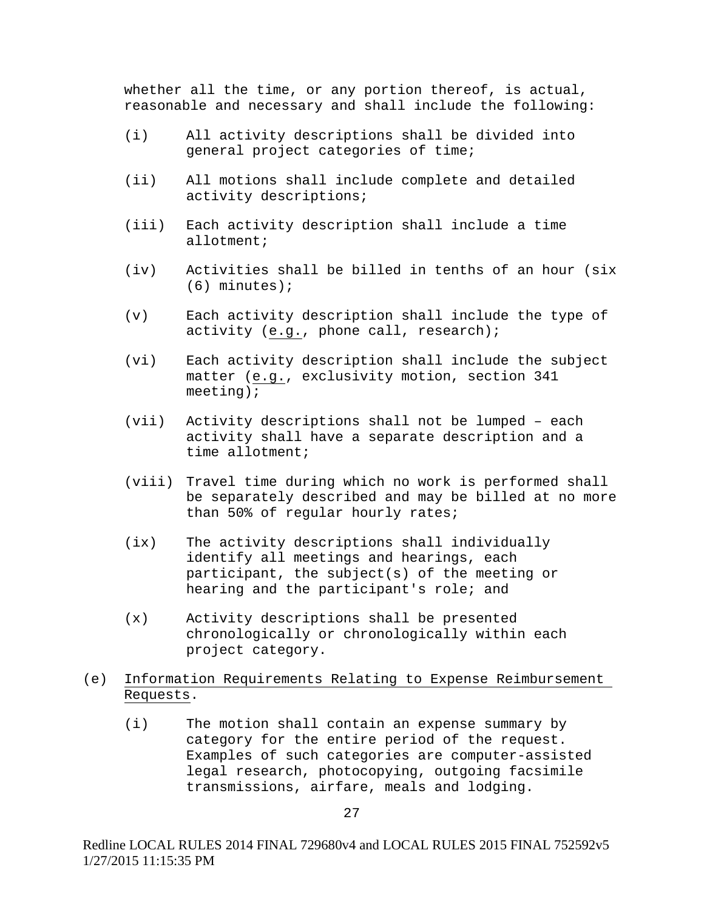whether all the time, or any portion thereof, is actual, reasonable and necessary and shall include the following:

- (i) All activity descriptions shall be divided into general project categories of time;
- (ii) All motions shall include complete and detailed activity descriptions;
- (iii) Each activity description shall include a time allotment;
- (iv) Activities shall be billed in tenths of an hour (six (6) minutes);
- (v) Each activity description shall include the type of activity (e.g., phone call, research);
- (vi) Each activity description shall include the subject matter (e.g., exclusivity motion, section 341 meeting);
- (vii) Activity descriptions shall not be lumped each activity shall have a separate description and a time allotment;
- (viii) Travel time during which no work is performed shall be separately described and may be billed at no more than 50% of regular hourly rates;
- (ix) The activity descriptions shall individually identify all meetings and hearings, each participant, the subject(s) of the meeting or hearing and the participant's role; and
- (x) Activity descriptions shall be presented chronologically or chronologically within each project category.
- (e) Information Requirements Relating to Expense Reimbursement Requests.
	- (i) The motion shall contain an expense summary by category for the entire period of the request. Examples of such categories are computer-assisted legal research, photocopying, outgoing facsimile transmissions, airfare, meals and lodging.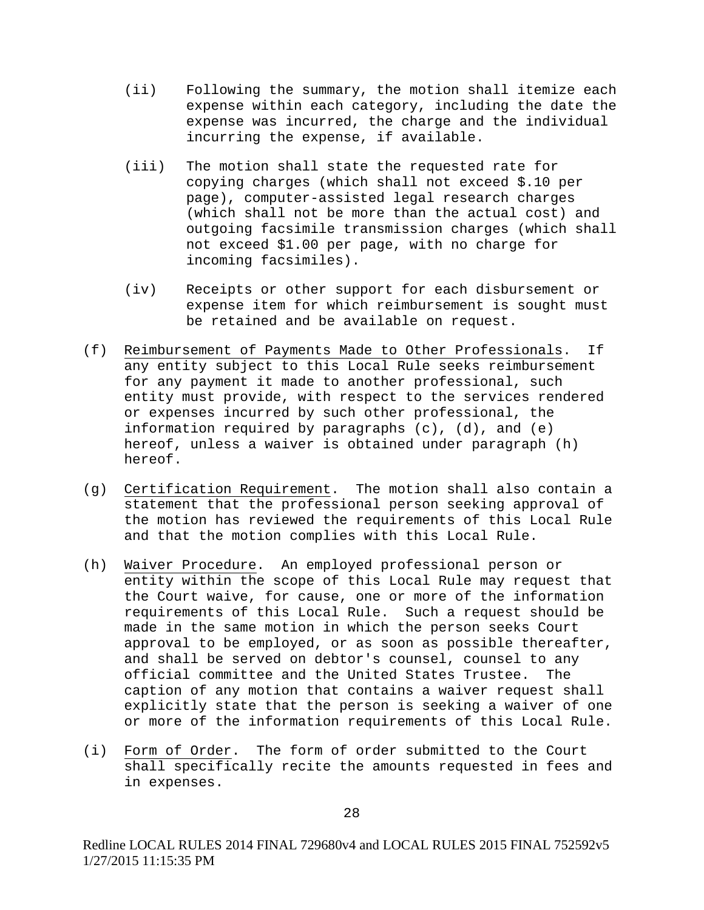- (ii) Following the summary, the motion shall itemize each expense within each category, including the date the expense was incurred, the charge and the individual incurring the expense, if available.
- (iii) The motion shall state the requested rate for copying charges (which shall not exceed \$.10 per page), computer-assisted legal research charges (which shall not be more than the actual cost) and outgoing facsimile transmission charges (which shall not exceed \$1.00 per page, with no charge for incoming facsimiles).
- (iv) Receipts or other support for each disbursement or expense item for which reimbursement is sought must be retained and be available on request.
- (f) Reimbursement of Payments Made to Other Professionals. If any entity subject to this Local Rule seeks reimbursement for any payment it made to another professional, such entity must provide, with respect to the services rendered or expenses incurred by such other professional, the information required by paragraphs (c), (d), and (e) hereof, unless a waiver is obtained under paragraph (h) hereof.
- (g) Certification Requirement. The motion shall also contain a statement that the professional person seeking approval of the motion has reviewed the requirements of this Local Rule and that the motion complies with this Local Rule.
- (h) Waiver Procedure. An employed professional person or entity within the scope of this Local Rule may request that the Court waive, for cause, one or more of the information requirements of this Local Rule. Such a request should be made in the same motion in which the person seeks Court approval to be employed, or as soon as possible thereafter, and shall be served on debtor's counsel, counsel to any official committee and the United States Trustee. The official committee and the United States Trustee. caption of any motion that contains a waiver request shall explicitly state that the person is seeking a waiver of one or more of the information requirements of this Local Rule.
- (i) Form of Order. The form of order submitted to the Court shall specifically recite the amounts requested in fees and in expenses.

Redline LOCAL RULES 2014 FINAL 729680v4 and LOCAL RULES 2015 FINAL 752592v5 1/27/2015 11:15:35 PM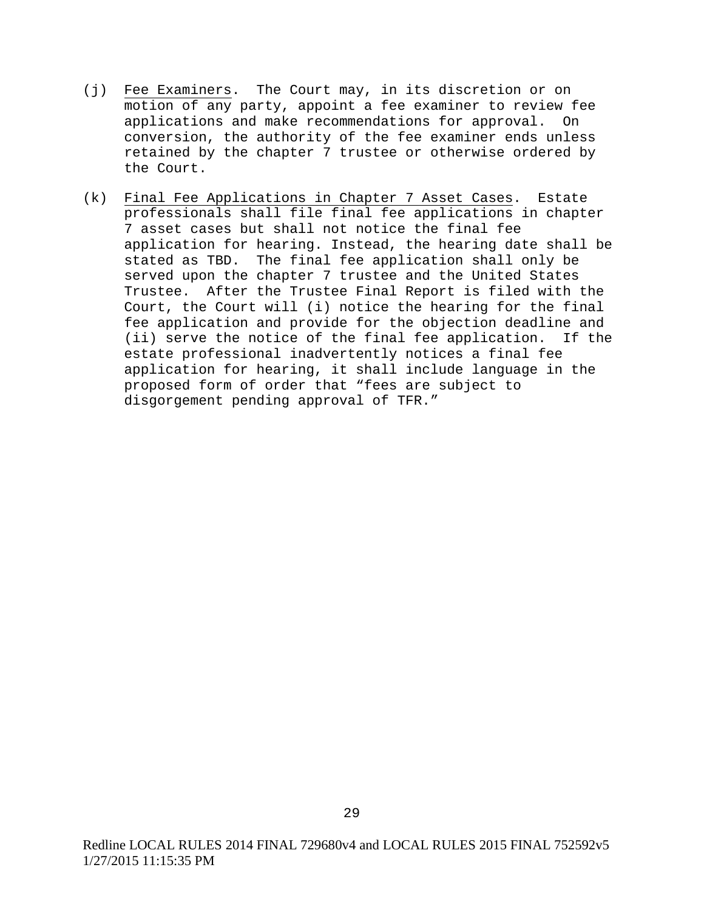- (j) Fee Examiners. The Court may, in its discretion or on motion of any party, appoint a fee examiner to review fee applications and make recommendations for approval. On conversion, the authority of the fee examiner ends unless retained by the chapter 7 trustee or otherwise ordered by the Court.
- (k) Final Fee Applications in Chapter 7 Asset Cases. Estate professionals shall file final fee applications in chapter 7 asset cases but shall not notice the final fee application for hearing. Instead, the hearing date shall be stated as TBD. The final fee application shall only be served upon the chapter 7 trustee and the United States Trustee. After the Trustee Final Report is filed with the Court, the Court will (i) notice the hearing for the final fee application and provide for the objection deadline and (ii) serve the notice of the final fee application. If the estate professional inadvertently notices a final fee application for hearing, it shall include language in the proposed form of order that "fees are subject to disgorgement pending approval of TFR."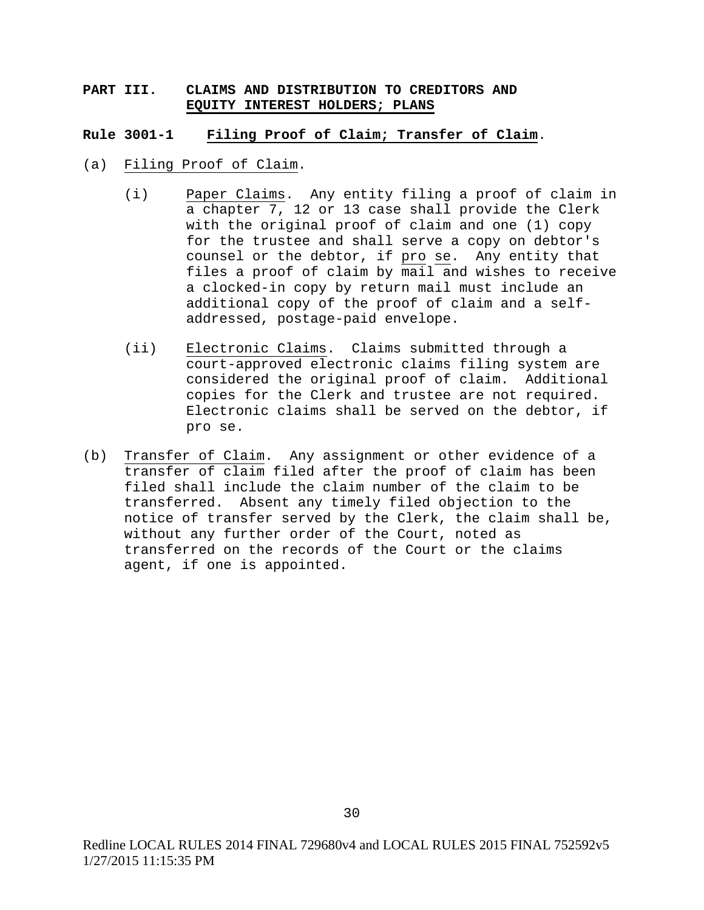# **PART III. CLAIMS AND DISTRIBUTION TO CREDITORS AND EQUITY INTEREST HOLDERS; PLANS**

#### **Rule 3001-1 Filing Proof of Claim; Transfer of Claim**.

- (a) Filing Proof of Claim.
	- (i) Paper Claims. Any entity filing a proof of claim in a chapter 7, 12 or 13 case shall provide the Clerk with the original proof of claim and one (1) copy for the trustee and shall serve a copy on debtor's counsel or the debtor, if pro se. Any entity that files a proof of claim by mail and wishes to receive a clocked-in copy by return mail must include an additional copy of the proof of claim and a selfaddressed, postage-paid envelope.
	- (ii) Electronic Claims. Claims submitted through a court-approved electronic claims filing system are considered the original proof of claim. Additional copies for the Clerk and trustee are not required. Electronic claims shall be served on the debtor, if pro se.
- (b) Transfer of Claim. Any assignment or other evidence of a transfer of claim filed after the proof of claim has been filed shall include the claim number of the claim to be transferred. Absent any timely filed objection to the notice of transfer served by the Clerk, the claim shall be, without any further order of the Court, noted as transferred on the records of the Court or the claims agent, if one is appointed.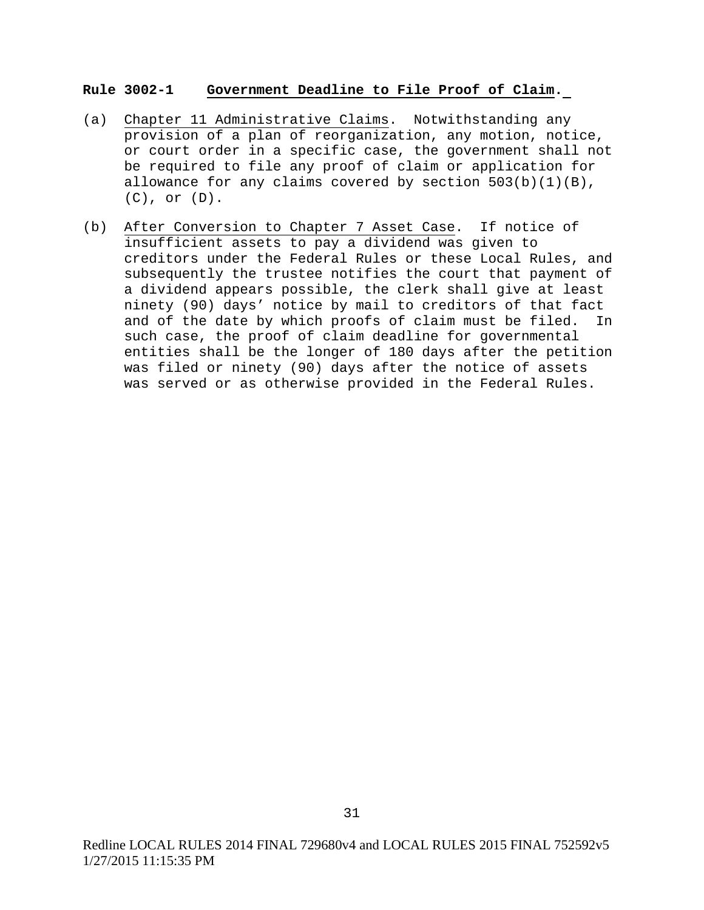### **Rule 3002-1 Government Deadline to File Proof of Claim.**

- (a) Chapter 11 Administrative Claims. Notwithstanding any provision of a plan of reorganization, any motion, notice, or court order in a specific case, the government shall not be required to file any proof of claim or application for allowance for any claims covered by section  $503(b)(1)(B)$ , (C), or (D).
- (b) After Conversion to Chapter 7 Asset Case. If notice of insufficient assets to pay a dividend was given to creditors under the Federal Rules or these Local Rules, and subsequently the trustee notifies the court that payment of a dividend appears possible, the clerk shall give at least ninety (90) days' notice by mail to creditors of that fact and of the date by which proofs of claim must be filed. In such case, the proof of claim deadline for governmental entities shall be the longer of 180 days after the petition was filed or ninety (90) days after the notice of assets was served or as otherwise provided in the Federal Rules.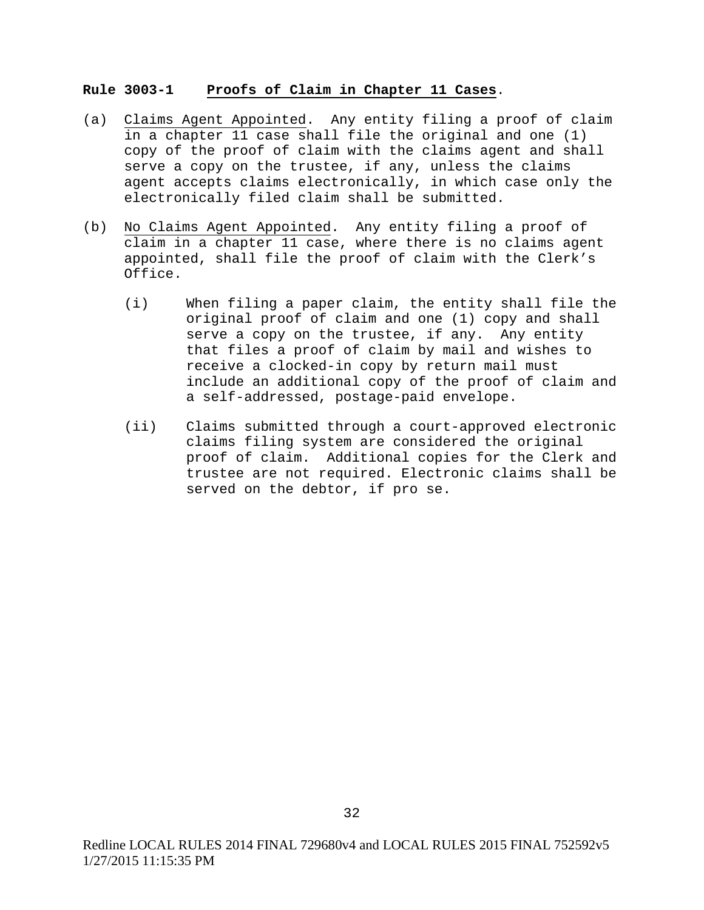### **Rule 3003-1 Proofs of Claim in Chapter 11 Cases**.

- (a) Claims Agent Appointed. Any entity filing a proof of claim in a chapter 11 case shall file the original and one (1) copy of the proof of claim with the claims agent and shall serve a copy on the trustee, if any, unless the claims agent accepts claims electronically, in which case only the electronically filed claim shall be submitted.
- (b) No Claims Agent Appointed. Any entity filing a proof of claim in a chapter 11 case, where there is no claims agent appointed, shall file the proof of claim with the Clerk's Office.
	- (i) When filing a paper claim, the entity shall file the original proof of claim and one (1) copy and shall serve a copy on the trustee, if any. Any entity that files a proof of claim by mail and wishes to receive a clocked-in copy by return mail must include an additional copy of the proof of claim and a self-addressed, postage-paid envelope.
	- (ii) Claims submitted through a court-approved electronic claims filing system are considered the original proof of claim. Additional copies for the Clerk and trustee are not required. Electronic claims shall be served on the debtor, if pro se.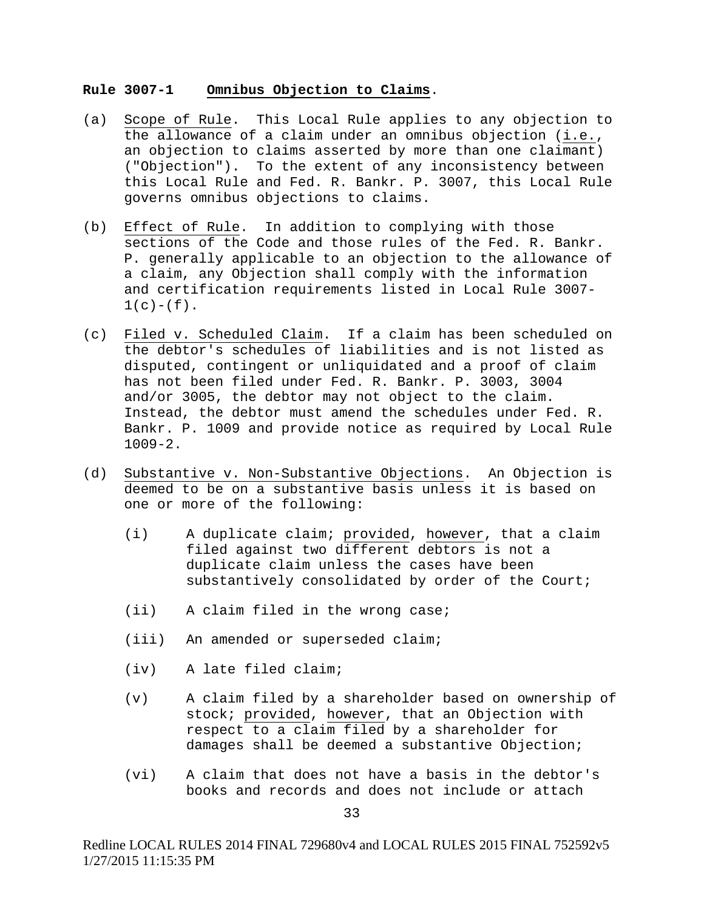### **Rule 3007-1 Omnibus Objection to Claims**.

- (a) Scope of Rule. This Local Rule applies to any objection to the allowance of a claim under an omnibus objection (i.e., an objection to claims asserted by more than one claimant) ("Objection"). To the extent of any inconsistency between this Local Rule and Fed. R. Bankr. P. 3007, this Local Rule governs omnibus objections to claims.
- (b) Effect of Rule. In addition to complying with those sections of the Code and those rules of the Fed. R. Bankr. P. generally applicable to an objection to the allowance of a claim, any Objection shall comply with the information and certification requirements listed in Local Rule 3007-  $1(c)-(f)$ .
- (c) Filed v. Scheduled Claim. If a claim has been scheduled on the debtor's schedules of liabilities and is not listed as disputed, contingent or unliquidated and a proof of claim has not been filed under Fed. R. Bankr. P. 3003, 3004 and/or 3005, the debtor may not object to the claim. Instead, the debtor must amend the schedules under Fed. R. Bankr. P. 1009 and provide notice as required by Local Rule 1009-2.
- (d) Substantive v. Non-Substantive Objections. An Objection is deemed to be on a substantive basis unless it is based on one or more of the following:
	- (i) A duplicate claim; provided, however, that a claim filed against two different debtors is not a duplicate claim unless the cases have been substantively consolidated by order of the Court;
	- (ii) A claim filed in the wrong case;
	- (iii) An amended or superseded claim;
	- (iv) A late filed claim;
	- (v) A claim filed by a shareholder based on ownership of stock; provided, however, that an Objection with respect to a claim filed by a shareholder for damages shall be deemed a substantive Objection;
	- (vi) A claim that does not have a basis in the debtor's books and records and does not include or attach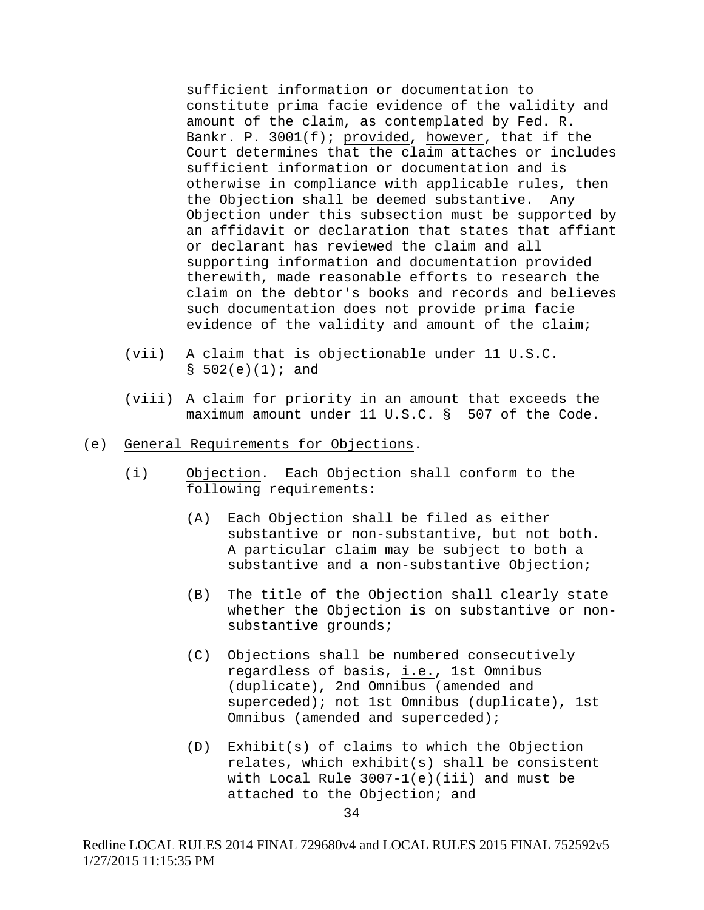sufficient information or documentation to constitute prima facie evidence of the validity and amount of the claim, as contemplated by Fed. R. Bankr. P. 3001(f); provided, however, that if the Court determines that the claim attaches or includes sufficient information or documentation and is otherwise in compliance with applicable rules, then the Objection shall be deemed substantive. Any Objection under this subsection must be supported by an affidavit or declaration that states that affiant or declarant has reviewed the claim and all supporting information and documentation provided therewith, made reasonable efforts to research the claim on the debtor's books and records and believes such documentation does not provide prima facie evidence of the validity and amount of the claim;

- (vii) A claim that is objectionable under 11 U.S.C.  $$502(e)(1);$  and
- (viii) A claim for priority in an amount that exceeds the maximum amount under 11 U.S.C. § 507 of the Code.
- (e) General Requirements for Objections.
	- (i) Objection. Each Objection shall conform to the following requirements:
		- (A) Each Objection shall be filed as either substantive or non-substantive, but not both. A particular claim may be subject to both a substantive and a non-substantive Objection;
		- (B) The title of the Objection shall clearly state whether the Objection is on substantive or nonsubstantive grounds;
		- (C) Objections shall be numbered consecutively regardless of basis, i.e., 1st Omnibus (duplicate), 2nd Omnibus (amended and superceded); not 1st Omnibus (duplicate), 1st Omnibus (amended and superceded);
		- (D) Exhibit(s) of claims to which the Objection relates, which exhibit(s) shall be consistent with Local Rule 3007-1(e)(iii) and must be attached to the Objection; and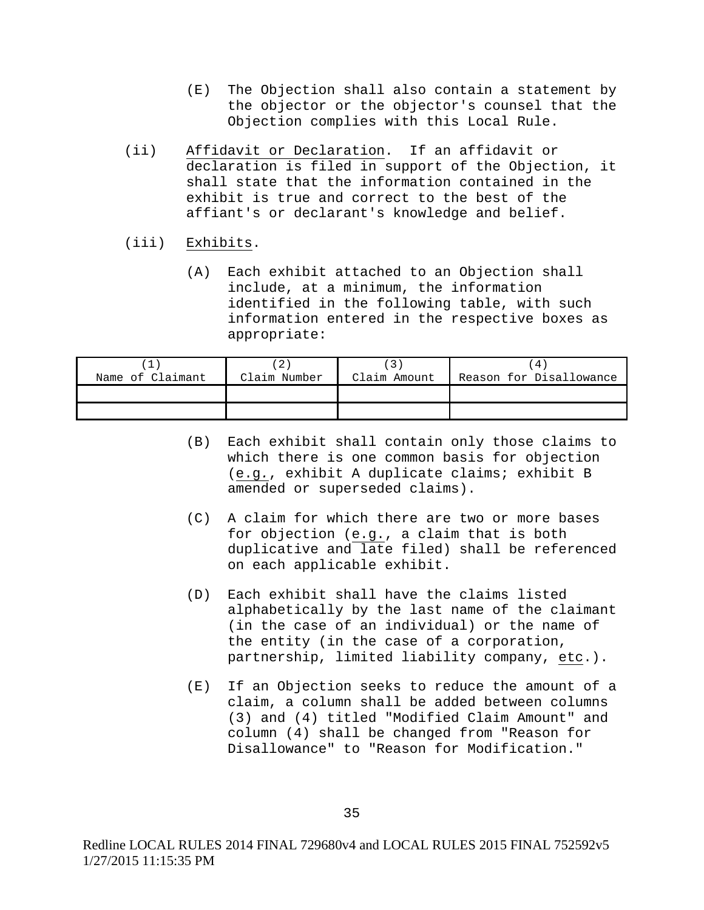- (E) The Objection shall also contain a statement by the objector or the objector's counsel that the Objection complies with this Local Rule.
- (ii) Affidavit or Declaration. If an affidavit or declaration is filed in support of the Objection, it shall state that the information contained in the exhibit is true and correct to the best of the affiant's or declarant's knowledge and belief.
- (iii) Exhibits.
	- (A) Each exhibit attached to an Objection shall include, at a minimum, the information identified in the following table, with such information entered in the respective boxes as appropriate:

| Name of Claimant | Claim Number | Claim Amount | 4<br>Reason for Disallowance |
|------------------|--------------|--------------|------------------------------|
|                  |              |              |                              |
|                  |              |              |                              |

- (B) Each exhibit shall contain only those claims to which there is one common basis for objection (e.g*.*, exhibit A duplicate claims; exhibit B amended or superseded claims).
- (C) A claim for which there are two or more bases for objection (e.g., a claim that is both duplicative and late filed) shall be referenced on each applicable exhibit.
- (D) Each exhibit shall have the claims listed alphabetically by the last name of the claimant (in the case of an individual) or the name of the entity (in the case of a corporation, partnership, limited liability company, etc.).
- (E) If an Objection seeks to reduce the amount of a claim, a column shall be added between columns (3) and (4) titled "Modified Claim Amount" and column (4) shall be changed from "Reason for Disallowance" to "Reason for Modification."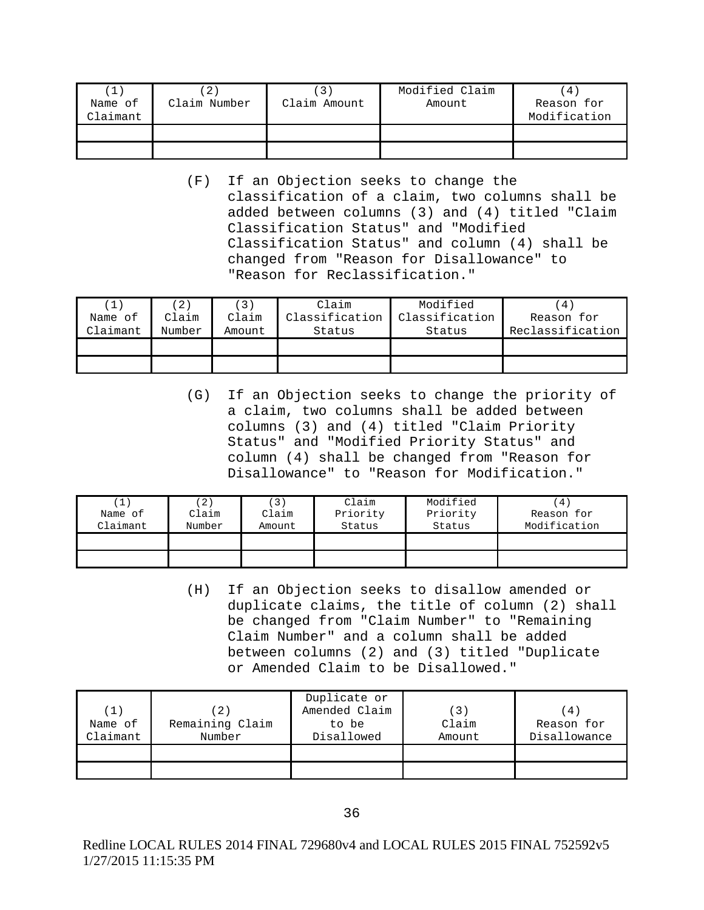| Name of<br>Claimant | $2^{\circ}$<br>Claim Number | Claim Amount | Modified Claim<br>Amount | 4<br>Reason for<br>Modification |
|---------------------|-----------------------------|--------------|--------------------------|---------------------------------|
|                     |                             |              |                          |                                 |
|                     |                             |              |                          |                                 |

(F) If an Objection seeks to change the classification of a claim, two columns shall be added between columns (3) and (4) titled "Claim Classification Status" and "Modified Classification Status" and column (4) shall be changed from "Reason for Disallowance" to "Reason for Reclassification."

| (1)      | $\overline{2}$ | (3)    | Clain          | Modified       | $4^{\circ}$      |
|----------|----------------|--------|----------------|----------------|------------------|
| Name of  | Claim          | Claim  | Classification | Classification | Reason for       |
| Claimant | Number         | Amount | Status         | Status         | Reclassification |
|          |                |        |                |                |                  |
|          |                |        |                |                |                  |

(G) If an Objection seeks to change the priority of a claim, two columns shall be added between columns (3) and (4) titled "Claim Priority Status" and "Modified Priority Status" and column (4) shall be changed from "Reason for Disallowance" to "Reason for Modification."

| Name of<br>Claimant | 2<br>Claim<br>Number | Claim<br>Amount | Claim<br>Priority<br>Status | Modified<br>Priority<br>Status | $4^{\circ}$<br>Reason for<br>Modification |
|---------------------|----------------------|-----------------|-----------------------------|--------------------------------|-------------------------------------------|
|                     |                      |                 |                             |                                |                                           |
|                     |                      |                 |                             |                                |                                           |

(H) If an Objection seeks to disallow amended or duplicate claims, the title of column (2) shall be changed from "Claim Number" to "Remaining Claim Number" and a column shall be added between columns (2) and (3) titled "Duplicate or Amended Claim to be Disallowed."

| (1<br>Name of<br>Claimant | Remaining Claim<br>Number | Duplicate or<br>Amended Claim<br>to be<br>Disallowed | (3)<br>Claim<br>Amount | $4^{\circ}$<br>Reason for<br>Disallowance |
|---------------------------|---------------------------|------------------------------------------------------|------------------------|-------------------------------------------|
|                           |                           |                                                      |                        |                                           |

Redline LOCAL RULES 2014 FINAL 729680v4 and LOCAL RULES 2015 FINAL 752592v5 1/27/2015 11:15:35 PM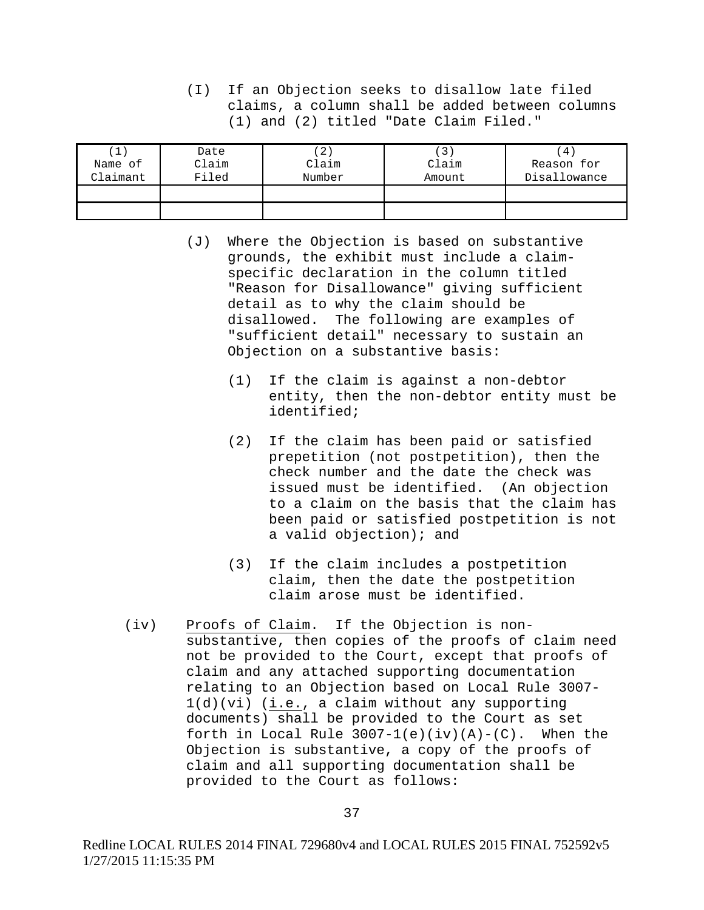(I) If an Objection seeks to disallow late filed claims, a column shall be added between columns (1) and (2) titled "Date Claim Filed."

|          | Date  | $2^{\circ}$ | $\overline{3}$ | 4            |
|----------|-------|-------------|----------------|--------------|
| Name of  | Claim | Claim       | Claim          | Reason for   |
| Claimant | Filed | Number      | Amount         | Disallowance |
|          |       |             |                |              |
|          |       |             |                |              |

- (J) Where the Objection is based on substantive grounds, the exhibit must include a claimspecific declaration in the column titled "Reason for Disallowance" giving sufficient detail as to why the claim should be disallowed. The following are examples of "sufficient detail" necessary to sustain an Objection on a substantive basis:
	- (1) If the claim is against a non-debtor entity, then the non-debtor entity must be identified;
	- (2) If the claim has been paid or satisfied prepetition (not postpetition), then the check number and the date the check was issued must be identified. (An objection to a claim on the basis that the claim has been paid or satisfied postpetition is not a valid objection); and
	- (3) If the claim includes a postpetition claim, then the date the postpetition claim arose must be identified.
- (iv) Proofs of Claim. If the Objection is nonsubstantive, then copies of the proofs of claim need not be provided to the Court, except that proofs of claim and any attached supporting documentation relating to an Objection based on Local Rule 3007- 1(d)(vi) (i.e., a claim without any supporting documents) shall be provided to the Court as set forth in Local Rule  $3007-1(e)(iv)(A)-(C)$ . When the Objection is substantive, a copy of the proofs of claim and all supporting documentation shall be provided to the Court as follows: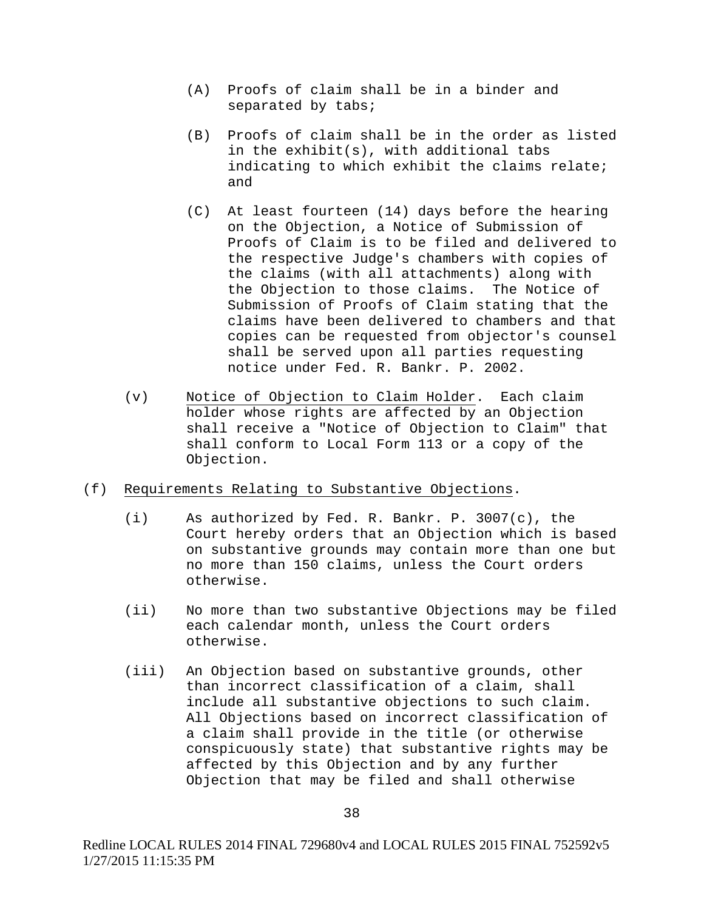- (A) Proofs of claim shall be in a binder and separated by tabs;
- (B) Proofs of claim shall be in the order as listed in the exhibit(s), with additional tabs indicating to which exhibit the claims relate; and
- (C) At least fourteen (14) days before the hearing on the Objection, a Notice of Submission of Proofs of Claim is to be filed and delivered to the respective Judge's chambers with copies of the claims (with all attachments) along with the Objection to those claims. The Notice of Submission of Proofs of Claim stating that the claims have been delivered to chambers and that copies can be requested from objector's counsel shall be served upon all parties requesting notice under Fed. R. Bankr. P. 2002.
- (v) Notice of Objection to Claim Holder. Each claim holder whose rights are affected by an Objection shall receive a "Notice of Objection to Claim" that shall conform to Local Form 113 or a copy of the Objection.
- (f) Requirements Relating to Substantive Objections.
	- (i) As authorized by Fed. R. Bankr. P. 3007(c), the Court hereby orders that an Objection which is based on substantive grounds may contain more than one but no more than 150 claims, unless the Court orders otherwise.
	- (ii) No more than two substantive Objections may be filed each calendar month, unless the Court orders otherwise.
	- (iii) An Objection based on substantive grounds, other than incorrect classification of a claim, shall include all substantive objections to such claim. All Objections based on incorrect classification of a claim shall provide in the title (or otherwise conspicuously state) that substantive rights may be affected by this Objection and by any further Objection that may be filed and shall otherwise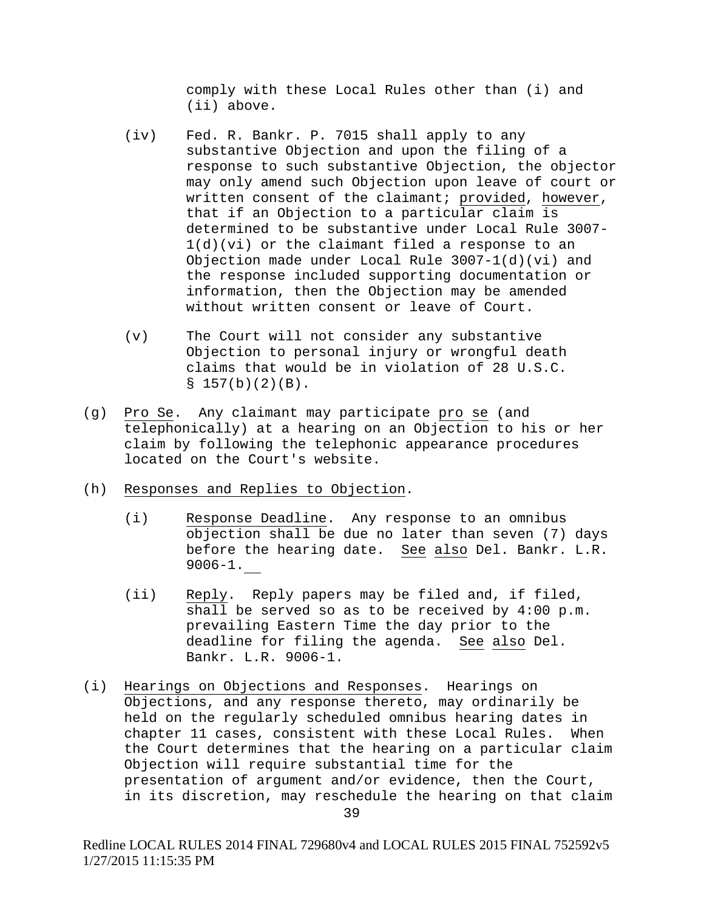comply with these Local Rules other than (i) and (ii) above.

- (iv) Fed. R. Bankr. P. 7015 shall apply to any substantive Objection and upon the filing of a response to such substantive Objection, the objector may only amend such Objection upon leave of court or written consent of the claimant; provided, however, that if an Objection to a particular claim is determined to be substantive under Local Rule 3007- 1(d)(vi) or the claimant filed a response to an Objection made under Local Rule 3007-1(d)(vi) and the response included supporting documentation or information, then the Objection may be amended without written consent or leave of Court.
- (v) The Court will not consider any substantive Objection to personal injury or wrongful death claims that would be in violation of 28 U.S.C.  $$157(b)(2)(B).$
- (g) Pro Se. Any claimant may participate pro se (and telephonically) at a hearing on an Objection to his or her claim by following the telephonic appearance procedures located on the Court's website.
- (h) Responses and Replies to Objection.
	- (i) Response Deadline. Any response to an omnibus objection shall be due no later than seven (7) days before the hearing date. See also Del. Bankr. L.R. 9006-1.
	- (ii) Reply. Reply papers may be filed and, if filed, shall be served so as to be received by 4:00 p.m. prevailing Eastern Time the day prior to the deadline for filing the agenda. See also Del. Bankr. L.R. 9006-1.
- (i) Hearings on Objections and Responses. Hearings on Objections, and any response thereto, may ordinarily be held on the regularly scheduled omnibus hearing dates in chapter 11 cases, consistent with these Local Rules. When the Court determines that the hearing on a particular claim Objection will require substantial time for the presentation of argument and/or evidence, then the Court, in its discretion, may reschedule the hearing on that claim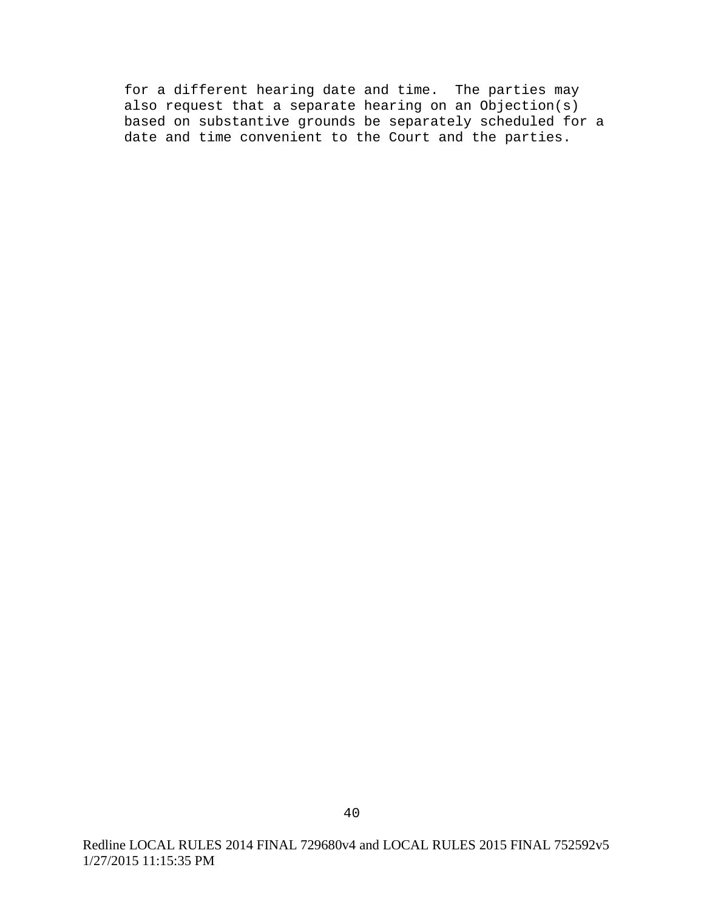for a different hearing date and time. The parties may also request that a separate hearing on an Objection(s) based on substantive grounds be separately scheduled for a date and time convenient to the Court and the parties.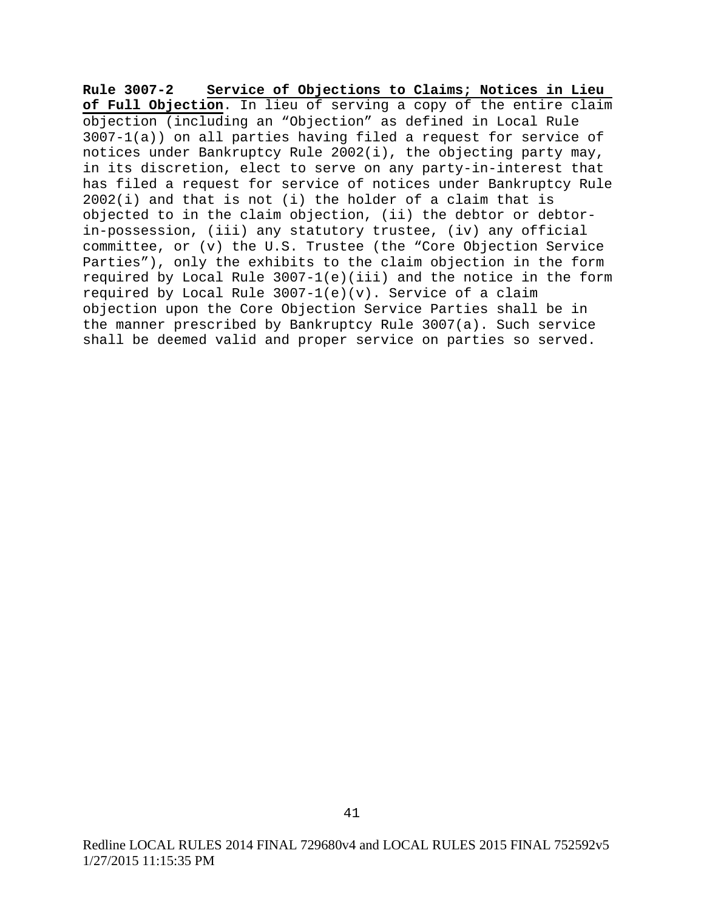**Rule 3007-2 Service of Objections to Claims; Notices in Lieu of Full Objection**. In lieu of serving a copy of the entire claim objection (including an "Objection" as defined in Local Rule 3007-1(a)) on all parties having filed a request for service of notices under Bankruptcy Rule 2002(i), the objecting party may, in its discretion, elect to serve on any party-in-interest that has filed a request for service of notices under Bankruptcy Rule 2002(i) and that is not (i) the holder of a claim that is objected to in the claim objection, (ii) the debtor or debtorin-possession, (iii) any statutory trustee, (iv) any official committee, or (v) the U.S. Trustee (the "Core Objection Service Parties"), only the exhibits to the claim objection in the form required by Local Rule 3007-1(e)(iii) and the notice in the form required by Local Rule  $3007-1(e)(v)$ . Service of a claim objection upon the Core Objection Service Parties shall be in the manner prescribed by Bankruptcy Rule 3007(a). Such service shall be deemed valid and proper service on parties so served.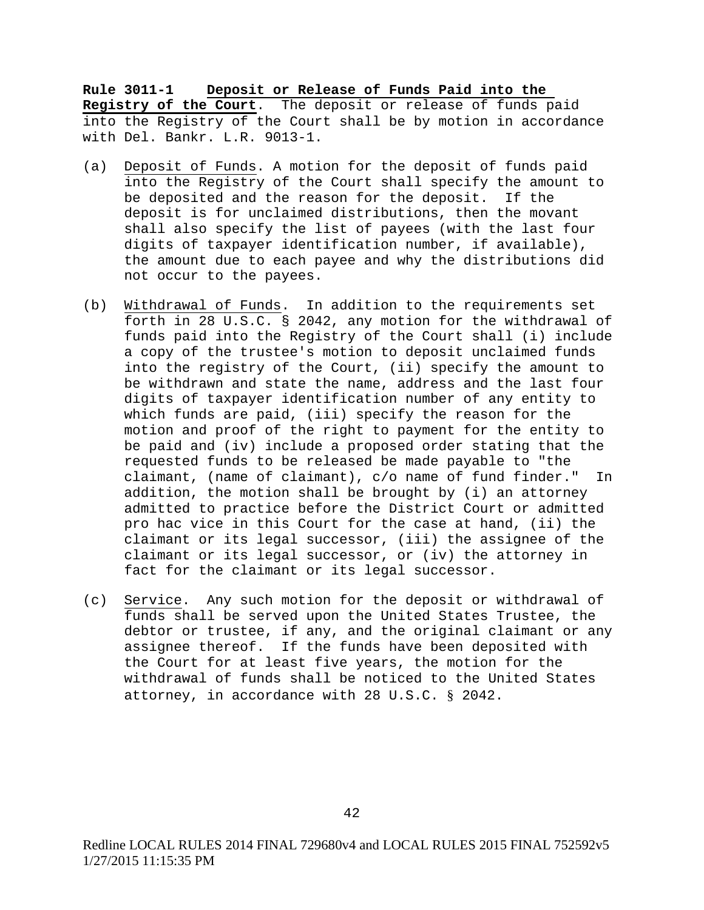**Rule 3011-1 Deposit or Release of Funds Paid into the Registry of the Court**. The deposit or release of funds paid into the Registry of the Court shall be by motion in accordance with Del. Bankr. L.R. 9013-1.

- (a) Deposit of Funds. A motion for the deposit of funds paid into the Registry of the Court shall specify the amount to be deposited and the reason for the deposit. If the deposit is for unclaimed distributions, then the movant shall also specify the list of payees (with the last four digits of taxpayer identification number, if available), the amount due to each payee and why the distributions did not occur to the payees.
- (b) Withdrawal of Funds. In addition to the requirements set forth in 28 U.S.C. § 2042, any motion for the withdrawal of funds paid into the Registry of the Court shall (i) include a copy of the trustee's motion to deposit unclaimed funds into the registry of the Court, (ii) specify the amount to be withdrawn and state the name, address and the last four digits of taxpayer identification number of any entity to which funds are paid, (iii) specify the reason for the motion and proof of the right to payment for the entity to be paid and (iv) include a proposed order stating that the requested funds to be released be made payable to "the claimant, (name of claimant), c/o name of fund finder." In addition, the motion shall be brought by (i) an attorney admitted to practice before the District Court or admitted pro hac vice in this Court for the case at hand, (ii) the claimant or its legal successor, (iii) the assignee of the claimant or its legal successor, or (iv) the attorney in fact for the claimant or its legal successor.
- (c) Service. Any such motion for the deposit or withdrawal of funds shall be served upon the United States Trustee, the debtor or trustee, if any, and the original claimant or any assignee thereof. If the funds have been deposited with the Court for at least five years, the motion for the withdrawal of funds shall be noticed to the United States attorney, in accordance with 28 U.S.C. § 2042.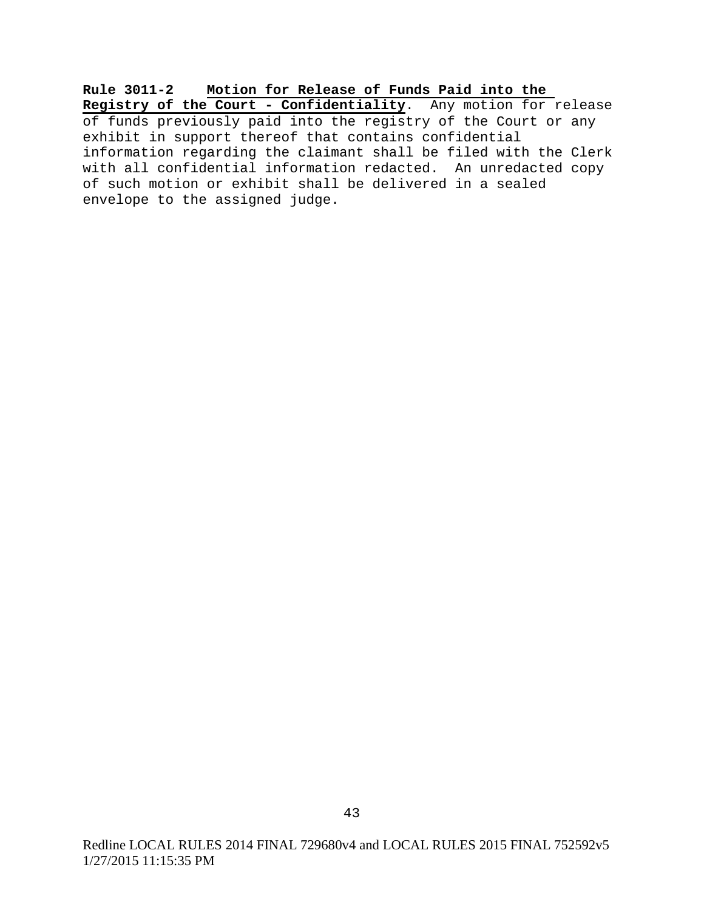**Rule 3011-2 Motion for Release of Funds Paid into the Registry of the Court - Confidentiality**. Any motion for release of funds previously paid into the registry of the Court or any exhibit in support thereof that contains confidential information regarding the claimant shall be filed with the Clerk with all confidential information redacted. An unredacted copy of such motion or exhibit shall be delivered in a sealed envelope to the assigned judge.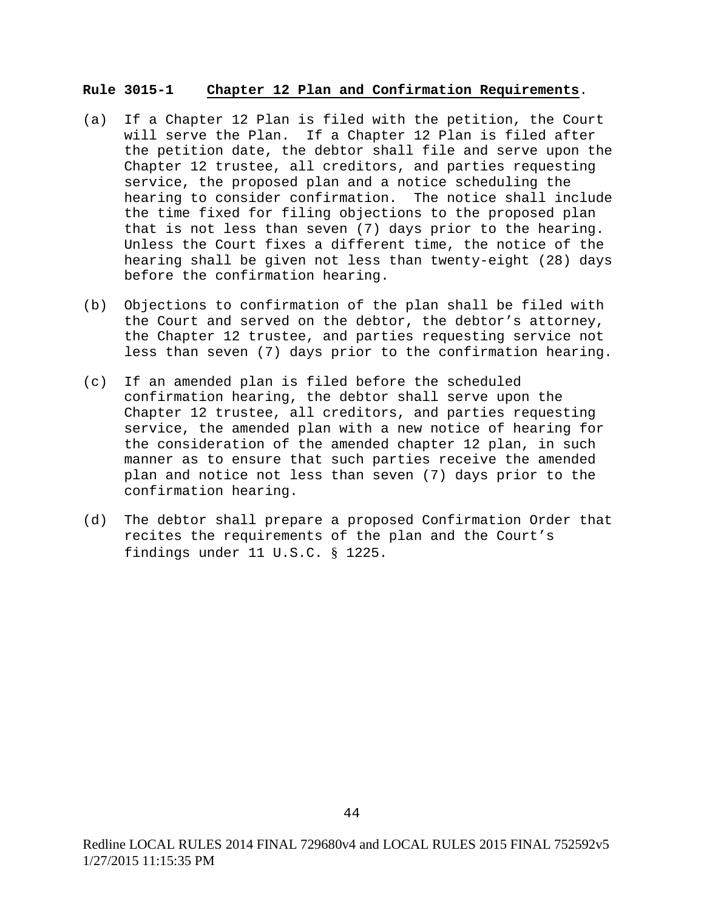#### **Rule 3015-1 Chapter 12 Plan and Confirmation Requirements**.

- (a) If a Chapter 12 Plan is filed with the petition, the Court will serve the Plan. If a Chapter 12 Plan is filed after the petition date, the debtor shall file and serve upon the Chapter 12 trustee, all creditors, and parties requesting service, the proposed plan and a notice scheduling the hearing to consider confirmation. The notice shall include the time fixed for filing objections to the proposed plan that is not less than seven (7) days prior to the hearing. Unless the Court fixes a different time, the notice of the hearing shall be given not less than twenty-eight (28) days before the confirmation hearing.
- (b) Objections to confirmation of the plan shall be filed with the Court and served on the debtor, the debtor's attorney, the Chapter 12 trustee, and parties requesting service not less than seven (7) days prior to the confirmation hearing.
- (c) If an amended plan is filed before the scheduled confirmation hearing, the debtor shall serve upon the Chapter 12 trustee, all creditors, and parties requesting service, the amended plan with a new notice of hearing for the consideration of the amended chapter 12 plan, in such manner as to ensure that such parties receive the amended plan and notice not less than seven (7) days prior to the confirmation hearing.
- (d) The debtor shall prepare a proposed Confirmation Order that recites the requirements of the plan and the Court's findings under 11 U.S.C. § 1225.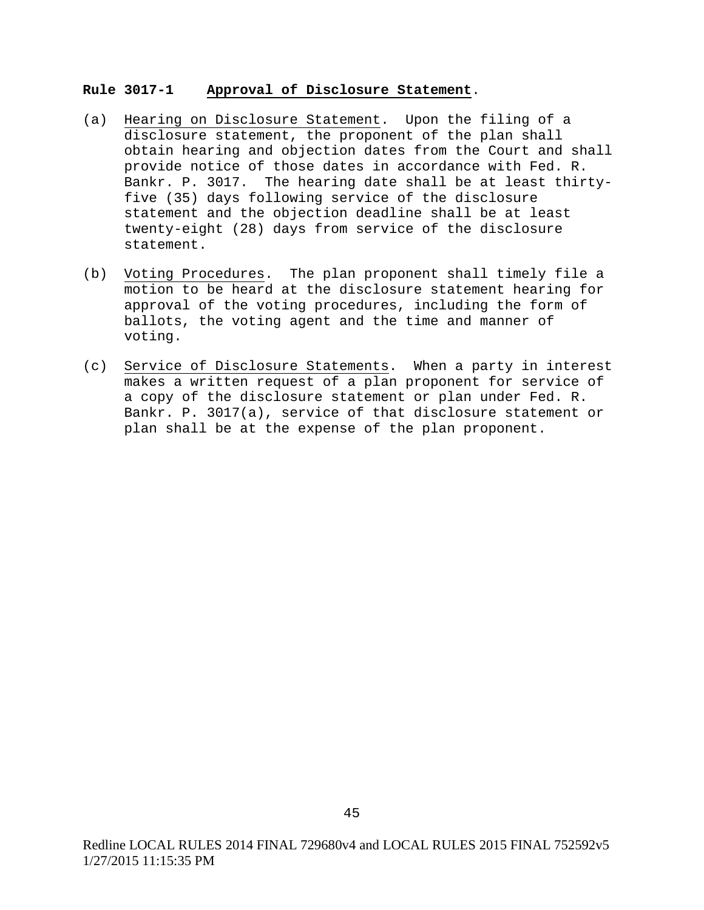# **Rule 3017-1 Approval of Disclosure Statement**.

- (a) Hearing on Disclosure Statement. Upon the filing of a disclosure statement, the proponent of the plan shall obtain hearing and objection dates from the Court and shall provide notice of those dates in accordance with Fed. R. Bankr. P. 3017. The hearing date shall be at least thirtyfive (35) days following service of the disclosure statement and the objection deadline shall be at least twenty-eight (28) days from service of the disclosure statement.
- (b) Voting Procedures. The plan proponent shall timely file a motion to be heard at the disclosure statement hearing for approval of the voting procedures, including the form of ballots, the voting agent and the time and manner of voting.
- (c) Service of Disclosure Statements. When a party in interest makes a written request of a plan proponent for service of a copy of the disclosure statement or plan under Fed. R. Bankr. P. 3017(a), service of that disclosure statement or plan shall be at the expense of the plan proponent.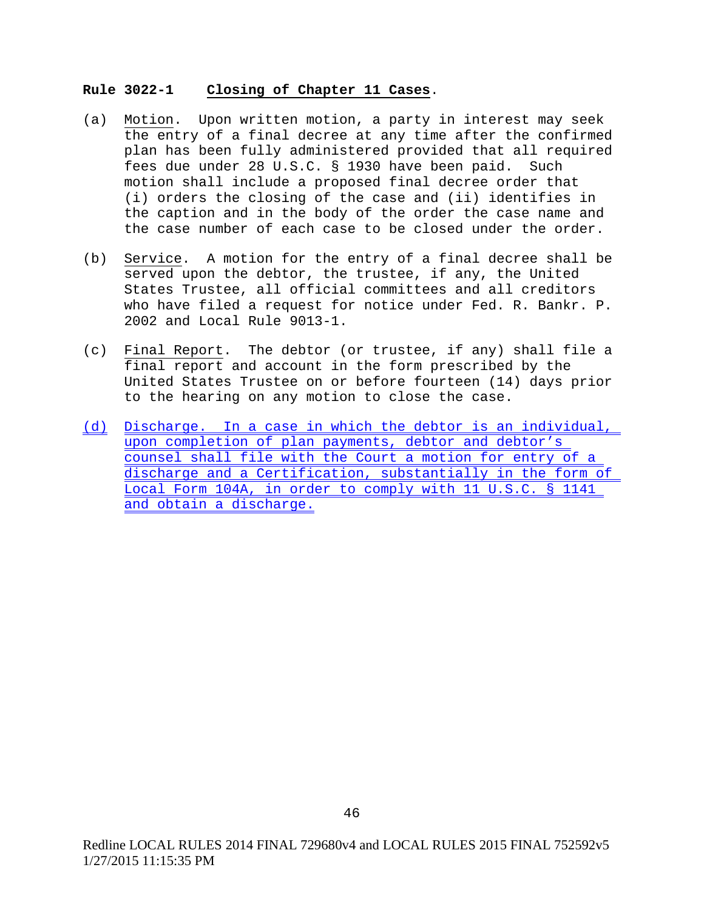#### **Rule 3022-1 Closing of Chapter 11 Cases**.

- (a) Motion. Upon written motion, a party in interest may seek the entry of a final decree at any time after the confirmed plan has been fully administered provided that all required fees due under 28 U.S.C. § 1930 have been paid. Such motion shall include a proposed final decree order that (i) orders the closing of the case and (ii) identifies in the caption and in the body of the order the case name and the case number of each case to be closed under the order.
- (b) Service. A motion for the entry of a final decree shall be served upon the debtor, the trustee, if any, the United States Trustee, all official committees and all creditors who have filed a request for notice under Fed. R. Bankr. P. 2002 and Local Rule 9013-1.
- (c) Final Report. The debtor (or trustee, if any) shall file a final report and account in the form prescribed by the United States Trustee on or before fourteen (14) days prior to the hearing on any motion to close the case.
- (d) Discharge. In a case in which the debtor is an individual, upon completion of plan payments, debtor and debtor's counsel shall file with the Court a motion for entry of a discharge and a Certification, substantially in the form of Local Form 104A, in order to comply with 11 U.S.C. § 1141 and obtain a discharge.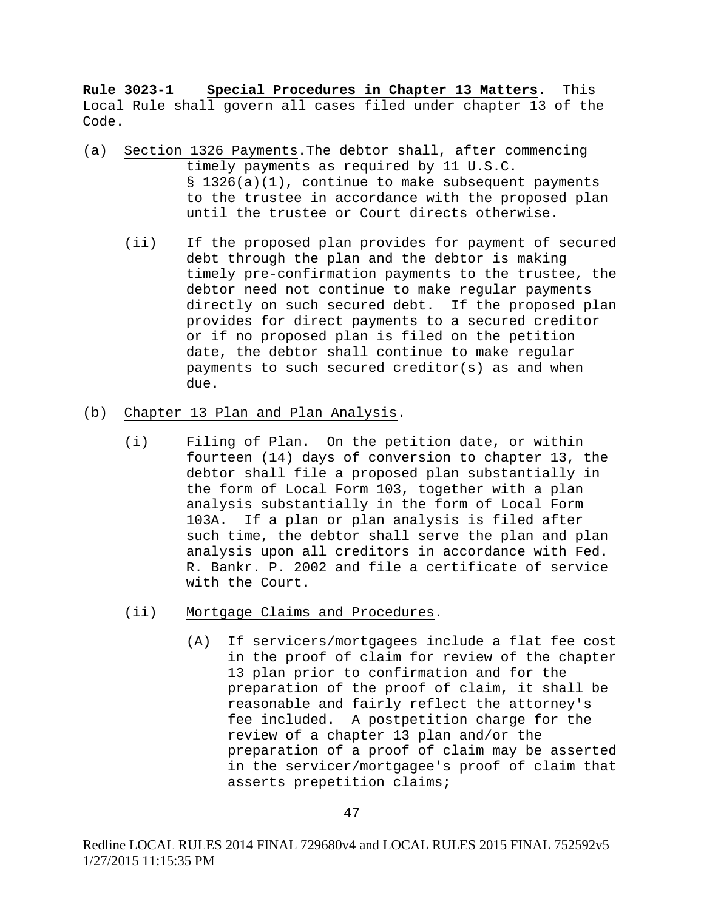**Rule 3023-1 Special Procedures in Chapter 13 Matters**. This Local Rule shall govern all cases filed under chapter 13 of the Code.

- (a) Section 1326 Payments.The debtor shall, after commencing timely payments as required by 11 U.S.C. § 1326(a)(1), continue to make subsequent payments to the trustee in accordance with the proposed plan until the trustee or Court directs otherwise.
	- (ii) If the proposed plan provides for payment of secured debt through the plan and the debtor is making timely pre-confirmation payments to the trustee, the debtor need not continue to make regular payments directly on such secured debt. If the proposed plan provides for direct payments to a secured creditor or if no proposed plan is filed on the petition date, the debtor shall continue to make regular payments to such secured creditor(s) as and when due.
- (b) Chapter 13 Plan and Plan Analysis.
	- (i) Filing of Plan. On the petition date, or within fourteen (14) days of conversion to chapter 13, the debtor shall file a proposed plan substantially in the form of Local Form 103, together with a plan analysis substantially in the form of Local Form 103A. If a plan or plan analysis is filed after such time, the debtor shall serve the plan and plan analysis upon all creditors in accordance with Fed. R. Bankr. P. 2002 and file a certificate of service with the Court.
	- (ii) Mortgage Claims and Procedures.
		- (A) If servicers/mortgagees include a flat fee cost in the proof of claim for review of the chapter 13 plan prior to confirmation and for the preparation of the proof of claim, it shall be reasonable and fairly reflect the attorney's fee included. A postpetition charge for the review of a chapter 13 plan and/or the preparation of a proof of claim may be asserted in the servicer/mortgagee's proof of claim that asserts prepetition claims;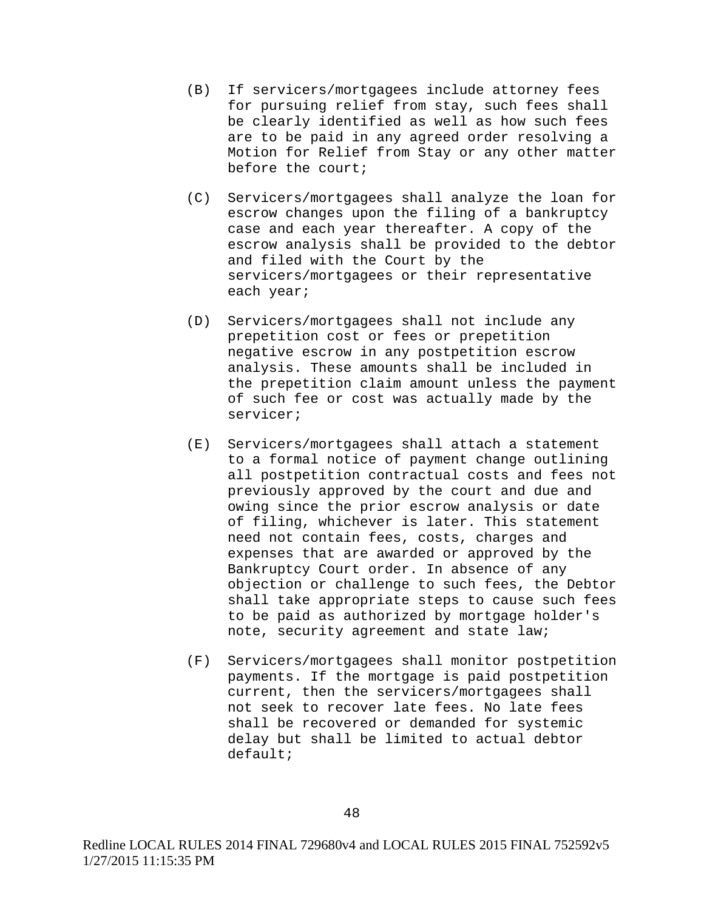- (B) If servicers/mortgagees include attorney fees for pursuing relief from stay, such fees shall be clearly identified as well as how such fees are to be paid in any agreed order resolving a Motion for Relief from Stay or any other matter before the court;
- (C) Servicers/mortgagees shall analyze the loan for escrow changes upon the filing of a bankruptcy case and each year thereafter. A copy of the escrow analysis shall be provided to the debtor and filed with the Court by the servicers/mortgagees or their representative each year;
- (D) Servicers/mortgagees shall not include any prepetition cost or fees or prepetition negative escrow in any postpetition escrow analysis. These amounts shall be included in the prepetition claim amount unless the payment of such fee or cost was actually made by the servicer;
- (E) Servicers/mortgagees shall attach a statement to a formal notice of payment change outlining all postpetition contractual costs and fees not previously approved by the court and due and owing since the prior escrow analysis or date of filing, whichever is later. This statement need not contain fees, costs, charges and expenses that are awarded or approved by the Bankruptcy Court order. In absence of any objection or challenge to such fees, the Debtor shall take appropriate steps to cause such fees to be paid as authorized by mortgage holder's note, security agreement and state law;
- (F) Servicers/mortgagees shall monitor postpetition payments. If the mortgage is paid postpetition current, then the servicers/mortgagees shall not seek to recover late fees. No late fees shall be recovered or demanded for systemic delay but shall be limited to actual debtor default;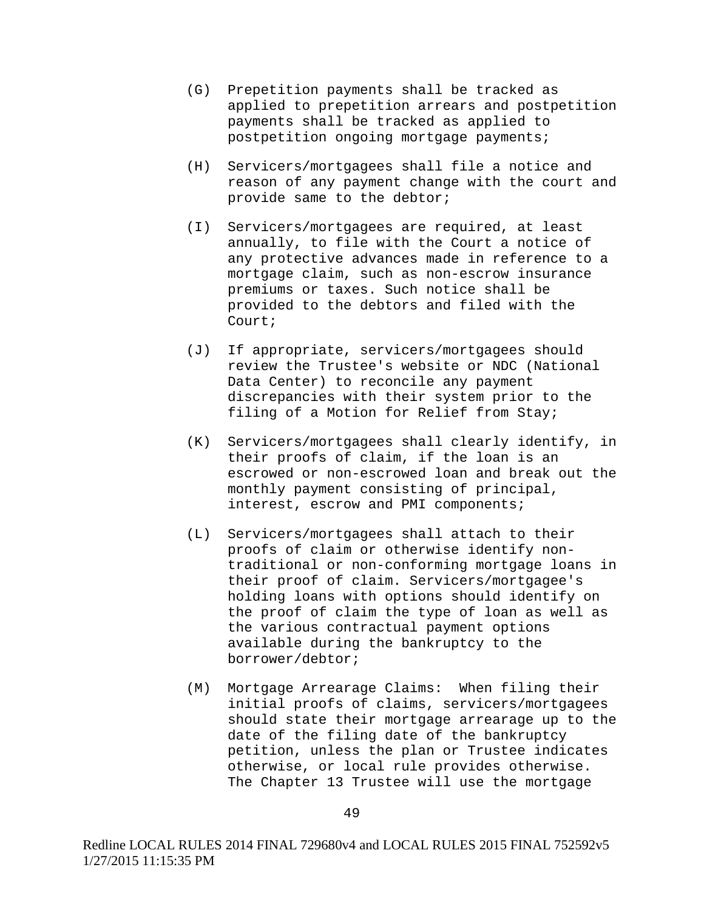- (G) Prepetition payments shall be tracked as applied to prepetition arrears and postpetition payments shall be tracked as applied to postpetition ongoing mortgage payments;
- (H) Servicers/mortgagees shall file a notice and reason of any payment change with the court and provide same to the debtor;
- (I) Servicers/mortgagees are required, at least annually, to file with the Court a notice of any protective advances made in reference to a mortgage claim, such as non-escrow insurance premiums or taxes. Such notice shall be provided to the debtors and filed with the Court;
- (J) If appropriate, servicers/mortgagees should review the Trustee's website or NDC (National Data Center) to reconcile any payment discrepancies with their system prior to the filing of a Motion for Relief from Stay;
- (K) Servicers/mortgagees shall clearly identify, in their proofs of claim, if the loan is an escrowed or non-escrowed loan and break out the monthly payment consisting of principal, interest, escrow and PMI components;
- (L) Servicers/mortgagees shall attach to their proofs of claim or otherwise identify nontraditional or non-conforming mortgage loans in their proof of claim. Servicers/mortgagee's holding loans with options should identify on the proof of claim the type of loan as well as the various contractual payment options available during the bankruptcy to the borrower/debtor;
- (M) Mortgage Arrearage Claims: When filing their initial proofs of claims, servicers/mortgagees should state their mortgage arrearage up to the date of the filing date of the bankruptcy petition, unless the plan or Trustee indicates otherwise, or local rule provides otherwise. The Chapter 13 Trustee will use the mortgage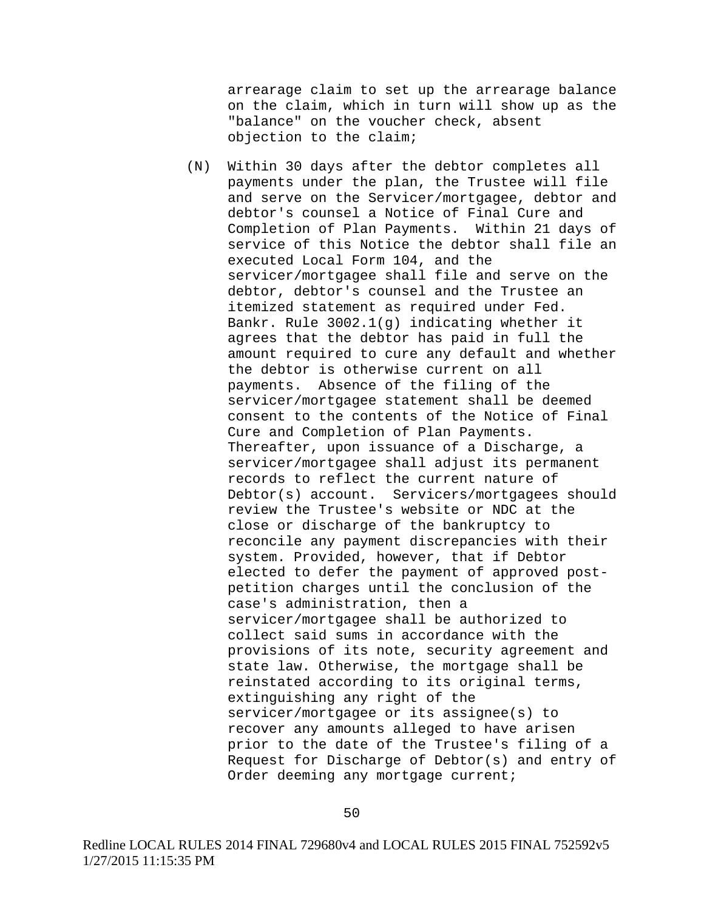arrearage claim to set up the arrearage balance on the claim, which in turn will show up as the "balance" on the voucher check, absent objection to the claim;

(N) Within 30 days after the debtor completes all payments under the plan, the Trustee will file and serve on the Servicer/mortgagee, debtor and debtor's counsel a Notice of Final Cure and Completion of Plan Payments. Within 21 days of service of this Notice the debtor shall file an executed Local Form 104, and the servicer/mortgagee shall file and serve on the debtor, debtor's counsel and the Trustee an itemized statement as required under Fed. Bankr. Rule 3002.1(g) indicating whether it agrees that the debtor has paid in full the amount required to cure any default and whether the debtor is otherwise current on all payments. Absence of the filing of the servicer/mortgagee statement shall be deemed consent to the contents of the Notice of Final Cure and Completion of Plan Payments. Thereafter, upon issuance of a Discharge, a servicer/mortgagee shall adjust its permanent records to reflect the current nature of Debtor(s) account. Servicers/mortgagees should review the Trustee's website or NDC at the close or discharge of the bankruptcy to reconcile any payment discrepancies with their system. Provided, however, that if Debtor elected to defer the payment of approved postpetition charges until the conclusion of the case's administration, then a servicer/mortgagee shall be authorized to collect said sums in accordance with the provisions of its note, security agreement and state law. Otherwise, the mortgage shall be reinstated according to its original terms, extinguishing any right of the servicer/mortgagee or its assignee(s) to recover any amounts alleged to have arisen prior to the date of the Trustee's filing of a Request for Discharge of Debtor(s) and entry of Order deeming any mortgage current;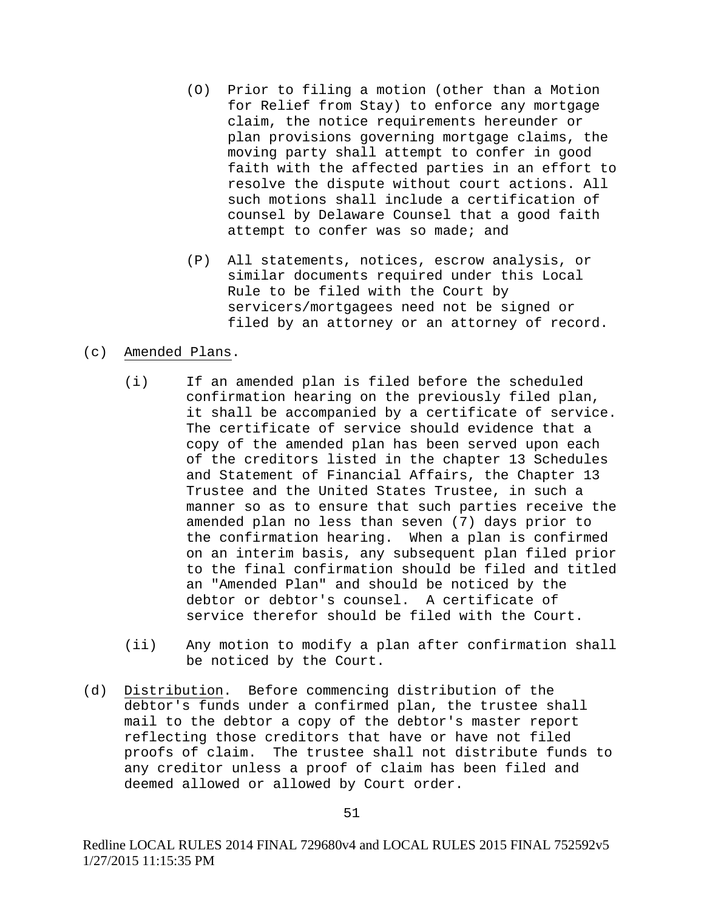- (O) Prior to filing a motion (other than a Motion for Relief from Stay) to enforce any mortgage claim, the notice requirements hereunder or plan provisions governing mortgage claims, the moving party shall attempt to confer in good faith with the affected parties in an effort to resolve the dispute without court actions. All such motions shall include a certification of counsel by Delaware Counsel that a good faith attempt to confer was so made; and
- (P) All statements, notices, escrow analysis, or similar documents required under this Local Rule to be filed with the Court by servicers/mortgagees need not be signed or filed by an attorney or an attorney of record.

# (c) Amended Plans.

- (i) If an amended plan is filed before the scheduled confirmation hearing on the previously filed plan, it shall be accompanied by a certificate of service. The certificate of service should evidence that a copy of the amended plan has been served upon each of the creditors listed in the chapter 13 Schedules and Statement of Financial Affairs, the Chapter 13 Trustee and the United States Trustee, in such a manner so as to ensure that such parties receive the amended plan no less than seven (7) days prior to the confirmation hearing. When a plan is confirmed on an interim basis, any subsequent plan filed prior to the final confirmation should be filed and titled an "Amended Plan" and should be noticed by the debtor or debtor's counsel. A certificate of service therefor should be filed with the Court.
- (ii) Any motion to modify a plan after confirmation shall be noticed by the Court.
- (d) Distribution. Before commencing distribution of the debtor's funds under a confirmed plan, the trustee shall mail to the debtor a copy of the debtor's master report reflecting those creditors that have or have not filed proofs of claim. The trustee shall not distribute funds to any creditor unless a proof of claim has been filed and deemed allowed or allowed by Court order.

Redline LOCAL RULES 2014 FINAL 729680v4 and LOCAL RULES 2015 FINAL 752592v5 1/27/2015 11:15:35 PM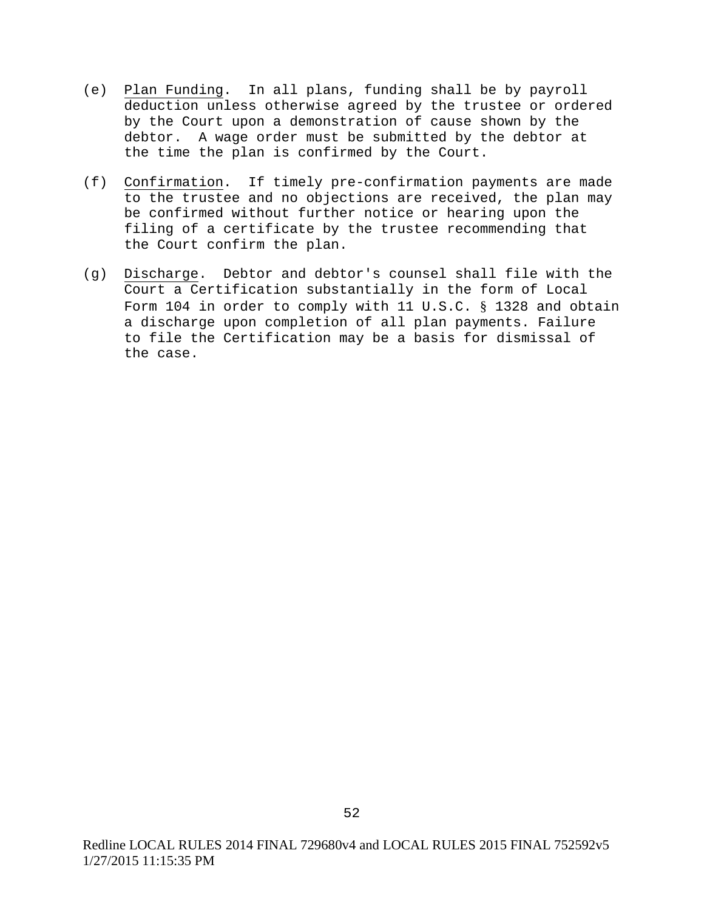- (e) Plan Funding. In all plans, funding shall be by payroll deduction unless otherwise agreed by the trustee or ordered by the Court upon a demonstration of cause shown by the debtor. A wage order must be submitted by the debtor at the time the plan is confirmed by the Court.
- (f) Confirmation. If timely pre-confirmation payments are made to the trustee and no objections are received, the plan may be confirmed without further notice or hearing upon the filing of a certificate by the trustee recommending that the Court confirm the plan.
- (g) Discharge. Debtor and debtor's counsel shall file with the Court a Certification substantially in the form of Local Form 104 in order to comply with 11 U.S.C. § 1328 and obtain a discharge upon completion of all plan payments. Failure to file the Certification may be a basis for dismissal of the case.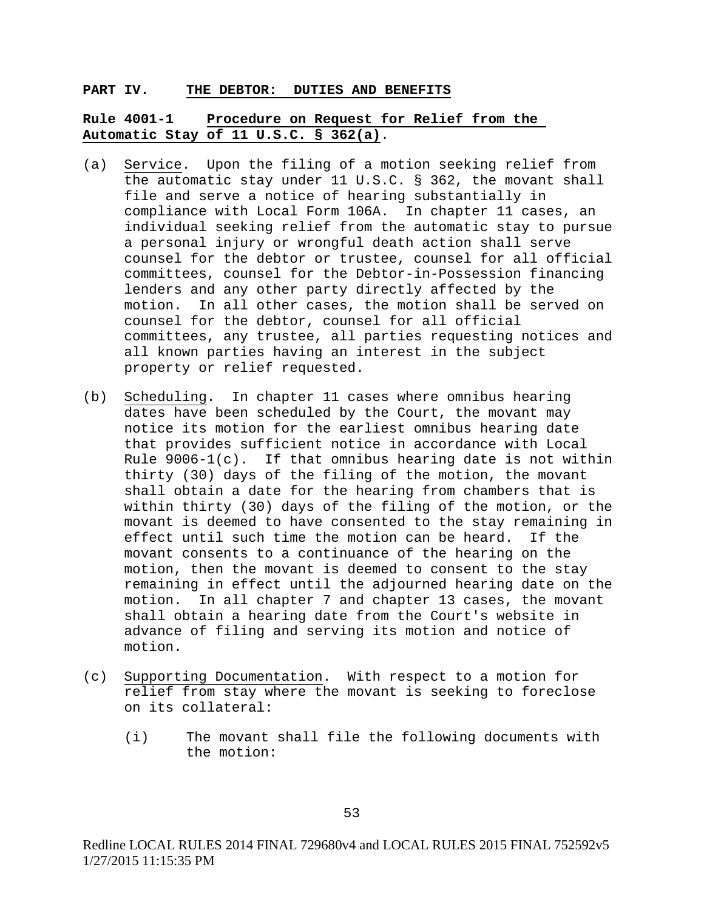#### **PART IV. THE DEBTOR: DUTIES AND BENEFITS**

# **Rule 4001-1 Procedure on Request for Relief from the Automatic Stay of 11 U.S.C. § 362(a)**.

- (a) Service. Upon the filing of a motion seeking relief from the automatic stay under 11 U.S.C. § 362, the movant shall file and serve a notice of hearing substantially in compliance with Local Form 106A. In chapter 11 cases, an individual seeking relief from the automatic stay to pursue a personal injury or wrongful death action shall serve counsel for the debtor or trustee, counsel for all official committees, counsel for the Debtor-in-Possession financing lenders and any other party directly affected by the motion. In all other cases, the motion shall be served on counsel for the debtor, counsel for all official committees, any trustee, all parties requesting notices and all known parties having an interest in the subject property or relief requested.
- (b) Scheduling. In chapter 11 cases where omnibus hearing dates have been scheduled by the Court, the movant may notice its motion for the earliest omnibus hearing date that provides sufficient notice in accordance with Local Rule  $9006-1(c)$ . If that omnibus hearing date is not within thirty (30) days of the filing of the motion, the movant shall obtain a date for the hearing from chambers that is within thirty (30) days of the filing of the motion, or the movant is deemed to have consented to the stay remaining in effect until such time the motion can be heard. If the movant consents to a continuance of the hearing on the motion, then the movant is deemed to consent to the stay remaining in effect until the adjourned hearing date on the motion. In all chapter 7 and chapter 13 cases, the movant shall obtain a hearing date from the Court's website in advance of filing and serving its motion and notice of motion.
- (c) Supporting Documentation. With respect to a motion for relief from stay where the movant is seeking to foreclose on its collateral:
	- (i) The movant shall file the following documents with the motion: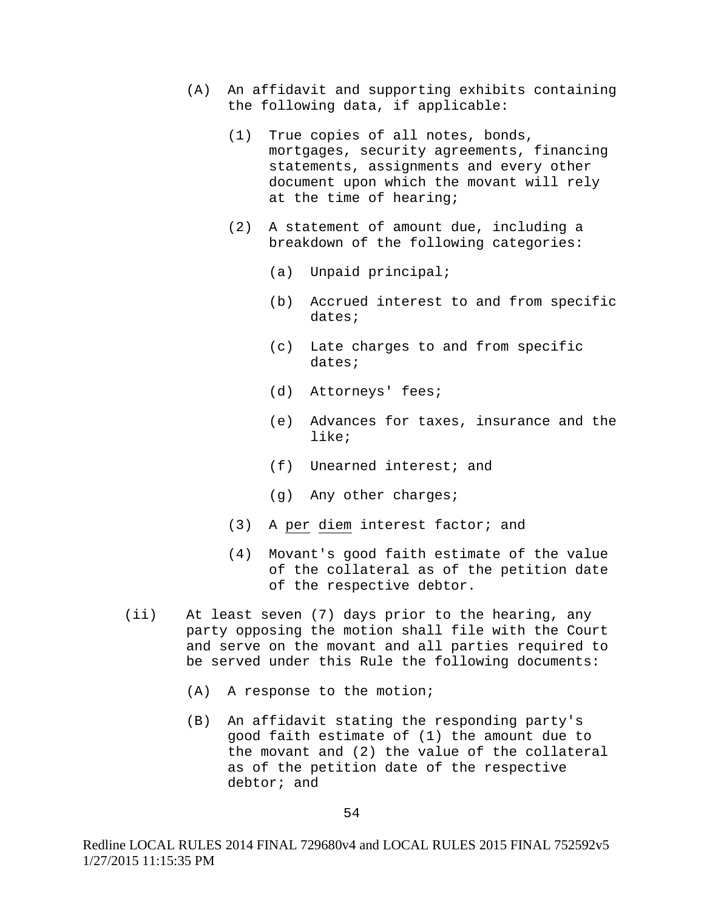- (A) An affidavit and supporting exhibits containing the following data, if applicable:
	- (1) True copies of all notes, bonds, mortgages, security agreements, financing statements, assignments and every other document upon which the movant will rely at the time of hearing;
	- (2) A statement of amount due, including a breakdown of the following categories:
		- (a) Unpaid principal;
		- (b) Accrued interest to and from specific dates;
		- (c) Late charges to and from specific dates;
		- (d) Attorneys' fees;
		- (e) Advances for taxes, insurance and the like;
		- (f) Unearned interest; and
		- (g) Any other charges;
	- (3) A per diem interest factor; and
	- (4) Movant's good faith estimate of the value of the collateral as of the petition date of the respective debtor.
- (ii) At least seven (7) days prior to the hearing, any party opposing the motion shall file with the Court and serve on the movant and all parties required to be served under this Rule the following documents:
	- (A) A response to the motion;
	- (B) An affidavit stating the responding party's good faith estimate of (1) the amount due to the movant and (2) the value of the collateral as of the petition date of the respective debtor; and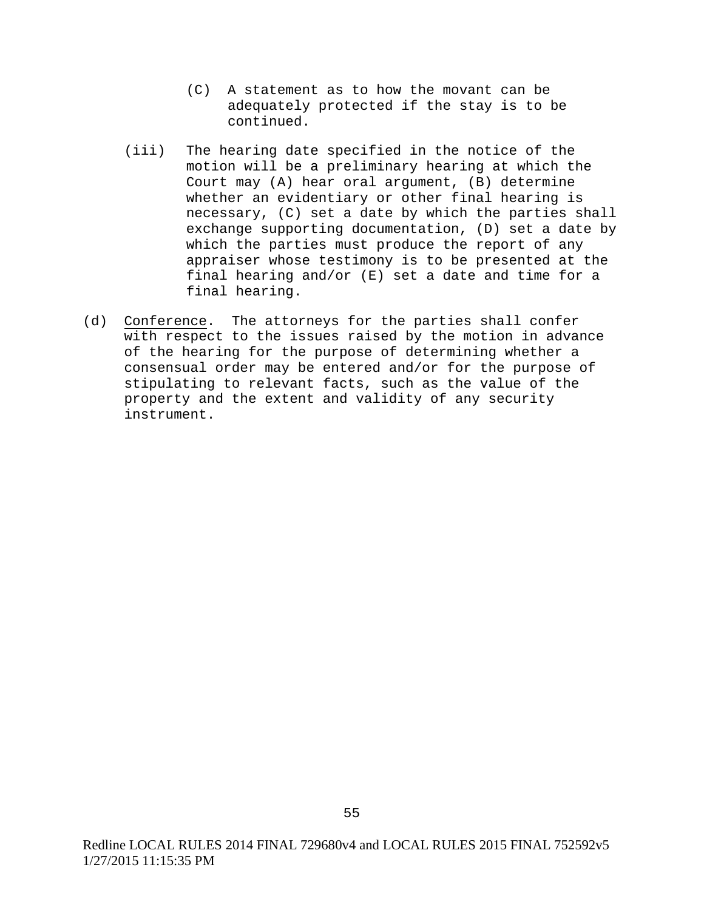- (C) A statement as to how the movant can be adequately protected if the stay is to be continued.
- (iii) The hearing date specified in the notice of the motion will be a preliminary hearing at which the Court may (A) hear oral argument, (B) determine whether an evidentiary or other final hearing is necessary, (C) set a date by which the parties shall exchange supporting documentation, (D) set a date by which the parties must produce the report of any appraiser whose testimony is to be presented at the final hearing and/or (E) set a date and time for a final hearing.
- (d) Conference. The attorneys for the parties shall confer with respect to the issues raised by the motion in advance of the hearing for the purpose of determining whether a consensual order may be entered and/or for the purpose of stipulating to relevant facts, such as the value of the property and the extent and validity of any security instrument.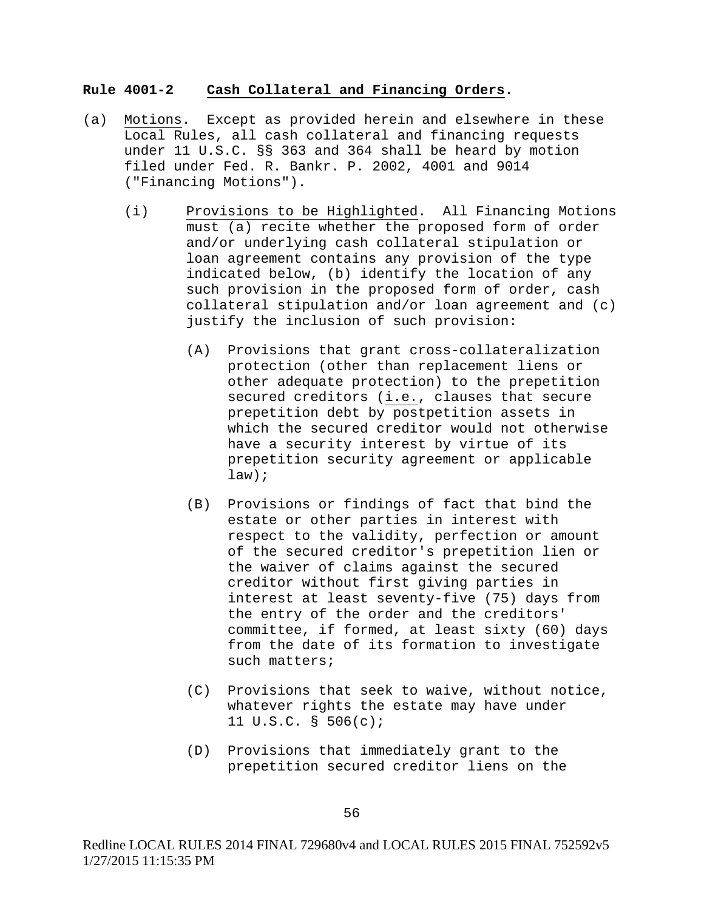### **Rule 4001-2 Cash Collateral and Financing Orders**.

- (a) Motions. Except as provided herein and elsewhere in these Local Rules, all cash collateral and financing requests under 11 U.S.C. §§ 363 and 364 shall be heard by motion filed under Fed. R. Bankr. P. 2002, 4001 and 9014 ("Financing Motions").
	- (i) Provisions to be Highlighted. All Financing Motions must (a) recite whether the proposed form of order and/or underlying cash collateral stipulation or loan agreement contains any provision of the type indicated below, (b) identify the location of any such provision in the proposed form of order, cash collateral stipulation and/or loan agreement and (c) justify the inclusion of such provision:
		- (A) Provisions that grant cross-collateralization protection (other than replacement liens or other adequate protection) to the prepetition secured creditors (i.e., clauses that secure prepetition debt by postpetition assets in which the secured creditor would not otherwise have a security interest by virtue of its prepetition security agreement or applicable law);
		- (B) Provisions or findings of fact that bind the estate or other parties in interest with respect to the validity, perfection or amount of the secured creditor's prepetition lien or the waiver of claims against the secured creditor without first giving parties in interest at least seventy-five (75) days from the entry of the order and the creditors' committee, if formed, at least sixty (60) days from the date of its formation to investigate such matters;
		- (C) Provisions that seek to waive, without notice, whatever rights the estate may have under 11 U.S.C. § 506(c);
		- (D) Provisions that immediately grant to the prepetition secured creditor liens on the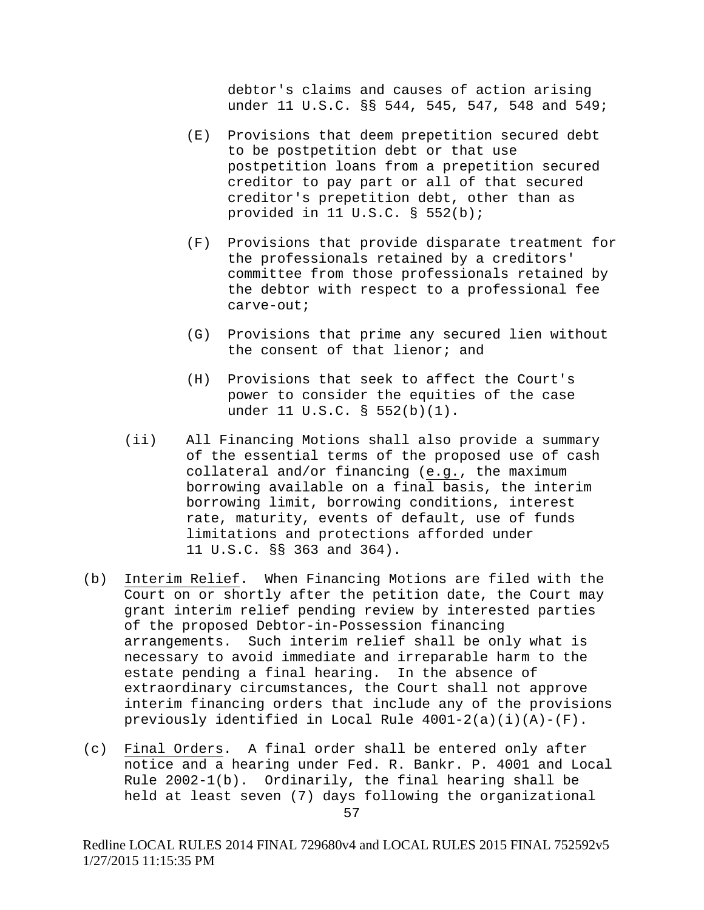debtor's claims and causes of action arising under 11 U.S.C. §§ 544, 545, 547, 548 and 549;

- (E) Provisions that deem prepetition secured debt to be postpetition debt or that use postpetition loans from a prepetition secured creditor to pay part or all of that secured creditor's prepetition debt, other than as provided in 11 U.S.C. § 552(b);
- (F) Provisions that provide disparate treatment for the professionals retained by a creditors' committee from those professionals retained by the debtor with respect to a professional fee carve-out;
- (G) Provisions that prime any secured lien without the consent of that lienor; and
- (H) Provisions that seek to affect the Court's power to consider the equities of the case under 11 U.S.C. § 552(b)(1).
- (ii) All Financing Motions shall also provide a summary of the essential terms of the proposed use of cash collateral and/or financing (e.g., the maximum borrowing available on a final basis, the interim borrowing limit, borrowing conditions, interest rate, maturity, events of default, use of funds limitations and protections afforded under 11 U.S.C. §§ 363 and 364).
- (b) Interim Relief. When Financing Motions are filed with the Court on or shortly after the petition date, the Court may grant interim relief pending review by interested parties of the proposed Debtor-in-Possession financing arrangements. Such interim relief shall be only what is necessary to avoid immediate and irreparable harm to the estate pending a final hearing. In the absence of extraordinary circumstances, the Court shall not approve interim financing orders that include any of the provisions previously identified in Local Rule 4001-2(a)(i)(A)-(F).
- (c) Final Orders. A final order shall be entered only after notice and a hearing under Fed. R. Bankr. P. 4001 and Local Rule 2002-1(b). Ordinarily, the final hearing shall be held at least seven (7) days following the organizational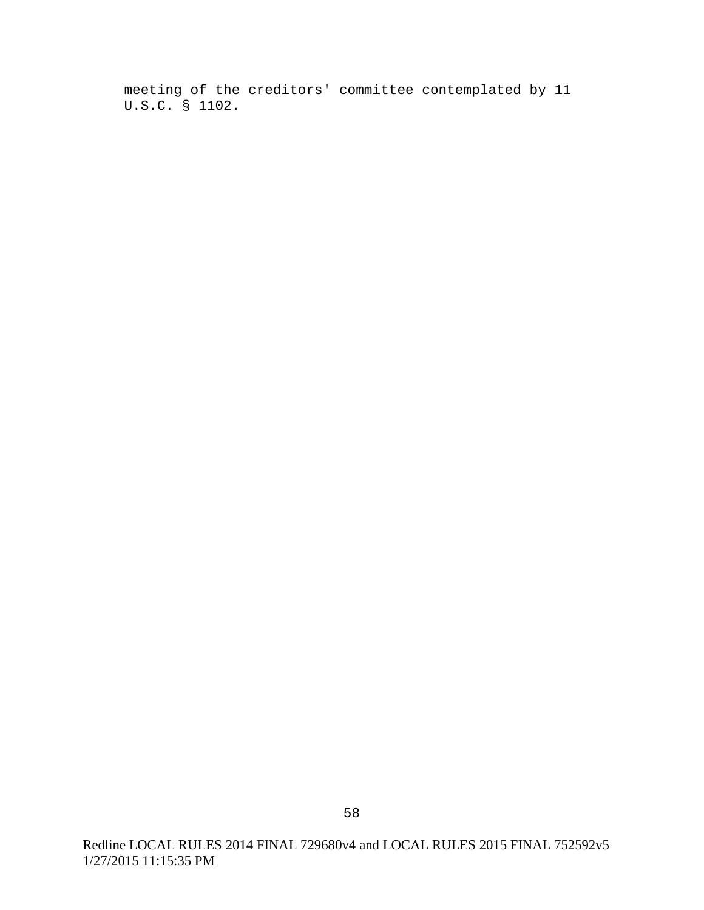meeting of the creditors' committee contemplated by 11 U.S.C. § 1102.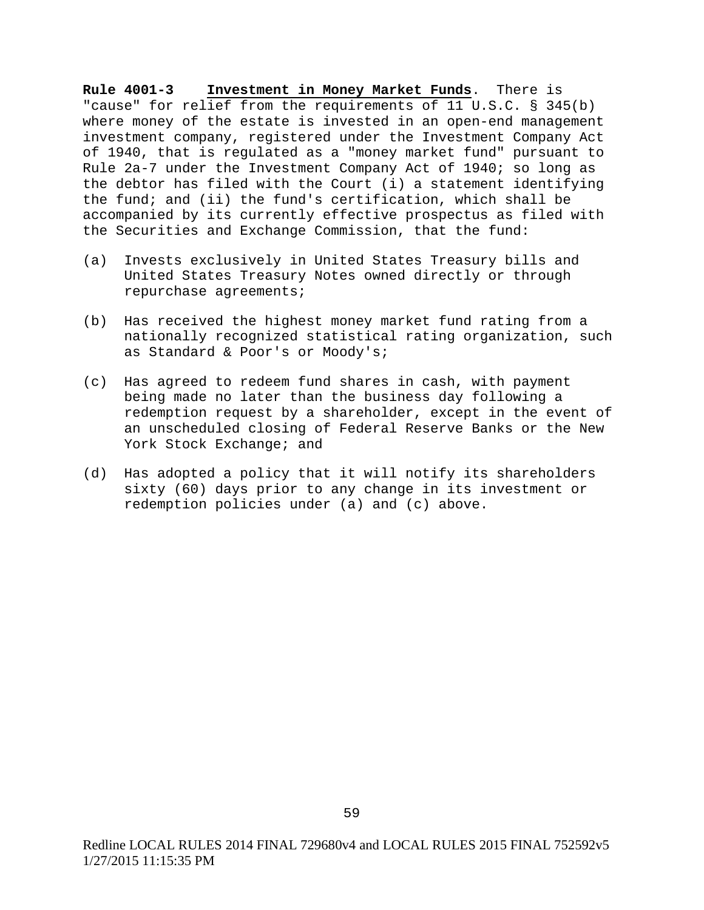**Rule 4001-3 Investment in Money Market Funds**. There is "cause" for relief from the requirements of 11 U.S.C. § 345(b) where money of the estate is invested in an open-end management investment company, registered under the Investment Company Act of 1940, that is regulated as a "money market fund" pursuant to Rule 2a-7 under the Investment Company Act of 1940; so long as the debtor has filed with the Court (i) a statement identifying the fund; and (ii) the fund's certification, which shall be accompanied by its currently effective prospectus as filed with the Securities and Exchange Commission, that the fund:

- (a) Invests exclusively in United States Treasury bills and United States Treasury Notes owned directly or through repurchase agreements;
- (b) Has received the highest money market fund rating from a nationally recognized statistical rating organization, such as Standard & Poor's or Moody's;
- (c) Has agreed to redeem fund shares in cash, with payment being made no later than the business day following a redemption request by a shareholder, except in the event of an unscheduled closing of Federal Reserve Banks or the New York Stock Exchange; and
- (d) Has adopted a policy that it will notify its shareholders sixty (60) days prior to any change in its investment or redemption policies under (a) and (c) above.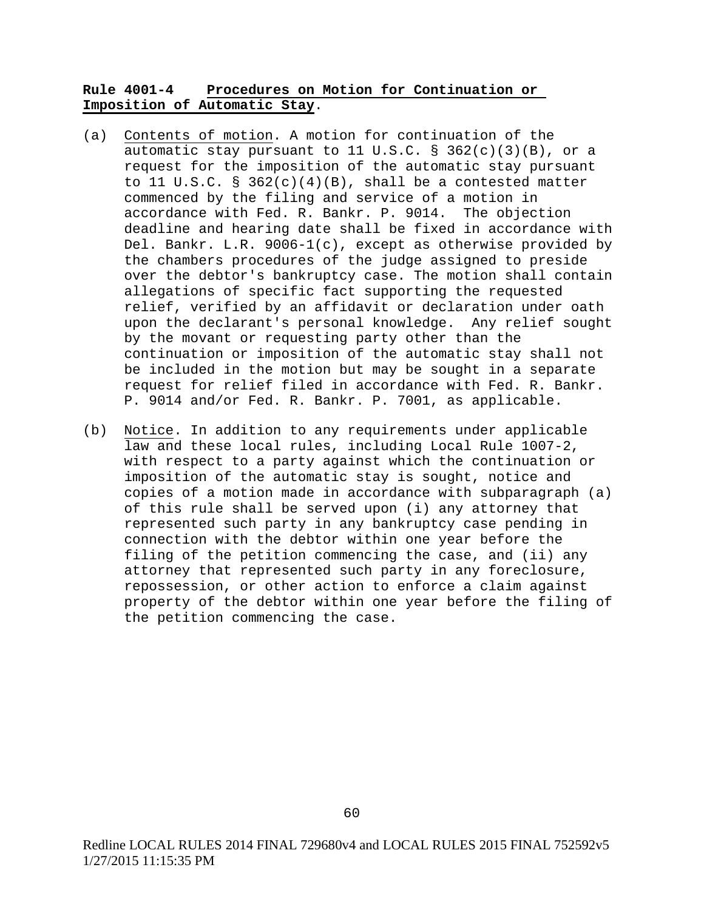# **Rule 4001-4 Procedures on Motion for Continuation or Imposition of Automatic Stay**.

- (a) Contents of motion. A motion for continuation of the automatic stay pursuant to 11 U.S.C. § 362(c)(3)(B), or a request for the imposition of the automatic stay pursuant to 11 U.S.C. §  $362(c)(4)(B)$ , shall be a contested matter commenced by the filing and service of a motion in accordance with Fed. R. Bankr. P. 9014. The objection deadline and hearing date shall be fixed in accordance with Del. Bankr. L.R. 9006-1(c), except as otherwise provided by the chambers procedures of the judge assigned to preside over the debtor's bankruptcy case. The motion shall contain allegations of specific fact supporting the requested relief, verified by an affidavit or declaration under oath upon the declarant's personal knowledge. Any relief sought by the movant or requesting party other than the continuation or imposition of the automatic stay shall not be included in the motion but may be sought in a separate request for relief filed in accordance with Fed. R. Bankr. P. 9014 and/or Fed. R. Bankr. P. 7001, as applicable.
- (b) Notice. In addition to any requirements under applicable law and these local rules, including Local Rule 1007-2, with respect to a party against which the continuation or imposition of the automatic stay is sought, notice and copies of a motion made in accordance with subparagraph (a) of this rule shall be served upon (i) any attorney that represented such party in any bankruptcy case pending in connection with the debtor within one year before the filing of the petition commencing the case, and (ii) any attorney that represented such party in any foreclosure, repossession, or other action to enforce a claim against property of the debtor within one year before the filing of the petition commencing the case.

Redline LOCAL RULES 2014 FINAL 729680v4 and LOCAL RULES 2015 FINAL 752592v5 1/27/2015 11:15:35 PM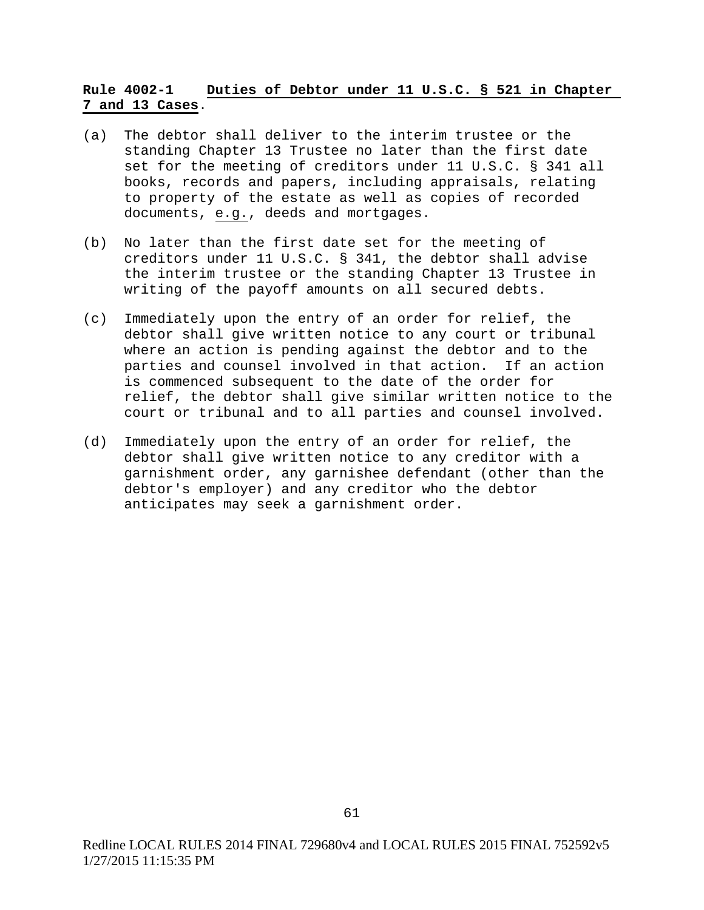# **Rule 4002-1 Duties of Debtor under 11 U.S.C. § 521 in Chapter 7 and 13 Cases**.

- (a) The debtor shall deliver to the interim trustee or the standing Chapter 13 Trustee no later than the first date set for the meeting of creditors under 11 U.S.C. § 341 all books, records and papers, including appraisals, relating to property of the estate as well as copies of recorded documents, e.g., deeds and mortgages.
- (b) No later than the first date set for the meeting of creditors under 11 U.S.C. § 341, the debtor shall advise the interim trustee or the standing Chapter 13 Trustee in writing of the payoff amounts on all secured debts.
- (c) Immediately upon the entry of an order for relief, the debtor shall give written notice to any court or tribunal where an action is pending against the debtor and to the parties and counsel involved in that action. If an action is commenced subsequent to the date of the order for relief, the debtor shall give similar written notice to the court or tribunal and to all parties and counsel involved.
- (d) Immediately upon the entry of an order for relief, the debtor shall give written notice to any creditor with a garnishment order, any garnishee defendant (other than the debtor's employer) and any creditor who the debtor anticipates may seek a garnishment order.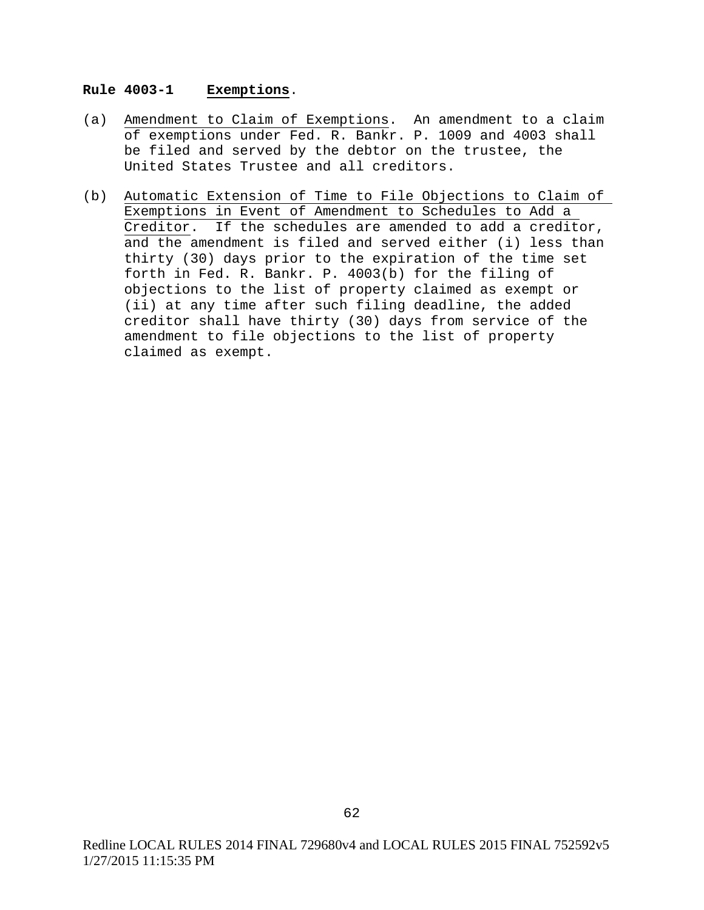### **Rule 4003-1 Exemptions**.

- (a) Amendment to Claim of Exemptions. An amendment to a claim of exemptions under Fed. R. Bankr. P. 1009 and 4003 shall be filed and served by the debtor on the trustee, the United States Trustee and all creditors.
- (b) Automatic Extension of Time to File Objections to Claim of Exemptions in Event of Amendment to Schedules to Add a Creditor. If the schedules are amended to add a creditor, and the amendment is filed and served either (i) less than thirty (30) days prior to the expiration of the time set forth in Fed. R. Bankr. P. 4003(b) for the filing of objections to the list of property claimed as exempt or (ii) at any time after such filing deadline, the added creditor shall have thirty (30) days from service of the amendment to file objections to the list of property claimed as exempt.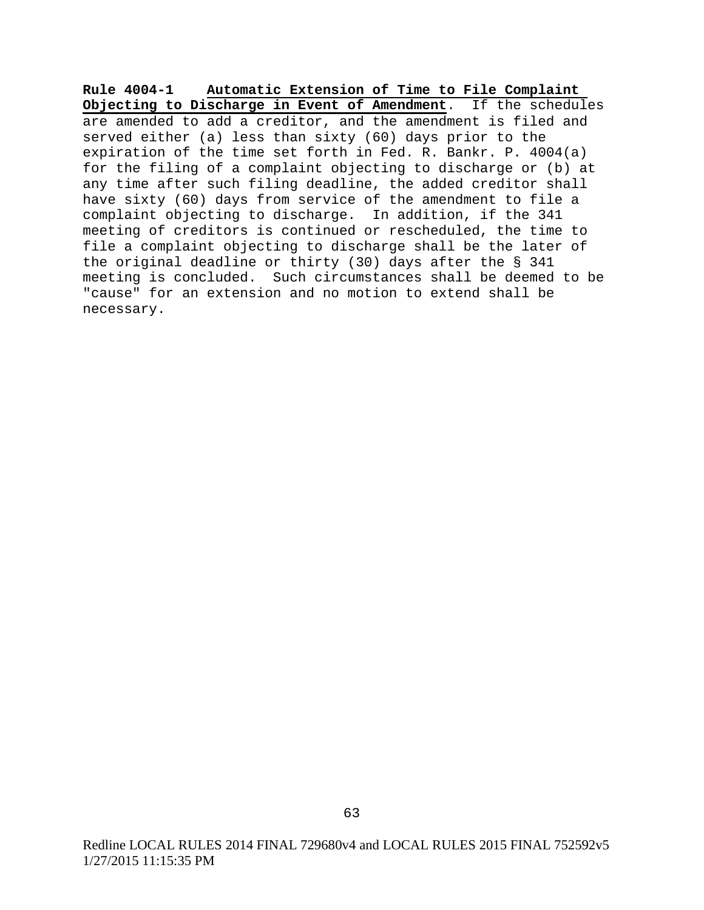**Rule 4004-1 Automatic Extension of Time to File Complaint Objecting to Discharge in Event of Amendment**. If the schedules are amended to add a creditor, and the amendment is filed and served either (a) less than sixty (60) days prior to the expiration of the time set forth in Fed. R. Bankr. P. 4004(a) for the filing of a complaint objecting to discharge or (b) at any time after such filing deadline, the added creditor shall have sixty (60) days from service of the amendment to file a complaint objecting to discharge. In addition, if the 341 meeting of creditors is continued or rescheduled, the time to file a complaint objecting to discharge shall be the later of the original deadline or thirty (30) days after the § 341 meeting is concluded. Such circumstances shall be deemed to be "cause" for an extension and no motion to extend shall be necessary.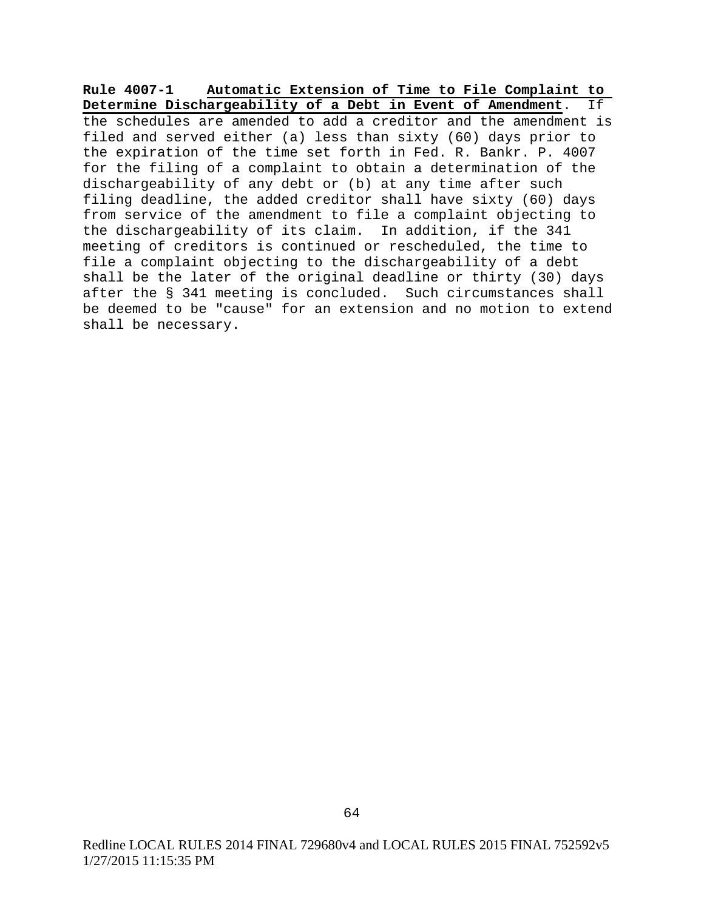**Rule 4007-1 Automatic Extension of Time to File Complaint to Determine Dischargeability of a Debt in Event of Amendment**. If the schedules are amended to add a creditor and the amendment is filed and served either (a) less than sixty (60) days prior to the expiration of the time set forth in Fed. R. Bankr. P. 4007 for the filing of a complaint to obtain a determination of the dischargeability of any debt or (b) at any time after such filing deadline, the added creditor shall have sixty (60) days from service of the amendment to file a complaint objecting to the dischargeability of its claim. In addition, if the 341 meeting of creditors is continued or rescheduled, the time to file a complaint objecting to the dischargeability of a debt shall be the later of the original deadline or thirty (30) days after the § 341 meeting is concluded. Such circumstances shall be deemed to be "cause" for an extension and no motion to extend shall be necessary.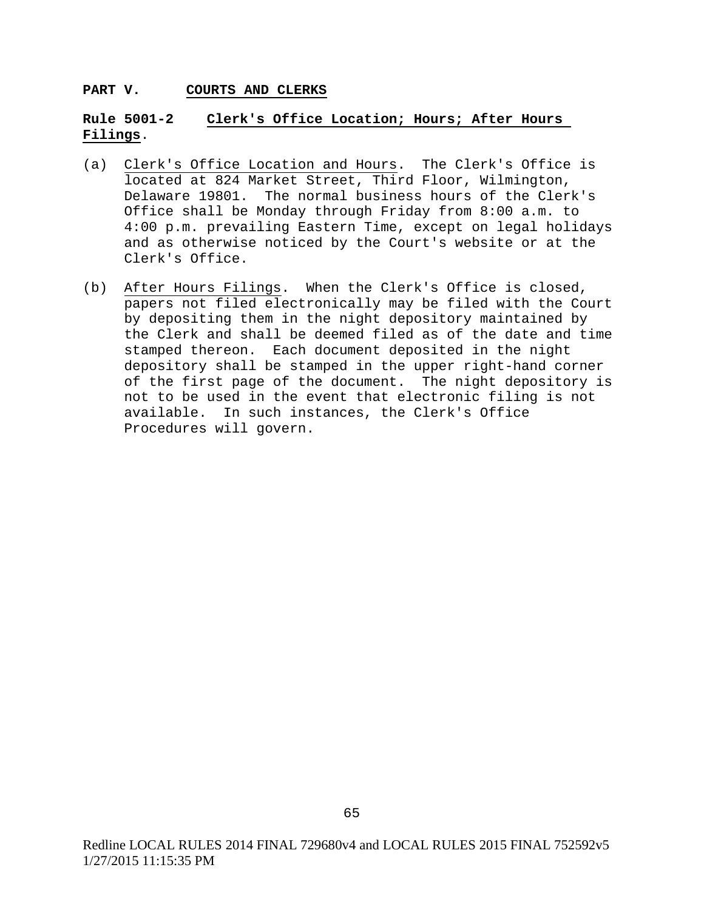#### **PART V. COURTS AND CLERKS**

# **Rule 5001-2 Clerk's Office Location; Hours; After Hours Filings**.

- (a) Clerk's Office Location and Hours. The Clerk's Office is located at 824 Market Street, Third Floor, Wilmington, Delaware 19801. The normal business hours of the Clerk's Office shall be Monday through Friday from 8:00 a.m. to 4:00 p.m. prevailing Eastern Time, except on legal holidays and as otherwise noticed by the Court's website or at the Clerk's Office.
- (b) After Hours Filings. When the Clerk's Office is closed, papers not filed electronically may be filed with the Court by depositing them in the night depository maintained by the Clerk and shall be deemed filed as of the date and time stamped thereon. Each document deposited in the night depository shall be stamped in the upper right-hand corner of the first page of the document. The night depository is not to be used in the event that electronic filing is not available. In such instances, the Clerk's Office Procedures will govern.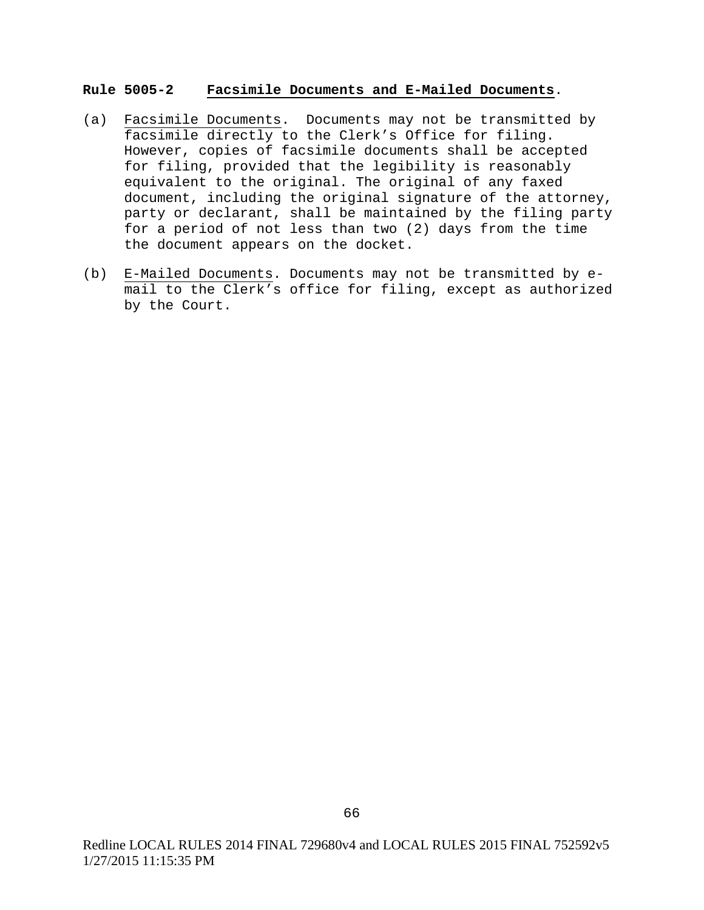#### **Rule 5005-2 Facsimile Documents and E-Mailed Documents**.

- (a) Facsimile Documents. Documents may not be transmitted by facsimile directly to the Clerk's Office for filing. However, copies of facsimile documents shall be accepted for filing, provided that the legibility is reasonably equivalent to the original. The original of any faxed document, including the original signature of the attorney, party or declarant, shall be maintained by the filing party for a period of not less than two (2) days from the time the document appears on the docket.
- (b) E-Mailed Documents. Documents may not be transmitted by email to the Clerk's office for filing, except as authorized by the Court.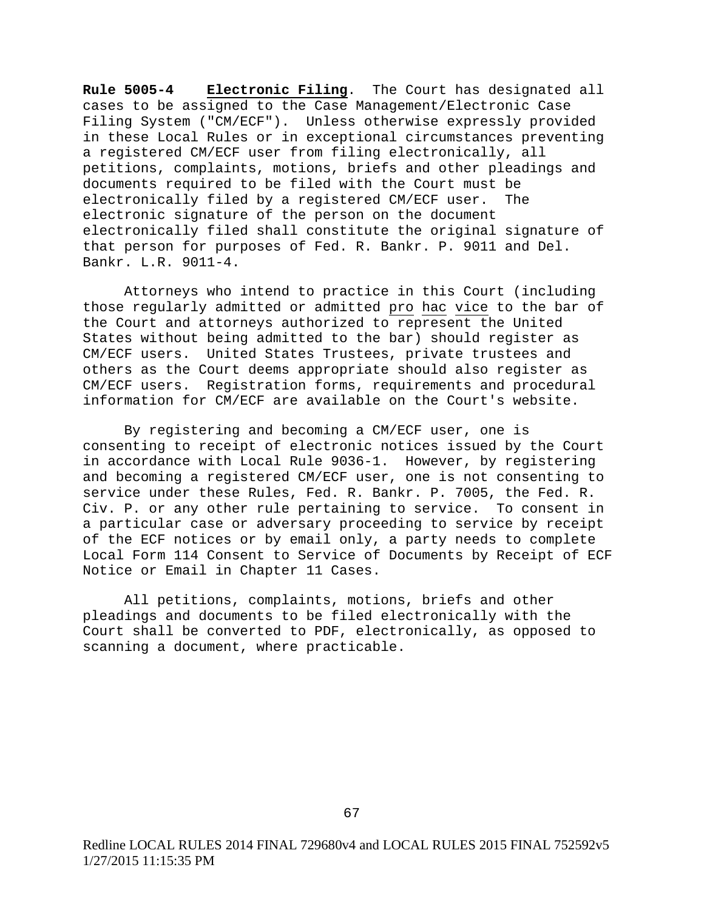**Rule 5005-4 Electronic Filing**. The Court has designated all cases to be assigned to the Case Management/Electronic Case Filing System ("CM/ECF"). Unless otherwise expressly provided in these Local Rules or in exceptional circumstances preventing a registered CM/ECF user from filing electronically, all petitions, complaints, motions, briefs and other pleadings and documents required to be filed with the Court must be electronically filed by a registered CM/ECF user. The electronic signature of the person on the document electronically filed shall constitute the original signature of that person for purposes of Fed. R. Bankr. P. 9011 and Del. Bankr. L.R. 9011-4.

Attorneys who intend to practice in this Court (including those regularly admitted or admitted pro hac vice to the bar of the Court and attorneys authorized to represent the United States without being admitted to the bar) should register as CM/ECF users. United States Trustees, private trustees and others as the Court deems appropriate should also register as CM/ECF users. Registration forms, requirements and procedural information for CM/ECF are available on the Court's website.

By registering and becoming a CM/ECF user, one is consenting to receipt of electronic notices issued by the Court in accordance with Local Rule 9036-1. However, by registering and becoming a registered CM/ECF user, one is not consenting to service under these Rules, Fed. R. Bankr. P. 7005, the Fed. R. Civ. P. or any other rule pertaining to service. To consent in a particular case or adversary proceeding to service by receipt of the ECF notices or by email only, a party needs to complete Local Form 114 Consent to Service of Documents by Receipt of ECF Notice or Email in Chapter 11 Cases.

All petitions, complaints, motions, briefs and other pleadings and documents to be filed electronically with the Court shall be converted to PDF, electronically, as opposed to scanning a document, where practicable.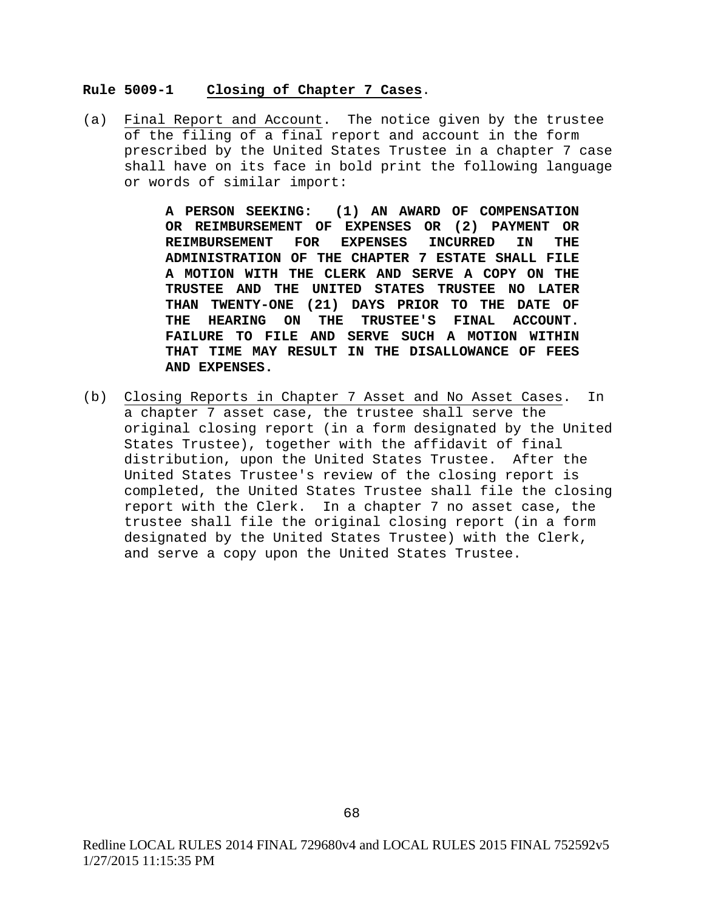#### **Rule 5009-1 Closing of Chapter 7 Cases**.

(a) Final Report and Account. The notice given by the trustee of the filing of a final report and account in the form prescribed by the United States Trustee in a chapter 7 case shall have on its face in bold print the following language or words of similar import:

> **A PERSON SEEKING: (1) AN AWARD OF COMPENSATION OR REIMBURSEMENT OF EXPENSES OR (2) PAYMENT OR REIMBURSEMENT FOR EXPENSES INCURRED IN THE ADMINISTRATION OF THE CHAPTER 7 ESTATE SHALL FILE A MOTION WITH THE CLERK AND SERVE A COPY ON THE TRUSTEE AND THE UNITED STATES TRUSTEE NO LATER THAN TWENTY-ONE (21) DAYS PRIOR TO THE DATE OF THE HEARING ON THE TRUSTEE'S FINAL ACCOUNT. FAILURE TO FILE AND SERVE SUCH A MOTION WITHIN THAT TIME MAY RESULT IN THE DISALLOWANCE OF FEES AND EXPENSES.**

(b) Closing Reports in Chapter 7 Asset and No Asset Cases. In a chapter 7 asset case, the trustee shall serve the original closing report (in a form designated by the United States Trustee), together with the affidavit of final distribution, upon the United States Trustee. After the United States Trustee's review of the closing report is completed, the United States Trustee shall file the closing report with the Clerk. In a chapter 7 no asset case, the trustee shall file the original closing report (in a form designated by the United States Trustee) with the Clerk, and serve a copy upon the United States Trustee.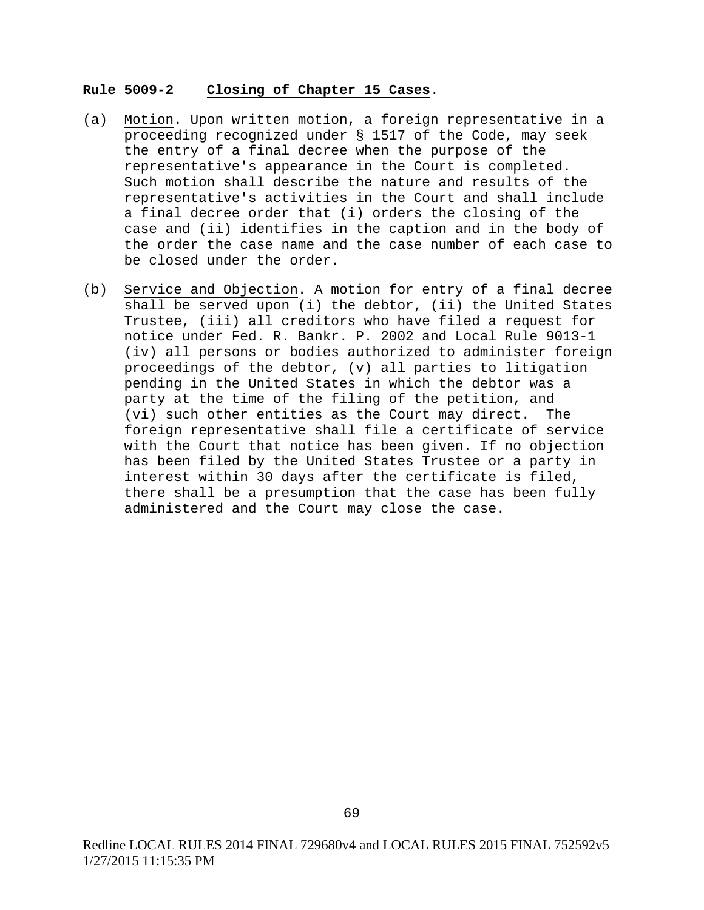#### **Rule 5009-2 Closing of Chapter 15 Cases**.

- (a) Motion. Upon written motion, a foreign representative in a proceeding recognized under § 1517 of the Code, may seek the entry of a final decree when the purpose of the representative's appearance in the Court is completed. Such motion shall describe the nature and results of the representative's activities in the Court and shall include a final decree order that (i) orders the closing of the case and (ii) identifies in the caption and in the body of the order the case name and the case number of each case to be closed under the order.
- (b) Service and Objection. A motion for entry of a final decree shall be served upon (i) the debtor, (ii) the United States Trustee, (iii) all creditors who have filed a request for notice under Fed. R. Bankr. P. 2002 and Local Rule 9013-1 (iv) all persons or bodies authorized to administer foreign proceedings of the debtor, (v) all parties to litigation pending in the United States in which the debtor was a party at the time of the filing of the petition, and (vi) such other entities as the Court may direct. The foreign representative shall file a certificate of service with the Court that notice has been given. If no objection has been filed by the United States Trustee or a party in interest within 30 days after the certificate is filed, there shall be a presumption that the case has been fully administered and the Court may close the case.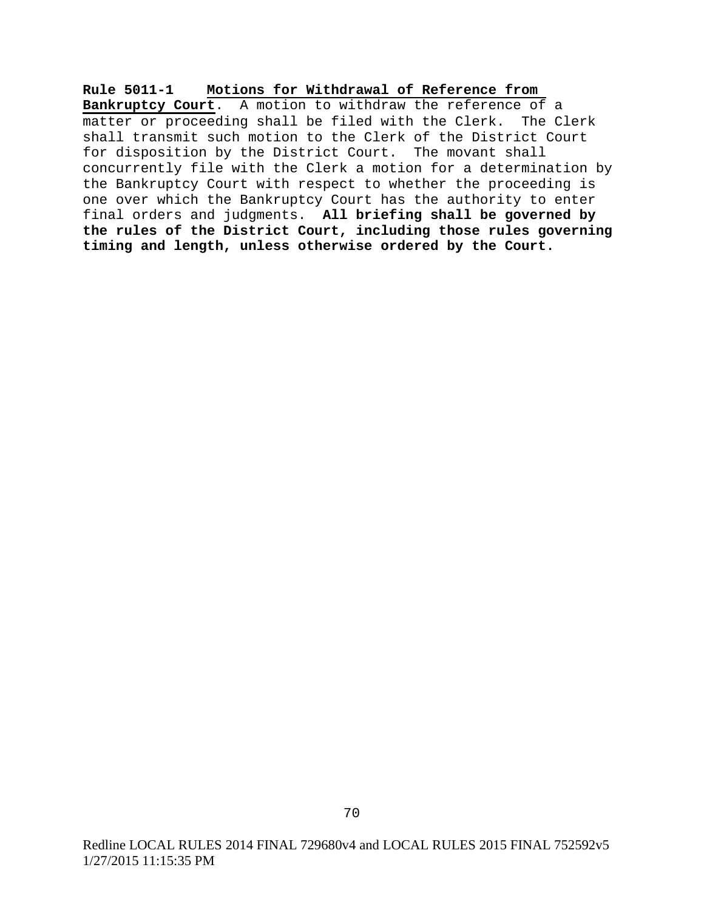**Rule 5011-1 Motions for Withdrawal of Reference from** 

**Bankruptcy Court**. A motion to withdraw the reference of a matter or proceeding shall be filed with the Clerk. The Clerk shall transmit such motion to the Clerk of the District Court for disposition by the District Court. The movant shall concurrently file with the Clerk a motion for a determination by the Bankruptcy Court with respect to whether the proceeding is one over which the Bankruptcy Court has the authority to enter final orders and judgments. **All briefing shall be governed by the rules of the District Court, including those rules governing timing and length, unless otherwise ordered by the Court.**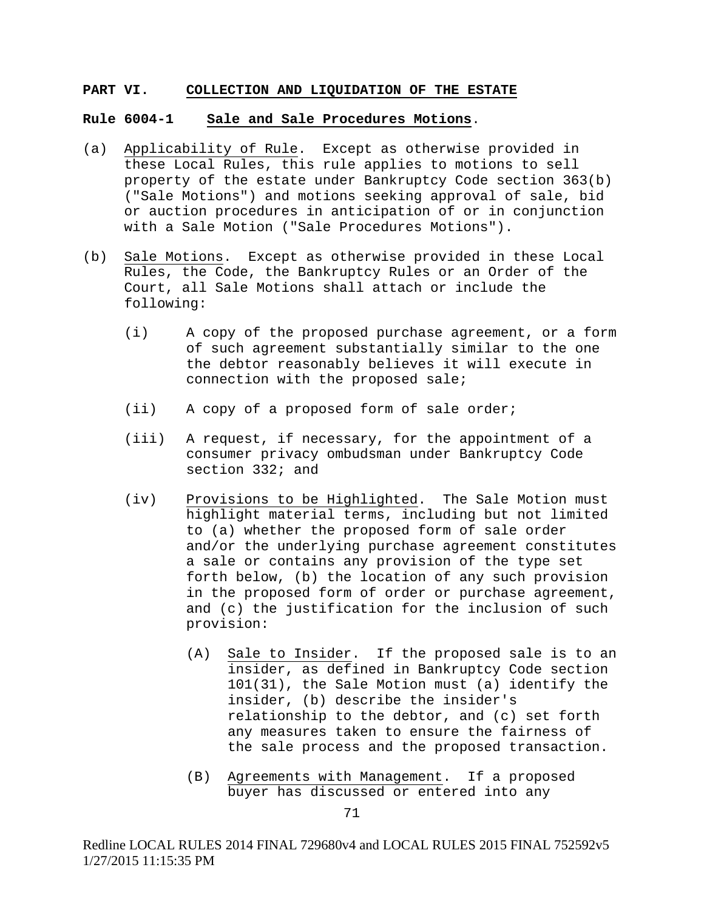#### **PART VI. COLLECTION AND LIQUIDATION OF THE ESTATE**

#### **Rule 6004-1 Sale and Sale Procedures Motions**.

- (a) Applicability of Rule. Except as otherwise provided in these Local Rules, this rule applies to motions to sell property of the estate under Bankruptcy Code section 363(b) ("Sale Motions") and motions seeking approval of sale, bid or auction procedures in anticipation of or in conjunction with a Sale Motion ("Sale Procedures Motions").
- (b) Sale Motions. Except as otherwise provided in these Local Rules, the Code, the Bankruptcy Rules or an Order of the Court, all Sale Motions shall attach or include the following:
	- (i) A copy of the proposed purchase agreement, or a form of such agreement substantially similar to the one the debtor reasonably believes it will execute in connection with the proposed sale;
	- (ii) A copy of a proposed form of sale order;
	- (iii) A request, if necessary, for the appointment of a consumer privacy ombudsman under Bankruptcy Code section 332; and
	- (iv) Provisions to be Highlighted. The Sale Motion must highlight material terms, including but not limited to (a) whether the proposed form of sale order and/or the underlying purchase agreement constitutes a sale or contains any provision of the type set forth below, (b) the location of any such provision in the proposed form of order or purchase agreement, and (c) the justification for the inclusion of such provision:
		- (A) Sale to Insider. If the proposed sale is to an insider, as defined in Bankruptcy Code section 101(31), the Sale Motion must (a) identify the insider, (b) describe the insider's relationship to the debtor, and (c) set forth any measures taken to ensure the fairness of the sale process and the proposed transaction.
		- (B) Agreements with Management. If a proposed buyer has discussed or entered into any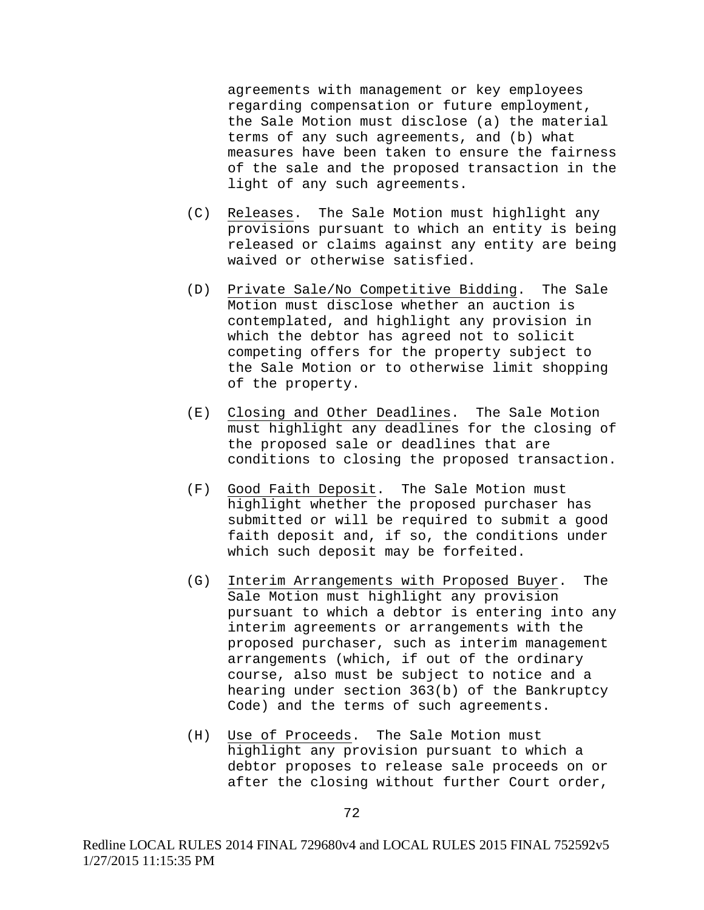agreements with management or key employees regarding compensation or future employment, the Sale Motion must disclose (a) the material terms of any such agreements, and (b) what measures have been taken to ensure the fairness of the sale and the proposed transaction in the light of any such agreements.

- (C) Releases. The Sale Motion must highlight any provisions pursuant to which an entity is being released or claims against any entity are being waived or otherwise satisfied.
- (D) Private Sale/No Competitive Bidding. The Sale Motion must disclose whether an auction is contemplated, and highlight any provision in which the debtor has agreed not to solicit competing offers for the property subject to the Sale Motion or to otherwise limit shopping of the property.
- (E) Closing and Other Deadlines. The Sale Motion must highlight any deadlines for the closing of the proposed sale or deadlines that are conditions to closing the proposed transaction.
- (F) Good Faith Deposit. The Sale Motion must highlight whether the proposed purchaser has submitted or will be required to submit a good faith deposit and, if so, the conditions under which such deposit may be forfeited.
- (G) Interim Arrangements with Proposed Buyer. The Sale Motion must highlight any provision pursuant to which a debtor is entering into any interim agreements or arrangements with the proposed purchaser, such as interim management arrangements (which, if out of the ordinary course, also must be subject to notice and a hearing under section 363(b) of the Bankruptcy Code) and the terms of such agreements.
- (H) Use of Proceeds. The Sale Motion must highlight any provision pursuant to which a debtor proposes to release sale proceeds on or after the closing without further Court order,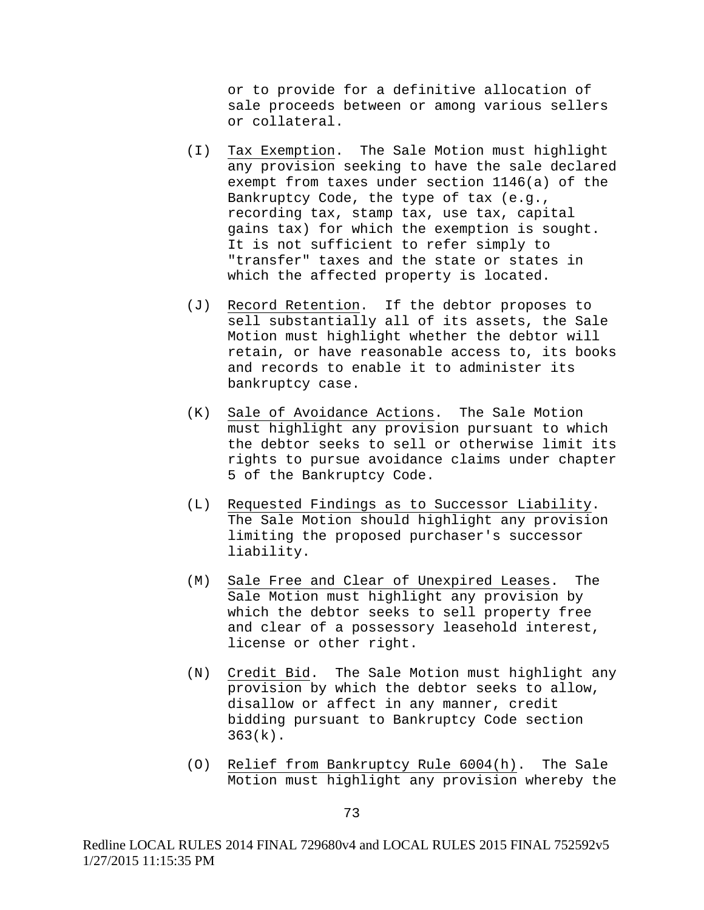or to provide for a definitive allocation of sale proceeds between or among various sellers or collateral.

- (I) Tax Exemption. The Sale Motion must highlight any provision seeking to have the sale declared exempt from taxes under section 1146(a) of the Bankruptcy Code, the type of tax (e.g., recording tax, stamp tax, use tax, capital gains tax) for which the exemption is sought. It is not sufficient to refer simply to "transfer" taxes and the state or states in which the affected property is located.
- (J) Record Retention. If the debtor proposes to sell substantially all of its assets, the Sale Motion must highlight whether the debtor will retain, or have reasonable access to, its books and records to enable it to administer its bankruptcy case.
- (K) Sale of Avoidance Actions. The Sale Motion must highlight any provision pursuant to which the debtor seeks to sell or otherwise limit its rights to pursue avoidance claims under chapter 5 of the Bankruptcy Code.
- (L) Requested Findings as to Successor Liability. The Sale Motion should highlight any provision limiting the proposed purchaser's successor liability.
- (M) Sale Free and Clear of Unexpired Leases. The Sale Motion must highlight any provision by which the debtor seeks to sell property free and clear of a possessory leasehold interest, license or other right.
- (N) Credit Bid. The Sale Motion must highlight any provision by which the debtor seeks to allow, disallow or affect in any manner, credit bidding pursuant to Bankruptcy Code section  $363(k)$ .
- (O) Relief from Bankruptcy Rule 6004(h). The Sale Motion must highlight any provision whereby the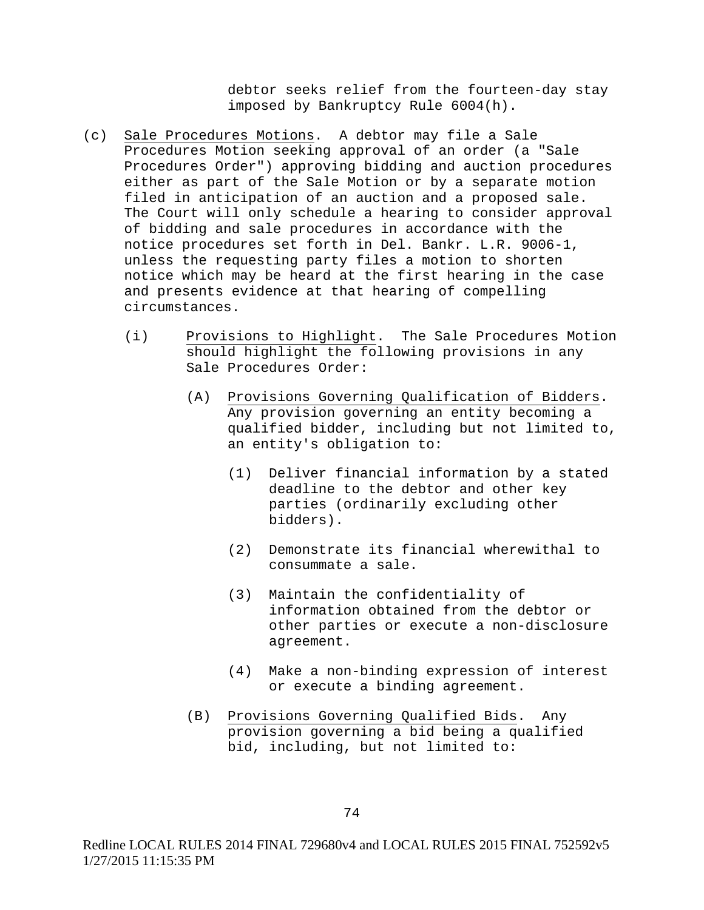debtor seeks relief from the fourteen-day stay imposed by Bankruptcy Rule 6004(h).

- (c) Sale Procedures Motions. A debtor may file a Sale Procedures Motion seeking approval of an order (a "Sale Procedures Order") approving bidding and auction procedures either as part of the Sale Motion or by a separate motion filed in anticipation of an auction and a proposed sale. The Court will only schedule a hearing to consider approval of bidding and sale procedures in accordance with the notice procedures set forth in Del. Bankr. L.R. 9006-1, unless the requesting party files a motion to shorten notice which may be heard at the first hearing in the case and presents evidence at that hearing of compelling circumstances.
	- (i) Provisions to Highlight. The Sale Procedures Motion should highlight the following provisions in any Sale Procedures Order:
		- (A) Provisions Governing Qualification of Bidders. Any provision governing an entity becoming a qualified bidder, including but not limited to, an entity's obligation to:
			- (1) Deliver financial information by a stated deadline to the debtor and other key parties (ordinarily excluding other bidders).
			- (2) Demonstrate its financial wherewithal to consummate a sale.
			- (3) Maintain the confidentiality of information obtained from the debtor or other parties or execute a non-disclosure agreement.
			- (4) Make a non-binding expression of interest or execute a binding agreement.
		- (B) Provisions Governing Qualified Bids. Any provision governing a bid being a qualified bid, including, but not limited to: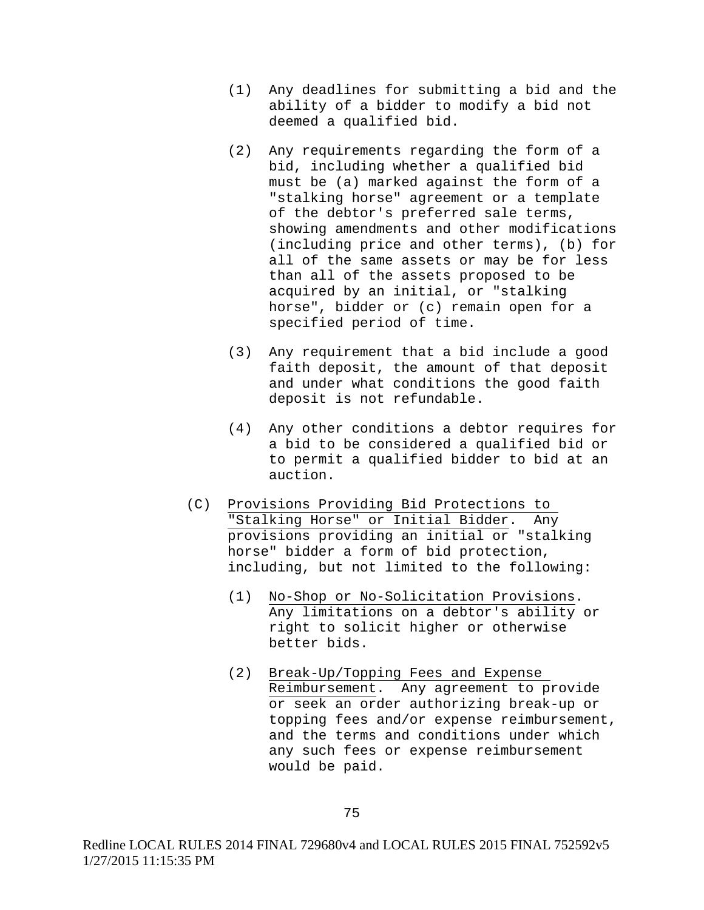- (1) Any deadlines for submitting a bid and the ability of a bidder to modify a bid not deemed a qualified bid.
- (2) Any requirements regarding the form of a bid, including whether a qualified bid must be (a) marked against the form of a "stalking horse" agreement or a template of the debtor's preferred sale terms, showing amendments and other modifications (including price and other terms), (b) for all of the same assets or may be for less than all of the assets proposed to be acquired by an initial, or "stalking horse", bidder or (c) remain open for a specified period of time.
- (3) Any requirement that a bid include a good faith deposit, the amount of that deposit and under what conditions the good faith deposit is not refundable.
- (4) Any other conditions a debtor requires for a bid to be considered a qualified bid or to permit a qualified bidder to bid at an auction.
- (C) Provisions Providing Bid Protections to "Stalking Horse" or Initial Bidder. Any provisions providing an initial or "stalking horse" bidder a form of bid protection, including, but not limited to the following:
	- (1) No-Shop or No-Solicitation Provisions. Any limitations on a debtor's ability or right to solicit higher or otherwise better bids.
	- (2) Break-Up/Topping Fees and Expense Reimbursement. Any agreement to provide or seek an order authorizing break-up or topping fees and/or expense reimbursement, and the terms and conditions under which any such fees or expense reimbursement would be paid.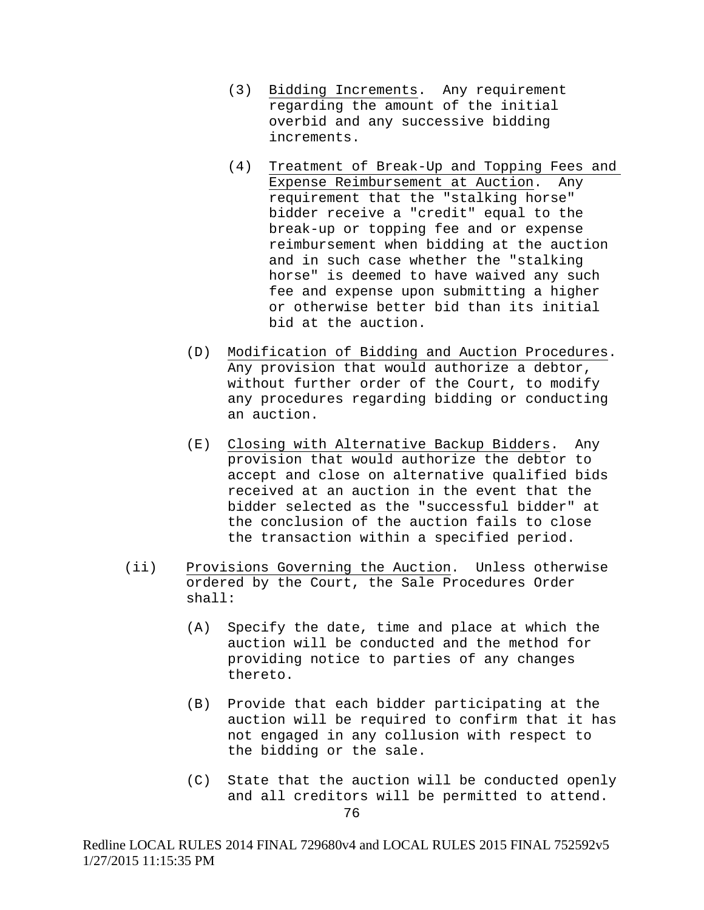- (3) Bidding Increments. Any requirement regarding the amount of the initial overbid and any successive bidding increments.
- (4) Treatment of Break-Up and Topping Fees and<br>Expense Reimbursement at Auction. Any Expense Reimbursement at Auction. requirement that the "stalking horse" bidder receive a "credit" equal to the break-up or topping fee and or expense reimbursement when bidding at the auction and in such case whether the "stalking horse" is deemed to have waived any such fee and expense upon submitting a higher or otherwise better bid than its initial bid at the auction.
- (D) Modification of Bidding and Auction Procedures. Any provision that would authorize a debtor, without further order of the Court, to modify any procedures regarding bidding or conducting an auction.
- (E) Closing with Alternative Backup Bidders. Any provision that would authorize the debtor to accept and close on alternative qualified bids received at an auction in the event that the bidder selected as the "successful bidder" at the conclusion of the auction fails to close the transaction within a specified period.
- (ii) Provisions Governing the Auction. Unless otherwise ordered by the Court, the Sale Procedures Order shall:
	- (A) Specify the date, time and place at which the auction will be conducted and the method for providing notice to parties of any changes thereto.
	- (B) Provide that each bidder participating at the auction will be required to confirm that it has not engaged in any collusion with respect to the bidding or the sale.
	- (C) State that the auction will be conducted openly and all creditors will be permitted to attend.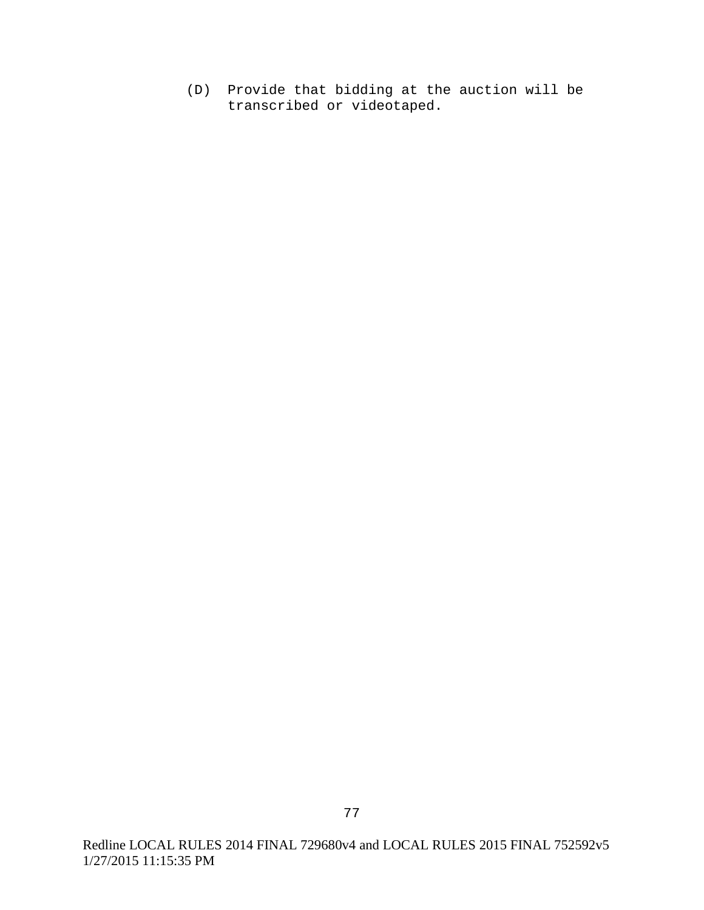(D) Provide that bidding at the auction will be transcribed or videotaped.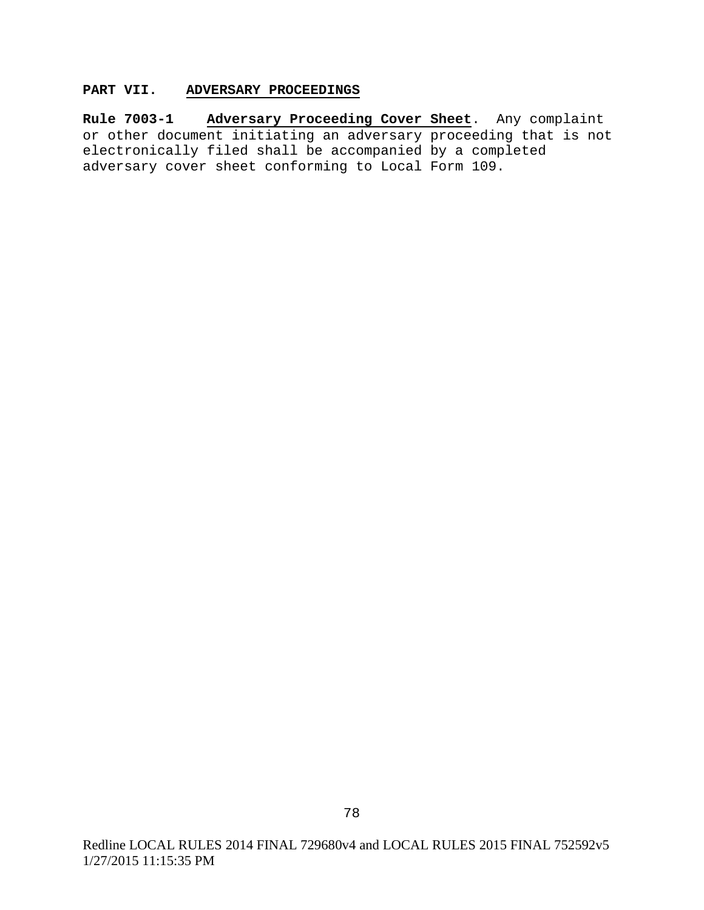# **PART VII. ADVERSARY PROCEEDINGS**

**Rule 7003-1 Adversary Proceeding Cover Sheet**. Any complaint or other document initiating an adversary proceeding that is not electronically filed shall be accompanied by a completed adversary cover sheet conforming to Local Form 109.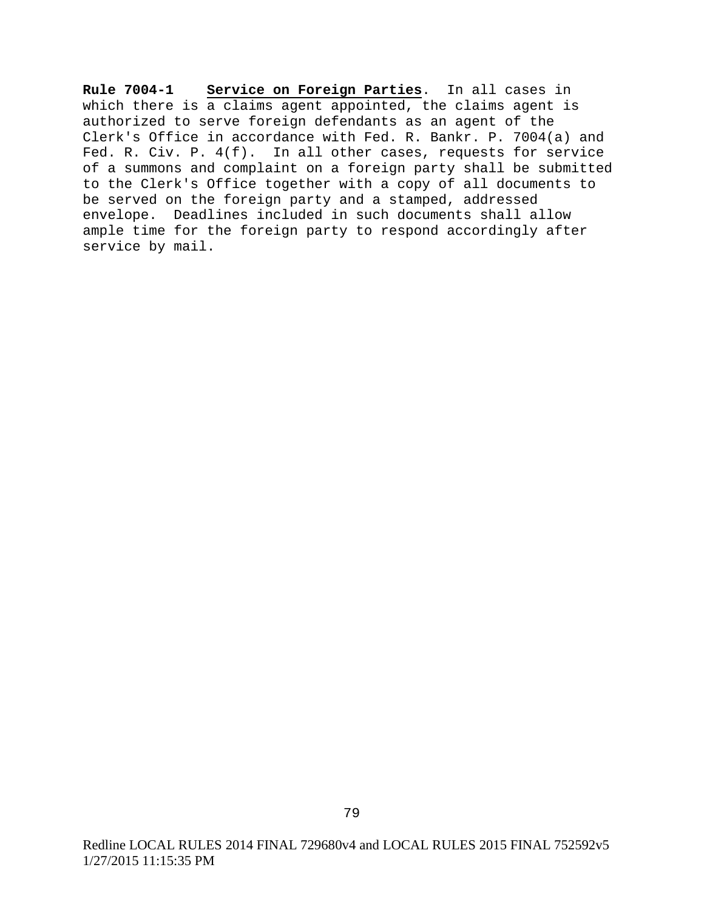**Rule 7004-1 Service on Foreign Parties**. In all cases in which there is a claims agent appointed, the claims agent is authorized to serve foreign defendants as an agent of the Clerk's Office in accordance with Fed. R. Bankr. P. 7004(a) and Fed. R. Civ. P. 4(f). In all other cases, requests for service of a summons and complaint on a foreign party shall be submitted to the Clerk's Office together with a copy of all documents to be served on the foreign party and a stamped, addressed envelope. Deadlines included in such documents shall allow ample time for the foreign party to respond accordingly after service by mail.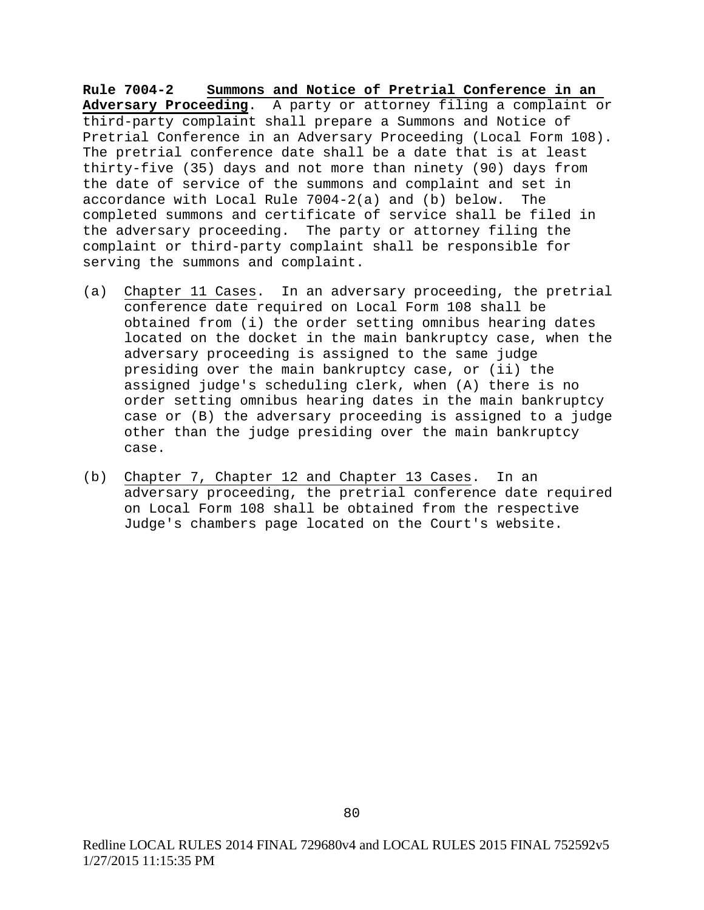**Rule 7004-2 Summons and Notice of Pretrial Conference in an Adversary Proceeding**. A party or attorney filing a complaint or third-party complaint shall prepare a Summons and Notice of Pretrial Conference in an Adversary Proceeding (Local Form 108). The pretrial conference date shall be a date that is at least thirty-five (35) days and not more than ninety (90) days from the date of service of the summons and complaint and set in accordance with Local Rule 7004-2(a) and (b) below. The completed summons and certificate of service shall be filed in the adversary proceeding. The party or attorney filing the complaint or third-party complaint shall be responsible for serving the summons and complaint.

- (a) Chapter 11 Cases. In an adversary proceeding, the pretrial conference date required on Local Form 108 shall be obtained from (i) the order setting omnibus hearing dates located on the docket in the main bankruptcy case, when the adversary proceeding is assigned to the same judge presiding over the main bankruptcy case, or (ii) the assigned judge's scheduling clerk, when (A) there is no order setting omnibus hearing dates in the main bankruptcy case or (B) the adversary proceeding is assigned to a judge other than the judge presiding over the main bankruptcy case.
- (b) Chapter 7, Chapter 12 and Chapter 13 Cases. In an adversary proceeding, the pretrial conference date required on Local Form 108 shall be obtained from the respective Judge's chambers page located on the Court's website.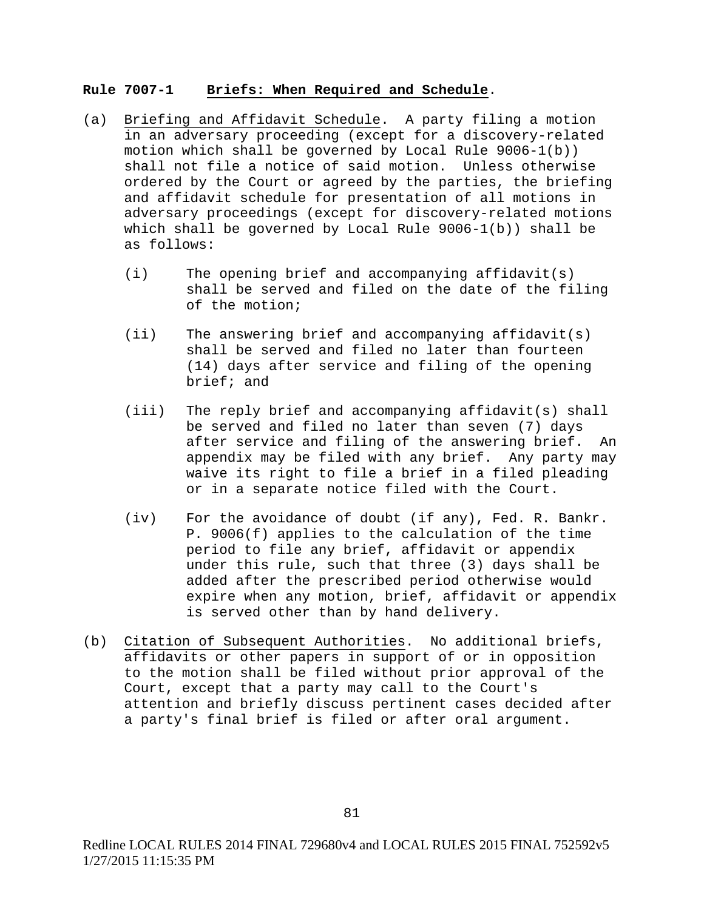#### **Rule 7007-1 Briefs: When Required and Schedule**.

- (a) Briefing and Affidavit Schedule. A party filing a motion in an adversary proceeding (except for a discovery-related motion which shall be governed by Local Rule 9006-1(b)) shall not file a notice of said motion. Unless otherwise ordered by the Court or agreed by the parties, the briefing and affidavit schedule for presentation of all motions in adversary proceedings (except for discovery-related motions which shall be governed by Local Rule 9006-1(b)) shall be as follows:
	- (i) The opening brief and accompanying affidavit(s) shall be served and filed on the date of the filing of the motion;
	- (ii) The answering brief and accompanying affidavit(s) shall be served and filed no later than fourteen (14) days after service and filing of the opening brief; and
	- (iii) The reply brief and accompanying affidavit(s) shall be served and filed no later than seven (7) days after service and filing of the answering brief. An appendix may be filed with any brief. Any party may waive its right to file a brief in a filed pleading or in a separate notice filed with the Court.
	- (iv) For the avoidance of doubt (if any), Fed. R. Bankr. P. 9006(f) applies to the calculation of the time period to file any brief, affidavit or appendix under this rule, such that three (3) days shall be added after the prescribed period otherwise would expire when any motion, brief, affidavit or appendix is served other than by hand delivery.
- (b) Citation of Subsequent Authorities. No additional briefs, affidavits or other papers in support of or in opposition to the motion shall be filed without prior approval of the Court, except that a party may call to the Court's attention and briefly discuss pertinent cases decided after a party's final brief is filed or after oral argument.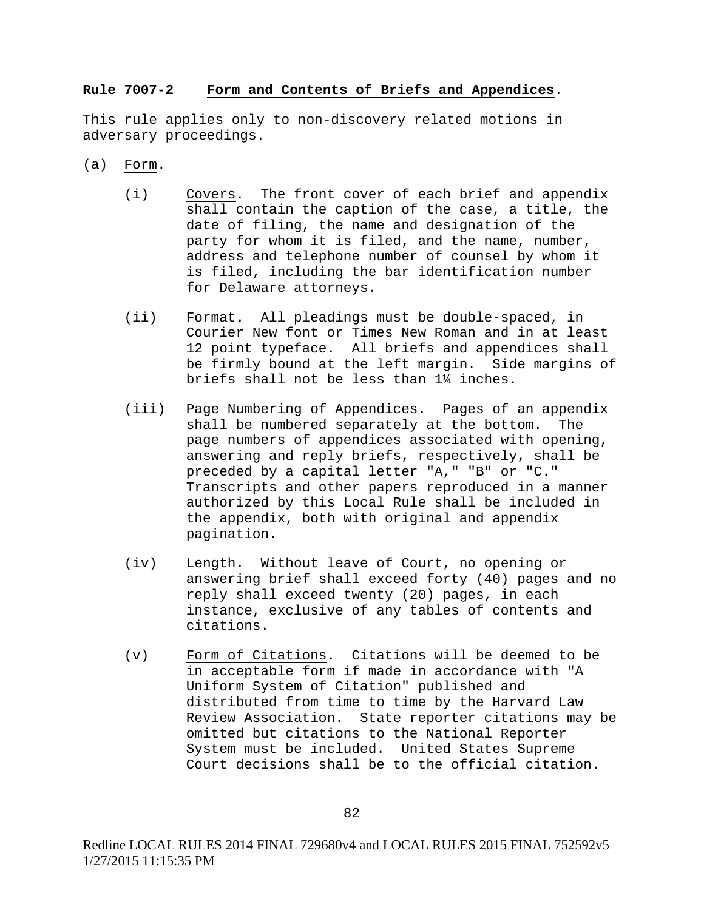### **Rule 7007-2 Form and Contents of Briefs and Appendices**.

This rule applies only to non-discovery related motions in adversary proceedings.

- (a) Form.
	- (i) Covers. The front cover of each brief and appendix shall contain the caption of the case, a title, the date of filing, the name and designation of the party for whom it is filed, and the name, number, address and telephone number of counsel by whom it is filed, including the bar identification number for Delaware attorneys.
	- (ii) Format. All pleadings must be double-spaced, in Courier New font or Times New Roman and in at least 12 point typeface. All briefs and appendices shall be firmly bound at the left margin. Side margins of briefs shall not be less than 1¼ inches.
	- (iii) Page Numbering of Appendices. Pages of an appendix<br>shall be numbered separately at the bottom. The shall be numbered separately at the bottom. page numbers of appendices associated with opening, answering and reply briefs, respectively, shall be preceded by a capital letter "A," "B" or "C." Transcripts and other papers reproduced in a manner authorized by this Local Rule shall be included in the appendix, both with original and appendix pagination.
	- (iv) Length. Without leave of Court, no opening or answering brief shall exceed forty (40) pages and no reply shall exceed twenty (20) pages, in each instance, exclusive of any tables of contents and citations.
	- (v) Form of Citations. Citations will be deemed to be in acceptable form if made in accordance with "A Uniform System of Citation" published and distributed from time to time by the Harvard Law Review Association. State reporter citations may be omitted but citations to the National Reporter System must be included. United States Supreme Court decisions shall be to the official citation.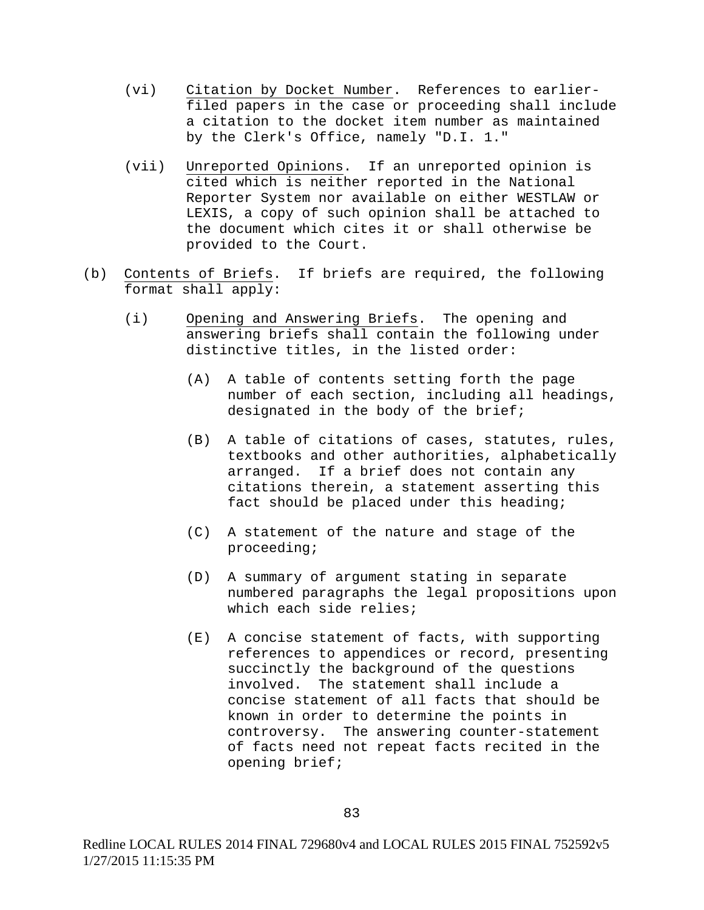- (vi) Citation by Docket Number. References to earlierfiled papers in the case or proceeding shall include a citation to the docket item number as maintained by the Clerk's Office, namely "D.I. 1."
- (vii) Unreported Opinions. If an unreported opinion is cited which is neither reported in the National Reporter System nor available on either WESTLAW or LEXIS, a copy of such opinion shall be attached to the document which cites it or shall otherwise be provided to the Court.
- (b) Contents of Briefs. If briefs are required, the following format shall apply:
	- (i) Opening and Answering Briefs. The opening and answering briefs shall contain the following under distinctive titles, in the listed order:
		- (A) A table of contents setting forth the page number of each section, including all headings, designated in the body of the brief;
		- (B) A table of citations of cases, statutes, rules, textbooks and other authorities, alphabetically arranged. If a brief does not contain any citations therein, a statement asserting this fact should be placed under this heading;
		- (C) A statement of the nature and stage of the proceeding;
		- (D) A summary of argument stating in separate numbered paragraphs the legal propositions upon which each side relies;
		- (E) A concise statement of facts, with supporting references to appendices or record, presenting succinctly the background of the questions involved. The statement shall include a concise statement of all facts that should be known in order to determine the points in controversy. The answering counter-statement of facts need not repeat facts recited in the opening brief;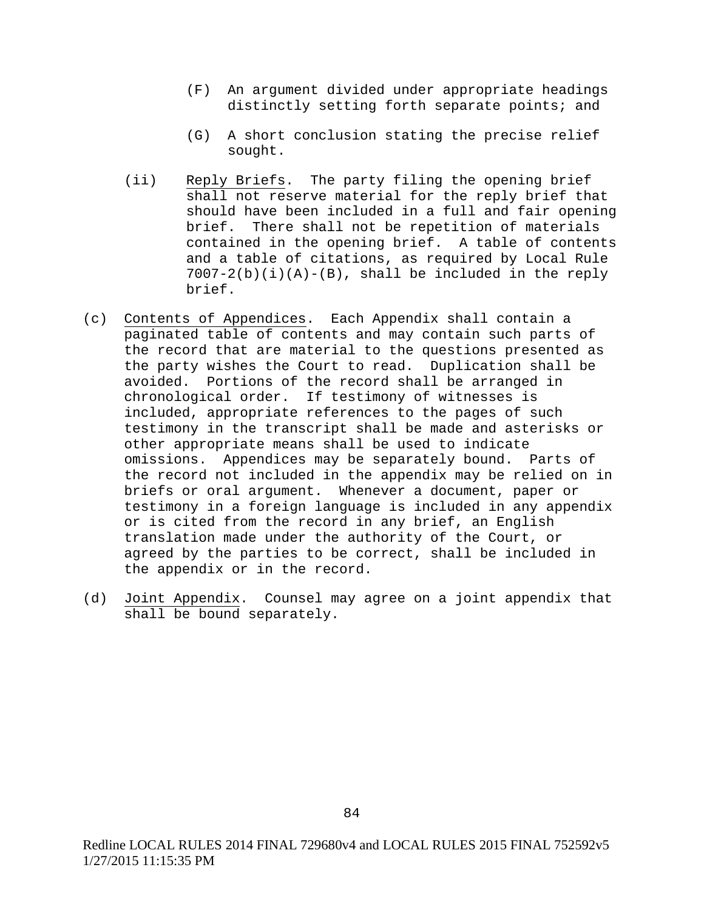- (F) An argument divided under appropriate headings distinctly setting forth separate points; and
- (G) A short conclusion stating the precise relief sought.
- (ii) Reply Briefs. The party filing the opening brief shall not reserve material for the reply brief that should have been included in a full and fair opening brief. There shall not be repetition of materials contained in the opening brief. A table of contents and a table of citations, as required by Local Rule  $7007-2(b)(i)(A)-(B)$ , shall be included in the reply brief.
- (c) Contents of Appendices. Each Appendix shall contain a paginated table of contents and may contain such parts of the record that are material to the questions presented as the party wishes the Court to read. Duplication shall be avoided. Portions of the record shall be arranged in chronological order. If testimony of witnesses is included, appropriate references to the pages of such testimony in the transcript shall be made and asterisks or other appropriate means shall be used to indicate omissions. Appendices may be separately bound. Parts of the record not included in the appendix may be relied on in briefs or oral argument. Whenever a document, paper or testimony in a foreign language is included in any appendix or is cited from the record in any brief, an English translation made under the authority of the Court, or agreed by the parties to be correct, shall be included in the appendix or in the record.
- (d) Joint Appendix. Counsel may agree on a joint appendix that shall be bound separately.

Redline LOCAL RULES 2014 FINAL 729680v4 and LOCAL RULES 2015 FINAL 752592v5 1/27/2015 11:15:35 PM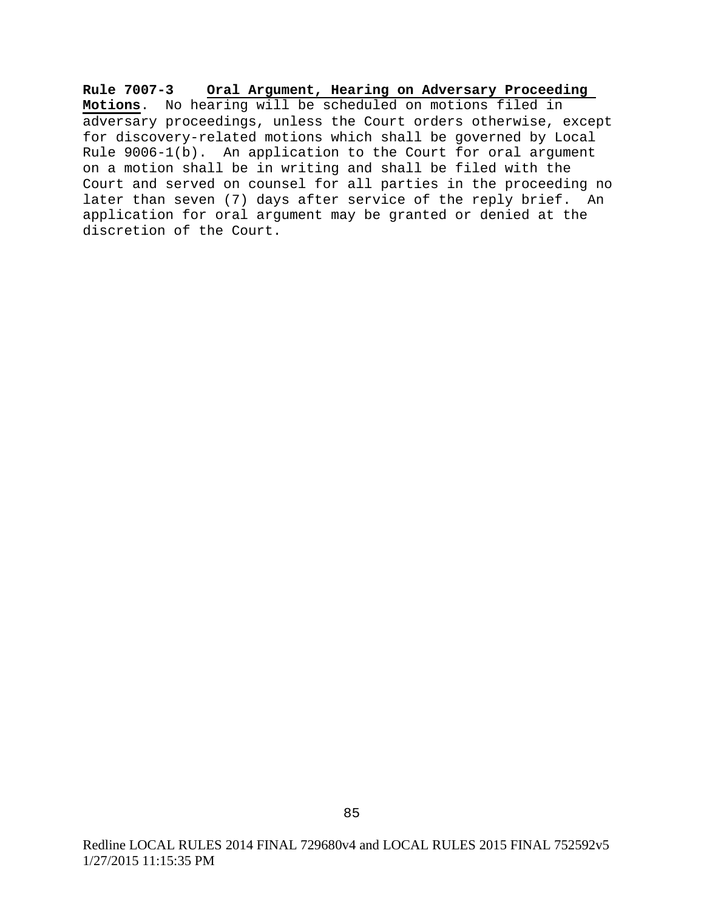**Rule 7007-3 Oral Argument, Hearing on Adversary Proceeding Motions**. No hearing will be scheduled on motions filed in adversary proceedings, unless the Court orders otherwise, except for discovery-related motions which shall be governed by Local Rule 9006-1(b). An application to the Court for oral argument on a motion shall be in writing and shall be filed with the Court and served on counsel for all parties in the proceeding no later than seven (7) days after service of the reply brief. An application for oral argument may be granted or denied at the discretion of the Court.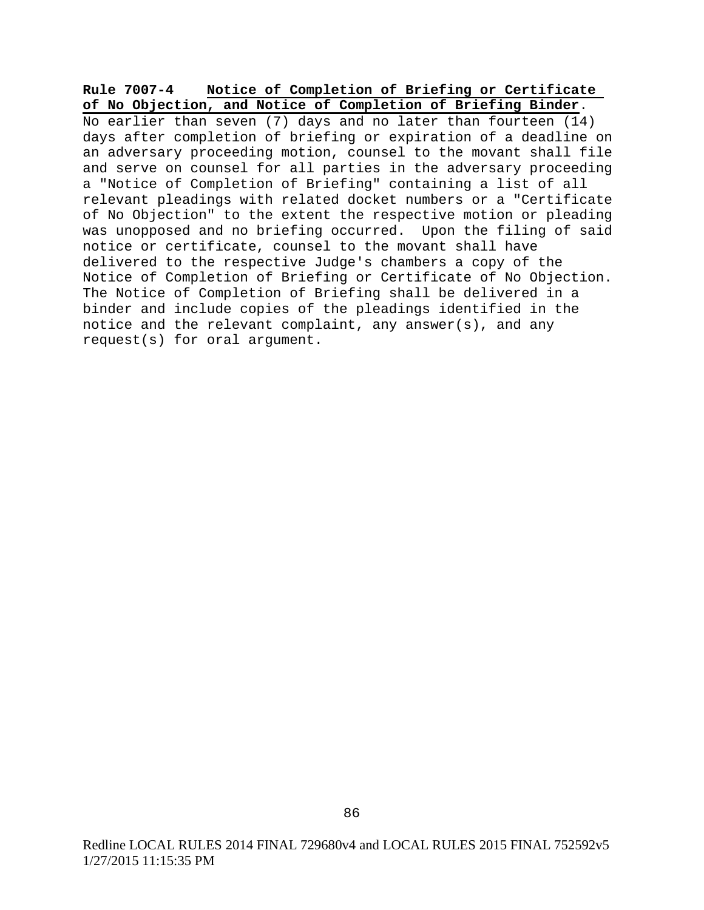## **Rule 7007-4 Notice of Completion of Briefing or Certificate of No Objection, and Notice of Completion of Briefing Binder**.

No earlier than seven (7) days and no later than fourteen  $(14)$ days after completion of briefing or expiration of a deadline on an adversary proceeding motion, counsel to the movant shall file and serve on counsel for all parties in the adversary proceeding a "Notice of Completion of Briefing" containing a list of all relevant pleadings with related docket numbers or a "Certificate of No Objection" to the extent the respective motion or pleading was unopposed and no briefing occurred. Upon the filing of said notice or certificate, counsel to the movant shall have delivered to the respective Judge's chambers a copy of the Notice of Completion of Briefing or Certificate of No Objection. The Notice of Completion of Briefing shall be delivered in a binder and include copies of the pleadings identified in the notice and the relevant complaint, any answer(s), and any request(s) for oral argument.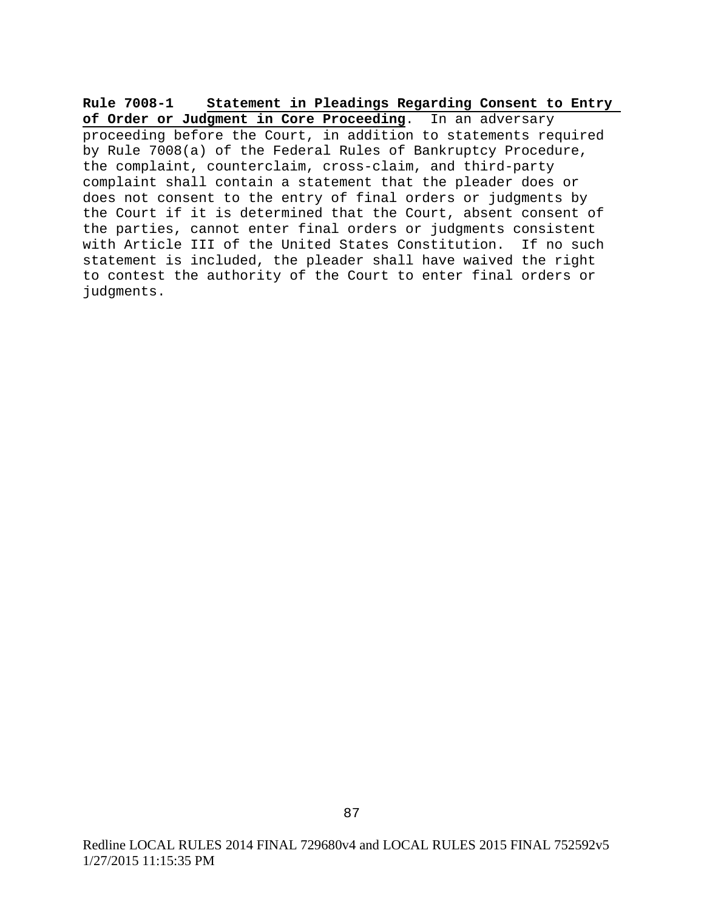**Rule 7008-1 Statement in Pleadings Regarding Consent to Entry of Order or Judgment in Core Proceeding**. In an adversary proceeding before the Court, in addition to statements required by Rule 7008(a) of the Federal Rules of Bankruptcy Procedure, the complaint, counterclaim, cross-claim, and third-party complaint shall contain a statement that the pleader does or does not consent to the entry of final orders or judgments by the Court if it is determined that the Court, absent consent of the parties, cannot enter final orders or judgments consistent with Article III of the United States Constitution. If no such statement is included, the pleader shall have waived the right to contest the authority of the Court to enter final orders or judgments.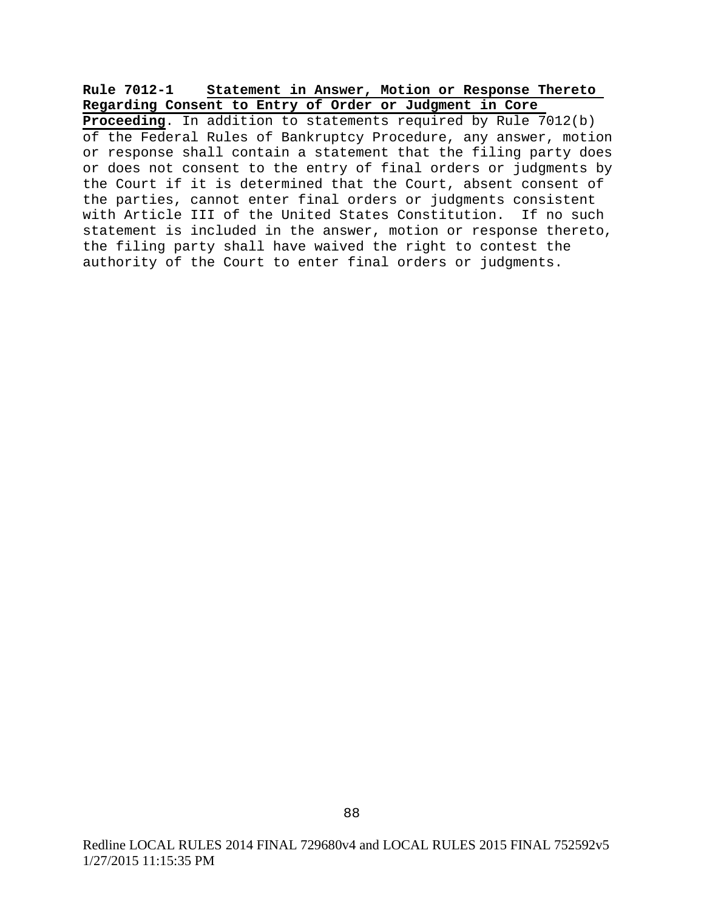## **Rule 7012-1 Statement in Answer, Motion or Response Thereto Regarding Consent to Entry of Order or Judgment in Core**

**Proceeding**. In addition to statements required by Rule 7012(b) of the Federal Rules of Bankruptcy Procedure, any answer, motion or response shall contain a statement that the filing party does or does not consent to the entry of final orders or judgments by the Court if it is determined that the Court, absent consent of the parties, cannot enter final orders or judgments consistent with Article III of the United States Constitution. If no such statement is included in the answer, motion or response thereto, the filing party shall have waived the right to contest the authority of the Court to enter final orders or judgments.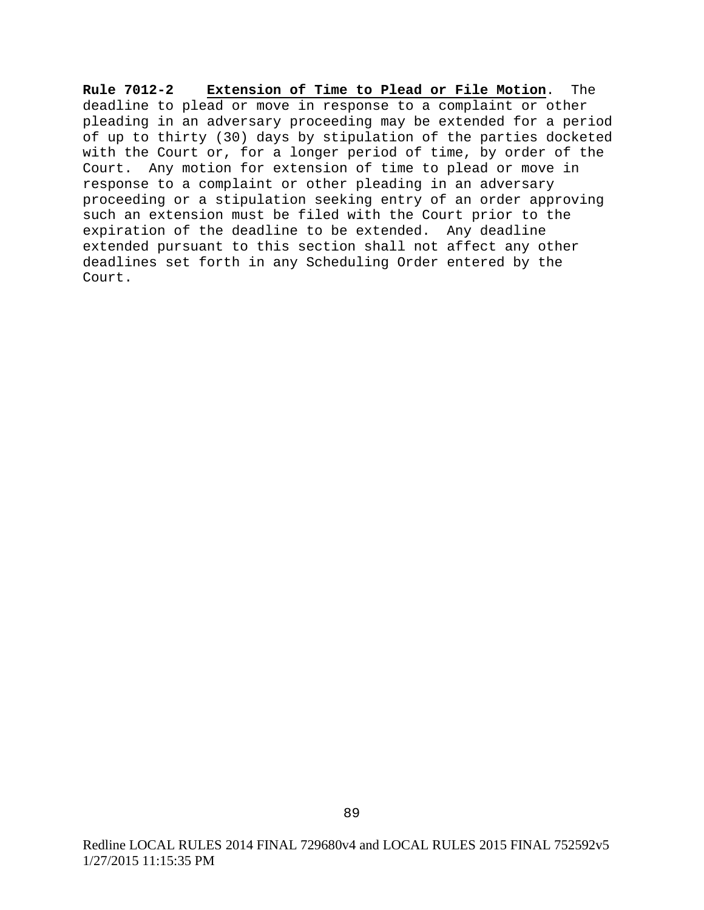**Rule 7012-2 Extension of Time to Plead or File Motion**. The deadline to plead or move in response to a complaint or other pleading in an adversary proceeding may be extended for a period of up to thirty (30) days by stipulation of the parties docketed with the Court or, for a longer period of time, by order of the Court. Any motion for extension of time to plead or move in response to a complaint or other pleading in an adversary proceeding or a stipulation seeking entry of an order approving such an extension must be filed with the Court prior to the expiration of the deadline to be extended. Any deadline extended pursuant to this section shall not affect any other deadlines set forth in any Scheduling Order entered by the Court.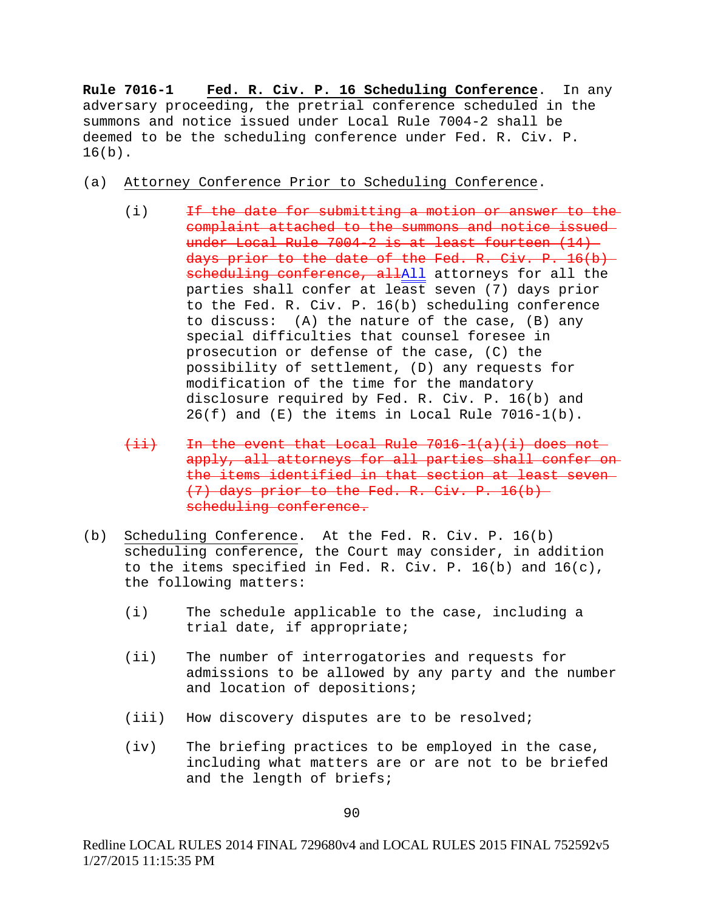**Rule 7016-1 Fed. R. Civ. P. 16 Scheduling Conference**. In any adversary proceeding, the pretrial conference scheduled in the summons and notice issued under Local Rule 7004-2 shall be deemed to be the scheduling conference under Fed. R. Civ. P.  $16(b)$ .

- (a) Attorney Conference Prior to Scheduling Conference.
	- (i) If the date for submitting a motion or answer to the complaint attached to the summons and notice issued under Local Rule 7004-2 is at least fourteen (14) days prior to the date of the Fed. R. Civ. P. 16(b) scheduling conference, allAll attorneys for all the parties shall confer at least seven (7) days prior to the Fed. R. Civ. P. 16(b) scheduling conference to discuss: (A) the nature of the case, (B) any special difficulties that counsel foresee in prosecution or defense of the case, (C) the possibility of settlement, (D) any requests for modification of the time for the mandatory disclosure required by Fed. R. Civ. P. 16(b) and  $26(f)$  and  $(E)$  the items in Local Rule 7016-1(b).
	- $(i,i)$  In the event that Local Rule 7016-1(a)(i) does not apply, all attorneys for all parties shall confer on the items identified in that section at least seven (7) days prior to the Fed. R. Civ. P. 16(b) scheduling conference.
- (b) Scheduling Conference. At the Fed. R. Civ. P. 16(b) scheduling conference, the Court may consider, in addition to the items specified in Fed. R. Civ. P. 16(b) and 16(c), the following matters:
	- (i) The schedule applicable to the case, including a trial date, if appropriate;
	- (ii) The number of interrogatories and requests for admissions to be allowed by any party and the number and location of depositions;
	- (iii) How discovery disputes are to be resolved;
	- (iv) The briefing practices to be employed in the case, including what matters are or are not to be briefed and the length of briefs;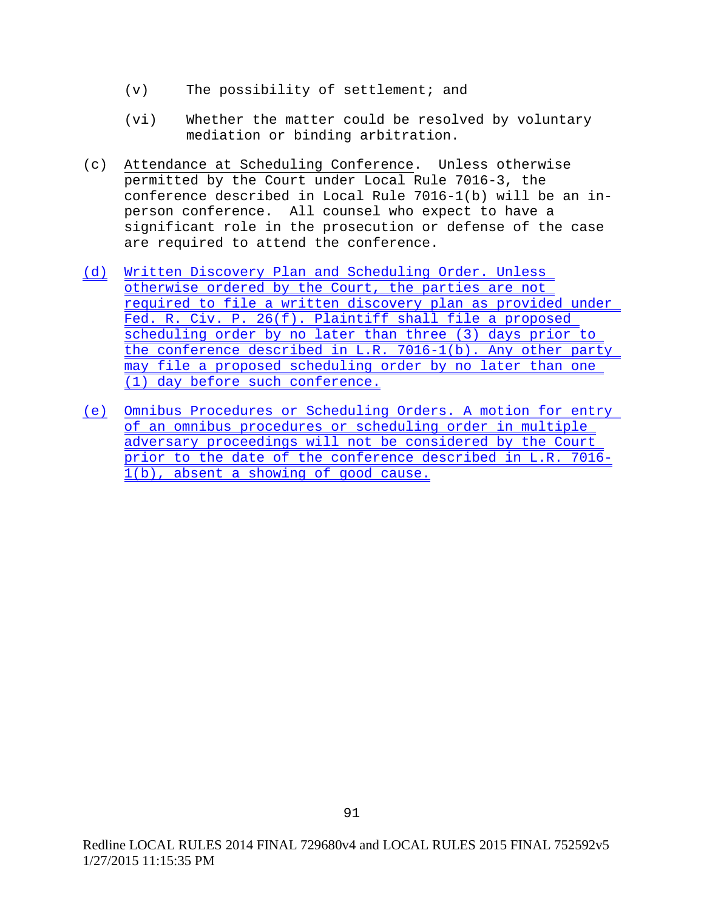- (v) The possibility of settlement; and
- (vi) Whether the matter could be resolved by voluntary mediation or binding arbitration.
- (c) Attendance at Scheduling Conference. Unless otherwise permitted by the Court under Local Rule 7016-3, the conference described in Local Rule 7016-1(b) will be an inperson conference. All counsel who expect to have a significant role in the prosecution or defense of the case are required to attend the conference.
- (d) Written Discovery Plan and Scheduling Order. Unless otherwise ordered by the Court, the parties are not required to file a written discovery plan as provided under Fed. R. Civ. P. 26(f). Plaintiff shall file a proposed scheduling order by no later than three (3) days prior to the conference described in L.R. 7016-1(b). Any other party may file a proposed scheduling order by no later than one (1) day before such conference.
- (e) Omnibus Procedures or Scheduling Orders. A motion for entry of an omnibus procedures or scheduling order in multiple adversary proceedings will not be considered by the Court prior to the date of the conference described in L.R. 7016- 1(b), absent a showing of good cause.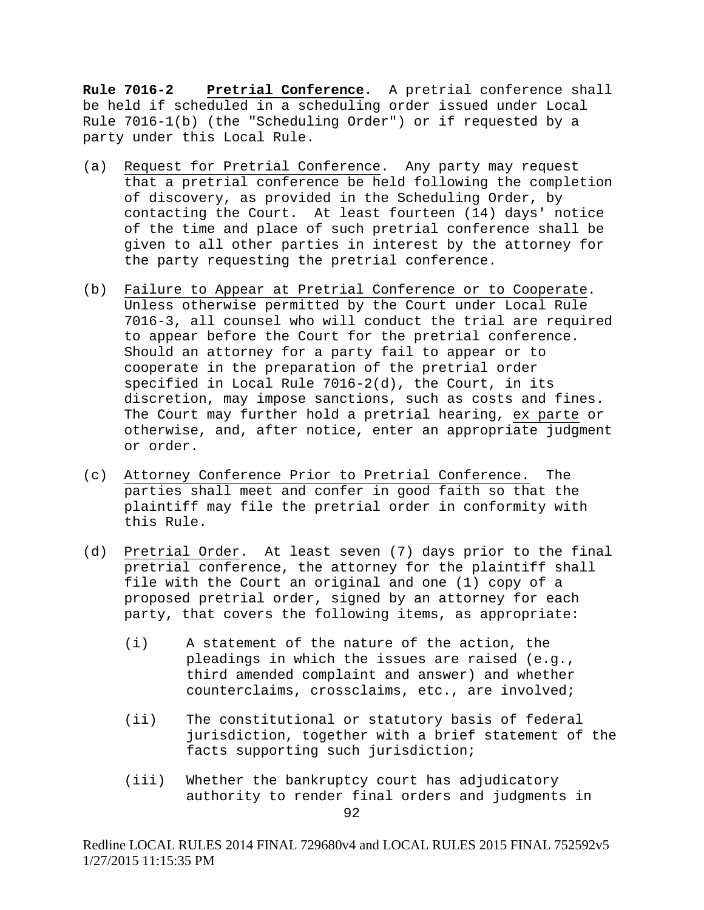**Rule 7016-2 Pretrial Conference**. A pretrial conference shall be held if scheduled in a scheduling order issued under Local Rule 7016-1(b) (the "Scheduling Order") or if requested by a party under this Local Rule.

- (a) Request for Pretrial Conference. Any party may request that a pretrial conference be held following the completion of discovery, as provided in the Scheduling Order, by contacting the Court. At least fourteen (14) days' notice of the time and place of such pretrial conference shall be given to all other parties in interest by the attorney for the party requesting the pretrial conference.
- (b) Failure to Appear at Pretrial Conference or to Cooperate. Unless otherwise permitted by the Court under Local Rule 7016-3, all counsel who will conduct the trial are required to appear before the Court for the pretrial conference. Should an attorney for a party fail to appear or to cooperate in the preparation of the pretrial order specified in Local Rule 7016-2(d), the Court, in its discretion, may impose sanctions, such as costs and fines. The Court may further hold a pretrial hearing, ex parte or otherwise, and, after notice, enter an appropriate judgment or order.
- (c) Attorney Conference Prior to Pretrial Conference. The parties shall meet and confer in good faith so that the plaintiff may file the pretrial order in conformity with this Rule.
- (d) Pretrial Order. At least seven (7) days prior to the final pretrial conference, the attorney for the plaintiff shall file with the Court an original and one (1) copy of a proposed pretrial order, signed by an attorney for each party, that covers the following items, as appropriate:
	- (i) A statement of the nature of the action, the pleadings in which the issues are raised (e.g., third amended complaint and answer) and whether counterclaims, crossclaims, etc., are involved;
	- (ii) The constitutional or statutory basis of federal jurisdiction, together with a brief statement of the facts supporting such jurisdiction;
	- (iii) Whether the bankruptcy court has adjudicatory authority to render final orders and judgments in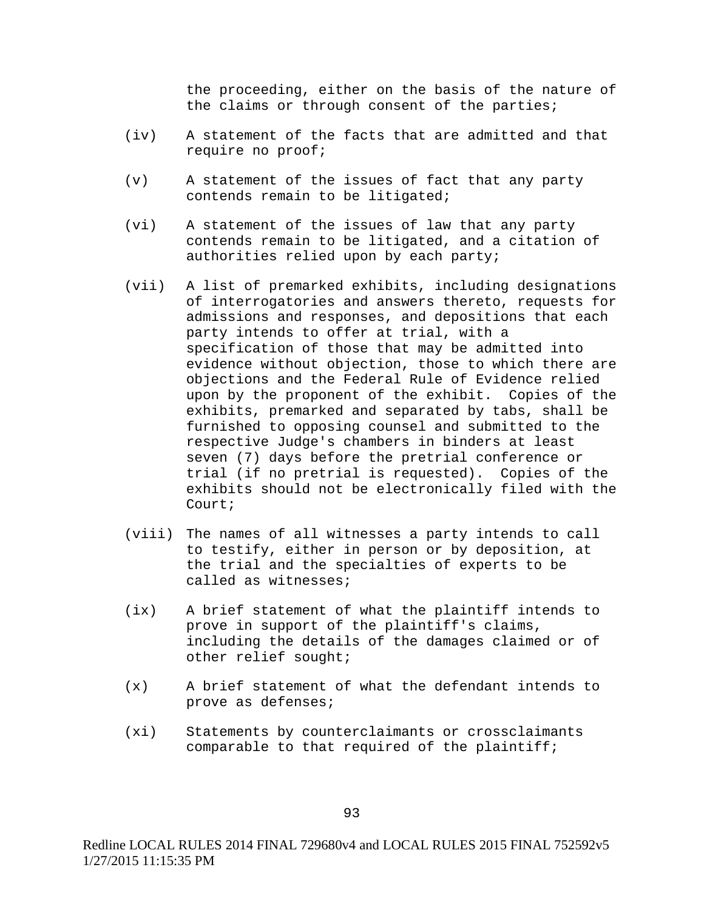the proceeding, either on the basis of the nature of the claims or through consent of the parties;

- (iv) A statement of the facts that are admitted and that require no proof;
- (v) A statement of the issues of fact that any party contends remain to be litigated;
- (vi) A statement of the issues of law that any party contends remain to be litigated, and a citation of authorities relied upon by each party;
- (vii) A list of premarked exhibits, including designations of interrogatories and answers thereto, requests for admissions and responses, and depositions that each party intends to offer at trial, with a specification of those that may be admitted into evidence without objection, those to which there are objections and the Federal Rule of Evidence relied upon by the proponent of the exhibit. Copies of the exhibits, premarked and separated by tabs, shall be furnished to opposing counsel and submitted to the respective Judge's chambers in binders at least seven (7) days before the pretrial conference or trial (if no pretrial is requested). Copies of the exhibits should not be electronically filed with the Court;
- (viii) The names of all witnesses a party intends to call to testify, either in person or by deposition, at the trial and the specialties of experts to be called as witnesses;
- (ix) A brief statement of what the plaintiff intends to prove in support of the plaintiff's claims, including the details of the damages claimed or of other relief sought;
- (x) A brief statement of what the defendant intends to prove as defenses;
- (xi) Statements by counterclaimants or crossclaimants comparable to that required of the plaintiff;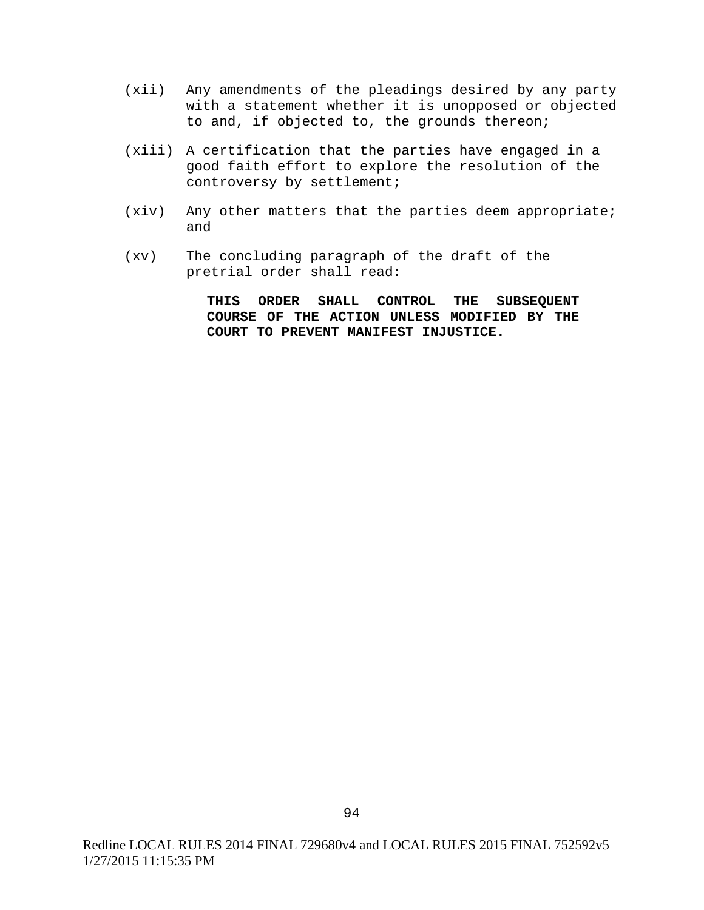- (xii) Any amendments of the pleadings desired by any party with a statement whether it is unopposed or objected to and, if objected to, the grounds thereon;
- (xiii) A certification that the parties have engaged in a good faith effort to explore the resolution of the controversy by settlement;
- (xiv) Any other matters that the parties deem appropriate; and
- (xv) The concluding paragraph of the draft of the pretrial order shall read:

**THIS ORDER SHALL CONTROL THE SUBSEQUENT COURSE OF THE ACTION UNLESS MODIFIED BY THE COURT TO PREVENT MANIFEST INJUSTICE.**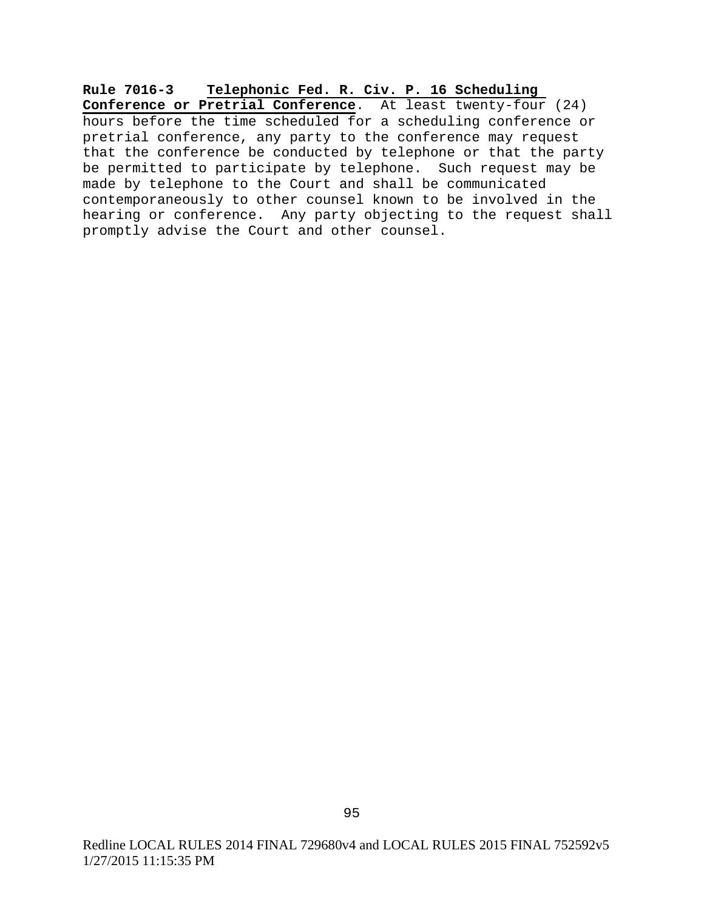**Rule 7016-3 Telephonic Fed. R. Civ. P. 16 Scheduling Conference or Pretrial Conference**. At least twenty-four (24) hours before the time scheduled for a scheduling conference or pretrial conference, any party to the conference may request that the conference be conducted by telephone or that the party be permitted to participate by telephone. Such request may be made by telephone to the Court and shall be communicated contemporaneously to other counsel known to be involved in the hearing or conference. Any party objecting to the request shall promptly advise the Court and other counsel.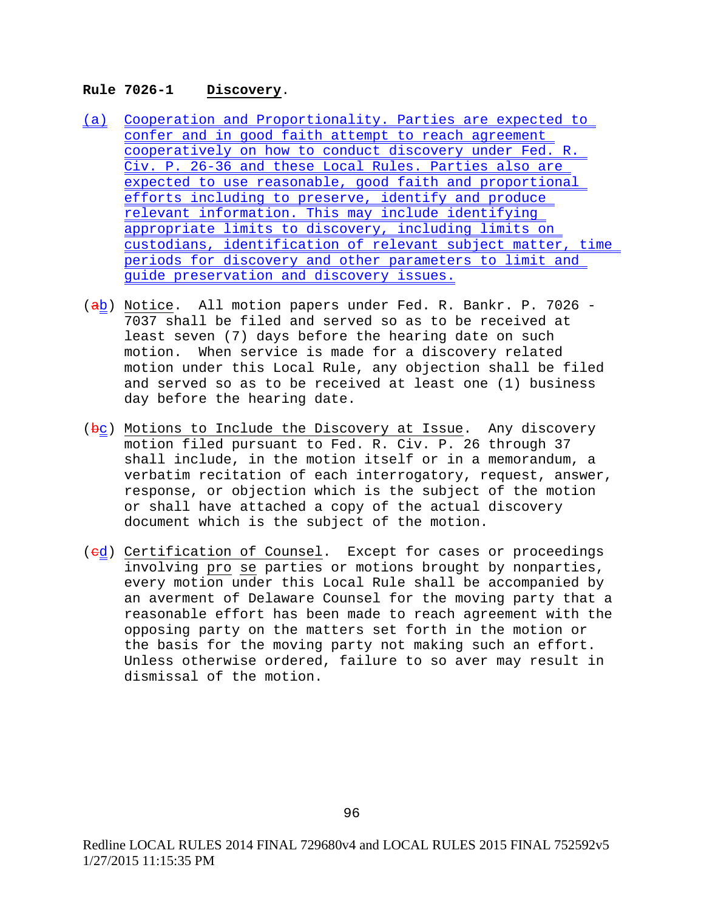### **Rule 7026-1 Discovery**.

- (a) Cooperation and Proportionality. Parties are expected to confer and in good faith attempt to reach agreement cooperatively on how to conduct discovery under Fed. R. Civ. P. 26-36 and these Local Rules. Parties also are expected to use reasonable, good faith and proportional efforts including to preserve, identify and produce relevant information. This may include identifying appropriate limits to discovery, including limits on custodians, identification of relevant subject matter, time periods for discovery and other parameters to limit and guide preservation and discovery issues.
- (ab) Notice. All motion papers under Fed. R. Bankr. P. 7026 -7037 shall be filed and served so as to be received at least seven (7) days before the hearing date on such motion. When service is made for a discovery related motion under this Local Rule, any objection shall be filed and served so as to be received at least one (1) business day before the hearing date.
- $(kc)$  Motions to Include the Discovery at Issue. Any discovery motion filed pursuant to Fed. R. Civ. P. 26 through 37 shall include, in the motion itself or in a memorandum, a verbatim recitation of each interrogatory, request, answer, response, or objection which is the subject of the motion or shall have attached a copy of the actual discovery document which is the subject of the motion.
- (ed) Certification of Counsel. Except for cases or proceedings involving pro se parties or motions brought by nonparties, every motion under this Local Rule shall be accompanied by an averment of Delaware Counsel for the moving party that a reasonable effort has been made to reach agreement with the opposing party on the matters set forth in the motion or the basis for the moving party not making such an effort. Unless otherwise ordered, failure to so aver may result in dismissal of the motion.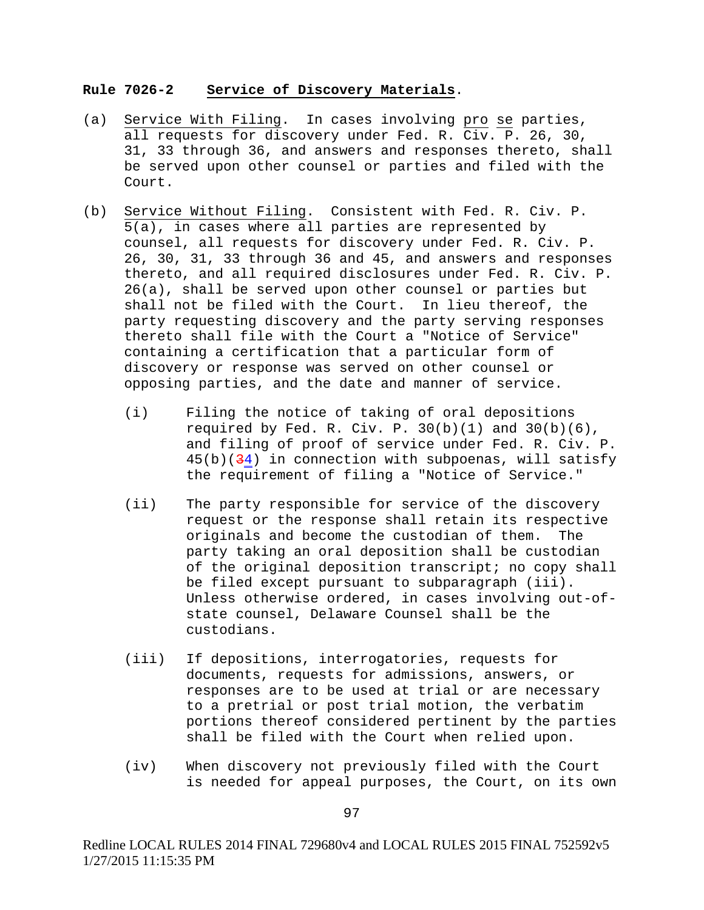#### **Rule 7026-2 Service of Discovery Materials**.

- (a) Service With Filing. In cases involving pro se parties, all requests for discovery under Fed. R. Civ. P. 26, 30, 31, 33 through 36, and answers and responses thereto, shall be served upon other counsel or parties and filed with the Court.
- (b) Service Without Filing. Consistent with Fed. R. Civ. P. 5(a), in cases where all parties are represented by counsel, all requests for discovery under Fed. R. Civ. P. 26, 30, 31, 33 through 36 and 45, and answers and responses thereto, and all required disclosures under Fed. R. Civ. P. 26(a), shall be served upon other counsel or parties but shall not be filed with the Court. In lieu thereof, the party requesting discovery and the party serving responses thereto shall file with the Court a "Notice of Service" containing a certification that a particular form of discovery or response was served on other counsel or opposing parties, and the date and manner of service.
	- (i) Filing the notice of taking of oral depositions required by Fed. R. Civ. P.  $30(b)(1)$  and  $30(b)(6)$ , and filing of proof of service under Fed. R. Civ. P.  $45(b)(34)$  in connection with subpoenas, will satisfy the requirement of filing a "Notice of Service."
	- (ii) The party responsible for service of the discovery request or the response shall retain its respective<br>originals and become the custodian of them. The originals and become the custodian of them. party taking an oral deposition shall be custodian of the original deposition transcript; no copy shall be filed except pursuant to subparagraph (iii). Unless otherwise ordered, in cases involving out-ofstate counsel, Delaware Counsel shall be the custodians.
	- (iii) If depositions, interrogatories, requests for documents, requests for admissions, answers, or responses are to be used at trial or are necessary to a pretrial or post trial motion, the verbatim portions thereof considered pertinent by the parties shall be filed with the Court when relied upon.
	- (iv) When discovery not previously filed with the Court is needed for appeal purposes, the Court, on its own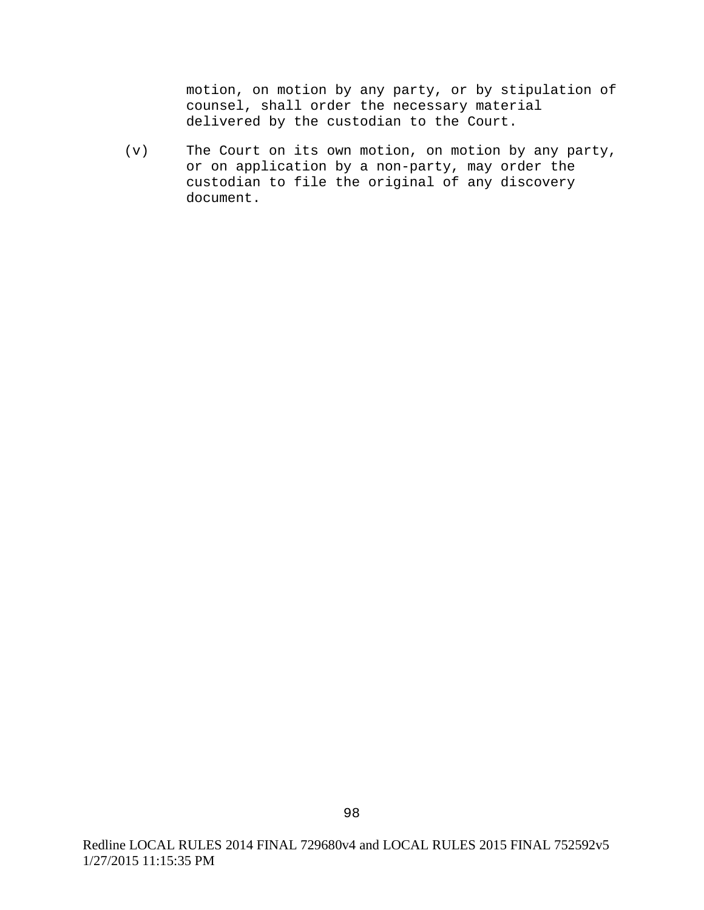motion, on motion by any party, or by stipulation of counsel, shall order the necessary material delivered by the custodian to the Court.

(v) The Court on its own motion, on motion by any party, or on application by a non-party, may order the custodian to file the original of any discovery document.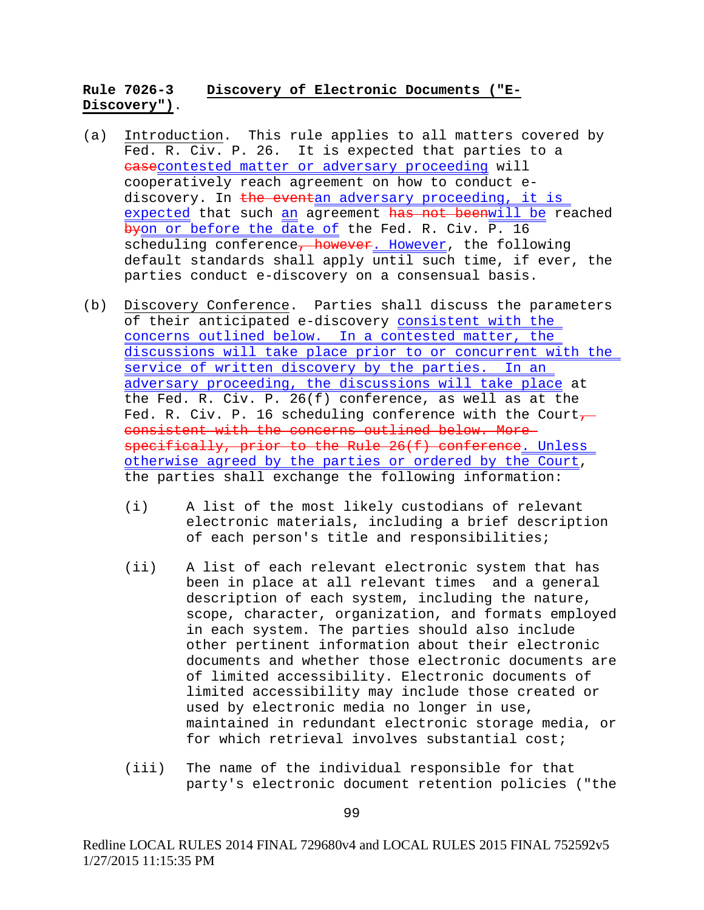## **Rule 7026-3 Discovery of Electronic Documents ("E-Discovery")**.

- (a) Introduction. This rule applies to all matters covered by Fed. R. Civ. P. 26. It is expected that parties to a casecontested matter or adversary proceeding will cooperatively reach agreement on how to conduct ediscovery. In the eventan adversary proceeding, it is expected that such an agreement has not beenwill be reached byon or before the date of the Fed. R. Civ. P. 16 scheduling conference, however. However, the following default standards shall apply until such time, if ever, the parties conduct e-discovery on a consensual basis.
- (b) Discovery Conference. Parties shall discuss the parameters of their anticipated e-discovery consistent with the concerns outlined below. In a contested matter, the discussions will take place prior to or concurrent with the service of written discovery by the parties. In an adversary proceeding, the discussions will take place at the Fed. R. Civ. P. 26(f) conference, as well as at the Fed. R. Civ. P. 16 scheduling conference with the Court $\tau$ consistent with the concerns outlined below. More specifically, prior to the Rule 26(f) conference. Unless otherwise agreed by the parties or ordered by the Court, the parties shall exchange the following information:
	- (i) A list of the most likely custodians of relevant electronic materials, including a brief description of each person's title and responsibilities;
	- (ii) A list of each relevant electronic system that has been in place at all relevant times and a general description of each system, including the nature, scope, character, organization, and formats employed in each system. The parties should also include other pertinent information about their electronic documents and whether those electronic documents are of limited accessibility. Electronic documents of limited accessibility may include those created or used by electronic media no longer in use, maintained in redundant electronic storage media, or for which retrieval involves substantial cost;
	- (iii) The name of the individual responsible for that party's electronic document retention policies ("the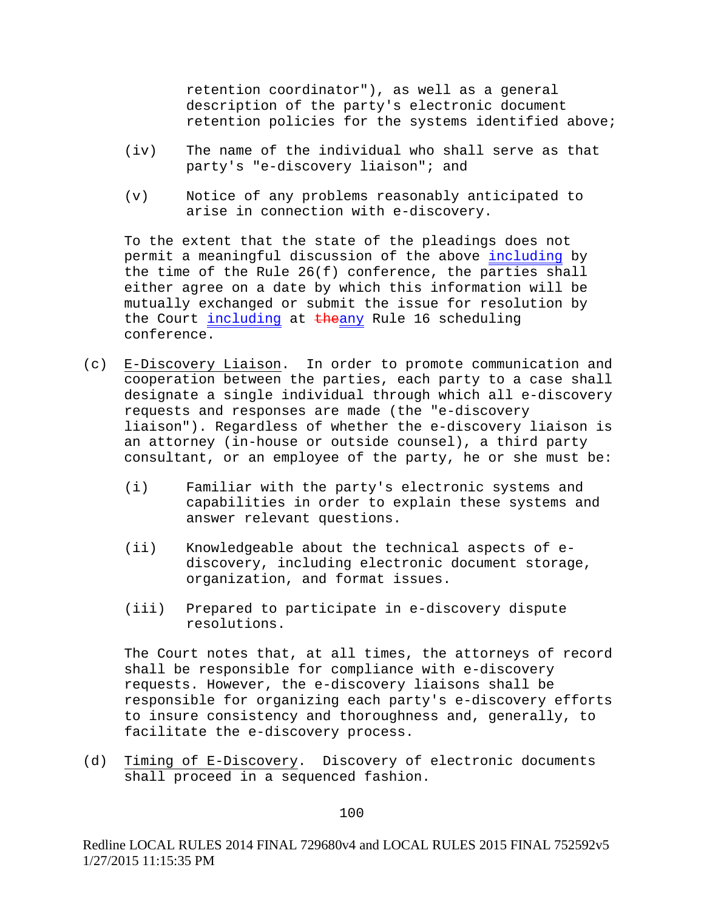retention coordinator"), as well as a general description of the party's electronic document retention policies for the systems identified above;

- (iv) The name of the individual who shall serve as that party's "e-discovery liaison"; and
- (v) Notice of any problems reasonably anticipated to arise in connection with e-discovery.

To the extent that the state of the pleadings does not permit a meaningful discussion of the above including by the time of the Rule 26(f) conference, the parties shall either agree on a date by which this information will be mutually exchanged or submit the issue for resolution by the Court including at theany Rule 16 scheduling conference.

- (c) E-Discovery Liaison. In order to promote communication and cooperation between the parties, each party to a case shall designate a single individual through which all e-discovery requests and responses are made (the "e-discovery liaison"). Regardless of whether the e-discovery liaison is an attorney (in-house or outside counsel), a third party consultant, or an employee of the party, he or she must be:
	- (i) Familiar with the party's electronic systems and capabilities in order to explain these systems and answer relevant questions.
	- (ii) Knowledgeable about the technical aspects of ediscovery, including electronic document storage, organization, and format issues.
	- (iii) Prepared to participate in e-discovery dispute resolutions.

The Court notes that, at all times, the attorneys of record shall be responsible for compliance with e-discovery requests. However, the e-discovery liaisons shall be responsible for organizing each party's e-discovery efforts to insure consistency and thoroughness and, generally, to facilitate the e-discovery process.

(d) Timing of E-Discovery. Discovery of electronic documents shall proceed in a sequenced fashion.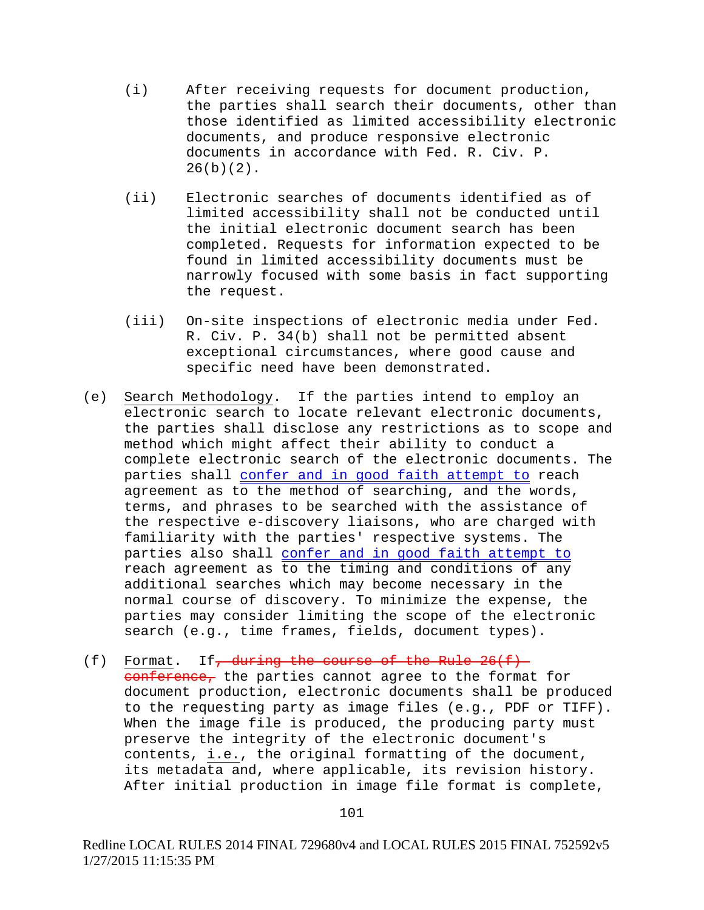- (i) After receiving requests for document production, the parties shall search their documents, other than those identified as limited accessibility electronic documents, and produce responsive electronic documents in accordance with Fed. R. Civ. P.  $26(b)(2)$ .
- (ii) Electronic searches of documents identified as of limited accessibility shall not be conducted until the initial electronic document search has been completed. Requests for information expected to be found in limited accessibility documents must be narrowly focused with some basis in fact supporting the request.
- (iii) On-site inspections of electronic media under Fed. R. Civ. P. 34(b) shall not be permitted absent exceptional circumstances, where good cause and specific need have been demonstrated.
- (e) Search Methodology. If the parties intend to employ an electronic search to locate relevant electronic documents, the parties shall disclose any restrictions as to scope and method which might affect their ability to conduct a complete electronic search of the electronic documents. The parties shall confer and in good faith attempt to reach agreement as to the method of searching, and the words, terms, and phrases to be searched with the assistance of the respective e-discovery liaisons, who are charged with familiarity with the parties' respective systems. The parties also shall confer and in good faith attempt to reach agreement as to the timing and conditions of any additional searches which may become necessary in the normal course of discovery. To minimize the expense, the parties may consider limiting the scope of the electronic search (e.g., time frames, fields, document types).
- (f) Format. If, during the course of the Rule  $26(f)$ conference, the parties cannot agree to the format for document production, electronic documents shall be produced to the requesting party as image files (e.g., PDF or TIFF). When the image file is produced, the producing party must preserve the integrity of the electronic document's contents, i.e., the original formatting of the document, its metadata and, where applicable, its revision history. After initial production in image file format is complete,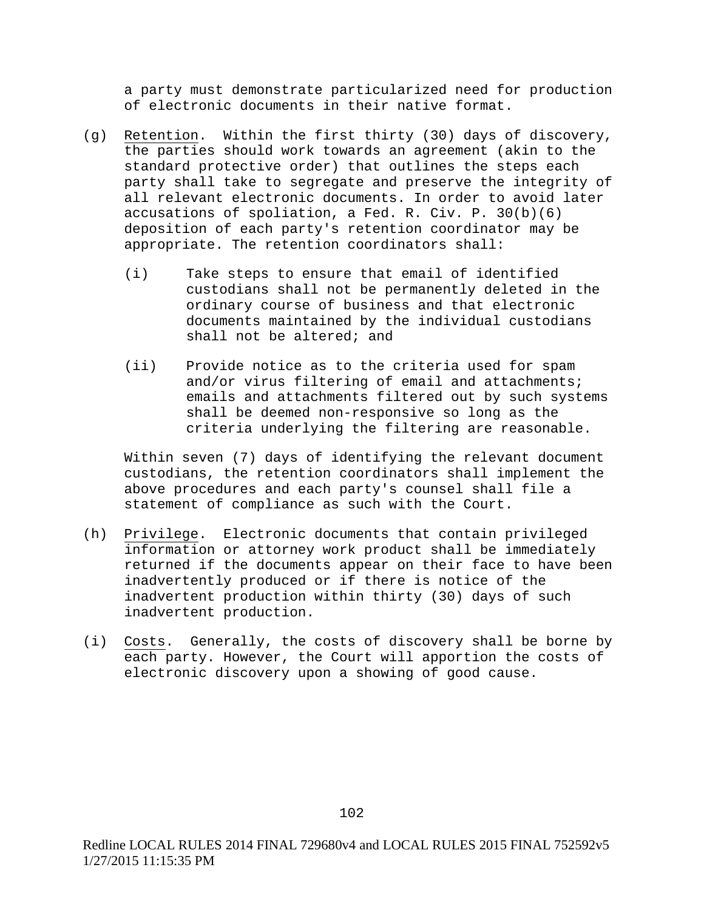a party must demonstrate particularized need for production of electronic documents in their native format.

- (g) Retention. Within the first thirty (30) days of discovery, the parties should work towards an agreement (akin to the standard protective order) that outlines the steps each party shall take to segregate and preserve the integrity of all relevant electronic documents. In order to avoid later accusations of spoliation, a Fed. R. Civ. P. 30(b)(6) deposition of each party's retention coordinator may be appropriate. The retention coordinators shall:
	- (i) Take steps to ensure that email of identified custodians shall not be permanently deleted in the ordinary course of business and that electronic documents maintained by the individual custodians shall not be altered; and
	- (ii) Provide notice as to the criteria used for spam and/or virus filtering of email and attachments; emails and attachments filtered out by such systems shall be deemed non-responsive so long as the criteria underlying the filtering are reasonable.

Within seven (7) days of identifying the relevant document custodians, the retention coordinators shall implement the above procedures and each party's counsel shall file a statement of compliance as such with the Court.

- (h) Privilege. Electronic documents that contain privileged information or attorney work product shall be immediately returned if the documents appear on their face to have been inadvertently produced or if there is notice of the inadvertent production within thirty (30) days of such inadvertent production.
- (i) Costs. Generally, the costs of discovery shall be borne by each party. However, the Court will apportion the costs of electronic discovery upon a showing of good cause.

102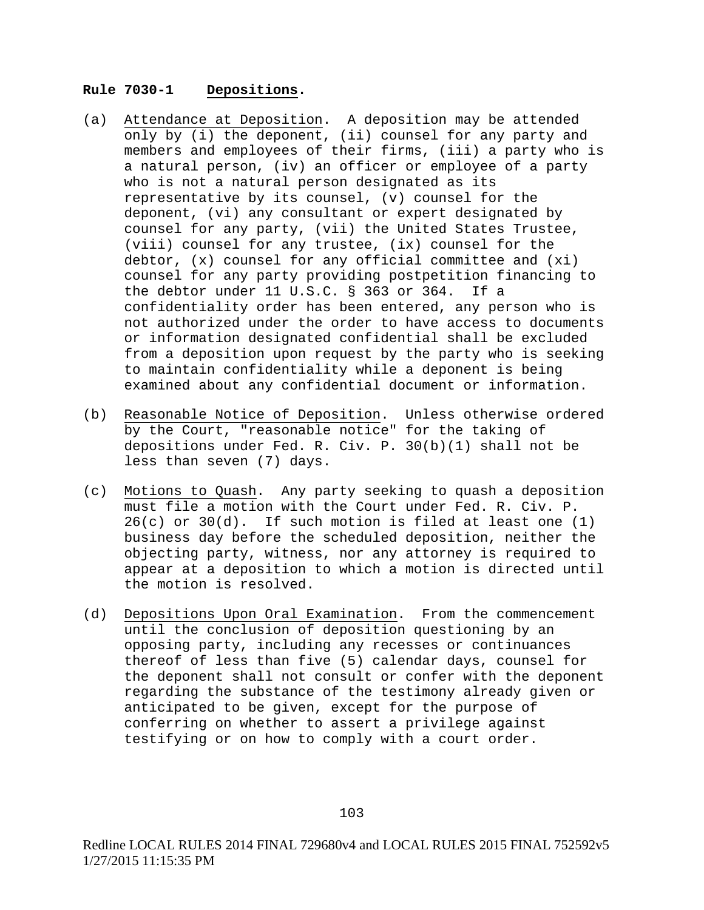#### **Rule 7030-1 Depositions.**

- (a) Attendance at Deposition. A deposition may be attended only by (i) the deponent, (ii) counsel for any party and members and employees of their firms, (iii) a party who is a natural person, (iv) an officer or employee of a party who is not a natural person designated as its representative by its counsel, (v) counsel for the deponent, (vi) any consultant or expert designated by counsel for any party, (vii) the United States Trustee, (viii) counsel for any trustee, (ix) counsel for the debtor, (x) counsel for any official committee and (xi) counsel for any party providing postpetition financing to<br>the debtor under 11 U.S.C. § 363 or 364. If a the debtor under  $11 \text{ U.S.C.}$  § 363 or 364. confidentiality order has been entered, any person who is not authorized under the order to have access to documents or information designated confidential shall be excluded from a deposition upon request by the party who is seeking to maintain confidentiality while a deponent is being examined about any confidential document or information.
- (b) Reasonable Notice of Deposition. Unless otherwise ordered by the Court, "reasonable notice" for the taking of depositions under Fed. R. Civ. P. 30(b)(1) shall not be less than seven (7) days.
- (c) Motions to Quash. Any party seeking to quash a deposition must file a motion with the Court under Fed. R. Civ. P. 26(c) or 30(d). If such motion is filed at least one (1) business day before the scheduled deposition, neither the objecting party, witness, nor any attorney is required to appear at a deposition to which a motion is directed until the motion is resolved.
- (d) Depositions Upon Oral Examination. From the commencement until the conclusion of deposition questioning by an opposing party, including any recesses or continuances thereof of less than five (5) calendar days, counsel for the deponent shall not consult or confer with the deponent regarding the substance of the testimony already given or anticipated to be given, except for the purpose of conferring on whether to assert a privilege against testifying or on how to comply with a court order.

103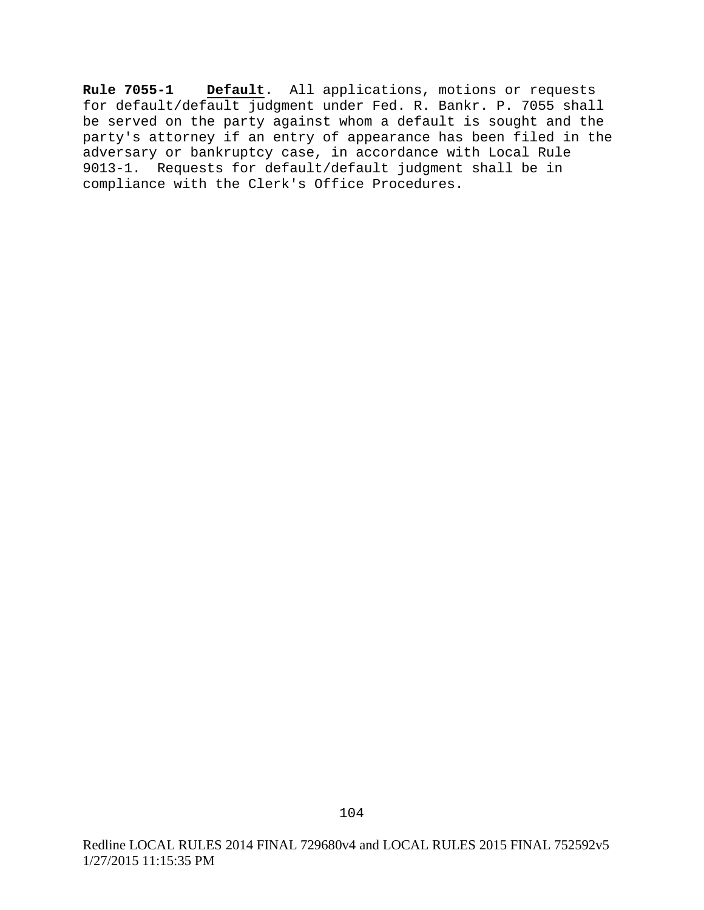**Rule 7055-1 Default**. All applications, motions or requests for default/default judgment under Fed. R. Bankr. P. 7055 shall be served on the party against whom a default is sought and the party's attorney if an entry of appearance has been filed in the adversary or bankruptcy case, in accordance with Local Rule 9013-1. Requests for default/default judgment shall be in compliance with the Clerk's Office Procedures.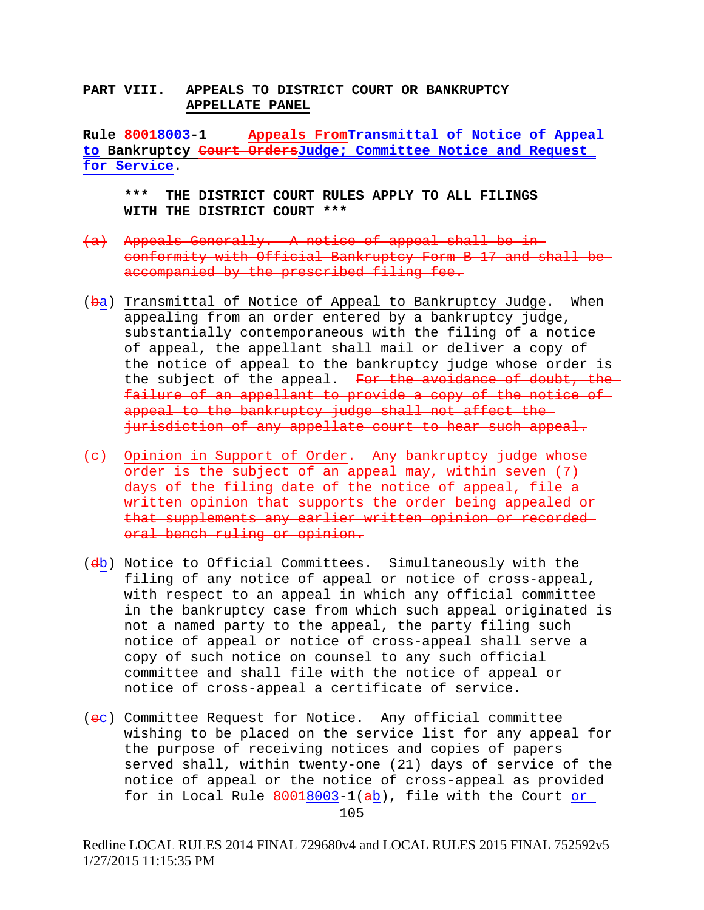### **PART VIII. APPEALS TO DISTRICT COURT OR BANKRUPTCY APPELLATE PANEL**

**Rule 80018003-1 Appeals FromTransmittal of Notice of Appeal to Bankruptcy Court OrdersJudge; Committee Notice and Request for Service**.

**\*\*\* THE DISTRICT COURT RULES APPLY TO ALL FILINGS WITH THE DISTRICT COURT \*\*\***

- (a) Appeals Generally. A notice of appeal shall be in conformity with Official Bankruptcy Form B 17 and shall be accompanied by the prescribed filing fee.
- (ba) Transmittal of Notice of Appeal to Bankruptcy Judge. When appealing from an order entered by a bankruptcy judge, substantially contemporaneous with the filing of a notice of appeal, the appellant shall mail or deliver a copy of the notice of appeal to the bankruptcy judge whose order is the subject of the appeal. For the avoidance of doubt, the failure of an appellant to provide a copy of the notice of appeal to the bankruptcy judge shall not affect the jurisdiction of any appellate court to hear such appeal.
- (c) Opinion in Support of Order. Any bankruptcy judge whose order is the subject of an appeal may, within seven  $(7)$ days of the filing date of the notice of appeal, file a written opinion that supports the order being appealed or that supplements any earlier written opinion or recorded oral bench ruling or opinion.
- (db) Notice to Official Committees. Simultaneously with the filing of any notice of appeal or notice of cross-appeal, with respect to an appeal in which any official committee in the bankruptcy case from which such appeal originated is not a named party to the appeal, the party filing such notice of appeal or notice of cross-appeal shall serve a copy of such notice on counsel to any such official committee and shall file with the notice of appeal or notice of cross-appeal a certificate of service.
- (ec) Committee Request for Notice. Any official committee wishing to be placed on the service list for any appeal for the purpose of receiving notices and copies of papers served shall, within twenty-one (21) days of service of the notice of appeal or the notice of cross-appeal as provided for in Local Rule 80018003-1(ab), file with the Court or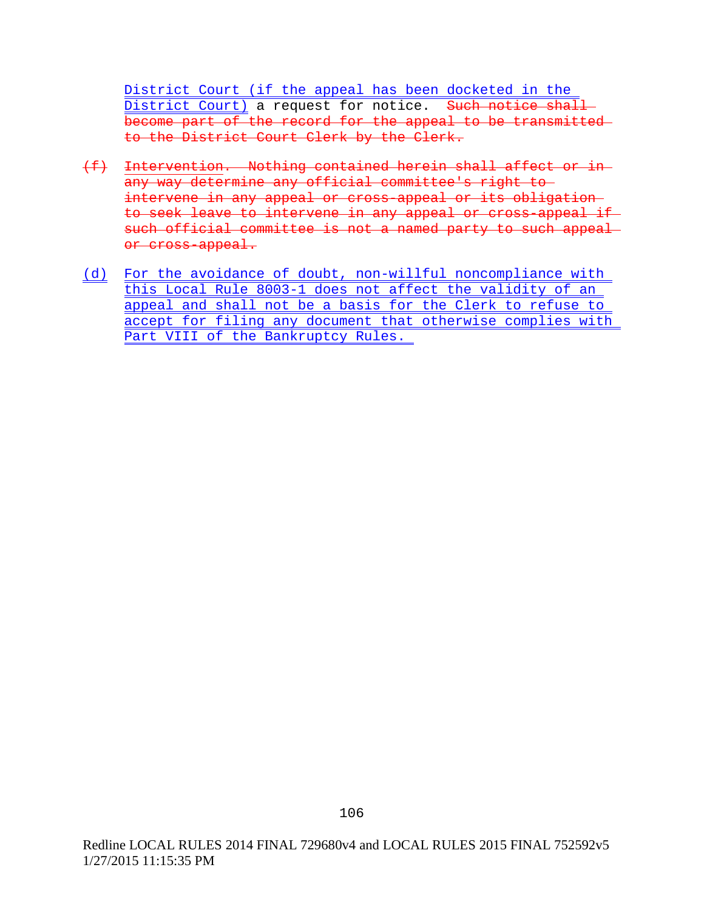District Court (if the appeal has been docketed in the District Court) a request for notice. Such notice shall become part of the record for the appeal to be transmitted to the District Court Clerk by the Clerk.

- (f) Intervention. Nothing contained herein shall affect or in any way determine any official committee's right to intervene in any appeal or cross-appeal or its obligation to seek leave to intervene in any appeal or cross-appeal if such official committee is not a named party to such appeal or cross-appeal.
- (d) For the avoidance of doubt, non-willful noncompliance with this Local Rule 8003-1 does not affect the validity of an appeal and shall not be a basis for the Clerk to refuse to accept for filing any document that otherwise complies with Part VIII of the Bankruptcy Rules.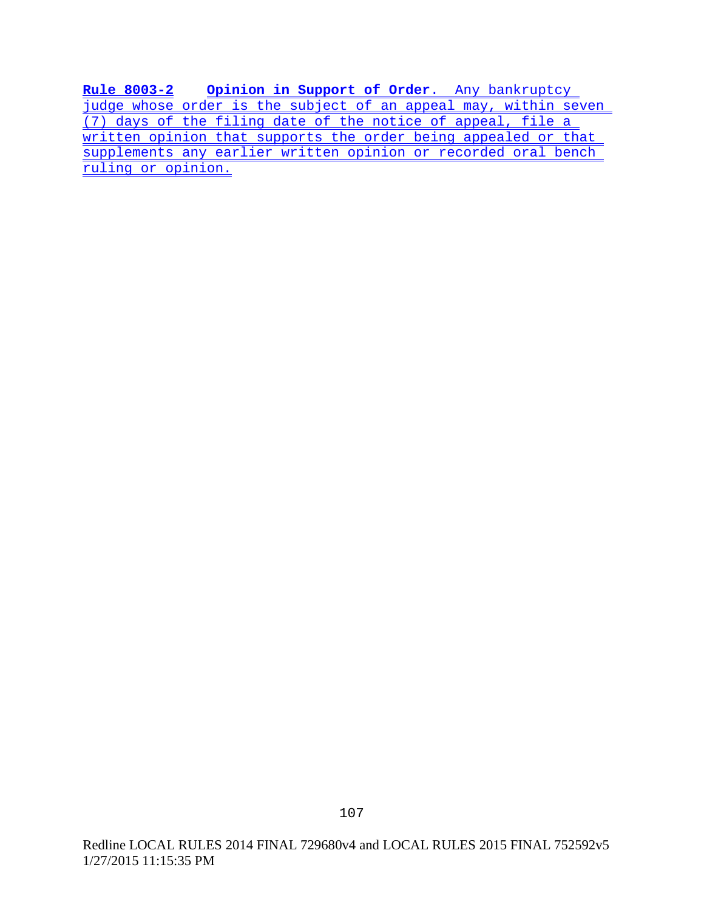**Rule 8003-2 Opinion in Support of Order**. Any bankruptcy judge whose order is the subject of an appeal may, within seven (7) days of the filing date of the notice of appeal, file a written opinion that supports the order being appealed or that supplements any earlier written opinion or recorded oral bench ruling or opinion.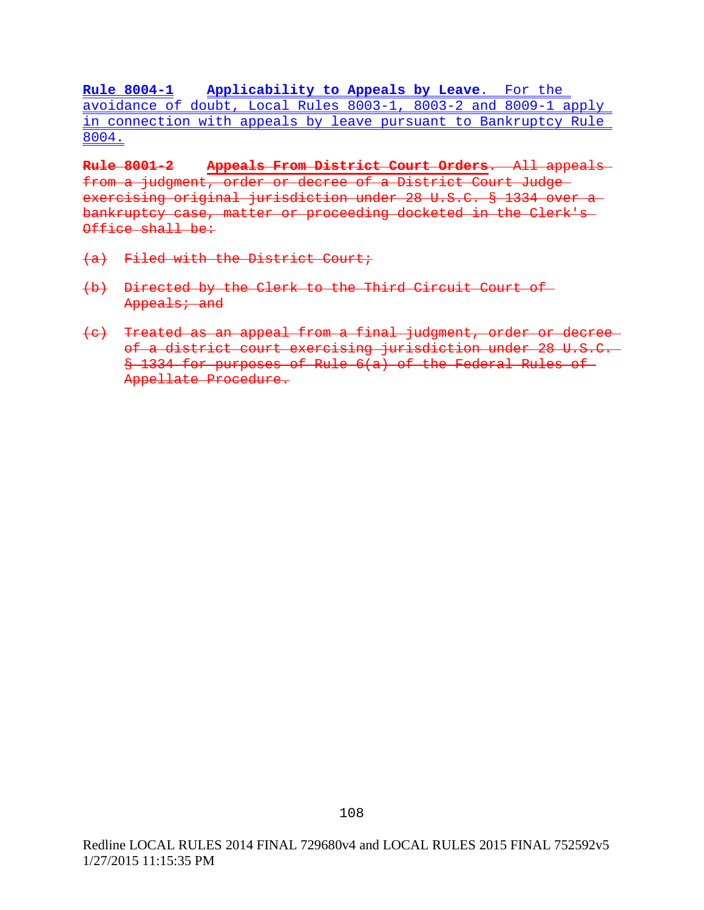**Rule 8004-1 Applicability to Appeals by Leave**. For the avoidance of doubt, Local Rules 8003-1, 8003-2 and 8009-1 apply in connection with appeals by leave pursuant to Bankruptcy Rule 8004.

**Rule 8001-2 Appeals From District Court Orders**. All appeals from a judgment, order or decree of a District Court Judge exercising original jurisdiction under 28 U.S.C. § 1334 over a bankruptcy case, matter or proceeding docketed in the Clerk's Office shall be:

- (a) Filed with the District Court;
- (b) Directed by the Clerk to the Third Circuit Court of Appeals; and
- (c) Treated as an appeal from a final judgment, order or decree of a district court exercising jurisdiction under 28 U.S.C. § 1334 for purposes of Rule 6(a) of the Federal Rules of Appellate Procedure.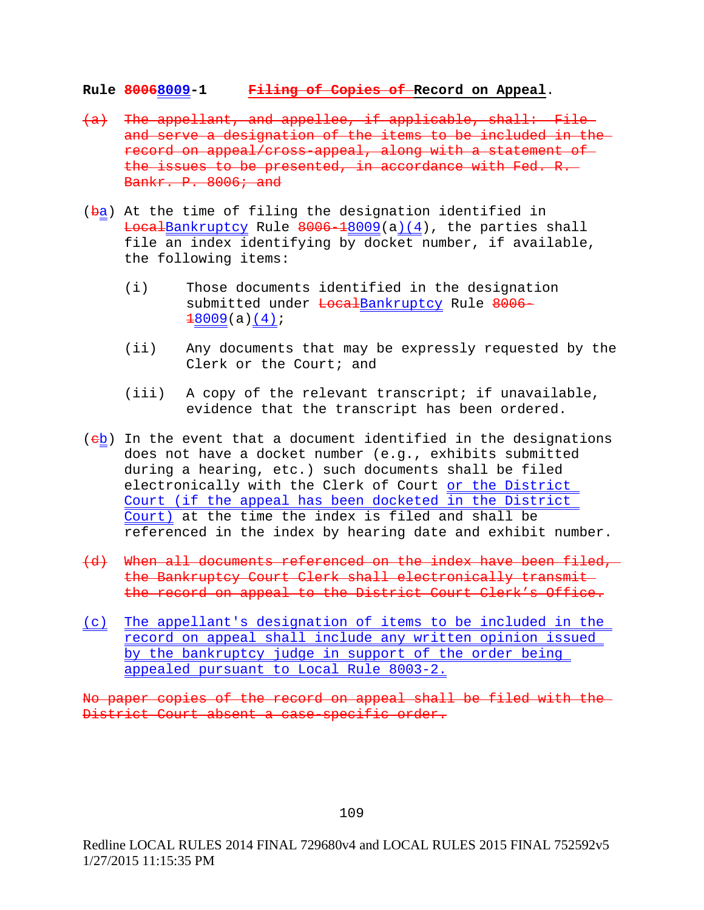### **Rule 80068009-1 Filing of Copies of Record on Appeal**.

- (a) The appellant, and appellee, if applicable, shall: File and serve a designation of the items to be included in the record on appeal/cross-appeal, along with a statement of the issues to be presented, in accordance with Fed. R. Bankr. P. 8006; and
- $(ba)$  At the time of filing the designation identified in LocalBankruptcy Rule 8006-18009(a)(4), the parties shall file an index identifying by docket number, if available, the following items:
	- (i) Those documents identified in the designation submitted under LocalBankruptcy Rule 8006- $\frac{18009}{a}(4);$
	- (ii) Any documents that may be expressly requested by the Clerk or the Court; and
	- (iii) A copy of the relevant transcript; if unavailable, evidence that the transcript has been ordered.
- $(eb)$  In the event that a document identified in the designations does not have a docket number (e.g., exhibits submitted during a hearing, etc.) such documents shall be filed electronically with the Clerk of Court or the District Court (if the appeal has been docketed in the District Court) at the time the index is filed and shall be referenced in the index by hearing date and exhibit number.
- (d) When all documents referenced on the index have been filed, the Bankruptcy Court Clerk shall electronically transmit the record on appeal to the District Court Clerk's Office.
- (c) The appellant's designation of items to be included in the record on appeal shall include any written opinion issued by the bankruptcy judge in support of the order being appealed pursuant to Local Rule 8003-2.

No paper copies of the record on appeal shall be filed with the District Court absent a case-specific order.

109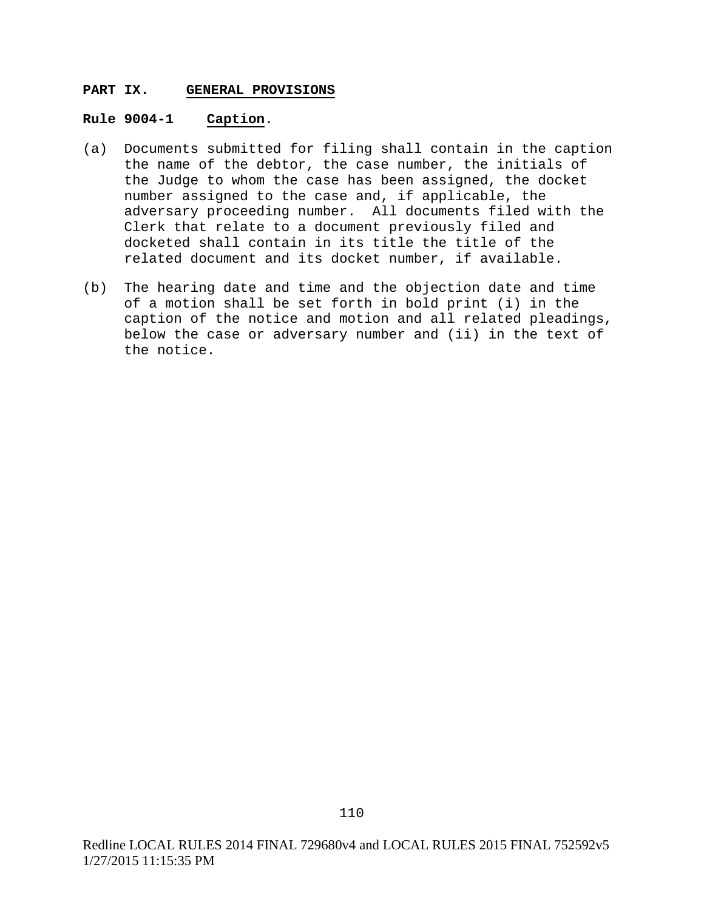### **PART IX. GENERAL PROVISIONS**

### **Rule 9004-1 Caption**.

- (a) Documents submitted for filing shall contain in the caption the name of the debtor, the case number, the initials of the Judge to whom the case has been assigned, the docket number assigned to the case and, if applicable, the adversary proceeding number. All documents filed with the Clerk that relate to a document previously filed and docketed shall contain in its title the title of the related document and its docket number, if available.
- (b) The hearing date and time and the objection date and time of a motion shall be set forth in bold print (i) in the caption of the notice and motion and all related pleadings, below the case or adversary number and (ii) in the text of the notice.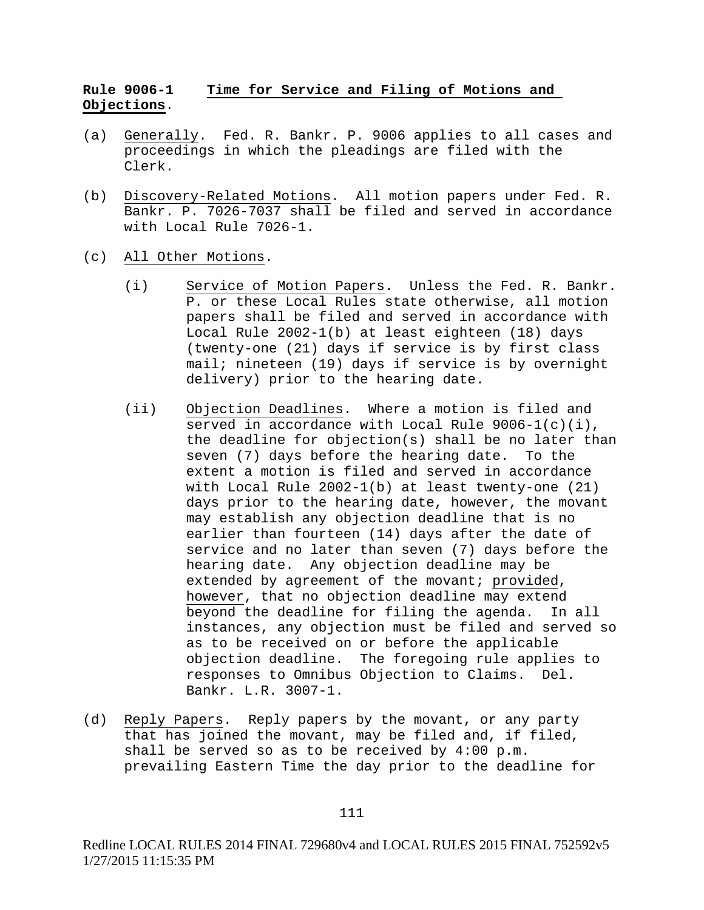# **Rule 9006-1 Time for Service and Filing of Motions and Objections**.

- (a) Generally. Fed. R. Bankr. P. 9006 applies to all cases and proceedings in which the pleadings are filed with the Clerk.
- (b) Discovery-Related Motions. All motion papers under Fed. R. Bankr. P. 7026-7037 shall be filed and served in accordance with Local Rule 7026-1.
- (c) All Other Motions.
	- (i) Service of Motion Papers. Unless the Fed. R. Bankr. P. or these Local Rules state otherwise, all motion papers shall be filed and served in accordance with Local Rule 2002-1(b) at least eighteen (18) days (twenty-one (21) days if service is by first class mail; nineteen (19) days if service is by overnight delivery) prior to the hearing date.
	- (ii) Objection Deadlines. Where a motion is filed and served in accordance with Local Rule  $9006-1(c)(i)$ , the deadline for objection(s) shall be no later than seven (7) days before the hearing date. To the extent a motion is filed and served in accordance with Local Rule 2002-1(b) at least twenty-one (21) days prior to the hearing date, however, the movant may establish any objection deadline that is no earlier than fourteen (14) days after the date of service and no later than seven (7) days before the hearing date. Any objection deadline may be extended by agreement of the movant; provided, however, that no objection deadline may extend<br>beyond the deadline for filing the agenda. In all beyond the deadline for filing the agenda. instances, any objection must be filed and served so as to be received on or before the applicable objection deadline. The foregoing rule applies to responses to Omnibus Objection to Claims. Del. Bankr. L.R. 3007-1.
- (d) Reply Papers. Reply papers by the movant, or any party that has joined the movant, may be filed and, if filed, shall be served so as to be received by  $4:00 \text{ p.m.}$ prevailing Eastern Time the day prior to the deadline for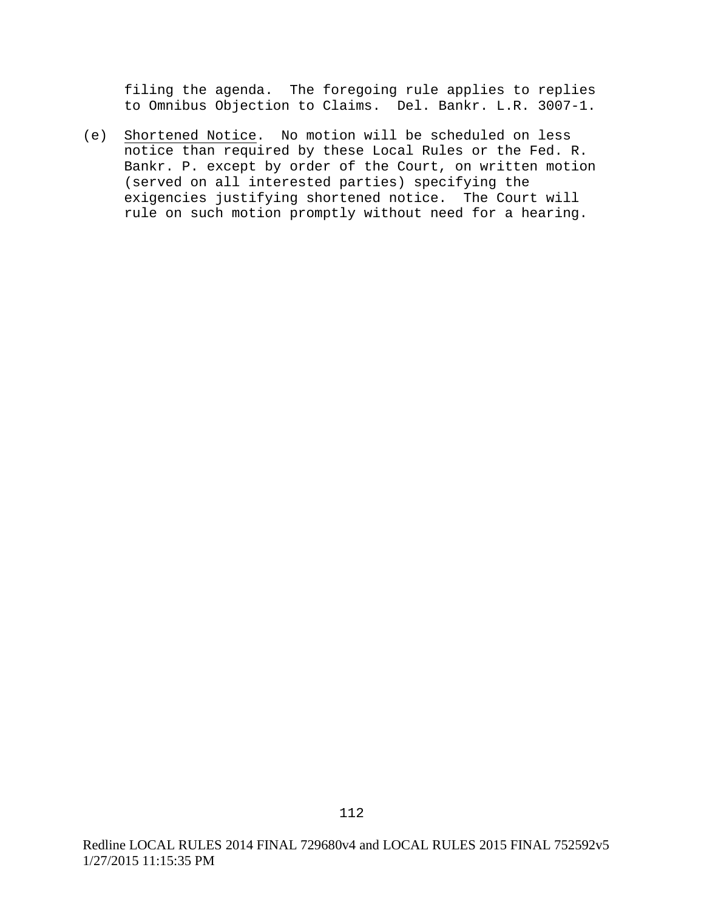filing the agenda. The foregoing rule applies to replies to Omnibus Objection to Claims. Del. Bankr. L.R. 3007-1.

(e) Shortened Notice. No motion will be scheduled on less notice than required by these Local Rules or the Fed. R. Bankr. P. except by order of the Court, on written motion (served on all interested parties) specifying the exigencies justifying shortened notice. The Court will rule on such motion promptly without need for a hearing.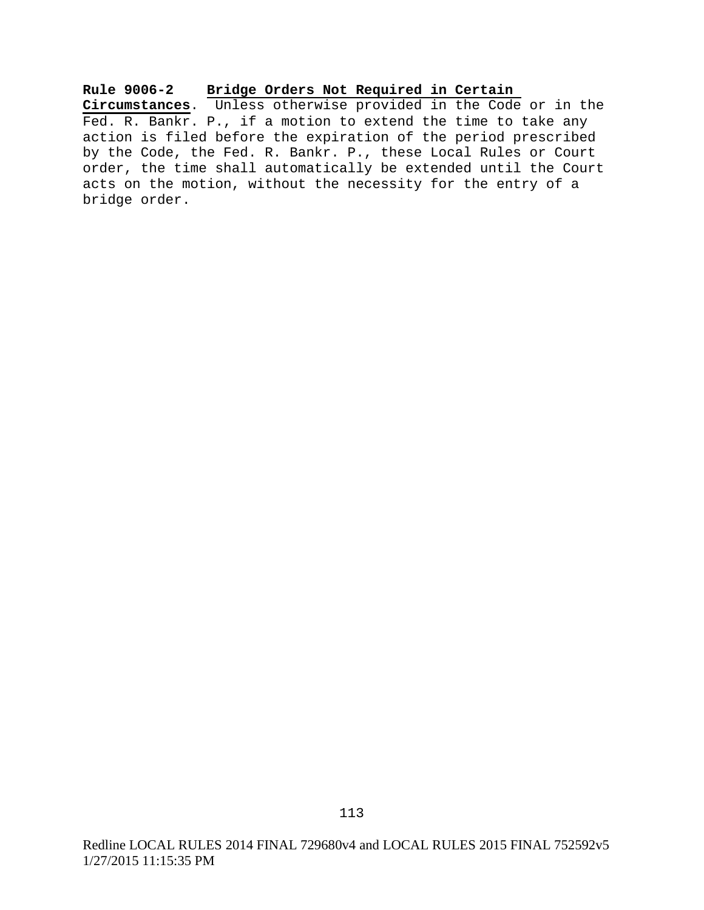**Rule 9006-2 Bridge Orders Not Required in Certain Circumstances**. Unless otherwise provided in the Code or in the Fed. R. Bankr. P., if a motion to extend the time to take any action is filed before the expiration of the period prescribed by the Code, the Fed. R. Bankr. P., these Local Rules or Court order, the time shall automatically be extended until the Court acts on the motion, without the necessity for the entry of a bridge order.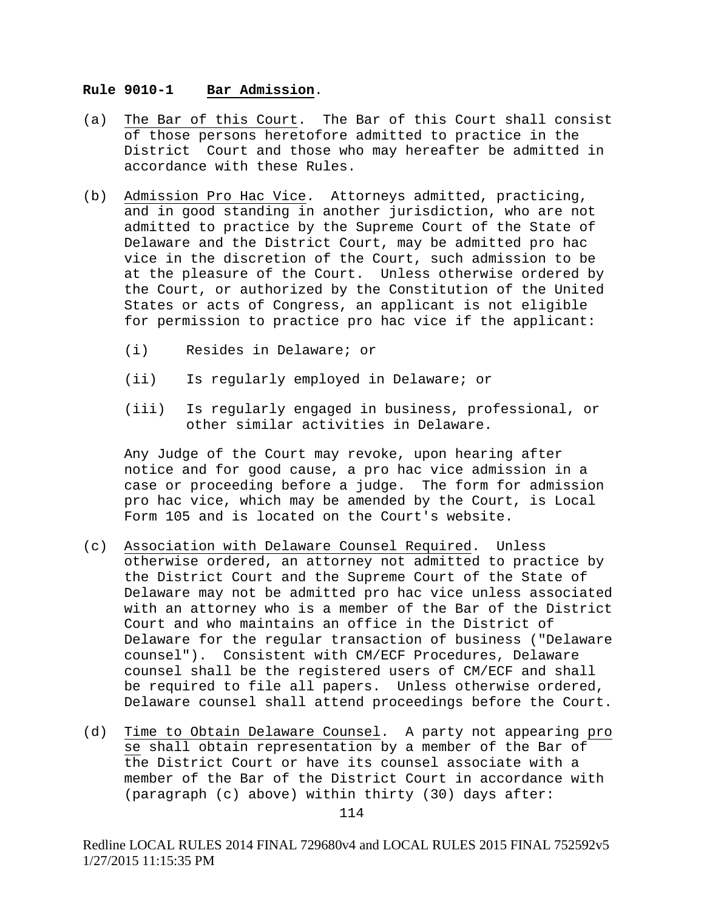#### **Rule 9010-1 Bar Admission**.

- (a) The Bar of this Court. The Bar of this Court shall consist of those persons heretofore admitted to practice in the District Court and those who may hereafter be admitted in accordance with these Rules.
- (b) Admission Pro Hac Vice. Attorneys admitted, practicing, and in good standing in another jurisdiction, who are not admitted to practice by the Supreme Court of the State of Delaware and the District Court, may be admitted pro hac vice in the discretion of the Court, such admission to be at the pleasure of the Court. Unless otherwise ordered by the Court, or authorized by the Constitution of the United States or acts of Congress, an applicant is not eligible for permission to practice pro hac vice if the applicant:
	- (i) Resides in Delaware; or
	- (ii) Is regularly employed in Delaware; or
	- (iii) Is regularly engaged in business, professional, or other similar activities in Delaware.

Any Judge of the Court may revoke, upon hearing after notice and for good cause, a pro hac vice admission in a case or proceeding before a judge. The form for admission pro hac vice, which may be amended by the Court, is Local Form 105 and is located on the Court's website.

- (c) Association with Delaware Counsel Required. Unless otherwise ordered, an attorney not admitted to practice by the District Court and the Supreme Court of the State of Delaware may not be admitted pro hac vice unless associated with an attorney who is a member of the Bar of the District Court and who maintains an office in the District of Delaware for the regular transaction of business ("Delaware counsel"). Consistent with CM/ECF Procedures, Delaware counsel shall be the registered users of CM/ECF and shall be required to file all papers. Unless otherwise ordered, Delaware counsel shall attend proceedings before the Court.
- (d) Time to Obtain Delaware Counsel. A party not appearing pro se shall obtain representation by a member of the Bar of the District Court or have its counsel associate with a member of the Bar of the District Court in accordance with (paragraph (c) above) within thirty (30) days after: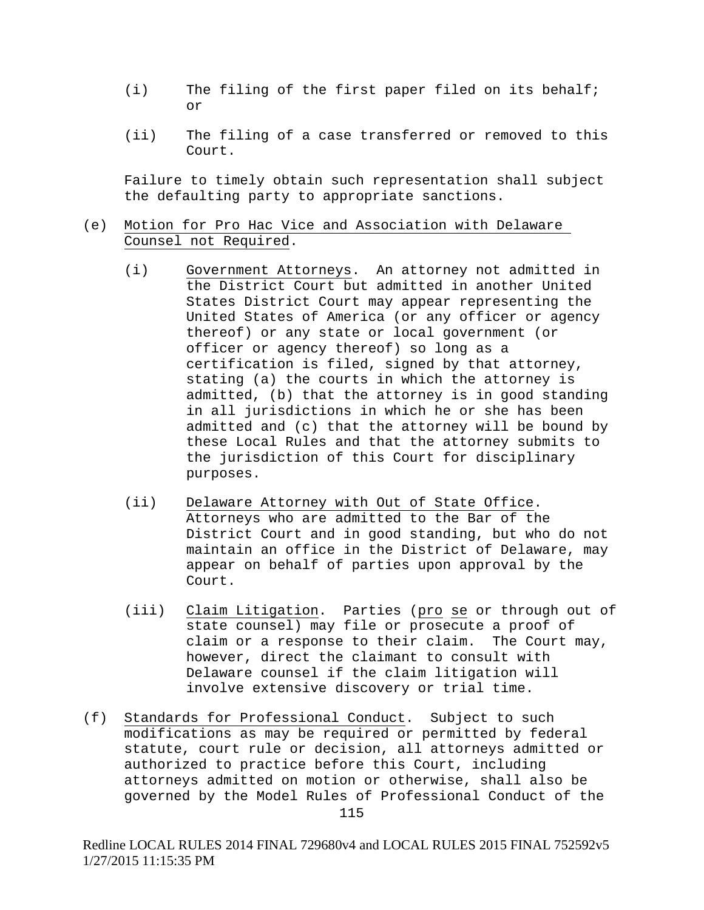- (i) The filing of the first paper filed on its behalf; or
- (ii) The filing of a case transferred or removed to this Court.

Failure to timely obtain such representation shall subject the defaulting party to appropriate sanctions.

### (e) Motion for Pro Hac Vice and Association with Delaware Counsel not Required.

- (i) Government Attorneys. An attorney not admitted in the District Court but admitted in another United States District Court may appear representing the United States of America (or any officer or agency thereof) or any state or local government (or officer or agency thereof) so long as a certification is filed, signed by that attorney, stating (a) the courts in which the attorney is admitted, (b) that the attorney is in good standing in all jurisdictions in which he or she has been admitted and (c) that the attorney will be bound by these Local Rules and that the attorney submits to the jurisdiction of this Court for disciplinary purposes.
- (ii) Delaware Attorney with Out of State Office. Attorneys who are admitted to the Bar of the District Court and in good standing, but who do not maintain an office in the District of Delaware, may appear on behalf of parties upon approval by the Court.
- (iii) Claim Litigation. Parties (pro se or through out of state counsel) may file or prosecute a proof of claim or a response to their claim. The Court may, however, direct the claimant to consult with Delaware counsel if the claim litigation will involve extensive discovery or trial time.
- (f) Standards for Professional Conduct. Subject to such modifications as may be required or permitted by federal statute, court rule or decision, all attorneys admitted or authorized to practice before this Court, including attorneys admitted on motion or otherwise, shall also be governed by the Model Rules of Professional Conduct of the

Redline LOCAL RULES 2014 FINAL 729680v4 and LOCAL RULES 2015 FINAL 752592v5 1/27/2015 11:15:35 PM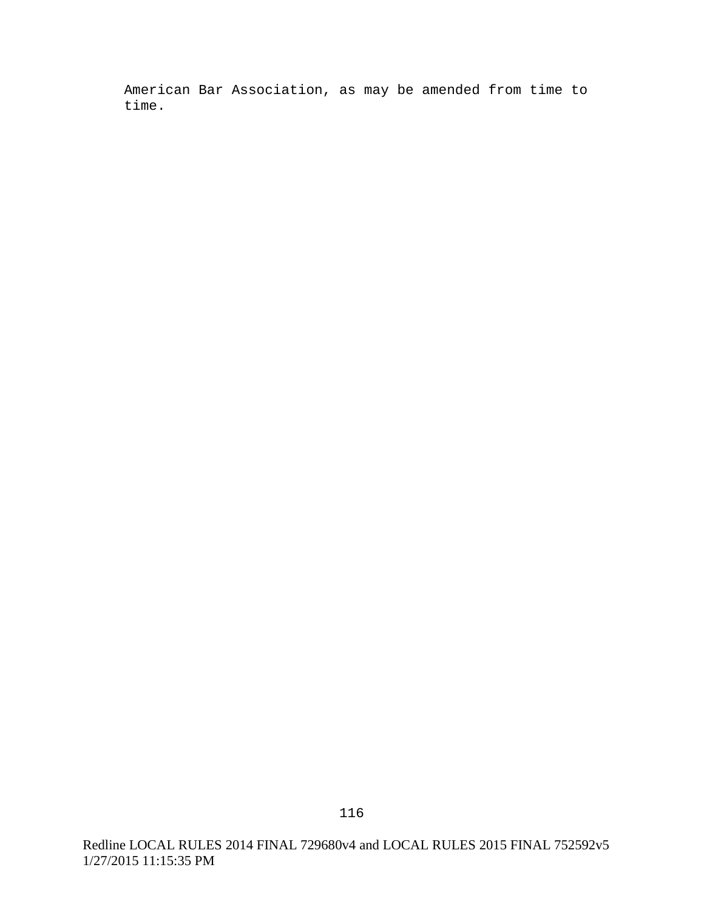American Bar Association, as may be amended from time to time.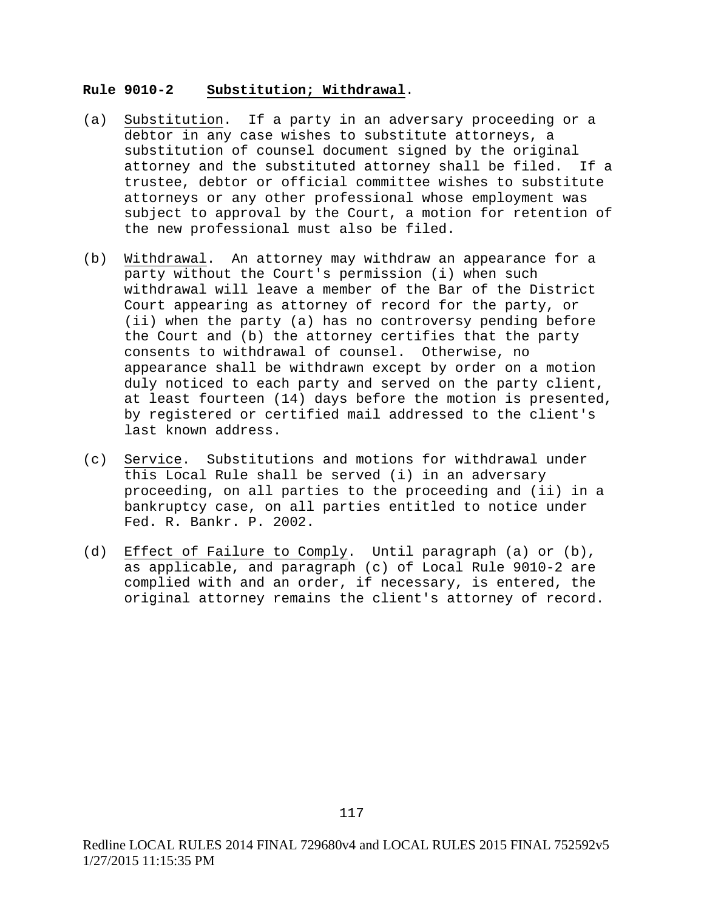#### **Rule 9010-2 Substitution; Withdrawal**.

- (a) Substitution. If a party in an adversary proceeding or a debtor in any case wishes to substitute attorneys, a substitution of counsel document signed by the original attorney and the substituted attorney shall be filed. If a trustee, debtor or official committee wishes to substitute attorneys or any other professional whose employment was subject to approval by the Court, a motion for retention of the new professional must also be filed.
- (b) Withdrawal. An attorney may withdraw an appearance for a party without the Court's permission (i) when such withdrawal will leave a member of the Bar of the District Court appearing as attorney of record for the party, or (ii) when the party (a) has no controversy pending before the Court and (b) the attorney certifies that the party consents to withdrawal of counsel. Otherwise, no appearance shall be withdrawn except by order on a motion duly noticed to each party and served on the party client, at least fourteen (14) days before the motion is presented, by registered or certified mail addressed to the client's last known address.
- (c) Service. Substitutions and motions for withdrawal under this Local Rule shall be served (i) in an adversary proceeding, on all parties to the proceeding and (ii) in a bankruptcy case, on all parties entitled to notice under Fed. R. Bankr. P. 2002.
- (d) Effect of Failure to Comply. Until paragraph (a) or (b), as applicable, and paragraph (c) of Local Rule 9010-2 are complied with and an order, if necessary, is entered, the original attorney remains the client's attorney of record.

Redline LOCAL RULES 2014 FINAL 729680v4 and LOCAL RULES 2015 FINAL 752592v5 1/27/2015 11:15:35 PM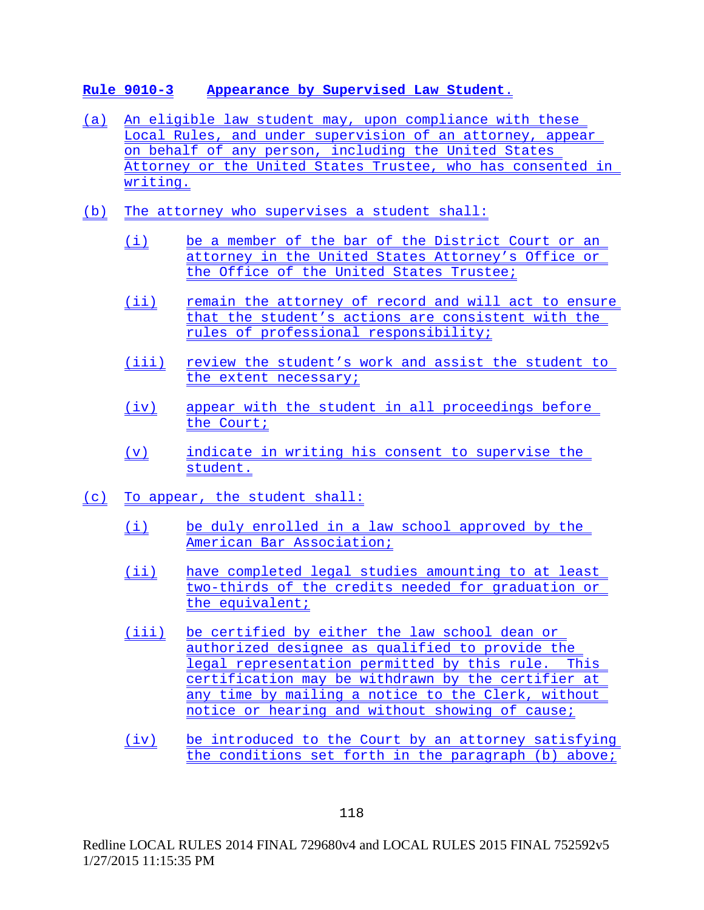## **Rule 9010-3 Appearance by Supervised Law Student**.

- (a) An eligible law student may, upon compliance with these Local Rules, and under supervision of an attorney, appear on behalf of any person, including the United States Attorney or the United States Trustee, who has consented in writing.
- (b) The attorney who supervises a student shall:
	- (i) be a member of the bar of the District Court or an attorney in the United States Attorney's Office or the Office of the United States Trustee;
	- (ii) remain the attorney of record and will act to ensure that the student's actions are consistent with the rules of professional responsibility;
	- (iii) review the student's work and assist the student to the extent necessary;
	- (iv) appear with the student in all proceedings before the Court;
	- (v) indicate in writing his consent to supervise the student.
- (c) To appear, the student shall:
	- (i) be duly enrolled in a law school approved by the American Bar Association;
	- (ii) have completed legal studies amounting to at least two-thirds of the credits needed for graduation or the equivalent;
	- (iii) be certified by either the law school dean or authorized designee as qualified to provide the legal representation permitted by this rule. This certification may be withdrawn by the certifier at any time by mailing a notice to the Clerk, without notice or hearing and without showing of cause;
	- (iv) be introduced to the Court by an attorney satisfying the conditions set forth in the paragraph (b) above;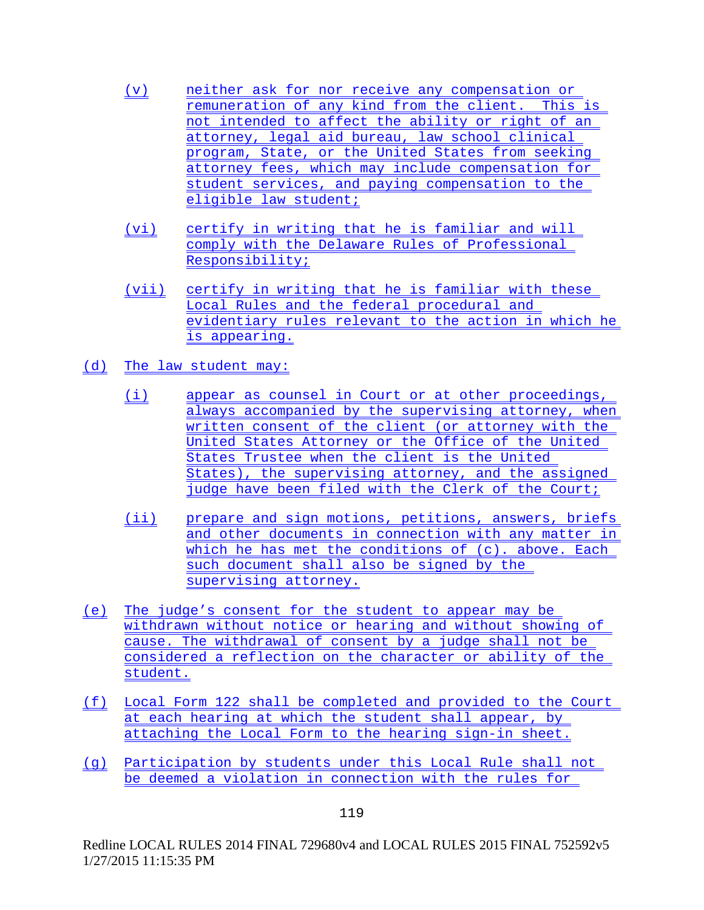- (v) neither ask for nor receive any compensation or remuneration of any kind from the client. This is not intended to affect the ability or right of an attorney, legal aid bureau, law school clinical program, State, or the United States from seeking attorney fees, which may include compensation for student services, and paying compensation to the eligible law student;
- (vi) certify in writing that he is familiar and will comply with the Delaware Rules of Professional Responsibility;
- (vii) certify in writing that he is familiar with these Local Rules and the federal procedural and evidentiary rules relevant to the action in which he is appearing.
- (d) The law student may:
	- (i) appear as counsel in Court or at other proceedings, always accompanied by the supervising attorney, when written consent of the client (or attorney with the United States Attorney or the Office of the United States Trustee when the client is the United States), the supervising attorney, and the assigned judge have been filed with the Clerk of the Court;
	- (ii) prepare and sign motions, petitions, answers, briefs and other documents in connection with any matter in which he has met the conditions of (c). above. Each such document shall also be signed by the supervising attorney.
- (e) The judge's consent for the student to appear may be withdrawn without notice or hearing and without showing of cause. The withdrawal of consent by a judge shall not be considered a reflection on the character or ability of the student.
- (f) Local Form 122 shall be completed and provided to the Court at each hearing at which the student shall appear, by attaching the Local Form to the hearing sign-in sheet.
- (g) Participation by students under this Local Rule shall not be deemed a violation in connection with the rules for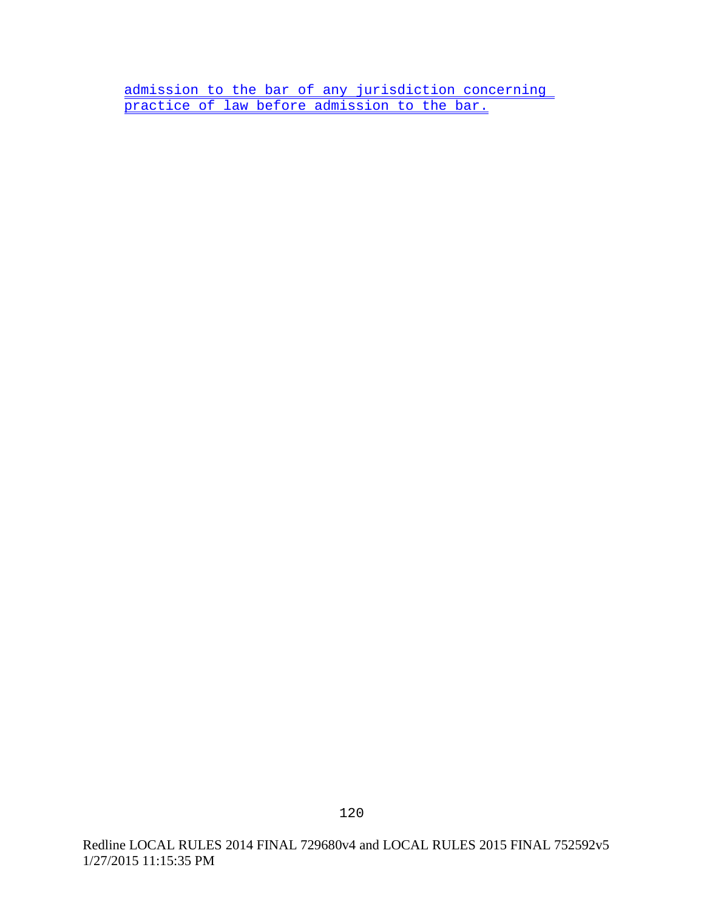admission to the bar of any jurisdiction concerning practice of law before admission to the bar.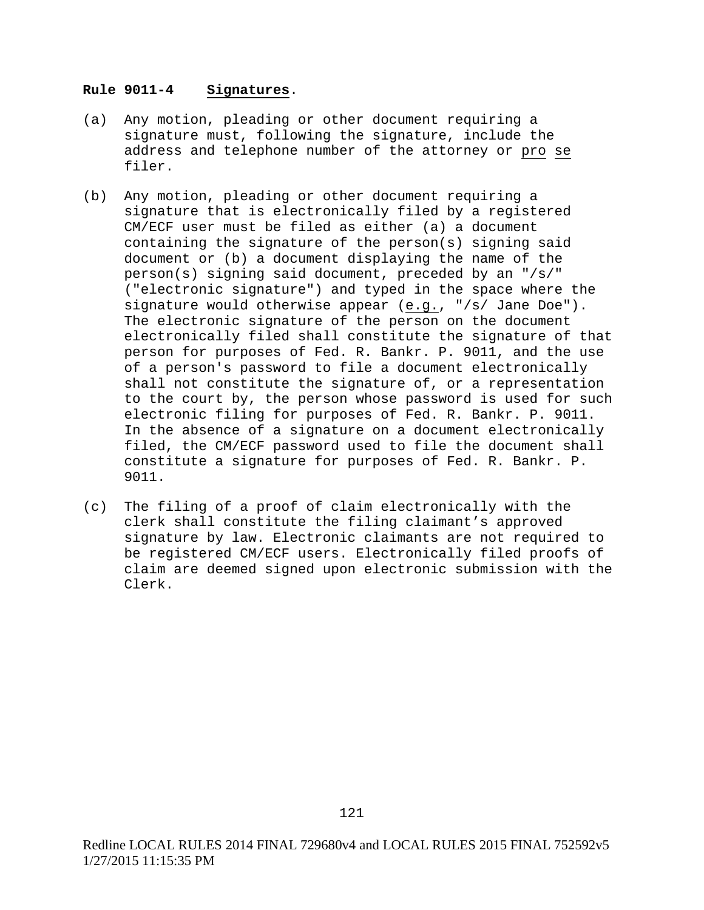#### **Rule 9011-4 Signatures**.

- (a) Any motion, pleading or other document requiring a signature must, following the signature, include the address and telephone number of the attorney or pro se filer.
- (b) Any motion, pleading or other document requiring a signature that is electronically filed by a registered CM/ECF user must be filed as either (a) a document containing the signature of the person(s) signing said document or (b) a document displaying the name of the person(s) signing said document, preceded by an "/s/" ("electronic signature") and typed in the space where the signature would otherwise appear (e.g., "/s/ Jane Doe"). The electronic signature of the person on the document electronically filed shall constitute the signature of that person for purposes of Fed. R. Bankr. P. 9011, and the use of a person's password to file a document electronically shall not constitute the signature of, or a representation to the court by, the person whose password is used for such electronic filing for purposes of Fed. R. Bankr. P. 9011. In the absence of a signature on a document electronically filed, the CM/ECF password used to file the document shall constitute a signature for purposes of Fed. R. Bankr. P. 9011.
- (c) The filing of a proof of claim electronically with the clerk shall constitute the filing claimant's approved signature by law. Electronic claimants are not required to be registered CM/ECF users. Electronically filed proofs of claim are deemed signed upon electronic submission with the Clerk.

Redline LOCAL RULES 2014 FINAL 729680v4 and LOCAL RULES 2015 FINAL 752592v5 1/27/2015 11:15:35 PM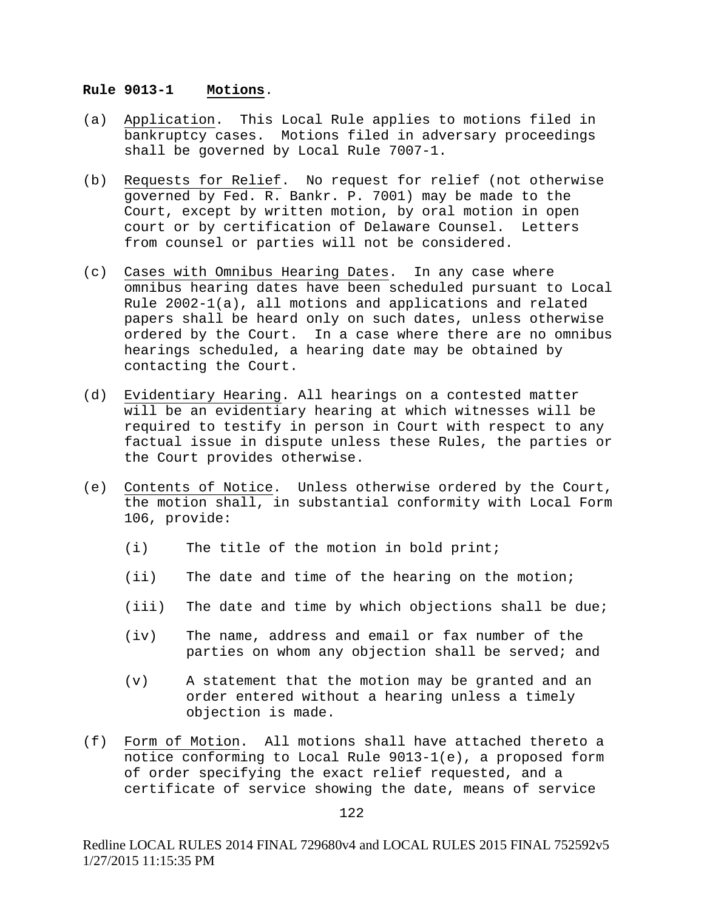#### **Rule 9013-1 Motions**.

- (a) Application. This Local Rule applies to motions filed in bankruptcy cases. Motions filed in adversary proceedings shall be governed by Local Rule 7007-1.
- (b) Requests for Relief. No request for relief (not otherwise governed by Fed. R. Bankr. P. 7001) may be made to the Court, except by written motion, by oral motion in open court or by certification of Delaware Counsel. Letters from counsel or parties will not be considered.
- (c) Cases with Omnibus Hearing Dates. In any case where omnibus hearing dates have been scheduled pursuant to Local Rule 2002-1(a), all motions and applications and related papers shall be heard only on such dates, unless otherwise ordered by the Court. In a case where there are no omnibus hearings scheduled, a hearing date may be obtained by contacting the Court.
- (d) Evidentiary Hearing. All hearings on a contested matter will be an evidentiary hearing at which witnesses will be required to testify in person in Court with respect to any factual issue in dispute unless these Rules, the parties or the Court provides otherwise.
- (e) Contents of Notice. Unless otherwise ordered by the Court, the motion shall, in substantial conformity with Local Form 106, provide:
	- (i) The title of the motion in bold print;
	- (ii) The date and time of the hearing on the motion;
	- (iii) The date and time by which objections shall be due;
	- (iv) The name, address and email or fax number of the parties on whom any objection shall be served; and
	- (v) A statement that the motion may be granted and an order entered without a hearing unless a timely objection is made.
- (f) Form of Motion. All motions shall have attached thereto a notice conforming to Local Rule 9013-1(e), a proposed form of order specifying the exact relief requested, and a certificate of service showing the date, means of service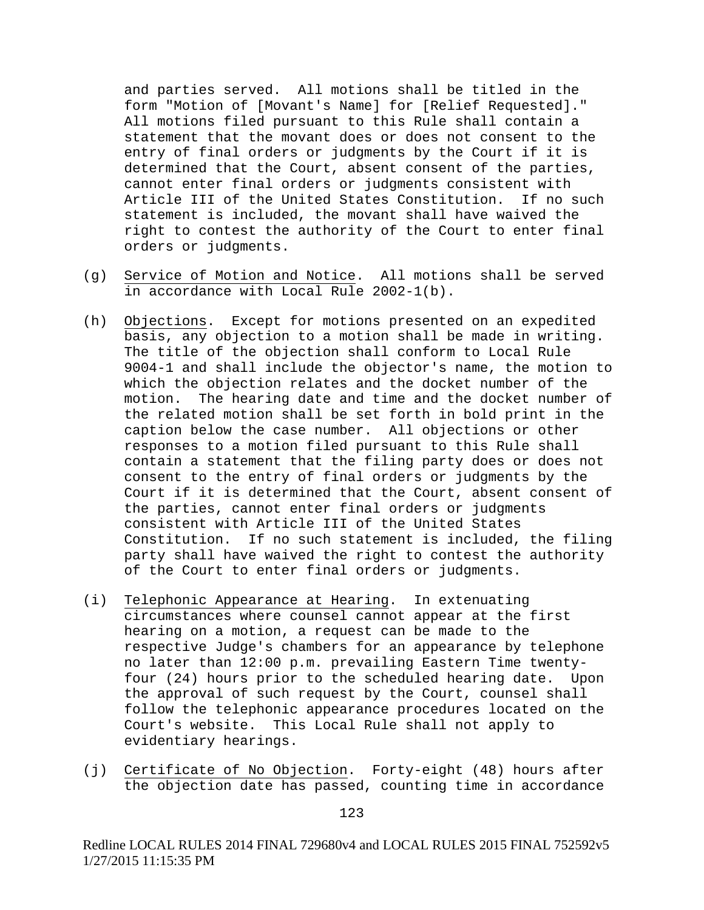and parties served. All motions shall be titled in the form "Motion of [Movant's Name] for [Relief Requested]." All motions filed pursuant to this Rule shall contain a statement that the movant does or does not consent to the entry of final orders or judgments by the Court if it is determined that the Court, absent consent of the parties, cannot enter final orders or judgments consistent with Article III of the United States Constitution. If no such statement is included, the movant shall have waived the right to contest the authority of the Court to enter final orders or judgments.

- (g) Service of Motion and Notice. All motions shall be served in accordance with Local Rule 2002-1(b).
- (h) Objections. Except for motions presented on an expedited basis, any objection to a motion shall be made in writing. The title of the objection shall conform to Local Rule 9004-1 and shall include the objector's name, the motion to which the objection relates and the docket number of the motion. The hearing date and time and the docket number of the related motion shall be set forth in bold print in the caption below the case number. All objections or other responses to a motion filed pursuant to this Rule shall contain a statement that the filing party does or does not consent to the entry of final orders or judgments by the Court if it is determined that the Court, absent consent of the parties, cannot enter final orders or judgments consistent with Article III of the United States Constitution. If no such statement is included, the filing party shall have waived the right to contest the authority of the Court to enter final orders or judgments.
- (i) Telephonic Appearance at Hearing. In extenuating circumstances where counsel cannot appear at the first hearing on a motion, a request can be made to the respective Judge's chambers for an appearance by telephone no later than 12:00 p.m. prevailing Eastern Time twentyfour (24) hours prior to the scheduled hearing date. Upon the approval of such request by the Court, counsel shall follow the telephonic appearance procedures located on the Court's website. This Local Rule shall not apply to evidentiary hearings.
- (j) Certificate of No Objection. Forty-eight (48) hours after the objection date has passed, counting time in accordance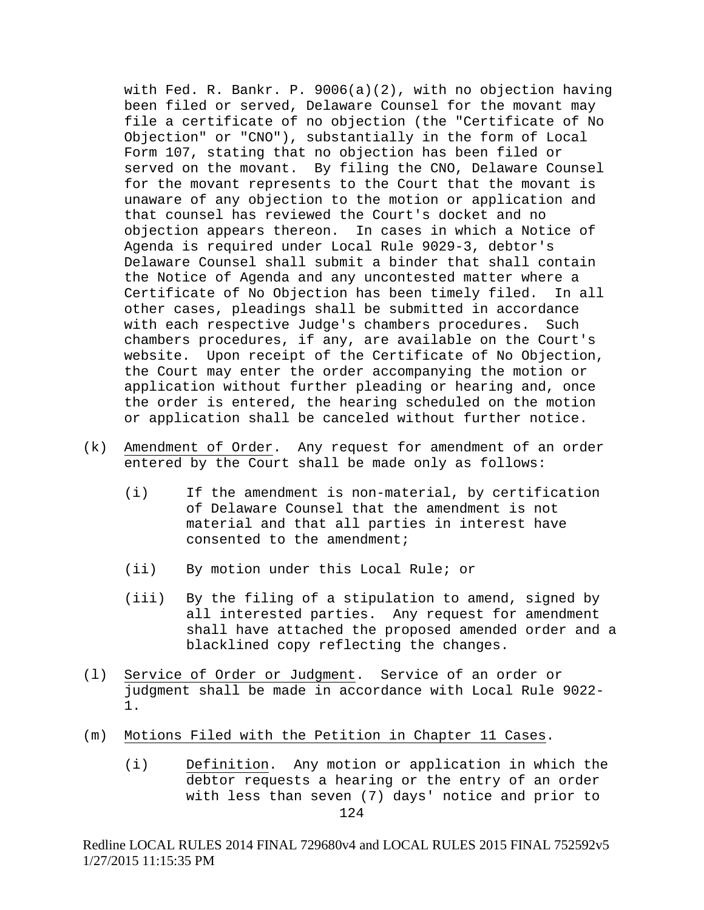with Fed. R. Bankr. P. 9006(a)(2), with no objection having been filed or served, Delaware Counsel for the movant may file a certificate of no objection (the "Certificate of No Objection" or "CNO"), substantially in the form of Local Form 107, stating that no objection has been filed or served on the movant. By filing the CNO, Delaware Counsel for the movant represents to the Court that the movant is unaware of any objection to the motion or application and that counsel has reviewed the Court's docket and no objection appears thereon. In cases in which a Notice of Agenda is required under Local Rule 9029-3, debtor's Delaware Counsel shall submit a binder that shall contain the Notice of Agenda and any uncontested matter where a<br>Certificate of No Objection has been timely filed. In all Certificate of No Objection has been timely filed. other cases, pleadings shall be submitted in accordance with each respective Judge's chambers procedures. Such chambers procedures, if any, are available on the Court's website. Upon receipt of the Certificate of No Objection, the Court may enter the order accompanying the motion or application without further pleading or hearing and, once the order is entered, the hearing scheduled on the motion or application shall be canceled without further notice.

- (k) Amendment of Order. Any request for amendment of an order entered by the Court shall be made only as follows:
	- (i) If the amendment is non-material, by certification of Delaware Counsel that the amendment is not material and that all parties in interest have consented to the amendment;
	- (ii) By motion under this Local Rule; or
	- (iii) By the filing of a stipulation to amend, signed by all interested parties. Any request for amendment shall have attached the proposed amended order and a blacklined copy reflecting the changes.
- (l) Service of Order or Judgment. Service of an order or judgment shall be made in accordance with Local Rule 9022- 1.
- (m) Motions Filed with the Petition in Chapter 11 Cases.
	- (i) Definition. Any motion or application in which the debtor requests a hearing or the entry of an order with less than seven (7) days' notice and prior to

124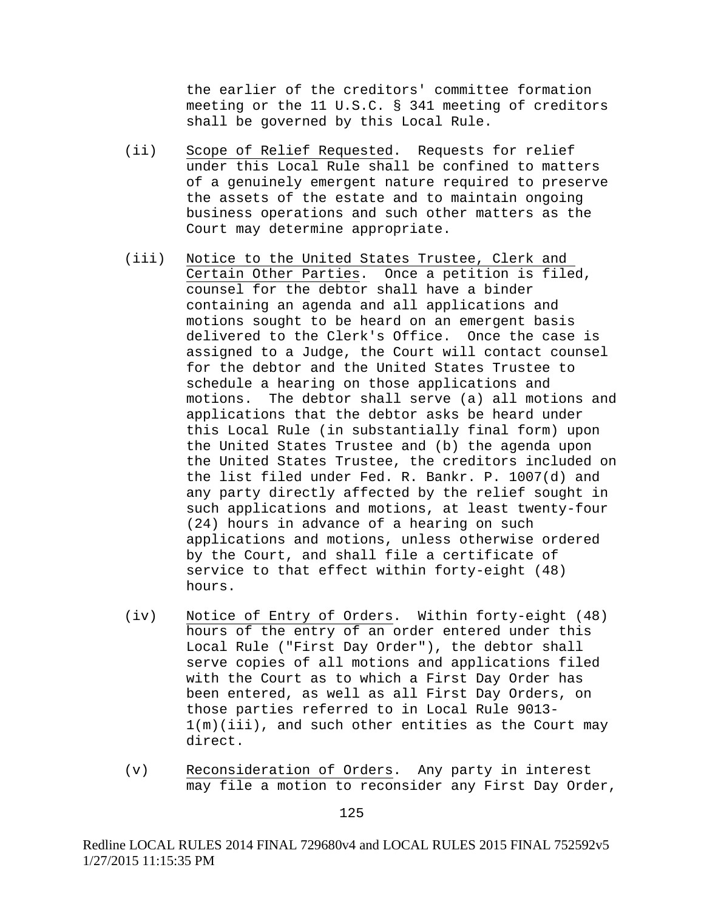the earlier of the creditors' committee formation meeting or the 11 U.S.C. § 341 meeting of creditors shall be governed by this Local Rule.

- (ii) Scope of Relief Requested. Requests for relief under this Local Rule shall be confined to matters of a genuinely emergent nature required to preserve the assets of the estate and to maintain ongoing business operations and such other matters as the Court may determine appropriate.
- (iii) Notice to the United States Trustee, Clerk and Certain Other Parties. Once a petition is filed, counsel for the debtor shall have a binder containing an agenda and all applications and motions sought to be heard on an emergent basis delivered to the Clerk's Office. Once the case is assigned to a Judge, the Court will contact counsel for the debtor and the United States Trustee to schedule a hearing on those applications and motions. The debtor shall serve (a) all motions and applications that the debtor asks be heard under this Local Rule (in substantially final form) upon the United States Trustee and (b) the agenda upon the United States Trustee, the creditors included on the list filed under Fed. R. Bankr. P. 1007(d) and any party directly affected by the relief sought in such applications and motions, at least twenty-four (24) hours in advance of a hearing on such applications and motions, unless otherwise ordered by the Court, and shall file a certificate of service to that effect within forty-eight (48) hours.
- (iv) Notice of Entry of Orders. Within forty-eight (48) hours of the entry of an order entered under this Local Rule ("First Day Order"), the debtor shall serve copies of all motions and applications filed with the Court as to which a First Day Order has been entered, as well as all First Day Orders, on those parties referred to in Local Rule 9013- 1(m)(iii), and such other entities as the Court may direct.
- (v) Reconsideration of Orders. Any party in interest may file a motion to reconsider any First Day Order,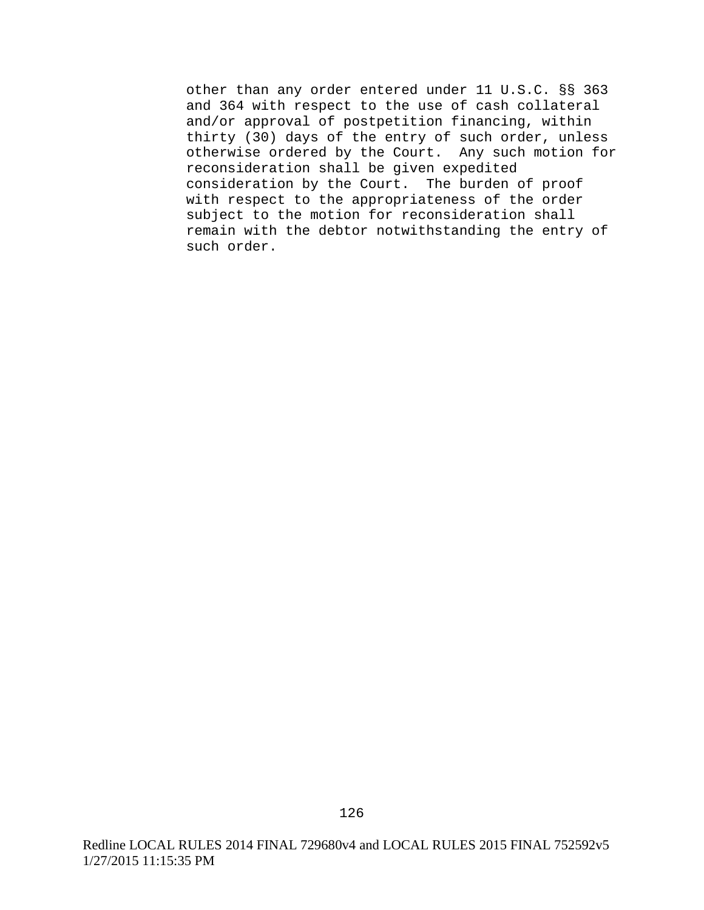other than any order entered under 11 U.S.C. §§ 363 and 364 with respect to the use of cash collateral and/or approval of postpetition financing, within thirty (30) days of the entry of such order, unless otherwise ordered by the Court. Any such motion for reconsideration shall be given expedited consideration by the Court. The burden of proof with respect to the appropriateness of the order subject to the motion for reconsideration shall remain with the debtor notwithstanding the entry of such order.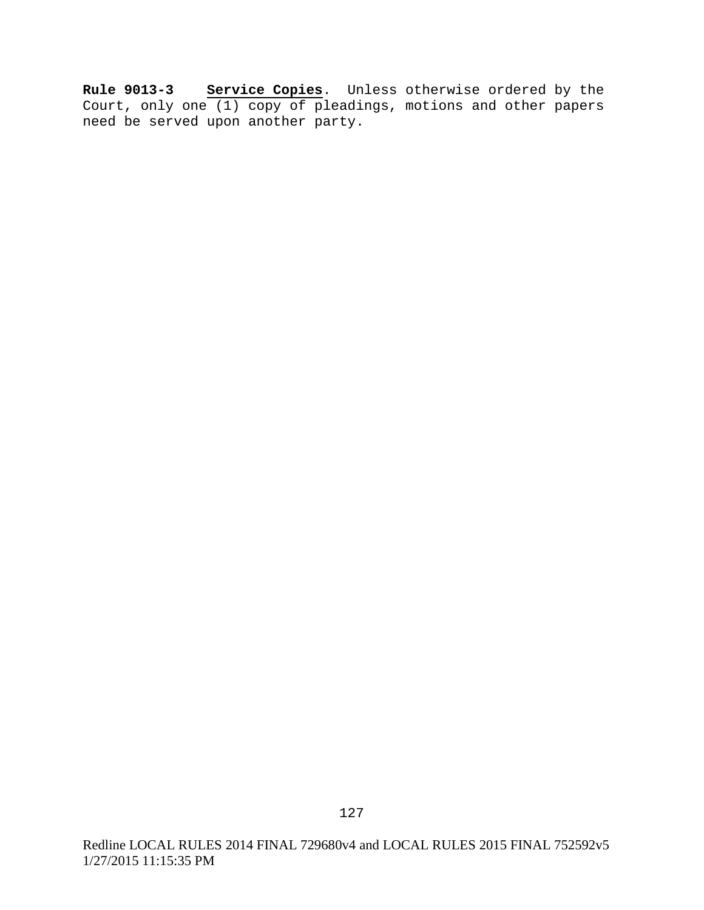**Rule 9013-3 Service Copies**. Unless otherwise ordered by the Court, only one (1) copy of pleadings, motions and other papers need be served upon another party.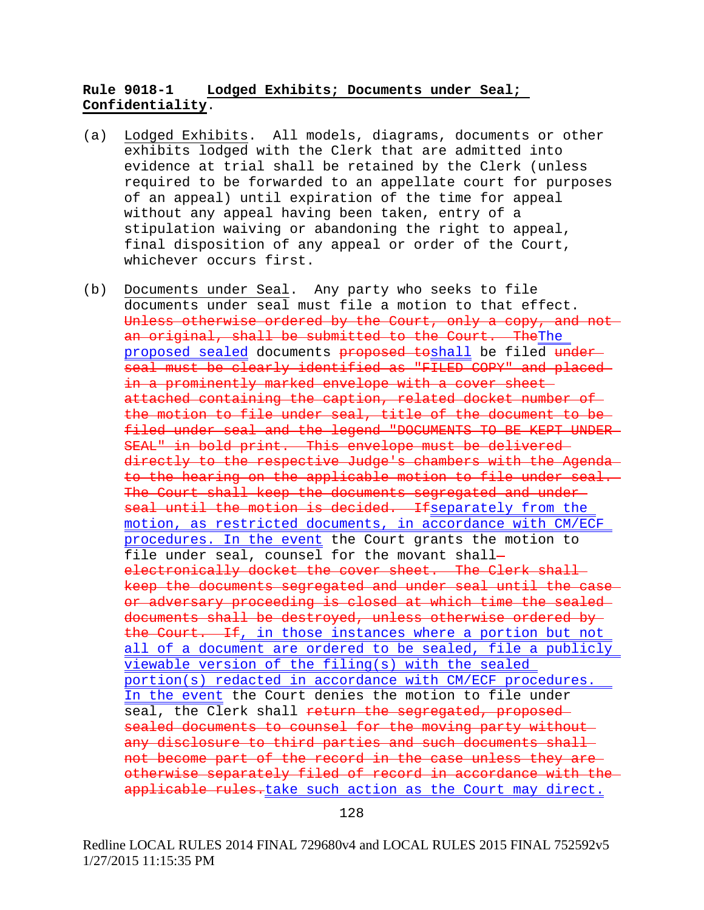# **Rule 9018-1 Lodged Exhibits; Documents under Seal; Confidentiality**.

- (a) Lodged Exhibits. All models, diagrams, documents or other exhibits lodged with the Clerk that are admitted into evidence at trial shall be retained by the Clerk (unless required to be forwarded to an appellate court for purposes of an appeal) until expiration of the time for appeal without any appeal having been taken, entry of a stipulation waiving or abandoning the right to appeal, final disposition of any appeal or order of the Court, whichever occurs first.
- (b) Documents under Seal. Any party who seeks to file documents under seal must file a motion to that effect. Unless otherwise ordered by the Court, only a copy, and not an original, shall be submitted to the Court. TheThe proposed sealed documents proposed toshall be filed under seal must be clearly identified as "FILED COPY" and placed in a prominently marked envelope with a cover sheet attached containing the caption, related docket number of the motion to file under seal, title of the document to be filed under seal and the legend "DOCUMENTS TO BE KEPT UNDER SEAL" in bold print. This envelope must be delivered directly to the respective Judge's chambers with the Agenda to the hearing on the applicable motion to file under seal. The Court shall keep the documents segregated and underseal until the motion is decided. Ifseparately from the motion, as restricted documents, in accordance with CM/ECF procedures. In the event the Court grants the motion to file under seal, counsel for the movant shall electronically docket the cover sheet. The Clerk shallkeep the documents segregated and under seal until the case or adversary proceeding is closed at which time the sealed documents shall be destroyed, unless otherwise ordered by the Court. If, in those instances where a portion but not all of a document are ordered to be sealed, file a publicly viewable version of the filing(s) with the sealed portion(s) redacted in accordance with CM/ECF procedures. In the event the Court denies the motion to file under seal, the Clerk shall return the segregated, proposed sealed documents to counsel for the moving party without any disclosure to third parties and such documents shall not become part of the record in the case unless they are otherwise separately filed of record in accordance with the applicable rules.take such action as the Court may direct.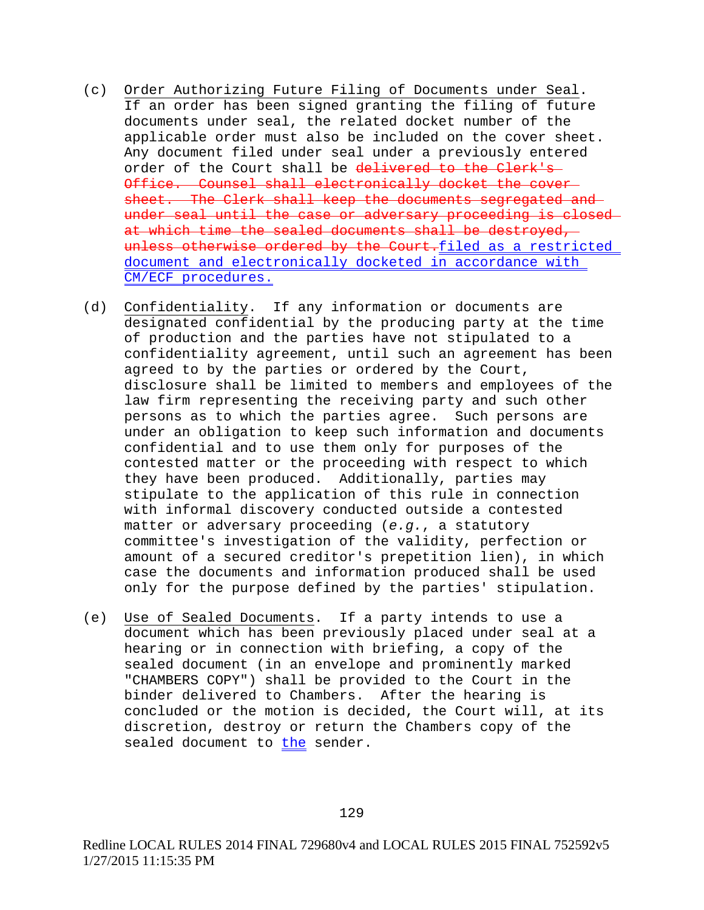- (c) Order Authorizing Future Filing of Documents under Seal. If an order has been signed granting the filing of future documents under seal, the related docket number of the applicable order must also be included on the cover sheet. Any document filed under seal under a previously entered order of the Court shall be delivered to the Clerk's Office. Counsel shall electronically docket the cover sheet. The Clerk shall keep the documents segregated and under seal until the case or adversary proceeding is closed at which time the sealed documents shall be destroyed, unless otherwise ordered by the Court.filed as a restricted document and electronically docketed in accordance with CM/ECF procedures.
- (d) Confidentiality. If any information or documents are designated confidential by the producing party at the time of production and the parties have not stipulated to a confidentiality agreement, until such an agreement has been agreed to by the parties or ordered by the Court, disclosure shall be limited to members and employees of the law firm representing the receiving party and such other persons as to which the parties agree. Such persons are under an obligation to keep such information and documents confidential and to use them only for purposes of the contested matter or the proceeding with respect to which they have been produced. Additionally, parties may stipulate to the application of this rule in connection with informal discovery conducted outside a contested matter or adversary proceeding (*e.g.*, a statutory committee's investigation of the validity, perfection or amount of a secured creditor's prepetition lien), in which case the documents and information produced shall be used only for the purpose defined by the parties' stipulation.
- (e) Use of Sealed Documents. If a party intends to use a document which has been previously placed under seal at a hearing or in connection with briefing, a copy of the sealed document (in an envelope and prominently marked "CHAMBERS COPY") shall be provided to the Court in the binder delivered to Chambers. After the hearing is concluded or the motion is decided, the Court will, at its discretion, destroy or return the Chambers copy of the sealed document to the sender.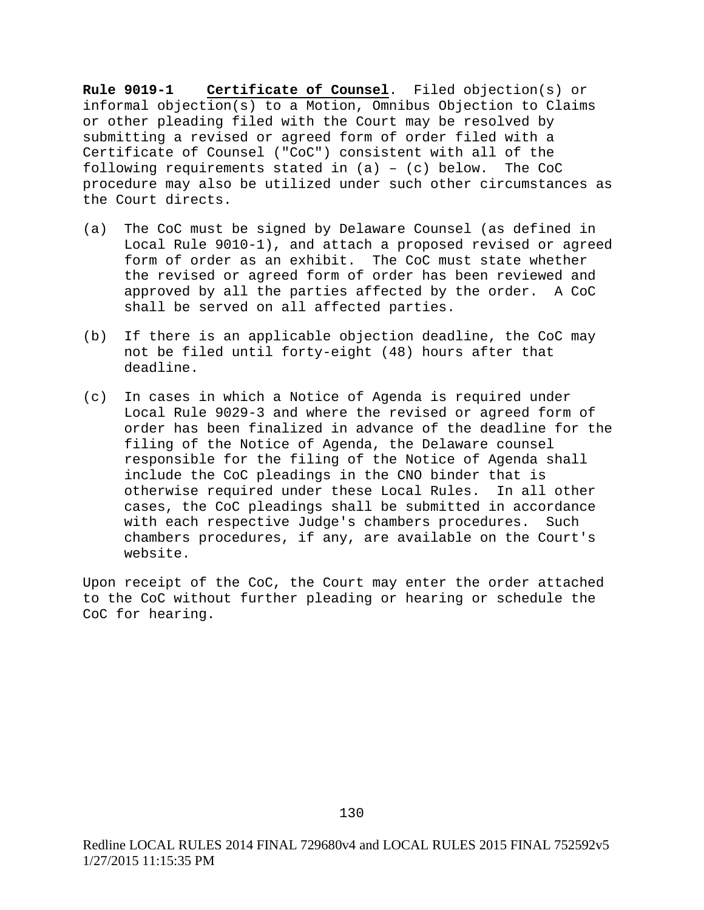**Rule 9019-1 Certificate of Counsel**. Filed objection(s) or informal objection(s) to a Motion, Omnibus Objection to Claims or other pleading filed with the Court may be resolved by submitting a revised or agreed form of order filed with a Certificate of Counsel ("CoC") consistent with all of the<br>following requirements stated in  $(a) - (c)$  below. The CoC following requirements stated in  $(a) - (c)$  below. procedure may also be utilized under such other circumstances as the Court directs.

- (a) The CoC must be signed by Delaware Counsel (as defined in Local Rule 9010-1), and attach a proposed revised or agreed form of order as an exhibit. The CoC must state whether the revised or agreed form of order has been reviewed and approved by all the parties affected by the order. A CoC shall be served on all affected parties.
- (b) If there is an applicable objection deadline, the CoC may not be filed until forty-eight (48) hours after that deadline.
- (c) In cases in which a Notice of Agenda is required under Local Rule 9029-3 and where the revised or agreed form of order has been finalized in advance of the deadline for the filing of the Notice of Agenda, the Delaware counsel responsible for the filing of the Notice of Agenda shall include the CoC pleadings in the CNO binder that is otherwise required under these Local Rules. In all other cases, the CoC pleadings shall be submitted in accordance with each respective Judge's chambers procedures. Such chambers procedures, if any, are available on the Court's website.

Upon receipt of the CoC, the Court may enter the order attached to the CoC without further pleading or hearing or schedule the CoC for hearing.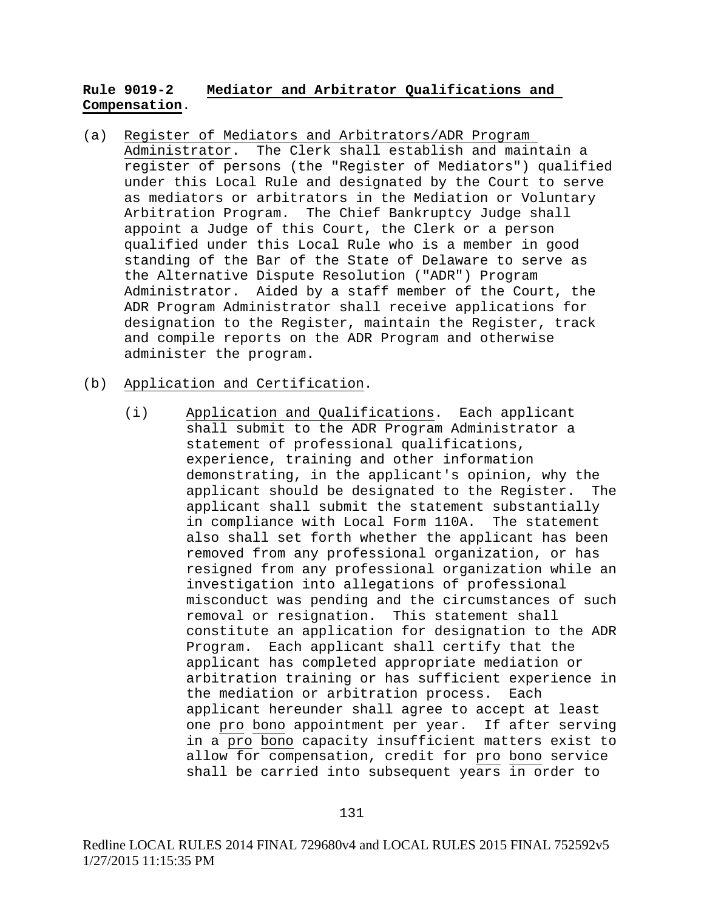# **Rule 9019-2 Mediator and Arbitrator Qualifications and Compensation**.

- (a) Register of Mediators and Arbitrators/ADR Program Administrator. The Clerk shall establish and maintain a register of persons (the "Register of Mediators") qualified under this Local Rule and designated by the Court to serve as mediators or arbitrators in the Mediation or Voluntary Arbitration Program. The Chief Bankruptcy Judge shall appoint a Judge of this Court, the Clerk or a person qualified under this Local Rule who is a member in good standing of the Bar of the State of Delaware to serve as the Alternative Dispute Resolution ("ADR") Program Administrator. Aided by a staff member of the Court, the ADR Program Administrator shall receive applications for designation to the Register, maintain the Register, track and compile reports on the ADR Program and otherwise administer the program.
- (b) Application and Certification.
	- (i) Application and Qualifications. Each applicant shall submit to the ADR Program Administrator a statement of professional qualifications, experience, training and other information demonstrating, in the applicant's opinion, why the applicant should be designated to the Register. The applicant shall submit the statement substantially in compliance with Local Form 110A. The statement also shall set forth whether the applicant has been removed from any professional organization, or has resigned from any professional organization while an investigation into allegations of professional misconduct was pending and the circumstances of such removal or resignation. This statement shall constitute an application for designation to the ADR Program. Each applicant shall certify that the applicant has completed appropriate mediation or arbitration training or has sufficient experience in the mediation or arbitration process. Each applicant hereunder shall agree to accept at least one pro bono appointment per year. If after serving in a pro bono capacity insufficient matters exist to allow for compensation, credit for pro bono service shall be carried into subsequent years in order to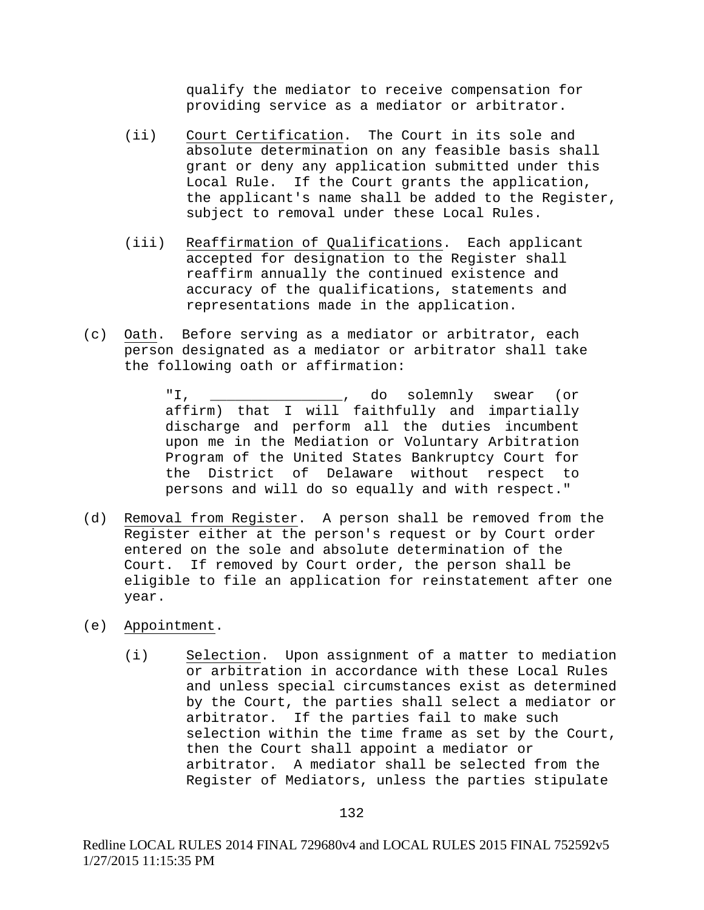qualify the mediator to receive compensation for providing service as a mediator or arbitrator.

- (ii) Court Certification. The Court in its sole and absolute determination on any feasible basis shall grant or deny any application submitted under this Local Rule. If the Court grants the application, the applicant's name shall be added to the Register, subject to removal under these Local Rules.
- (iii) Reaffirmation of Qualifications. Each applicant accepted for designation to the Register shall reaffirm annually the continued existence and accuracy of the qualifications, statements and representations made in the application.
- (c) Oath. Before serving as a mediator or arbitrator, each person designated as a mediator or arbitrator shall take the following oath or affirmation:

"I, \_\_\_\_\_\_\_\_\_\_\_\_\_\_\_\_\_, do solemnly swear (or affirm) that I will faithfully and impartially discharge and perform all the duties incumbent upon me in the Mediation or Voluntary Arbitration Program of the United States Bankruptcy Court for the District of Delaware without respect to persons and will do so equally and with respect."

- (d) Removal from Register. A person shall be removed from the Register either at the person's request or by Court order entered on the sole and absolute determination of the Court. If removed by Court order, the person shall be eligible to file an application for reinstatement after one year.
- (e) Appointment.
	- (i) Selection. Upon assignment of a matter to mediation or arbitration in accordance with these Local Rules and unless special circumstances exist as determined by the Court, the parties shall select a mediator or arbitrator. If the parties fail to make such selection within the time frame as set by the Court, then the Court shall appoint a mediator or arbitrator. A mediator shall be selected from the Register of Mediators, unless the parties stipulate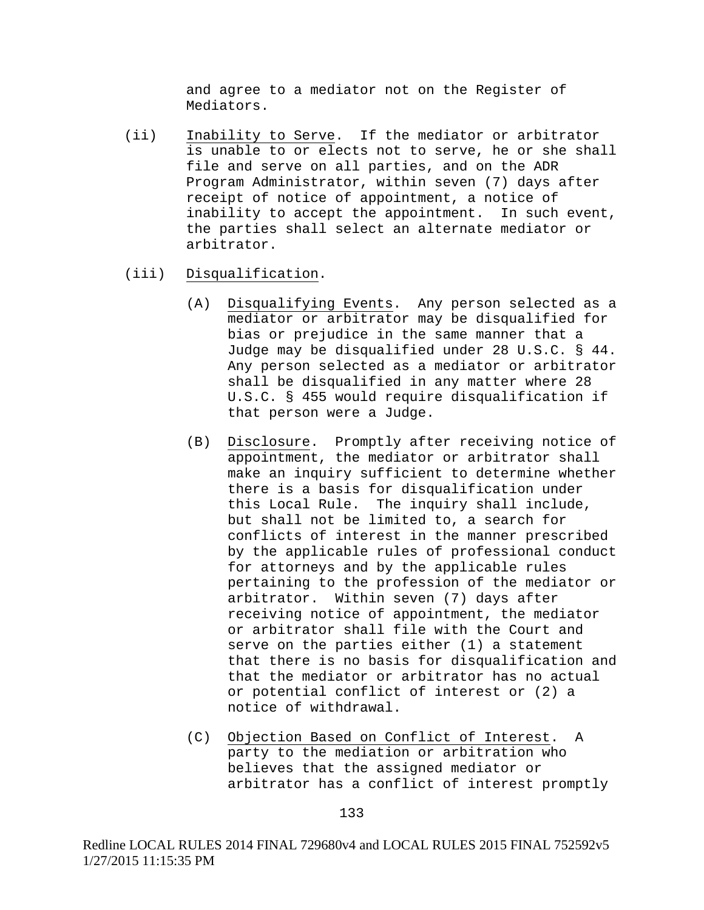and agree to a mediator not on the Register of Mediators.

- (ii) Inability to Serve. If the mediator or arbitrator is unable to or elects not to serve, he or she shall file and serve on all parties, and on the ADR Program Administrator, within seven (7) days after receipt of notice of appointment, a notice of inability to accept the appointment. In such event, the parties shall select an alternate mediator or arbitrator.
- (iii) Disqualification.
	- (A) Disqualifying Events. Any person selected as a mediator or arbitrator may be disqualified for bias or prejudice in the same manner that a Judge may be disqualified under 28 U.S.C. § 44. Any person selected as a mediator or arbitrator shall be disqualified in any matter where 28 U.S.C. § 455 would require disqualification if that person were a Judge.
	- (B) Disclosure. Promptly after receiving notice of appointment, the mediator or arbitrator shall make an inquiry sufficient to determine whether there is a basis for disqualification under this Local Rule. The inquiry shall include, but shall not be limited to, a search for conflicts of interest in the manner prescribed by the applicable rules of professional conduct for attorneys and by the applicable rules pertaining to the profession of the mediator or arbitrator. Within seven (7) days after receiving notice of appointment, the mediator or arbitrator shall file with the Court and serve on the parties either (1) a statement that there is no basis for disqualification and that the mediator or arbitrator has no actual or potential conflict of interest or (2) a notice of withdrawal.
	- (C) Objection Based on Conflict of Interest. A party to the mediation or arbitration who believes that the assigned mediator or arbitrator has a conflict of interest promptly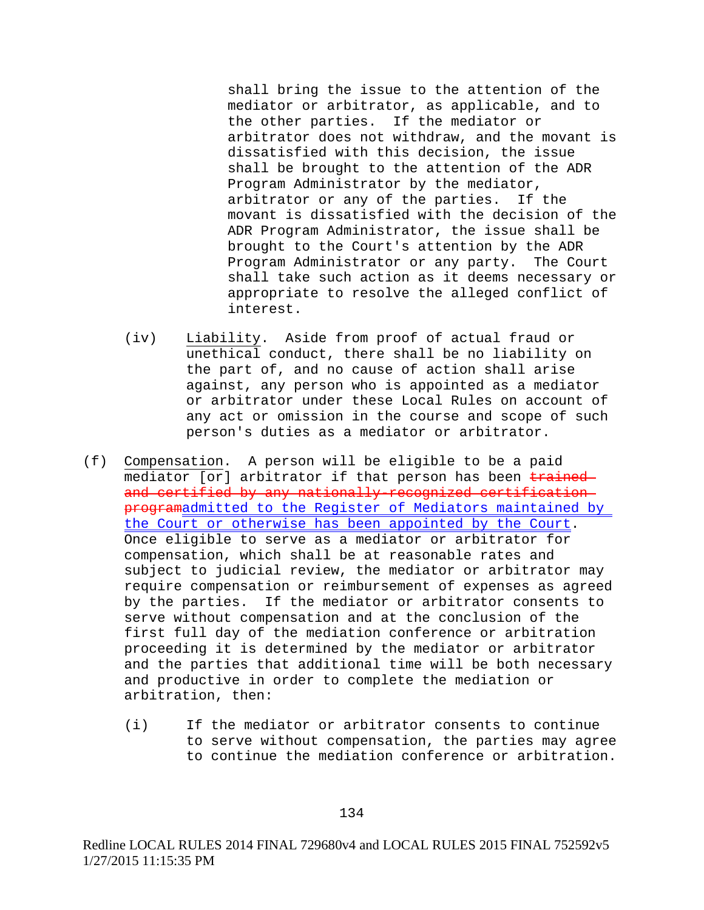shall bring the issue to the attention of the mediator or arbitrator, as applicable, and to the other parties. If the mediator or arbitrator does not withdraw, and the movant is dissatisfied with this decision, the issue shall be brought to the attention of the ADR Program Administrator by the mediator, arbitrator or any of the parties. If the movant is dissatisfied with the decision of the ADR Program Administrator, the issue shall be brought to the Court's attention by the ADR Program Administrator or any party. The Court shall take such action as it deems necessary or appropriate to resolve the alleged conflict of interest.

- (iv) Liability. Aside from proof of actual fraud or unethical conduct, there shall be no liability on the part of, and no cause of action shall arise against, any person who is appointed as a mediator or arbitrator under these Local Rules on account of any act or omission in the course and scope of such person's duties as a mediator or arbitrator.
- (f) Compensation. A person will be eligible to be a paid mediator [or] arbitrator if that person has been trained and certified by any nationally-recognized certification programadmitted to the Register of Mediators maintained by the Court or otherwise has been appointed by the Court. Once eligible to serve as a mediator or arbitrator for compensation, which shall be at reasonable rates and subject to judicial review, the mediator or arbitrator may require compensation or reimbursement of expenses as agreed by the parties. If the mediator or arbitrator consents to serve without compensation and at the conclusion of the first full day of the mediation conference or arbitration proceeding it is determined by the mediator or arbitrator and the parties that additional time will be both necessary and productive in order to complete the mediation or arbitration, then:
	- (i) If the mediator or arbitrator consents to continue to serve without compensation, the parties may agree to continue the mediation conference or arbitration.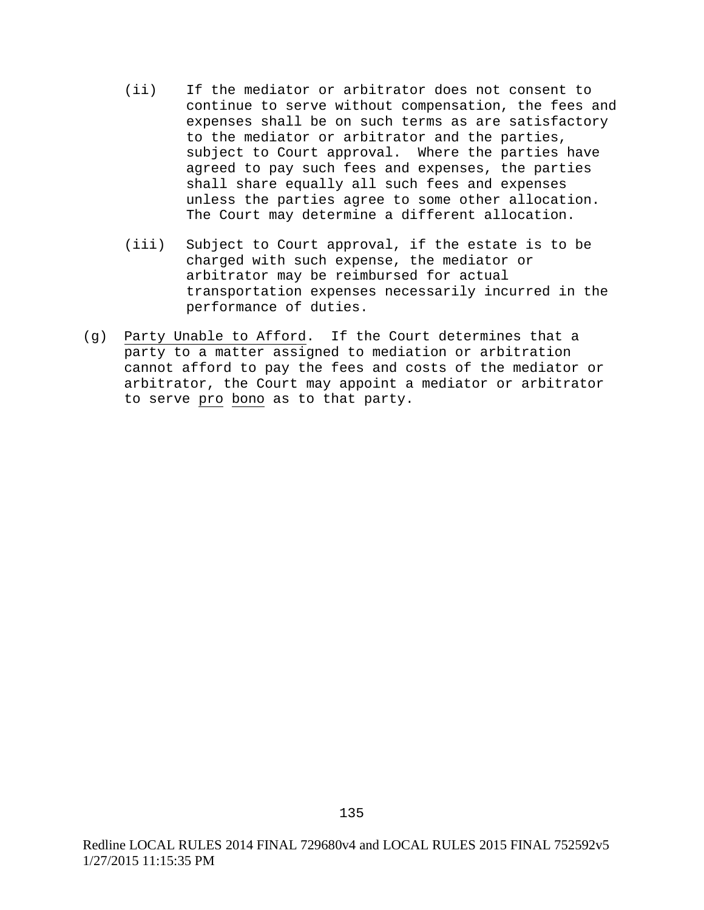- (ii) If the mediator or arbitrator does not consent to continue to serve without compensation, the fees and expenses shall be on such terms as are satisfactory to the mediator or arbitrator and the parties, subject to Court approval. Where the parties have agreed to pay such fees and expenses, the parties shall share equally all such fees and expenses unless the parties agree to some other allocation. The Court may determine a different allocation.
- (iii) Subject to Court approval, if the estate is to be charged with such expense, the mediator or arbitrator may be reimbursed for actual transportation expenses necessarily incurred in the performance of duties.
- (g) Party Unable to Afford. If the Court determines that a party to a matter assigned to mediation or arbitration cannot afford to pay the fees and costs of the mediator or arbitrator, the Court may appoint a mediator or arbitrator to serve pro bono as to that party.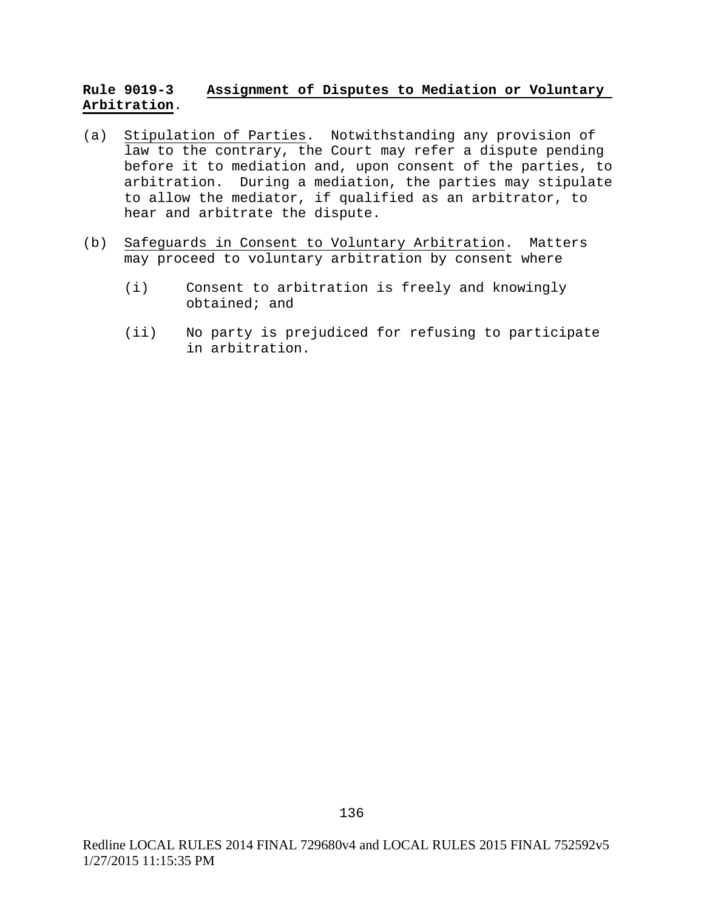# **Rule 9019-3 Assignment of Disputes to Mediation or Voluntary Arbitration**.

- (a) Stipulation of Parties. Notwithstanding any provision of law to the contrary, the Court may refer a dispute pending before it to mediation and, upon consent of the parties, to arbitration. During a mediation, the parties may stipulate to allow the mediator, if qualified as an arbitrator, to hear and arbitrate the dispute.
- (b) Safeguards in Consent to Voluntary Arbitration. Matters may proceed to voluntary arbitration by consent where
	- (i) Consent to arbitration is freely and knowingly obtained; and
	- (ii) No party is prejudiced for refusing to participate in arbitration.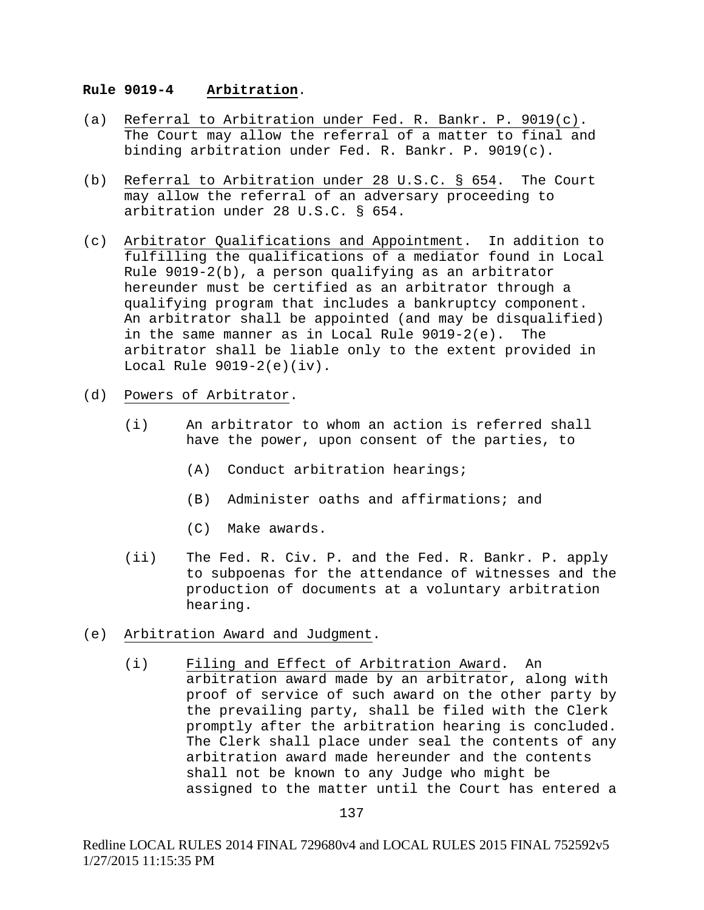### **Rule 9019-4 Arbitration**.

- (a) Referral to Arbitration under Fed. R. Bankr. P. 9019(c). The Court may allow the referral of a matter to final and binding arbitration under Fed. R. Bankr. P. 9019(c).
- (b) Referral to Arbitration under 28 U.S.C. § 654. The Court may allow the referral of an adversary proceeding to arbitration under 28 U.S.C. § 654.
- (c) Arbitrator Qualifications and Appointment. In addition to fulfilling the qualifications of a mediator found in Local Rule  $9019-2(b)$ , a person qualifying as an arbitrator hereunder must be certified as an arbitrator through a qualifying program that includes a bankruptcy component. An arbitrator shall be appointed (and may be disqualified)<br>in the same manner as in Local Rule 9019-2(e). The in the same manner as in Local Rule  $9019-2(e)$ . arbitrator shall be liable only to the extent provided in Local Rule  $9019-2(e)(iv)$ .
- (d) Powers of Arbitrator.
	- (i) An arbitrator to whom an action is referred shall have the power, upon consent of the parties, to
		- (A) Conduct arbitration hearings;
		- (B) Administer oaths and affirmations; and
		- (C) Make awards.
	- (ii) The Fed. R. Civ. P. and the Fed. R. Bankr. P. apply to subpoenas for the attendance of witnesses and the production of documents at a voluntary arbitration hearing.
- (e) Arbitration Award and Judgment.
	- (i) Filing and Effect of Arbitration Award. An arbitration award made by an arbitrator, along with proof of service of such award on the other party by the prevailing party, shall be filed with the Clerk promptly after the arbitration hearing is concluded. The Clerk shall place under seal the contents of any arbitration award made hereunder and the contents shall not be known to any Judge who might be assigned to the matter until the Court has entered a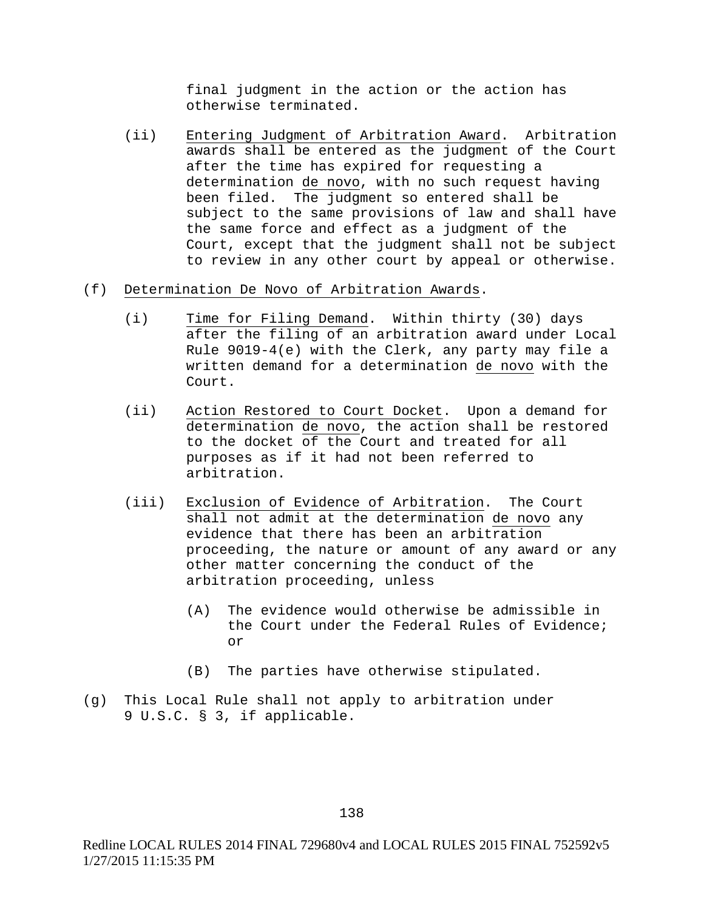final judgment in the action or the action has otherwise terminated.

(ii) Entering Judgment of Arbitration Award. Arbitration awards shall be entered as the judgment of the Court after the time has expired for requesting a determination de novo, with no such request having been filed. The judgment so entered shall be subject to the same provisions of law and shall have the same force and effect as a judgment of the Court, except that the judgment shall not be subject to review in any other court by appeal or otherwise.

## (f) Determination De Novo of Arbitration Awards.

- (i) Time for Filing Demand. Within thirty (30) days after the filing of an arbitration award under Local Rule 9019-4(e) with the Clerk, any party may file a written demand for a determination de novo with the Court.
- (ii) Action Restored to Court Docket. Upon a demand for determination de novo, the action shall be restored to the docket of the Court and treated for all purposes as if it had not been referred to arbitration.
- (iii) Exclusion of Evidence of Arbitration. The Court shall not admit at the determination de novo any evidence that there has been an arbitration proceeding, the nature or amount of any award or any other matter concerning the conduct of the arbitration proceeding, unless
	- (A) The evidence would otherwise be admissible in the Court under the Federal Rules of Evidence; or
	- (B) The parties have otherwise stipulated.
- (g) This Local Rule shall not apply to arbitration under 9 U.S.C. § 3, if applicable.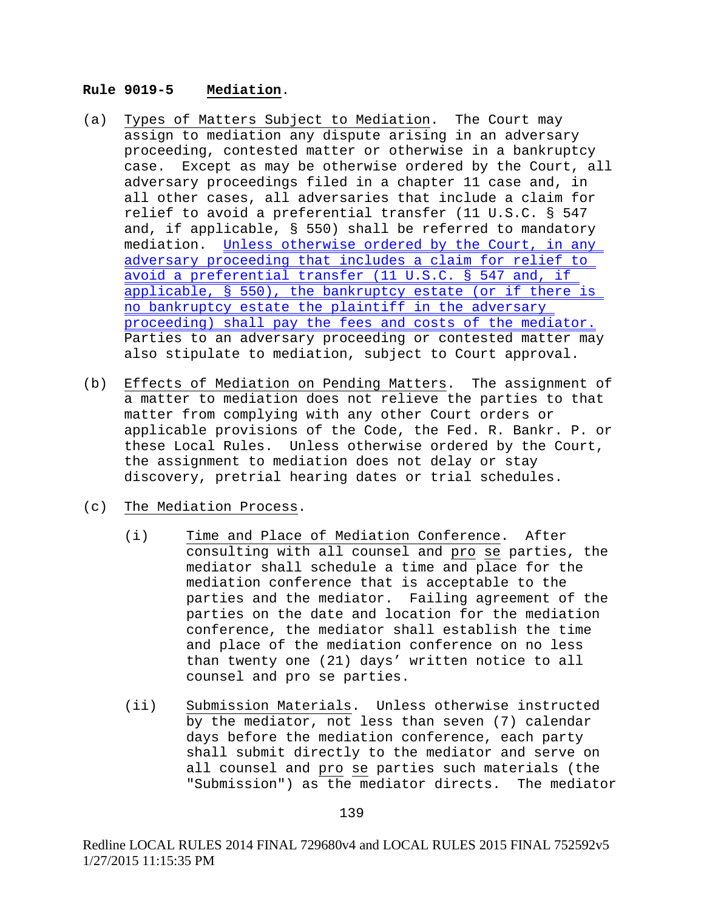### **Rule 9019-5 Mediation**.

- (a) Types of Matters Subject to Mediation. The Court may assign to mediation any dispute arising in an adversary proceeding, contested matter or otherwise in a bankruptcy case. Except as may be otherwise ordered by the Court, all adversary proceedings filed in a chapter 11 case and, in all other cases, all adversaries that include a claim for relief to avoid a preferential transfer (11 U.S.C. § 547 and, if applicable, § 550) shall be referred to mandatory mediation. Unless otherwise ordered by the Court, in any adversary proceeding that includes a claim for relief to avoid a preferential transfer (11 U.S.C. § 547 and, if applicable, § 550), the bankruptcy estate (or if there is no bankruptcy estate the plaintiff in the adversary proceeding) shall pay the fees and costs of the mediator. Parties to an adversary proceeding or contested matter may also stipulate to mediation, subject to Court approval.
- (b) Effects of Mediation on Pending Matters. The assignment of a matter to mediation does not relieve the parties to that matter from complying with any other Court orders or applicable provisions of the Code, the Fed. R. Bankr. P. or these Local Rules. Unless otherwise ordered by the Court, the assignment to mediation does not delay or stay discovery, pretrial hearing dates or trial schedules.
- (c) The Mediation Process.
	- (i) Time and Place of Mediation Conference. After consulting with all counsel and pro se parties, the mediator shall schedule a time and place for the mediation conference that is acceptable to the parties and the mediator. Failing agreement of the parties on the date and location for the mediation conference, the mediator shall establish the time and place of the mediation conference on no less than twenty one (21) days' written notice to all counsel and pro se parties.
	- (ii) Submission Materials. Unless otherwise instructed by the mediator, not less than seven (7) calendar days before the mediation conference, each party shall submit directly to the mediator and serve on all counsel and pro se parties such materials (the "Submission") as the mediator directs. The mediator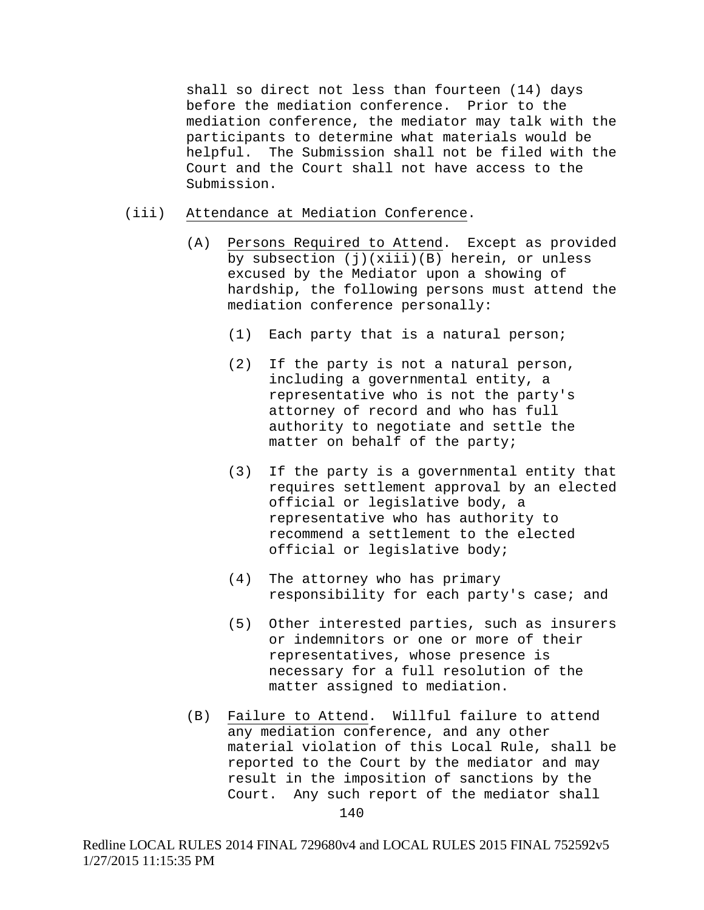shall so direct not less than fourteen (14) days before the mediation conference. Prior to the mediation conference, the mediator may talk with the participants to determine what materials would be helpful. The Submission shall not be filed with the Court and the Court shall not have access to the Submission.

### (iii) Attendance at Mediation Conference.

- (A) Persons Required to Attend. Except as provided by subsection (j)(xiii)(B) herein, or unless excused by the Mediator upon a showing of hardship, the following persons must attend the mediation conference personally:
	- (1) Each party that is a natural person;
	- (2) If the party is not a natural person, including a governmental entity, a representative who is not the party's attorney of record and who has full authority to negotiate and settle the matter on behalf of the party;
	- (3) If the party is a governmental entity that requires settlement approval by an elected official or legislative body, a representative who has authority to recommend a settlement to the elected official or legislative body;
	- (4) The attorney who has primary responsibility for each party's case; and
	- (5) Other interested parties, such as insurers or indemnitors or one or more of their representatives, whose presence is necessary for a full resolution of the matter assigned to mediation.
- (B) Failure to Attend. Willful failure to attend any mediation conference, and any other material violation of this Local Rule, shall be reported to the Court by the mediator and may result in the imposition of sanctions by the Court. Any such report of the mediator shall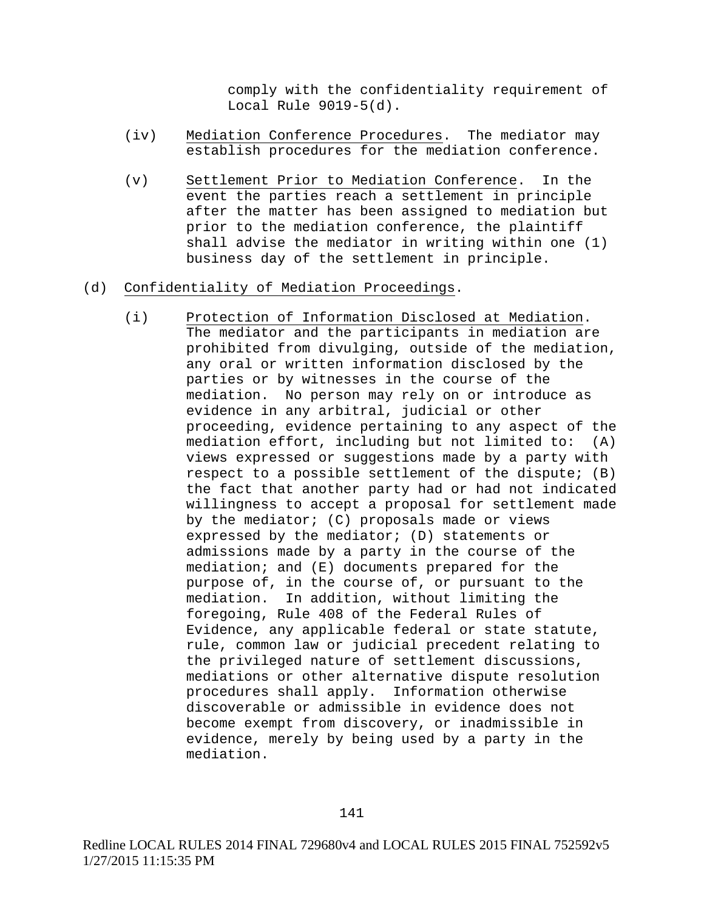comply with the confidentiality requirement of Local Rule 9019-5(d).

- (iv) Mediation Conference Procedures. The mediator may establish procedures for the mediation conference.
- (v) Settlement Prior to Mediation Conference. In the event the parties reach a settlement in principle after the matter has been assigned to mediation but prior to the mediation conference, the plaintiff shall advise the mediator in writing within one (1) business day of the settlement in principle.

# (d) Confidentiality of Mediation Proceedings.

(i) Protection of Information Disclosed at Mediation. The mediator and the participants in mediation are prohibited from divulging, outside of the mediation, any oral or written information disclosed by the parties or by witnesses in the course of the mediation. No person may rely on or introduce as evidence in any arbitral, judicial or other proceeding, evidence pertaining to any aspect of the mediation effort, including but not limited to: (A) views expressed or suggestions made by a party with respect to a possible settlement of the dispute; (B) the fact that another party had or had not indicated willingness to accept a proposal for settlement made by the mediator; (C) proposals made or views expressed by the mediator; (D) statements or admissions made by a party in the course of the mediation; and (E) documents prepared for the purpose of, in the course of, or pursuant to the mediation. In addition, without limiting the foregoing, Rule 408 of the Federal Rules of Evidence, any applicable federal or state statute, rule, common law or judicial precedent relating to the privileged nature of settlement discussions, mediations or other alternative dispute resolution procedures shall apply. Information otherwise discoverable or admissible in evidence does not become exempt from discovery, or inadmissible in evidence, merely by being used by a party in the mediation.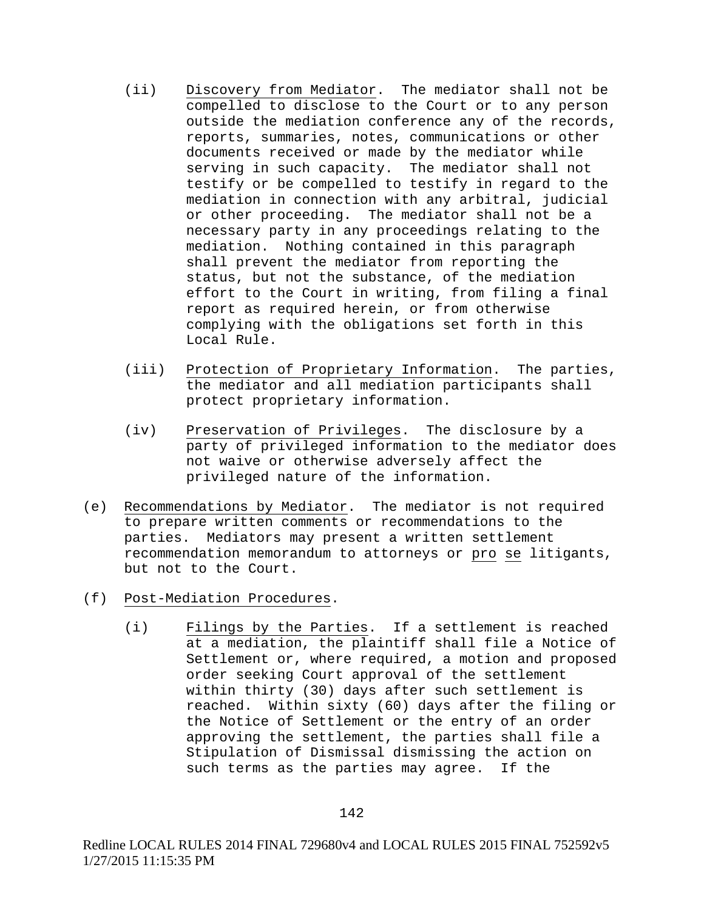- (ii) Discovery from Mediator. The mediator shall not be compelled to disclose to the Court or to any person outside the mediation conference any of the records, reports, summaries, notes, communications or other documents received or made by the mediator while serving in such capacity. The mediator shall not testify or be compelled to testify in regard to the mediation in connection with any arbitral, judicial or other proceeding. The mediator shall not be a necessary party in any proceedings relating to the mediation. Nothing contained in this paragraph shall prevent the mediator from reporting the status, but not the substance, of the mediation effort to the Court in writing, from filing a final report as required herein, or from otherwise complying with the obligations set forth in this Local Rule.
- (iii) Protection of Proprietary Information. The parties, the mediator and all mediation participants shall protect proprietary information.
- (iv) Preservation of Privileges. The disclosure by a party of privileged information to the mediator does not waive or otherwise adversely affect the privileged nature of the information.
- (e) Recommendations by Mediator. The mediator is not required to prepare written comments or recommendations to the parties. Mediators may present a written settlement recommendation memorandum to attorneys or pro se litigants, but not to the Court.
- (f) Post-Mediation Procedures.
	- (i) Filings by the Parties. If a settlement is reached at a mediation, the plaintiff shall file a Notice of Settlement or, where required, a motion and proposed order seeking Court approval of the settlement within thirty (30) days after such settlement is reached. Within sixty (60) days after the filing or the Notice of Settlement or the entry of an order approving the settlement, the parties shall file a Stipulation of Dismissal dismissing the action on such terms as the parties may agree. If the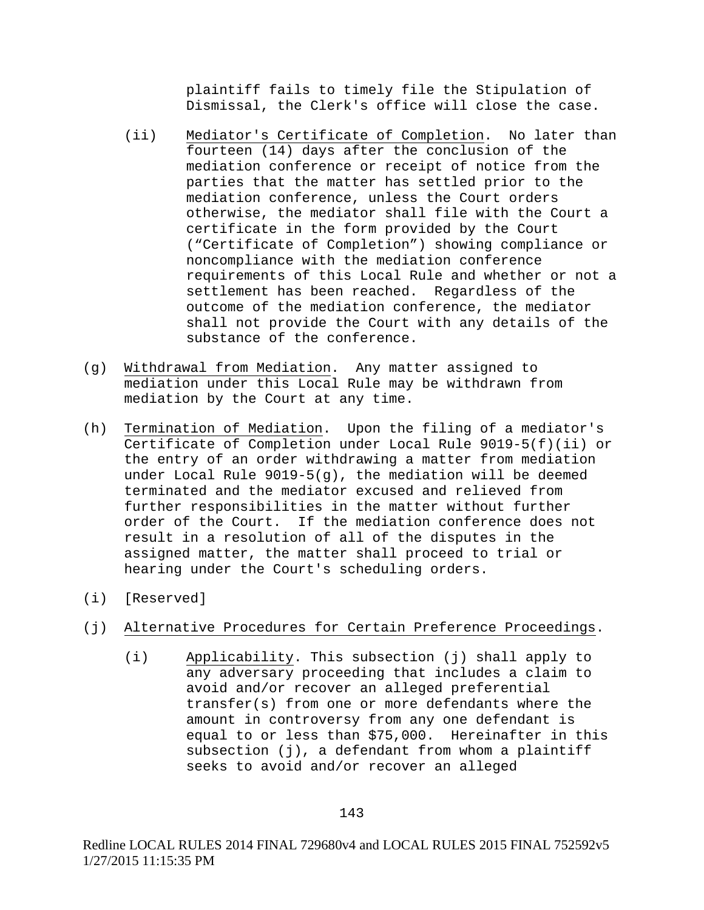plaintiff fails to timely file the Stipulation of Dismissal, the Clerk's office will close the case.

- (ii) Mediator's Certificate of Completion. No later than fourteen (14) days after the conclusion of the mediation conference or receipt of notice from the parties that the matter has settled prior to the mediation conference, unless the Court orders otherwise, the mediator shall file with the Court a certificate in the form provided by the Court ("Certificate of Completion") showing compliance or noncompliance with the mediation conference requirements of this Local Rule and whether or not a settlement has been reached. Regardless of the outcome of the mediation conference, the mediator shall not provide the Court with any details of the substance of the conference.
- (g) Withdrawal from Mediation. Any matter assigned to mediation under this Local Rule may be withdrawn from mediation by the Court at any time.
- (h) Termination of Mediation. Upon the filing of a mediator's Certificate of Completion under Local Rule 9019-5(f)(ii) or the entry of an order withdrawing a matter from mediation under Local Rule 9019-5(g), the mediation will be deemed terminated and the mediator excused and relieved from further responsibilities in the matter without further order of the Court. If the mediation conference does not result in a resolution of all of the disputes in the assigned matter, the matter shall proceed to trial or hearing under the Court's scheduling orders.
- (i) [Reserved]
- (j) Alternative Procedures for Certain Preference Proceedings.
	- (i) Applicability. This subsection (j) shall apply to any adversary proceeding that includes a claim to avoid and/or recover an alleged preferential transfer(s) from one or more defendants where the amount in controversy from any one defendant is equal to or less than \$75,000. Hereinafter in this subsection (j), a defendant from whom a plaintiff seeks to avoid and/or recover an alleged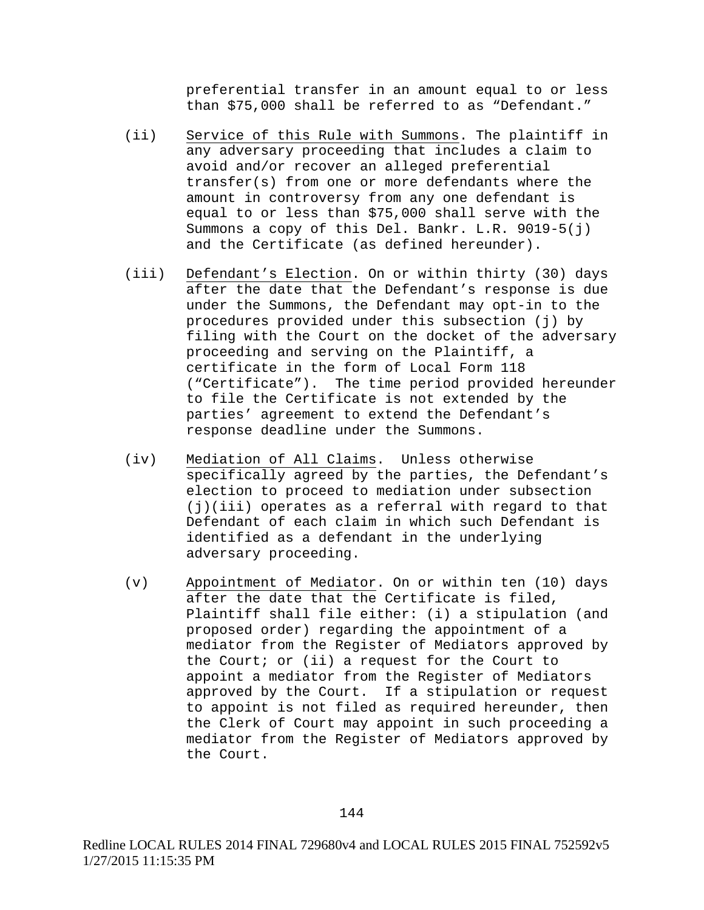preferential transfer in an amount equal to or less than \$75,000 shall be referred to as "Defendant."

- (ii) Service of this Rule with Summons. The plaintiff in any adversary proceeding that includes a claim to avoid and/or recover an alleged preferential transfer(s) from one or more defendants where the amount in controversy from any one defendant is equal to or less than \$75,000 shall serve with the Summons a copy of this Del. Bankr. L.R. 9019-5(j) and the Certificate (as defined hereunder).
- (iii) Defendant's Election. On or within thirty (30) days after the date that the Defendant's response is due under the Summons, the Defendant may opt-in to the procedures provided under this subsection (j) by filing with the Court on the docket of the adversary proceeding and serving on the Plaintiff, a certificate in the form of Local Form 118 ("Certificate"). The time period provided hereunder to file the Certificate is not extended by the parties' agreement to extend the Defendant's response deadline under the Summons.
- (iv) Mediation of All Claims. Unless otherwise specifically agreed by the parties, the Defendant's election to proceed to mediation under subsection (j)(iii) operates as a referral with regard to that Defendant of each claim in which such Defendant is identified as a defendant in the underlying adversary proceeding.
- (v) Appointment of Mediator. On or within ten (10) days after the date that the Certificate is filed, Plaintiff shall file either: (i) a stipulation (and proposed order) regarding the appointment of a mediator from the Register of Mediators approved by the Court; or (ii) a request for the Court to appoint a mediator from the Register of Mediators approved by the Court. If a stipulation or request to appoint is not filed as required hereunder, then the Clerk of Court may appoint in such proceeding a mediator from the Register of Mediators approved by the Court.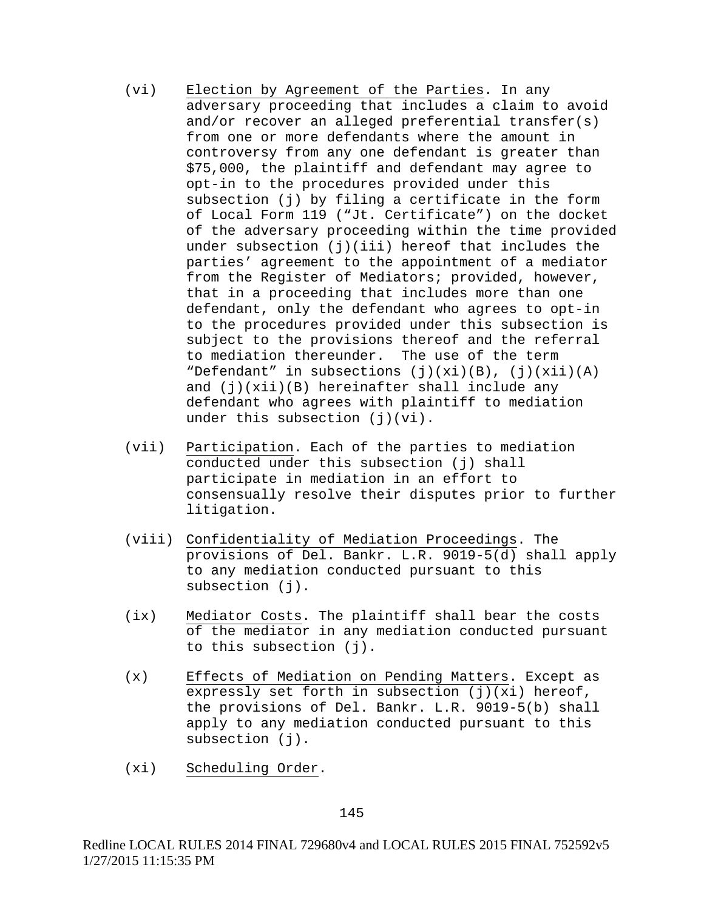- (vi) Election by Agreement of the Parties. In any adversary proceeding that includes a claim to avoid and/or recover an alleged preferential transfer(s) from one or more defendants where the amount in controversy from any one defendant is greater than \$75,000, the plaintiff and defendant may agree to opt-in to the procedures provided under this subsection (j) by filing a certificate in the form of Local Form 119 ("Jt. Certificate") on the docket of the adversary proceeding within the time provided under subsection (j)(iii) hereof that includes the parties' agreement to the appointment of a mediator from the Register of Mediators; provided, however, that in a proceeding that includes more than one defendant, only the defendant who agrees to opt-in to the procedures provided under this subsection is subject to the provisions thereof and the referral to mediation thereunder. The use of the term "Defendant" in subsections  $(j)(xi)(B)$ ,  $(j)(xii)(A)$ and  $(j)(xii)(B)$  hereinafter shall include any defendant who agrees with plaintiff to mediation under this subsection  $(i)(vi)$ .
- (vii) Participation. Each of the parties to mediation conducted under this subsection (j) shall participate in mediation in an effort to consensually resolve their disputes prior to further litigation.
- (viii) Confidentiality of Mediation Proceedings. The provisions of Del. Bankr. L.R. 9019-5(d) shall apply to any mediation conducted pursuant to this subsection (j).
- (ix) Mediator Costs. The plaintiff shall bear the costs of the mediator in any mediation conducted pursuant to this subsection (j).
- (x) Effects of Mediation on Pending Matters. Except as expressly set forth in subsection  $(j)(xi)$  hereof, the provisions of Del. Bankr. L.R. 9019-5(b) shall apply to any mediation conducted pursuant to this subsection (j).
- (xi) Scheduling Order.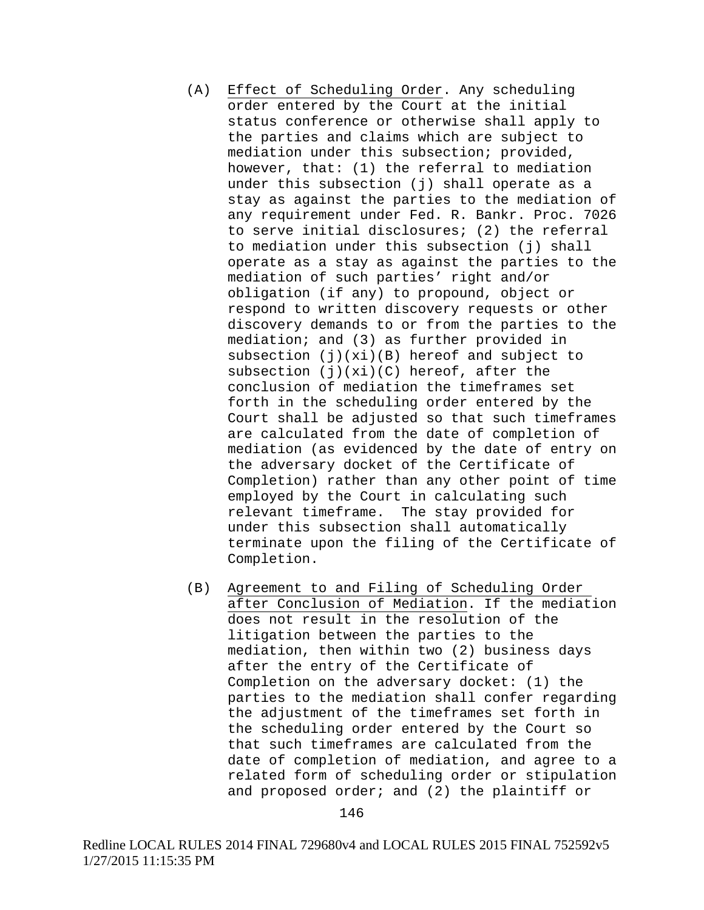- (A) Effect of Scheduling Order. Any scheduling order entered by the Court at the initial status conference or otherwise shall apply to the parties and claims which are subject to mediation under this subsection; provided, however, that: (1) the referral to mediation under this subsection (j) shall operate as a stay as against the parties to the mediation of any requirement under Fed. R. Bankr. Proc. 7026 to serve initial disclosures; (2) the referral to mediation under this subsection (j) shall operate as a stay as against the parties to the mediation of such parties' right and/or obligation (if any) to propound, object or respond to written discovery requests or other discovery demands to or from the parties to the mediation; and (3) as further provided in subsection (j)(xi)(B) hereof and subject to subsection  $(j)(xi)(C)$  hereof, after the conclusion of mediation the timeframes set forth in the scheduling order entered by the Court shall be adjusted so that such timeframes are calculated from the date of completion of mediation (as evidenced by the date of entry on the adversary docket of the Certificate of Completion) rather than any other point of time employed by the Court in calculating such relevant timeframe. The stay provided for under this subsection shall automatically terminate upon the filing of the Certificate of Completion.
- (B) Agreement to and Filing of Scheduling Order after Conclusion of Mediation. If the mediation does not result in the resolution of the litigation between the parties to the mediation, then within two (2) business days after the entry of the Certificate of Completion on the adversary docket: (1) the parties to the mediation shall confer regarding the adjustment of the timeframes set forth in the scheduling order entered by the Court so that such timeframes are calculated from the date of completion of mediation, and agree to a related form of scheduling order or stipulation and proposed order; and (2) the plaintiff or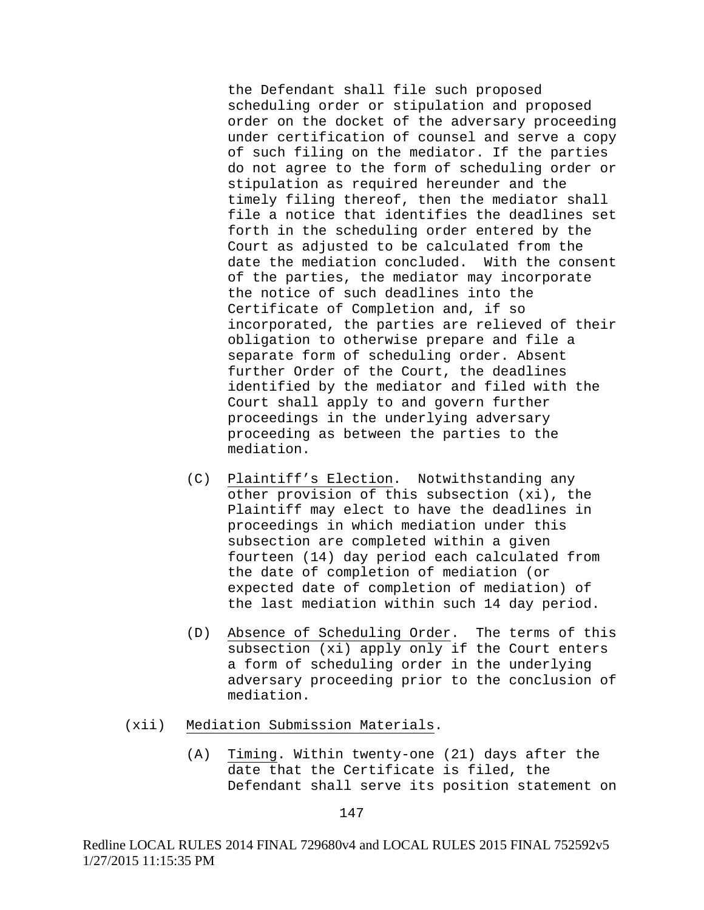the Defendant shall file such proposed scheduling order or stipulation and proposed order on the docket of the adversary proceeding under certification of counsel and serve a copy of such filing on the mediator. If the parties do not agree to the form of scheduling order or stipulation as required hereunder and the timely filing thereof, then the mediator shall file a notice that identifies the deadlines set forth in the scheduling order entered by the Court as adjusted to be calculated from the date the mediation concluded. With the consent of the parties, the mediator may incorporate the notice of such deadlines into the Certificate of Completion and, if so incorporated, the parties are relieved of their obligation to otherwise prepare and file a separate form of scheduling order. Absent further Order of the Court, the deadlines identified by the mediator and filed with the Court shall apply to and govern further proceedings in the underlying adversary proceeding as between the parties to the mediation.

- (C) Plaintiff's Election. Notwithstanding any other provision of this subsection (xi), the Plaintiff may elect to have the deadlines in proceedings in which mediation under this subsection are completed within a given fourteen (14) day period each calculated from the date of completion of mediation (or expected date of completion of mediation) of the last mediation within such 14 day period.
- (D) Absence of Scheduling Order. The terms of this subsection (xi) apply only if the Court enters a form of scheduling order in the underlying adversary proceeding prior to the conclusion of mediation.
- (xii) Mediation Submission Materials.
	- (A) Timing. Within twenty-one (21) days after the date that the Certificate is filed, the Defendant shall serve its position statement on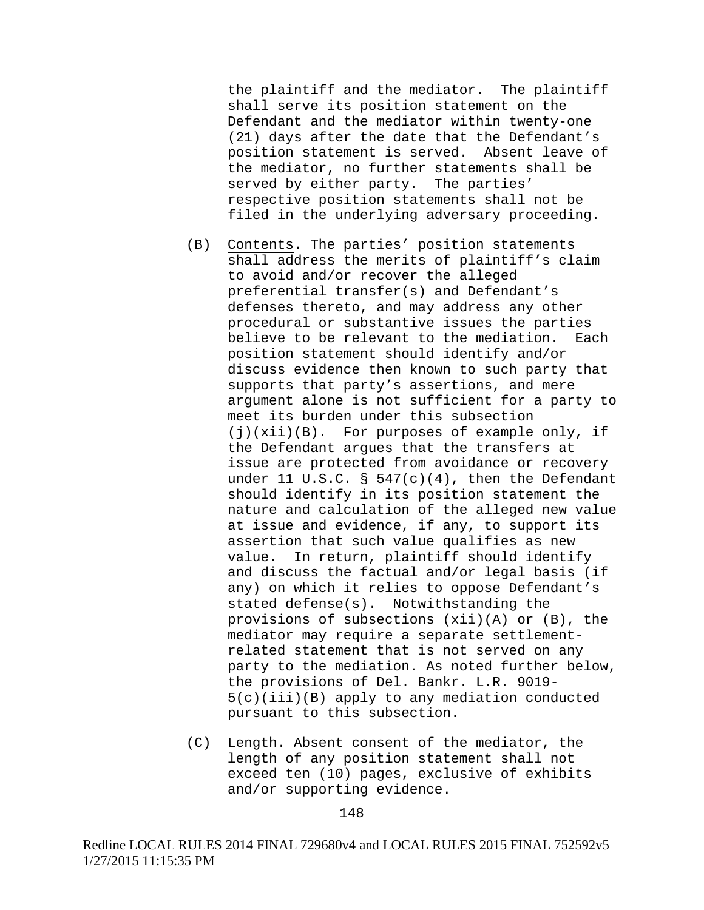the plaintiff and the mediator. The plaintiff shall serve its position statement on the Defendant and the mediator within twenty-one (21) days after the date that the Defendant's position statement is served. Absent leave of the mediator, no further statements shall be served by either party. The parties' respective position statements shall not be filed in the underlying adversary proceeding.

- (B) Contents. The parties' position statements shall address the merits of plaintiff's claim to avoid and/or recover the alleged preferential transfer(s) and Defendant's defenses thereto, and may address any other procedural or substantive issues the parties believe to be relevant to the mediation. Each position statement should identify and/or discuss evidence then known to such party that supports that party's assertions, and mere argument alone is not sufficient for a party to meet its burden under this subsection (j)(xii)(B). For purposes of example only, if the Defendant argues that the transfers at issue are protected from avoidance or recovery under 11 U.S.C. §  $547(c)(4)$ , then the Defendant should identify in its position statement the nature and calculation of the alleged new value at issue and evidence, if any, to support its assertion that such value qualifies as new value. In return, plaintiff should identify and discuss the factual and/or legal basis (if any) on which it relies to oppose Defendant's stated defense(s). Notwithstanding the provisions of subsections (xii)(A) or (B), the mediator may require a separate settlementrelated statement that is not served on any party to the mediation. As noted further below, the provisions of Del. Bankr. L.R. 9019- 5(c)(iii)(B) apply to any mediation conducted pursuant to this subsection.
- (C) Length. Absent consent of the mediator, the length of any position statement shall not exceed ten (10) pages, exclusive of exhibits and/or supporting evidence.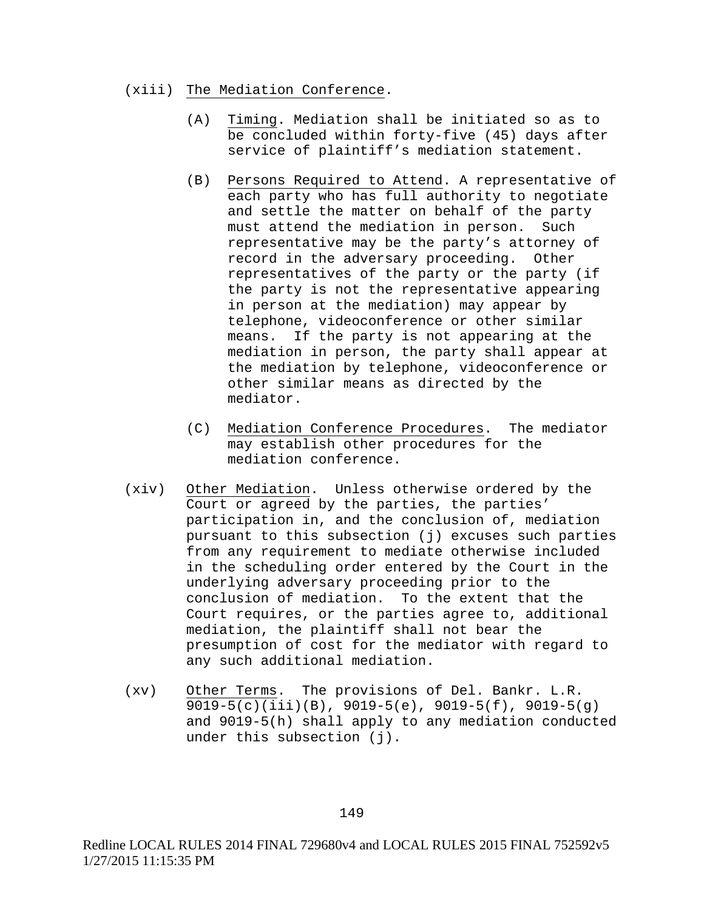#### (xiii) The Mediation Conference.

- (A) Timing. Mediation shall be initiated so as to be concluded within forty-five (45) days after service of plaintiff's mediation statement.
- (B) Persons Required to Attend. A representative of each party who has full authority to negotiate and settle the matter on behalf of the party must attend the mediation in person. Such representative may be the party's attorney of record in the adversary proceeding. Other representatives of the party or the party (if the party is not the representative appearing in person at the mediation) may appear by telephone, videoconference or other similar means. If the party is not appearing at the mediation in person, the party shall appear at the mediation by telephone, videoconference or other similar means as directed by the mediator.
- (C) Mediation Conference Procedures. The mediator may establish other procedures for the mediation conference.
- (xiv) Other Mediation. Unless otherwise ordered by the Court or agreed by the parties, the parties' participation in, and the conclusion of, mediation pursuant to this subsection (j) excuses such parties from any requirement to mediate otherwise included in the scheduling order entered by the Court in the underlying adversary proceeding prior to the conclusion of mediation. To the extent that the Court requires, or the parties agree to, additional mediation, the plaintiff shall not bear the presumption of cost for the mediator with regard to any such additional mediation.
- (xv) Other Terms. The provisions of Del. Bankr. L.R. 9019-5(c)(iii)(B), 9019-5(e), 9019-5(f), 9019-5(g) and 9019-5(h) shall apply to any mediation conducted under this subsection (j).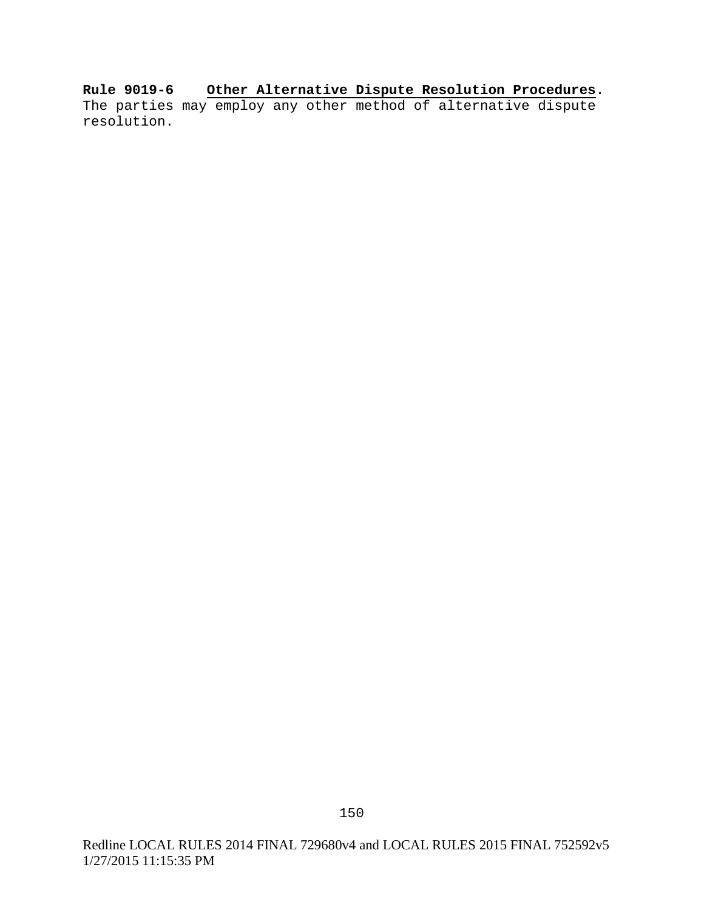**Rule 9019-6 Other Alternative Dispute Resolution Procedures**. The parties may employ any other method of alternative dispute resolution.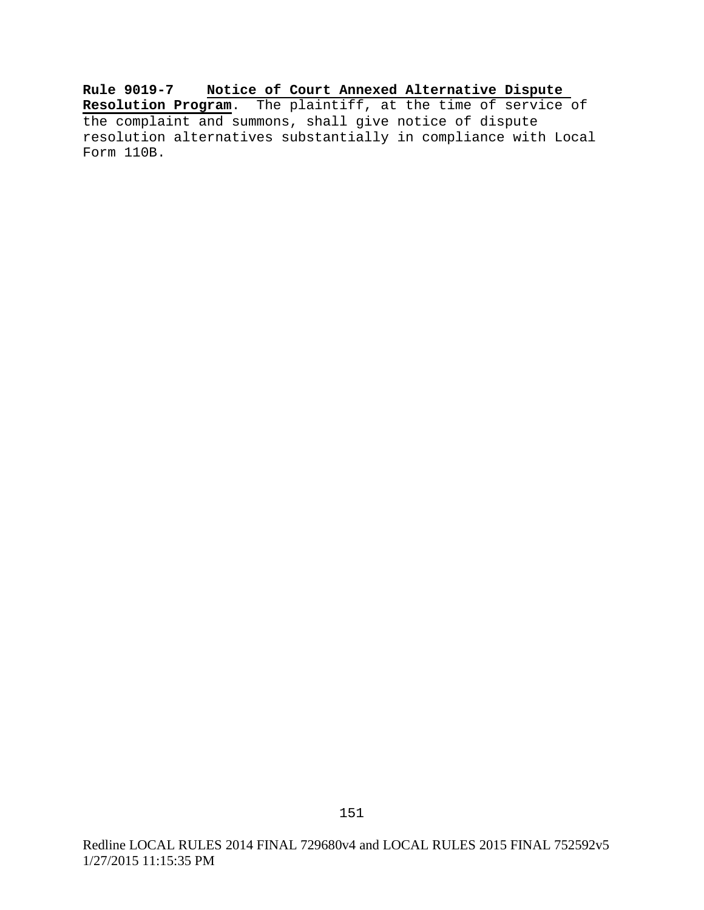**Rule 9019-7 Notice of Court Annexed Alternative Dispute Resolution Program**. The plaintiff, at the time of service of the complaint and summons, shall give notice of dispute resolution alternatives substantially in compliance with Local Form 110B.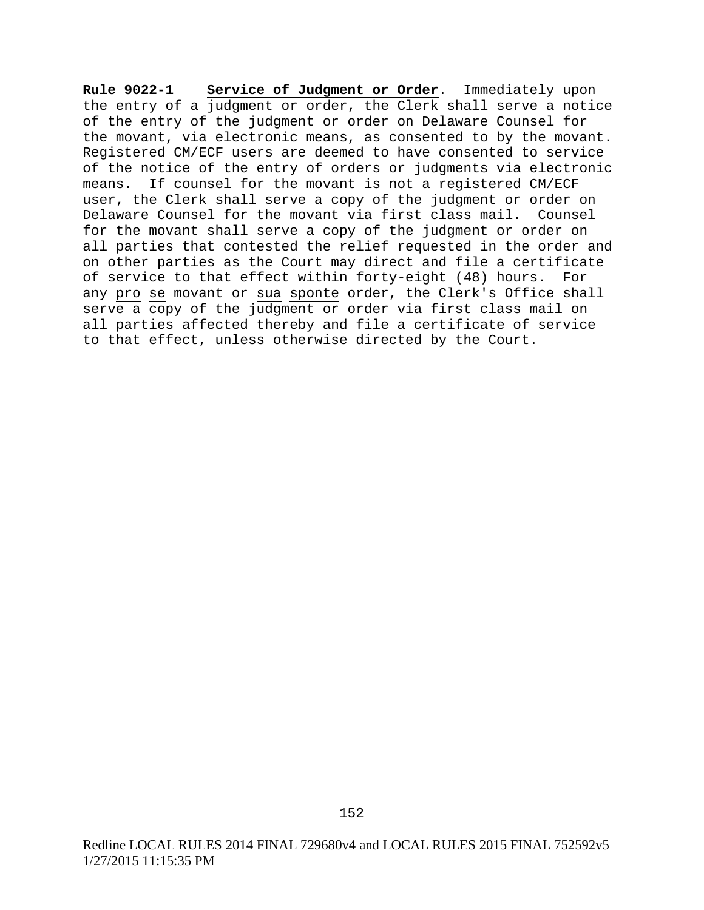**Rule 9022-1 Service of Judgment or Order**. Immediately upon the entry of a judgment or order, the Clerk shall serve a notice of the entry of the judgment or order on Delaware Counsel for the movant, via electronic means, as consented to by the movant. Registered CM/ECF users are deemed to have consented to service of the notice of the entry of orders or judgments via electronic means. If counsel for the movant is not a registered CM/ECF user, the Clerk shall serve a copy of the judgment or order on Delaware Counsel for the movant via first class mail. Counsel for the movant shall serve a copy of the judgment or order on all parties that contested the relief requested in the order and on other parties as the Court may direct and file a certificate of service to that effect within forty-eight (48) hours. For any pro se movant or sua sponte order, the Clerk's Office shall serve a copy of the judgment or order via first class mail on all parties affected thereby and file a certificate of service to that effect, unless otherwise directed by the Court.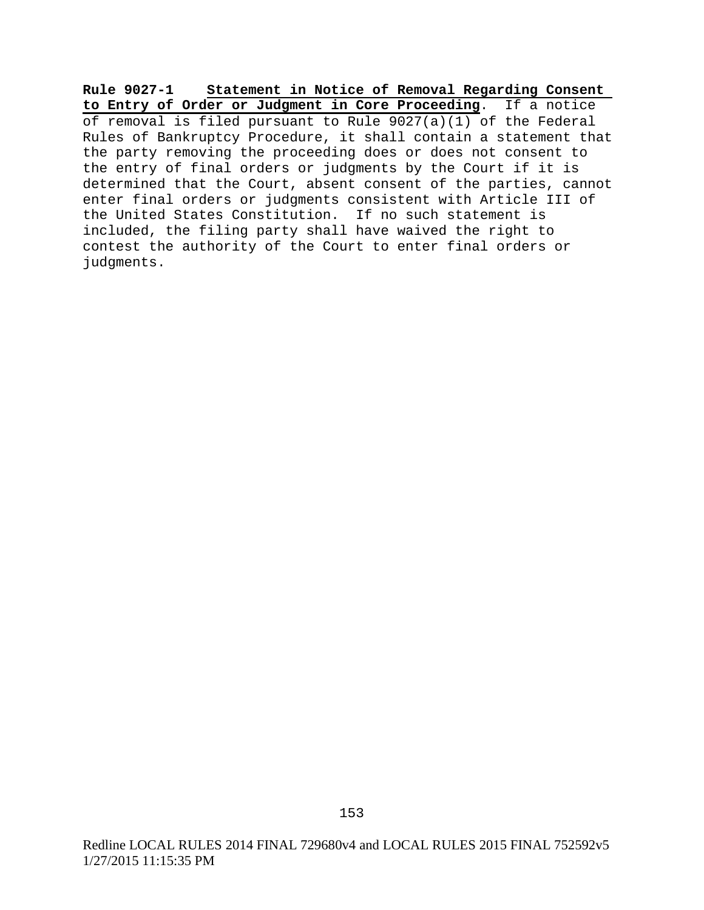**Rule 9027-1 Statement in Notice of Removal Regarding Consent to Entry of Order or Judgment in Core Proceeding**. If a notice of removal is filed pursuant to Rule  $9027(a)(1)$  of the Federal Rules of Bankruptcy Procedure, it shall contain a statement that the party removing the proceeding does or does not consent to the entry of final orders or judgments by the Court if it is determined that the Court, absent consent of the parties, cannot enter final orders or judgments consistent with Article III of the United States Constitution. If no such statement is included, the filing party shall have waived the right to contest the authority of the Court to enter final orders or judgments.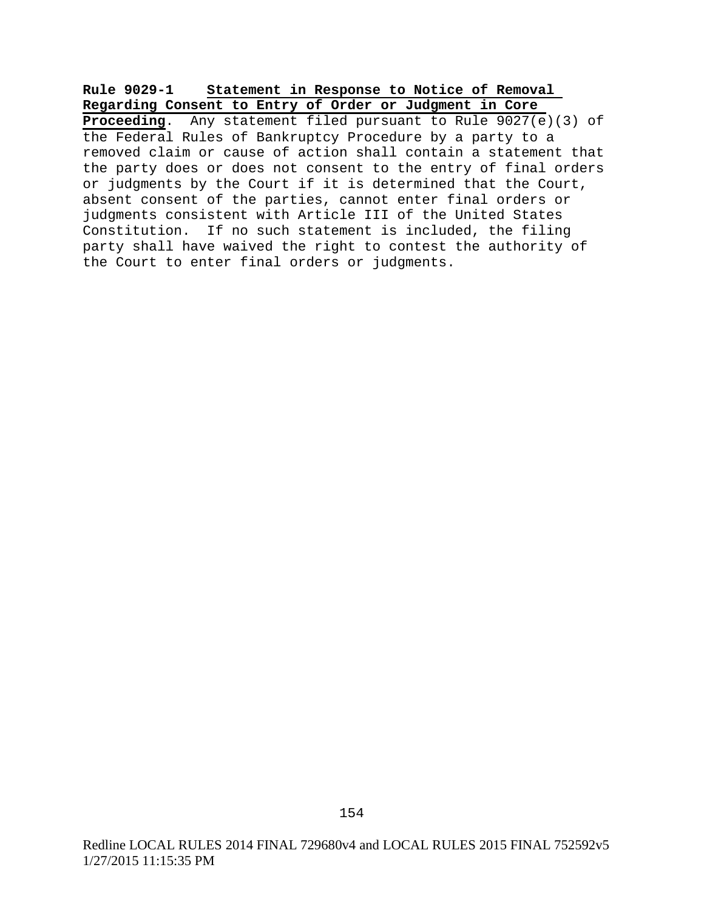## **Rule 9029-1 Statement in Response to Notice of Removal Regarding Consent to Entry of Order or Judgment in Core**

**Proceeding**. Any statement filed pursuant to Rule 9027(e)(3) of the Federal Rules of Bankruptcy Procedure by a party to a removed claim or cause of action shall contain a statement that the party does or does not consent to the entry of final orders or judgments by the Court if it is determined that the Court, absent consent of the parties, cannot enter final orders or judgments consistent with Article III of the United States Constitution. If no such statement is included, the filing party shall have waived the right to contest the authority of the Court to enter final orders or judgments.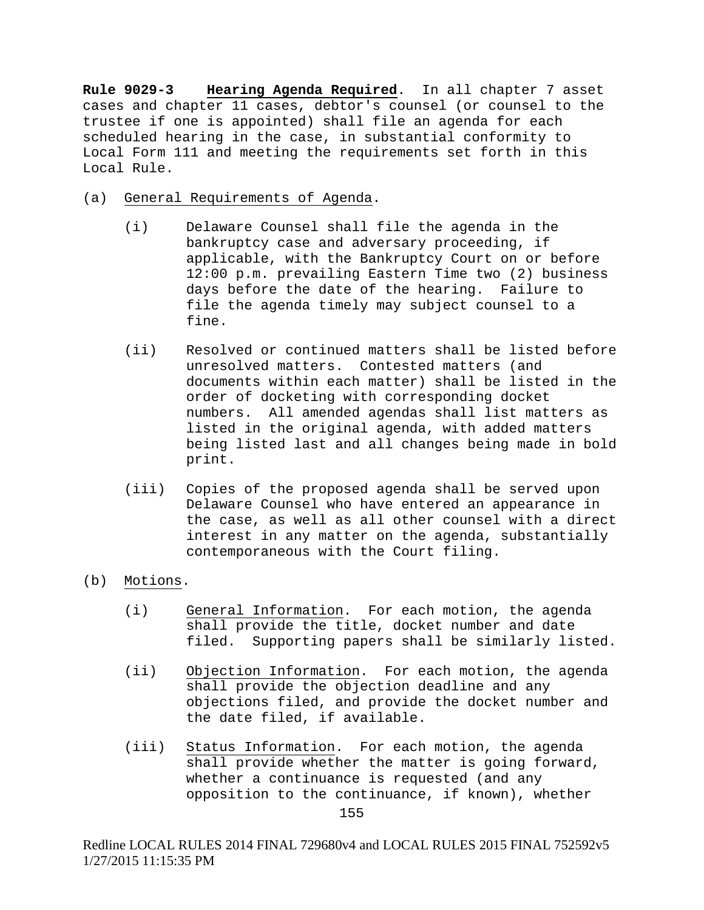**Rule 9029-3 Hearing Agenda Required**. In all chapter 7 asset cases and chapter 11 cases, debtor's counsel (or counsel to the trustee if one is appointed) shall file an agenda for each scheduled hearing in the case, in substantial conformity to Local Form 111 and meeting the requirements set forth in this Local Rule.

- (a) General Requirements of Agenda.
	- (i) Delaware Counsel shall file the agenda in the bankruptcy case and adversary proceeding, if applicable, with the Bankruptcy Court on or before 12:00 p.m. prevailing Eastern Time two (2) business days before the date of the hearing. Failure to file the agenda timely may subject counsel to a fine.
	- (ii) Resolved or continued matters shall be listed before unresolved matters. Contested matters (and documents within each matter) shall be listed in the order of docketing with corresponding docket numbers. All amended agendas shall list matters as listed in the original agenda, with added matters being listed last and all changes being made in bold print.
	- (iii) Copies of the proposed agenda shall be served upon Delaware Counsel who have entered an appearance in the case, as well as all other counsel with a direct interest in any matter on the agenda, substantially contemporaneous with the Court filing.
- (b) Motions.
	- (i) General Information. For each motion, the agenda shall provide the title, docket number and date filed. Supporting papers shall be similarly listed.
	- (ii) Objection Information. For each motion, the agenda shall provide the objection deadline and any objections filed, and provide the docket number and the date filed, if available.
	- (iii) Status Information. For each motion, the agenda shall provide whether the matter is going forward, whether a continuance is requested (and any opposition to the continuance, if known), whether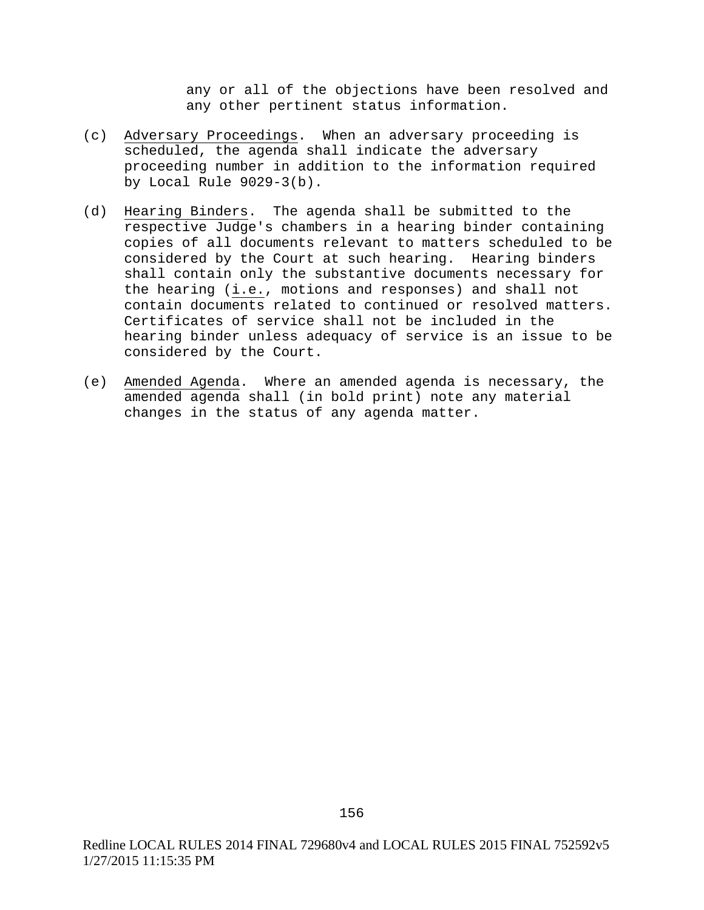any or all of the objections have been resolved and any other pertinent status information.

- (c) Adversary Proceedings. When an adversary proceeding is scheduled, the agenda shall indicate the adversary proceeding number in addition to the information required by Local Rule 9029-3(b).
- (d) Hearing Binders. The agenda shall be submitted to the respective Judge's chambers in a hearing binder containing copies of all documents relevant to matters scheduled to be considered by the Court at such hearing. Hearing binders shall contain only the substantive documents necessary for the hearing (i.e., motions and responses) and shall not contain documents related to continued or resolved matters. Certificates of service shall not be included in the hearing binder unless adequacy of service is an issue to be considered by the Court.
- (e) Amended Agenda. Where an amended agenda is necessary, the amended agenda shall (in bold print) note any material changes in the status of any agenda matter.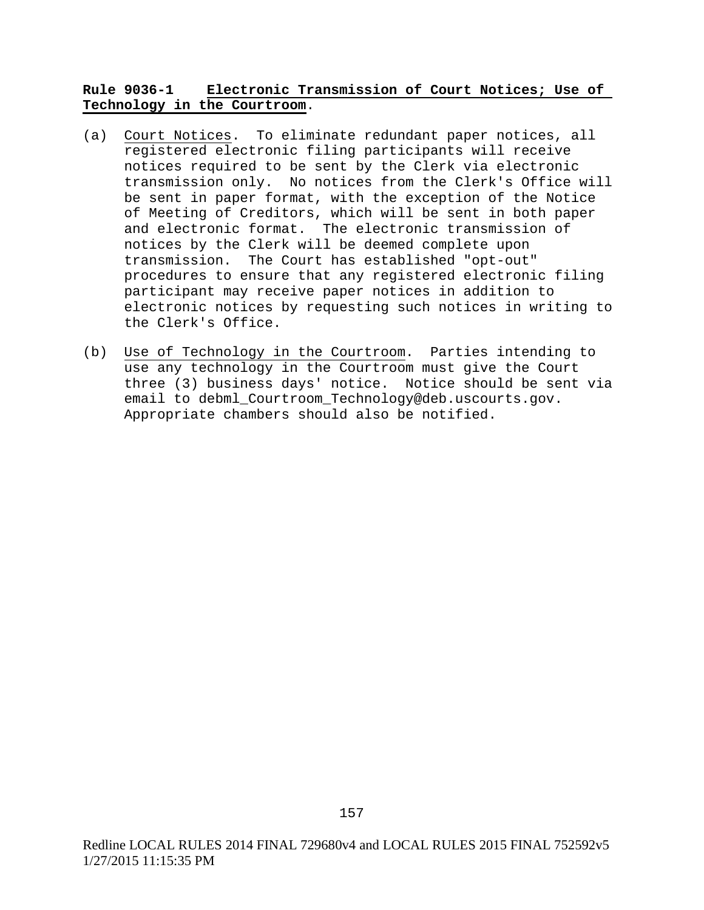# **Rule 9036-1 Electronic Transmission of Court Notices; Use of Technology in the Courtroom**.

- (a) Court Notices. To eliminate redundant paper notices, all registered electronic filing participants will receive notices required to be sent by the Clerk via electronic transmission only. No notices from the Clerk's Office will be sent in paper format, with the exception of the Notice of Meeting of Creditors, which will be sent in both paper and electronic format. The electronic transmission of notices by the Clerk will be deemed complete upon transmission. The Court has established "opt-out" procedures to ensure that any registered electronic filing participant may receive paper notices in addition to electronic notices by requesting such notices in writing to the Clerk's Office.
- (b) Use of Technology in the Courtroom. Parties intending to use any technology in the Courtroom must give the Court three (3) business days' notice. Notice should be sent via email to debml Courtroom Technology@deb.uscourts.gov. Appropriate chambers should also be notified.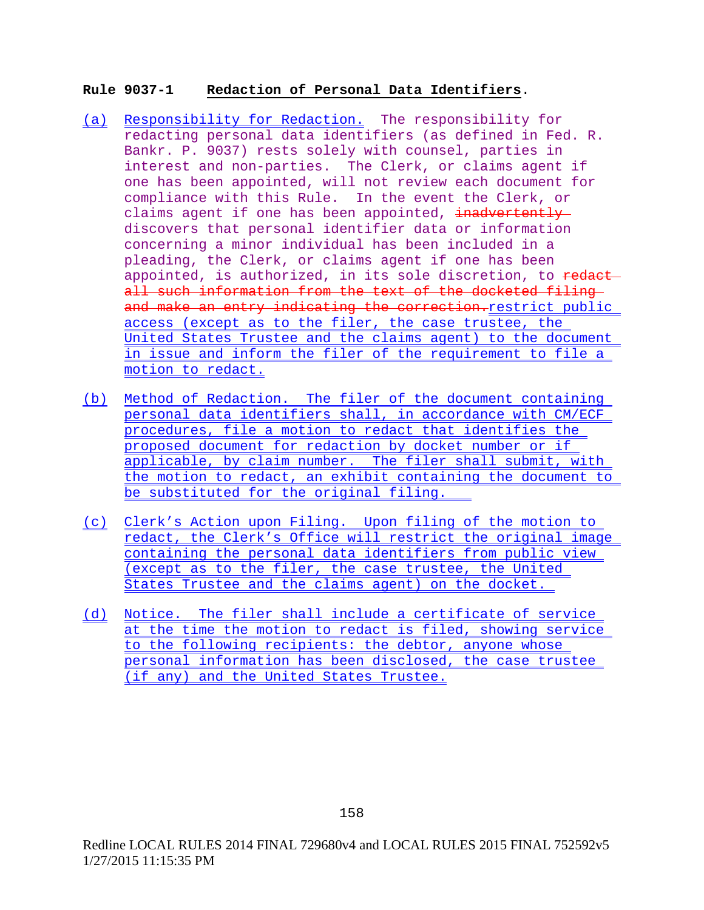## **Rule 9037-1 Redaction of Personal Data Identifiers**.

- (a) Responsibility for Redaction. The responsibility for redacting personal data identifiers (as defined in Fed. R. Bankr. P. 9037) rests solely with counsel, parties in interest and non-parties. The Clerk, or claims agent if one has been appointed, will not review each document for compliance with this Rule. In the event the Clerk, or claims agent if one has been appointed, inadvertently discovers that personal identifier data or information concerning a minor individual has been included in a pleading, the Clerk, or claims agent if one has been appointed, is authorized, in its sole discretion, to redact all such information from the text of the docketed filing and make an entry indicating the correction. restrict public access (except as to the filer, the case trustee, the United States Trustee and the claims agent) to the document in issue and inform the filer of the requirement to file a motion to redact.
- (b) Method of Redaction. The filer of the document containing personal data identifiers shall, in accordance with CM/ECF procedures, file a motion to redact that identifies the proposed document for redaction by docket number or if applicable, by claim number. The filer shall submit, with the motion to redact, an exhibit containing the document to be substituted for the original filing.
- (c) Clerk's Action upon Filing. Upon filing of the motion to redact, the Clerk's Office will restrict the original image containing the personal data identifiers from public view (except as to the filer, the case trustee, the United States Trustee and the claims agent) on the docket.
- (d) Notice. The filer shall include a certificate of service at the time the motion to redact is filed, showing service to the following recipients: the debtor, anyone whose personal information has been disclosed, the case trustee (if any) and the United States Trustee.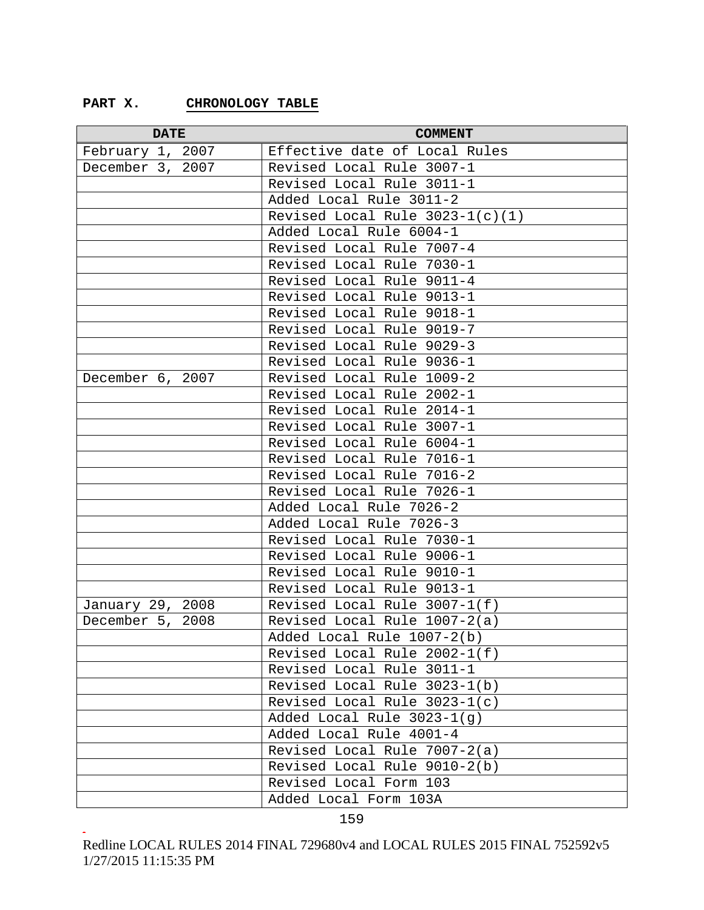## **PART X. CHRONOLOGY TABLE**

| <b>DATE</b>      | <b>COMMENT</b>                    |
|------------------|-----------------------------------|
| February 1, 2007 | Effective date of Local Rules     |
| December 3, 2007 | Revised Local Rule 3007-1         |
|                  | Revised Local Rule 3011-1         |
|                  | Added Local Rule 3011-2           |
|                  | Revised Local Rule $3023-1(c)(1)$ |
|                  | Added Local Rule 6004-1           |
|                  | Revised Local Rule 7007-4         |
|                  | Revised Local Rule 7030-1         |
|                  | Revised Local Rule 9011-4         |
|                  | Revised Local Rule 9013-1         |
|                  | Revised Local Rule 9018-1         |
|                  | Revised Local Rule 9019-7         |
|                  | Revised Local Rule 9029-3         |
|                  | Revised Local Rule 9036-1         |
| December 6, 2007 | Revised Local Rule 1009-2         |
|                  | Revised Local Rule 2002-1         |
|                  | Revised Local Rule 2014-1         |
|                  | Revised Local Rule 3007-1         |
|                  | Revised Local Rule 6004-1         |
|                  | Revised Local Rule 7016-1         |
|                  | Revised Local Rule 7016-2         |
|                  | Revised Local Rule 7026-1         |
|                  | Added Local Rule 7026-2           |
|                  | Added Local Rule 7026-3           |
|                  | Revised Local Rule 7030-1         |
|                  | Revised Local Rule 9006-1         |
|                  | Revised Local Rule 9010-1         |
|                  | Revised Local Rule 9013-1         |
| January 29, 2008 | Revised Local Rule 3007-1(f)      |
| December 5, 2008 | Revised Local Rule 1007-2(a)      |
|                  | Added Local Rule 1007-2(b)        |
|                  | Revised Local Rule 2002-1(f)      |
|                  | Revised Local Rule 3011-1         |
|                  | Revised Local Rule 3023-1(b)      |
|                  | Revised Local Rule 3023-1(c)      |
|                  | Added Local Rule 3023-1(g)        |
|                  | Added Local Rule 4001-4           |
|                  | Revised Local Rule 7007-2(a)      |
|                  | Revised Local Rule 9010-2(b)      |
|                  | Revised Local Form 103            |
|                  | Added Local Form 103A             |

<sup>159</sup> -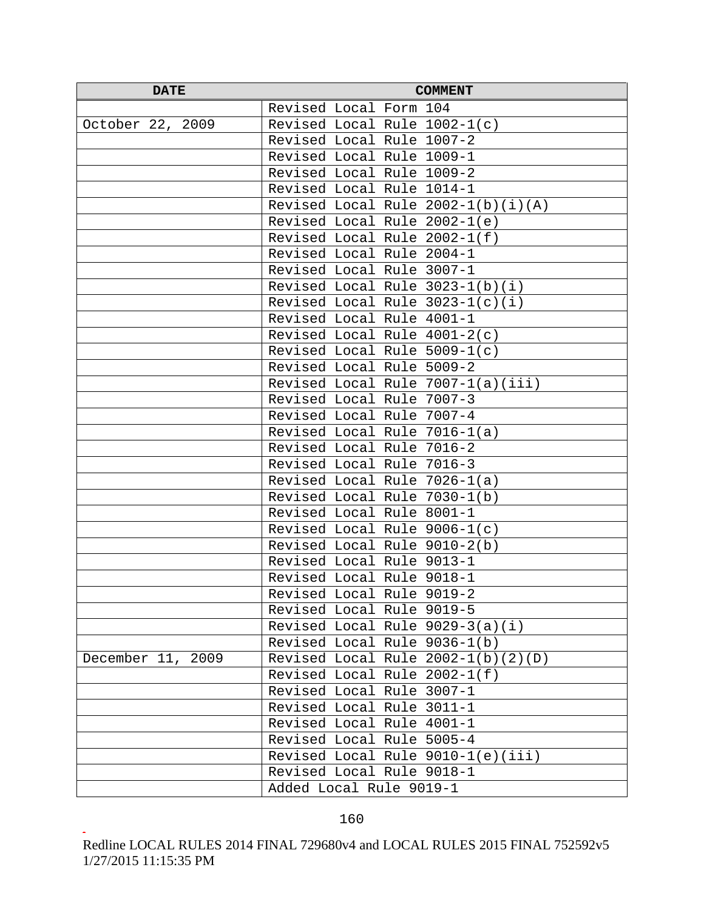| <b>DATE</b>       | <b>COMMENT</b>                       |
|-------------------|--------------------------------------|
|                   | Revised Local Form 104               |
| October 22, 2009  | Revised Local Rule 1002-1(c)         |
|                   | Revised Local Rule 1007-2            |
|                   | Revised Local Rule 1009-1            |
|                   | Revised Local Rule 1009-2            |
|                   | Revised Local Rule 1014-1            |
|                   | Revised Local Rule $2002-1(b)(i)(A)$ |
|                   | Revised Local Rule $2002-1(e)$       |
|                   | Revised Local Rule 2002-1(f)         |
|                   | Revised Local Rule 2004-1            |
|                   | Revised Local Rule 3007-1            |
|                   | Revised Local Rule $3023-1(b)(i)$    |
|                   | Revised Local Rule $3023-1(c)(i)$    |
|                   | Revised Local Rule 4001-1            |
|                   | Revised Local Rule $4001-2(c)$       |
|                   | Revised Local Rule $5009-1(c)$       |
|                   | Revised Local Rule 5009-2            |
|                   | Revised Local Rule 7007-1(a)(iii)    |
|                   | Revised Local Rule 7007-3            |
|                   | Revised Local Rule 7007-4            |
|                   | Revised Local Rule 7016-1(a)         |
|                   | Revised Local Rule 7016-2            |
|                   | Revised Local Rule 7016-3            |
|                   | Revised Local Rule 7026-1(a)         |
|                   | Revised Local Rule 7030-1(b)         |
|                   | Revised Local Rule 8001-1            |
|                   | Revised Local Rule $9006-1(c)$       |
|                   | Revised Local Rule 9010-2(b)         |
|                   | Revised Local Rule 9013-1            |
|                   | Revised Local Rule 9018-1            |
|                   | Revised Local Rule 9019-2            |
|                   | Revised Local Rule 9019-5            |
|                   | Revised Local Rule $9029-3(a)(i)$    |
|                   | Revised Local Rule 9036-1(b)         |
| December 11, 2009 | Revised Local Rule $2002-1(b)(2)(D)$ |
|                   | Revised Local Rule 2002-1(f)         |
|                   | Revised Local Rule 3007-1            |
|                   | Revised Local Rule 3011-1            |
|                   | Revised Local Rule 4001-1            |
|                   | Revised Local Rule 5005-4            |
|                   | Revised Local Rule $9010-1(e)$ (iii) |
|                   | Revised Local Rule 9018-1            |
|                   | Added Local Rule 9019-1              |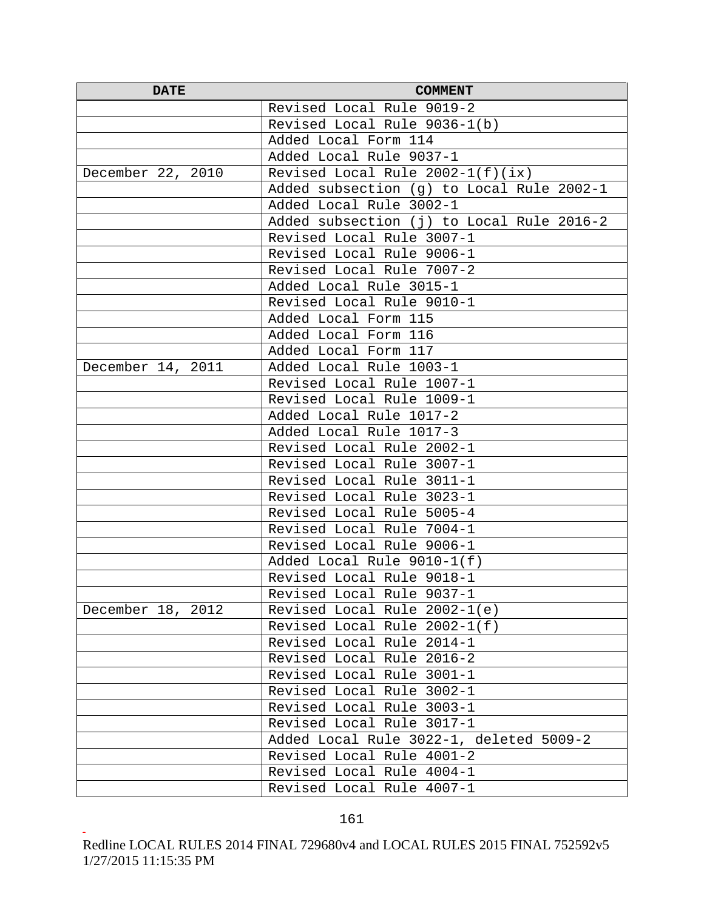| <b>DATE</b>       | <b>COMMENT</b>                            |
|-------------------|-------------------------------------------|
|                   | Revised Local Rule 9019-2                 |
|                   | Revised Local Rule 9036-1(b)              |
|                   | Added Local Form 114                      |
|                   | Added Local Rule 9037-1                   |
| December 22, 2010 | Revised Local Rule $2002-1(f)(ix)$        |
|                   | Added subsection (g) to Local Rule 2002-1 |
|                   | Added Local Rule 3002-1                   |
|                   | Added subsection (j) to Local Rule 2016-2 |
|                   | Revised Local Rule 3007-1                 |
|                   | Revised Local Rule 9006-1                 |
|                   | Revised Local Rule 7007-2                 |
|                   | Added Local Rule 3015-1                   |
|                   | Revised Local Rule 9010-1                 |
|                   | Added Local Form 115                      |
|                   | Added Local Form 116                      |
|                   | Added Local Form 117                      |
| December 14, 2011 | Added Local Rule 1003-1                   |
|                   | Revised Local Rule 1007-1                 |
|                   | Revised Local Rule 1009-1                 |
|                   | Added Local Rule 1017-2                   |
|                   | Added Local Rule 1017-3                   |
|                   | Revised Local Rule 2002-1                 |
|                   | Revised Local Rule 3007-1                 |
|                   | Revised Local Rule 3011-1                 |
|                   | Revised Local Rule 3023-1                 |
|                   | Revised Local Rule 5005-4                 |
|                   | Revised Local Rule 7004-1                 |
|                   | Revised Local Rule 9006-1                 |
|                   | Added Local Rule 9010-1(f)                |
|                   | Revised Local Rule 9018-1                 |
|                   | Revised Local Rule 9037-1                 |
| December 18, 2012 | Revised Local Rule $2002-1(e)$            |
|                   | Revised Local Rule $2002-1(f)$            |
|                   | Revised Local Rule 2014-1                 |
|                   | Revised Local Rule 2016-2                 |
|                   | Revised Local Rule 3001-1                 |
|                   | Revised Local Rule 3002-1                 |
|                   | Revised Local Rule 3003-1                 |
|                   | Revised Local Rule 3017-1                 |
|                   | Added Local Rule 3022-1, deleted 5009-2   |
|                   | Revised Local Rule 4001-2                 |
|                   | Revised Local Rule 4004-1                 |
|                   | Revised Local Rule 4007-1                 |

Redline LOCAL RULES 2014 FINAL 729680v4 and LOCAL RULES 2015 FINAL 752592v5 1/27/2015 11:15:35 PM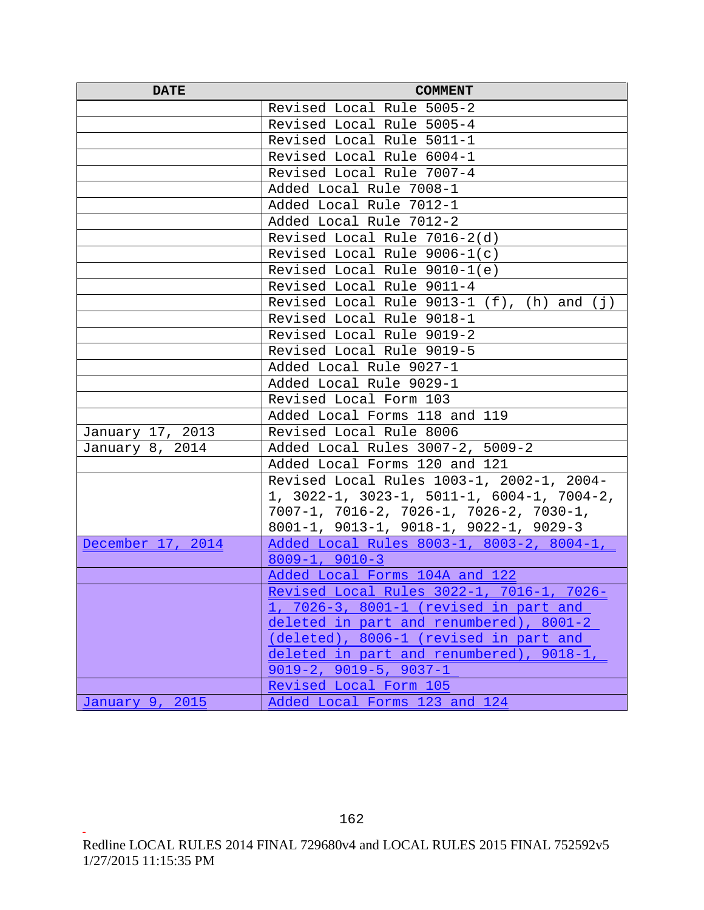| <b>DATE</b>       | <b>COMMENT</b>                                                            |
|-------------------|---------------------------------------------------------------------------|
|                   | Revised Local Rule 5005-2                                                 |
|                   | Revised Local Rule 5005-4                                                 |
|                   | Revised Local Rule 5011-1                                                 |
|                   | Revised Local Rule 6004-1                                                 |
|                   | Revised Local Rule 7007-4                                                 |
|                   | Added Local Rule 7008-1                                                   |
|                   | Added Local Rule 7012-1                                                   |
|                   | Added Local Rule 7012-2                                                   |
|                   | Revised Local Rule 7016-2(d)                                              |
|                   | Revised Local Rule $9006-1(c)$                                            |
|                   | Revised Local Rule 9010-1(e)                                              |
|                   | Revised Local Rule 9011-4                                                 |
|                   | Revised Local Rule $9013-1$ (f), (h) and (j)                              |
|                   | Revised Local Rule 9018-1                                                 |
|                   | Revised Local Rule 9019-2                                                 |
|                   | Revised Local Rule 9019-5                                                 |
|                   | Added Local Rule 9027-1                                                   |
|                   | Added Local Rule 9029-1                                                   |
|                   | Revised Local Form 103                                                    |
|                   | Added Local Forms 118 and 119                                             |
| January 17, 2013  | Revised Local Rule 8006                                                   |
| January 8, 2014   | Added Local Rules 3007-2, 5009-2                                          |
|                   | Added Local Forms 120 and 121                                             |
|                   | Revised Local Rules 1003-1, 2002-1, 2004-                                 |
|                   | 1, $3022-1$ , $3023-1$ , $5011-1$ , $6004-1$ , $7004-2$ ,                 |
|                   | $7007-1, 7016-2, 7026-1, 7026-2, 7030-1,$                                 |
|                   | $8001-1$ , $9013-1$ , $9018-1$ , $9022-1$ , $9029-3$                      |
| December 17, 2014 | Added Local Rules 8003-1, 8003-2, 8004-1,                                 |
|                   | $8009 - 1, 9010 - 3$                                                      |
|                   | Added Local Forms 104A and 122                                            |
|                   | Revised Local Rules 3022-1, 7016-1, 7026-                                 |
|                   | 1, 7026-3, 8001-1 (revised in part and                                    |
|                   | deleted in part and renumbered), 8001-2                                   |
|                   | (deleted), 8006-1 (revised in part and                                    |
|                   | deleted in part and renumbered), 9018-1<br>$9019 - 2, 9019 - 5, 9037 - 1$ |
|                   | Revised Local Form 105                                                    |
|                   |                                                                           |
| January 9, 2015   | Added Local Forms 123 and 124                                             |

 $162$ Redline LOCAL RULES 2014 FINAL 729680v4 and LOCAL RULES 2015 FINAL 752592v5 1/27/2015 11:15:35 PM